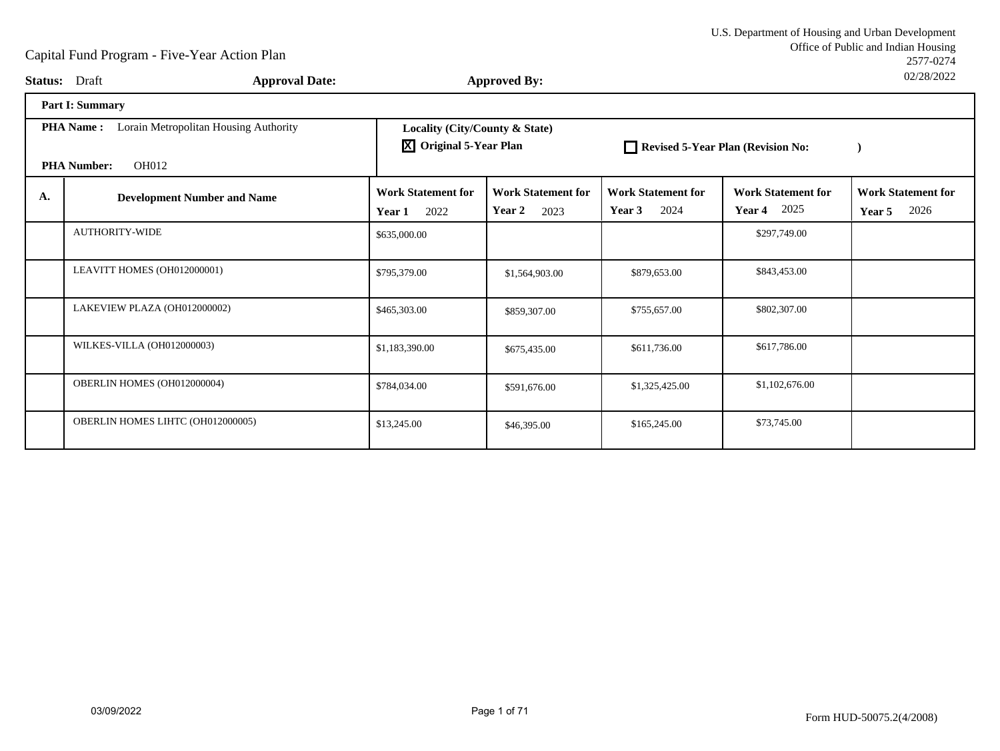|                          |                                                  | U.S. Department of Housing and Urban Development |
|--------------------------|--------------------------------------------------|--------------------------------------------------|
|                          |                                                  | Office of Public and Indian Housing              |
|                          |                                                  | 2577-0274                                        |
| $\sim$ - $\sim$ 1 Detain | $\mathbf{L}$ is seen and $\mathbf{D}$ in the set | 02/28/2022                                       |

|    | <b>Status:</b> Draft<br><b>Approval Date:</b>                                                   |                                                                 | <b>Approved By:</b>                         |                                             |                                             | UZIZOIZUZZ                                  |
|----|-------------------------------------------------------------------------------------------------|-----------------------------------------------------------------|---------------------------------------------|---------------------------------------------|---------------------------------------------|---------------------------------------------|
|    | Part I: Summary                                                                                 |                                                                 |                                             |                                             |                                             |                                             |
|    | Lorain Metropolitan Housing Authority<br><b>PHA Name:</b><br><b>OH012</b><br><b>PHA Number:</b> | Locality (City/County & State)<br><b>X</b> Original 5-Year Plan |                                             | Revised 5-Year Plan (Revision No:           |                                             |                                             |
| A. | <b>Development Number and Name</b>                                                              | <b>Work Statement for</b><br>2022<br>Year 1                     | <b>Work Statement for</b><br>Year 2<br>2023 | <b>Work Statement for</b><br>Year 3<br>2024 | <b>Work Statement for</b><br>2025<br>Year 4 | <b>Work Statement for</b><br>2026<br>Year 5 |
|    | <b>AUTHORITY-WIDE</b>                                                                           | \$635,000.00                                                    |                                             |                                             | \$297,749.00                                |                                             |
|    | LEAVITT HOMES (OH012000001)                                                                     | \$795,379.00                                                    | \$1,564,903.00                              | \$879,653.00                                | \$843,453.00                                |                                             |
|    | LAKEVIEW PLAZA (OH012000002)                                                                    | \$465,303.00                                                    | \$859,307.00                                | \$755,657.00                                | \$802,307.00                                |                                             |
|    | WILKES-VILLA (OH012000003)                                                                      | \$1,183,390.00                                                  | \$675,435.00                                | \$611,736.00                                | \$617,786.00                                |                                             |
|    | OBERLIN HOMES (OH012000004)                                                                     | \$784,034.00                                                    | \$591,676.00                                | \$1,325,425.00                              | \$1,102,676.00                              |                                             |
|    | OBERLIN HOMES LIHTC (OH012000005)                                                               | \$13,245.00                                                     | \$46,395.00                                 | \$165,245.00                                | \$73,745.00                                 |                                             |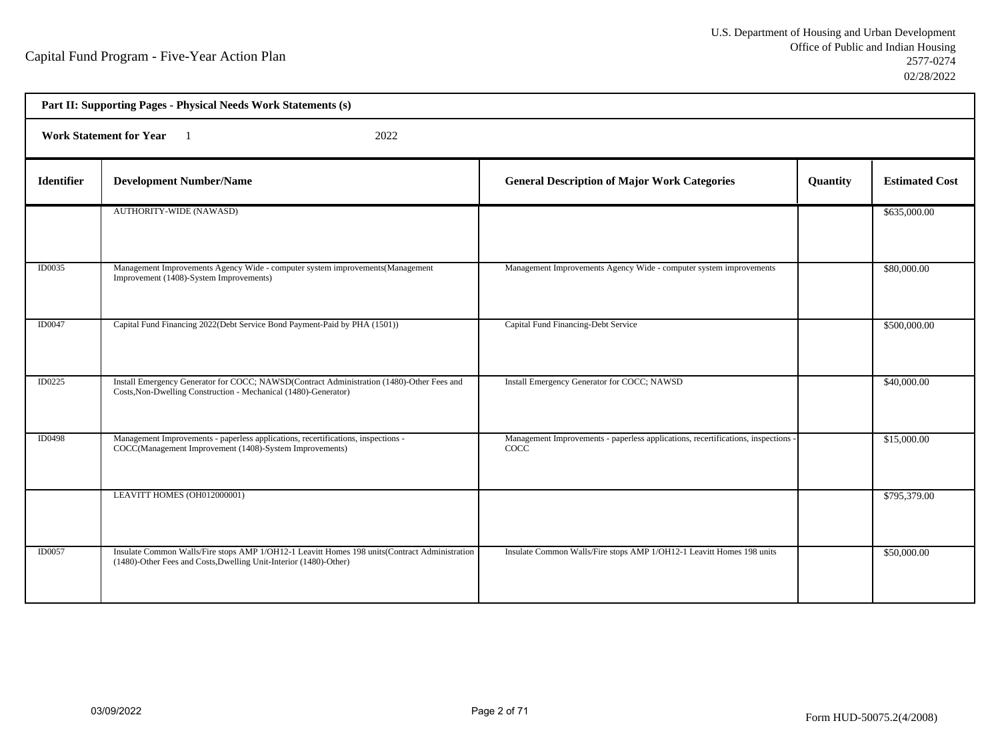| Part II: Supporting Pages - Physical Needs Work Statements (s) |                                                                                                                                                                    |                                                                                         |          |                       |  |  |
|----------------------------------------------------------------|--------------------------------------------------------------------------------------------------------------------------------------------------------------------|-----------------------------------------------------------------------------------------|----------|-----------------------|--|--|
|                                                                | <b>Work Statement for Year</b><br>2022                                                                                                                             |                                                                                         |          |                       |  |  |
| <b>Identifier</b>                                              | <b>Development Number/Name</b>                                                                                                                                     | <b>General Description of Major Work Categories</b>                                     | Quantity | <b>Estimated Cost</b> |  |  |
|                                                                | <b>AUTHORITY-WIDE (NAWASD)</b>                                                                                                                                     |                                                                                         |          | \$635,000.00          |  |  |
| ID0035                                                         | Management Improvements Agency Wide - computer system improvements (Management<br>Improvement (1408)-System Improvements)                                          | Management Improvements Agency Wide - computer system improvements                      |          | \$80,000.00           |  |  |
| ID0047                                                         | Capital Fund Financing 2022 (Debt Service Bond Payment-Paid by PHA (1501))                                                                                         | Capital Fund Financing-Debt Service                                                     |          | \$500,000.00          |  |  |
| ID0225                                                         | Install Emergency Generator for COCC; NAWSD(Contract Administration (1480)-Other Fees and<br>Costs, Non-Dwelling Construction - Mechanical (1480)-Generator)       | Install Emergency Generator for COCC; NAWSD                                             |          | \$40,000.00           |  |  |
| <b>ID0498</b>                                                  | Management Improvements - paperless applications, recertifications, inspections -<br>COCC(Management Improvement (1408)-System Improvements)                       | Management Improvements - paperless applications, recertifications, inspections<br>COCC |          | \$15,000.00           |  |  |
|                                                                | LEAVITT HOMES (OH012000001)                                                                                                                                        |                                                                                         |          | \$795,379.00          |  |  |
| <b>ID0057</b>                                                  | Insulate Common Walls/Fire stops AMP 1/OH12-1 Leavitt Homes 198 units(Contract Administration<br>(1480)-Other Fees and Costs, Dwelling Unit-Interior (1480)-Other) | Insulate Common Walls/Fire stops AMP 1/OH12-1 Leavitt Homes 198 units                   |          | \$50,000.00           |  |  |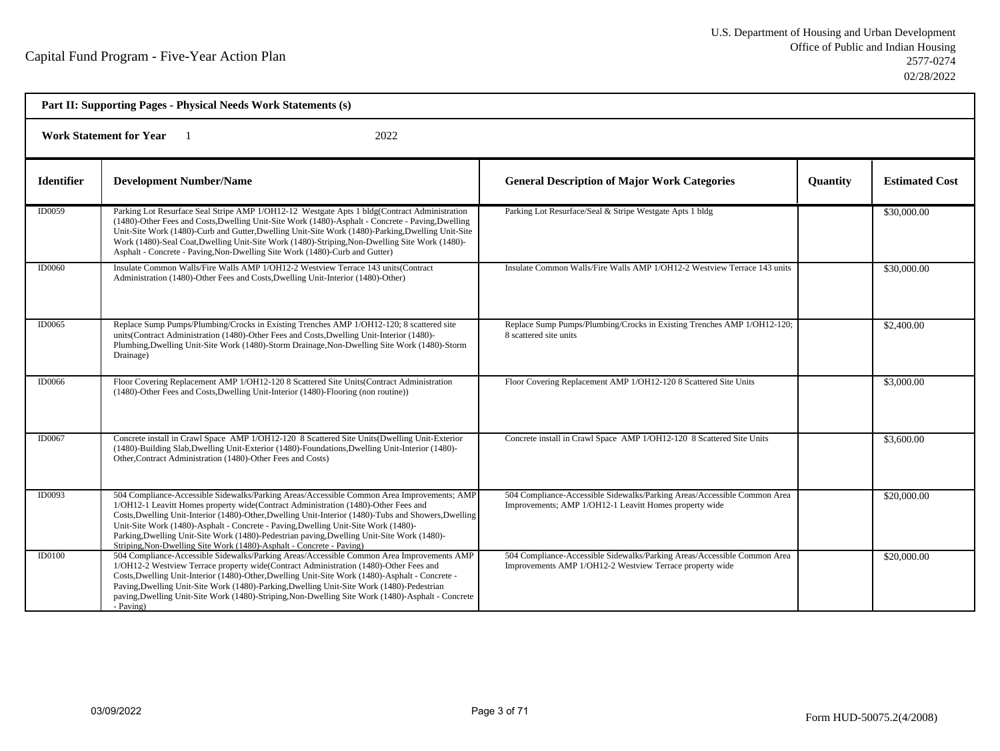|                   |                                                                                                                                                                                                                                                                                                                                                                                                                                                                                                                                                      |                                                                                                                                      | Part II: Supporting Pages - Physical Needs Work Statements (s) |                       |  |  |  |
|-------------------|------------------------------------------------------------------------------------------------------------------------------------------------------------------------------------------------------------------------------------------------------------------------------------------------------------------------------------------------------------------------------------------------------------------------------------------------------------------------------------------------------------------------------------------------------|--------------------------------------------------------------------------------------------------------------------------------------|----------------------------------------------------------------|-----------------------|--|--|--|
|                   | <b>Work Statement for Year</b><br>2022                                                                                                                                                                                                                                                                                                                                                                                                                                                                                                               |                                                                                                                                      |                                                                |                       |  |  |  |
| <b>Identifier</b> | <b>Development Number/Name</b>                                                                                                                                                                                                                                                                                                                                                                                                                                                                                                                       | <b>General Description of Major Work Categories</b>                                                                                  | <b>Quantity</b>                                                | <b>Estimated Cost</b> |  |  |  |
| ID0059            | Parking Lot Resurface Seal Stripe AMP 1/OH12-12 Westgate Apts 1 bldg(Contract Administration<br>(1480)-Other Fees and Costs, Dwelling Unit-Site Work (1480)-Asphalt - Concrete - Paving, Dwelling<br>Unit-Site Work (1480)-Curb and Gutter, Dwelling Unit-Site Work (1480)-Parking, Dwelling Unit-Site<br>Work (1480)-Seal Coat, Dwelling Unit-Site Work (1480)-Striping, Non-Dwelling Site Work (1480)-<br>Asphalt - Concrete - Paving, Non-Dwelling Site Work (1480)-Curb and Gutter)                                                              | Parking Lot Resurface/Seal & Stripe Westgate Apts 1 bldg                                                                             |                                                                | \$30,000.00           |  |  |  |
| <b>ID0060</b>     | Insulate Common Walls/Fire Walls AMP 1/OH12-2 Westview Terrace 143 units(Contract<br>Administration (1480)-Other Fees and Costs, Dwelling Unit-Interior (1480)-Other)                                                                                                                                                                                                                                                                                                                                                                                | Insulate Common Walls/Fire Walls AMP 1/OH12-2 Westview Terrace 143 units                                                             |                                                                | \$30,000.00           |  |  |  |
| ID0065            | Replace Sump Pumps/Plumbing/Crocks in Existing Trenches AMP 1/OH12-120; 8 scattered site<br>units(Contract Administration (1480)-Other Fees and Costs, Dwelling Unit-Interior (1480)-<br>Plumbing, Dwelling Unit-Site Work (1480)-Storm Drainage, Non-Dwelling Site Work (1480)-Storm<br>Drainage)                                                                                                                                                                                                                                                   | Replace Sump Pumps/Plumbing/Crocks in Existing Trenches AMP 1/OH12-120;<br>8 scattered site units                                    |                                                                | \$2,400.00            |  |  |  |
| ID0066            | Floor Covering Replacement AMP 1/OH12-120 8 Scattered Site Units (Contract Administration<br>(1480)-Other Fees and Costs, Dwelling Unit-Interior (1480)-Flooring (non routine))                                                                                                                                                                                                                                                                                                                                                                      | Floor Covering Replacement AMP 1/OH12-120 8 Scattered Site Units                                                                     |                                                                | \$3,000.00            |  |  |  |
| <b>ID0067</b>     | Concrete install in Crawl Space AMP 1/OH12-120 8 Scattered Site Units(Dwelling Unit-Exterior<br>(1480)-Building Slab, Dwelling Unit-Exterior (1480)-Foundations, Dwelling Unit-Interior (1480)-<br>Other, Contract Administration (1480)-Other Fees and Costs)                                                                                                                                                                                                                                                                                       | Concrete install in Crawl Space AMP 1/OH12-120 8 Scattered Site Units                                                                |                                                                | \$3,600.00            |  |  |  |
| <b>ID0093</b>     | 504 Compliance-Accessible Sidewalks/Parking Areas/Accessible Common Area Improvements; AMP<br>1/OH12-1 Leavitt Homes property wide(Contract Administration (1480)-Other Fees and<br>Costs, Dwelling Unit-Interior (1480)-Other, Dwelling Unit-Interior (1480)-Tubs and Showers, Dwelling<br>Unit-Site Work (1480)-Asphalt - Concrete - Paving, Dwelling Unit-Site Work (1480)-<br>Parking, Dwelling Unit-Site Work (1480)-Pedestrian paving, Dwelling Unit-Site Work (1480)-<br>Striping, Non-Dwelling Site Work (1480)-Asphalt - Concrete - Paving) | 504 Compliance-Accessible Sidewalks/Parking Areas/Accessible Common Area<br>Improvements; AMP 1/OH12-1 Leavitt Homes property wide   |                                                                | \$20,000.00           |  |  |  |
| ID0100            | 504 Compliance-Accessible Sidewalks/Parking Areas/Accessible Common Area Improvements AMP<br>1/OH12-2 Westview Terrace property wide(Contract Administration (1480)-Other Fees and<br>Costs, Dwelling Unit-Interior (1480)-Other, Dwelling Unit-Site Work (1480)-Asphalt - Concrete -<br>Paving, Dwelling Unit-Site Work (1480)-Parking, Dwelling Unit-Site Work (1480)-Pedestrian<br>paving, Dwelling Unit-Site Work (1480)-Striping, Non-Dwelling Site Work (1480)-Asphalt - Concrete<br>- Paving)                                                 | 504 Compliance-Accessible Sidewalks/Parking Areas/Accessible Common Area<br>Improvements AMP 1/OH12-2 Westview Terrace property wide |                                                                | \$20,000.00           |  |  |  |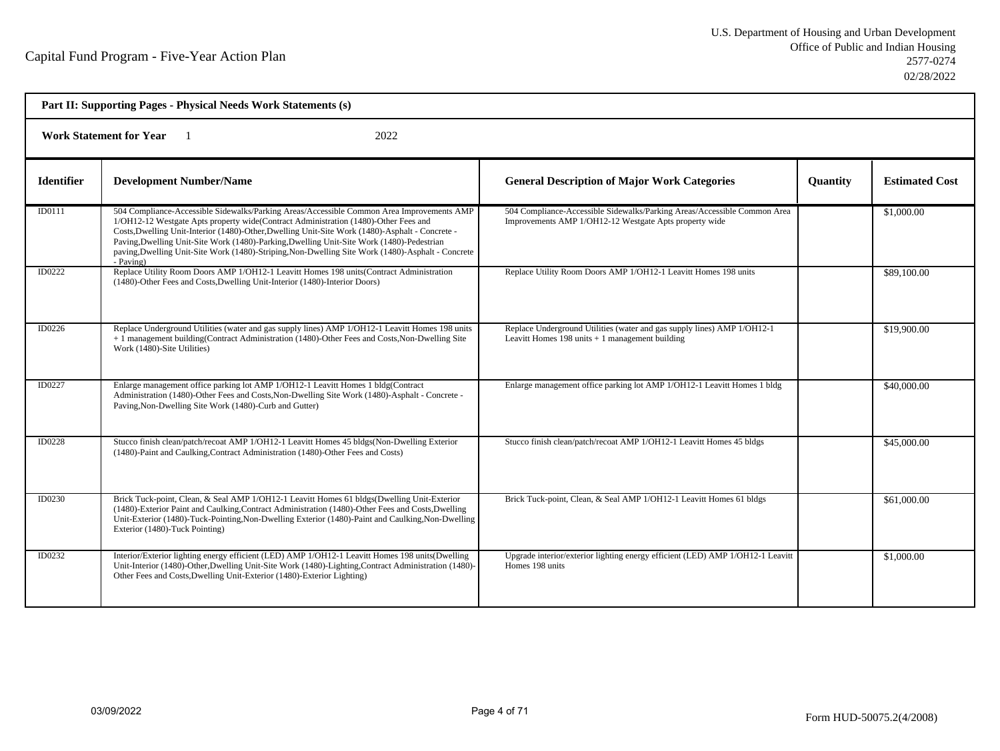| Part II: Supporting Pages - Physical Needs Work Statements (s) |                                                                                                                                                                                                                                                                                                                                                                                                                                                                                                    |                                                                                                                                    |                 |                       |  |
|----------------------------------------------------------------|----------------------------------------------------------------------------------------------------------------------------------------------------------------------------------------------------------------------------------------------------------------------------------------------------------------------------------------------------------------------------------------------------------------------------------------------------------------------------------------------------|------------------------------------------------------------------------------------------------------------------------------------|-----------------|-----------------------|--|
|                                                                | <b>Work Statement for Year</b><br>2022                                                                                                                                                                                                                                                                                                                                                                                                                                                             |                                                                                                                                    |                 |                       |  |
| <b>Identifier</b>                                              | <b>Development Number/Name</b>                                                                                                                                                                                                                                                                                                                                                                                                                                                                     | <b>General Description of Major Work Categories</b>                                                                                | <b>Ouantity</b> | <b>Estimated Cost</b> |  |
| ID0111                                                         | 504 Compliance-Accessible Sidewalks/Parking Areas/Accessible Common Area Improvements AMP<br>1/OH12-12 Westgate Apts property wide(Contract Administration (1480)-Other Fees and<br>Costs, Dwelling Unit-Interior (1480)-Other, Dwelling Unit-Site Work (1480)-Asphalt - Concrete -<br>Paving, Dwelling Unit-Site Work (1480)-Parking, Dwelling Unit-Site Work (1480)-Pedestrian<br>paving, Dwelling Unit-Site Work (1480)-Striping, Non-Dwelling Site Work (1480)-Asphalt - Concrete<br>- Paving) | 504 Compliance-Accessible Sidewalks/Parking Areas/Accessible Common Area<br>Improvements AMP 1/OH12-12 Westgate Apts property wide |                 | \$1,000.00            |  |
| ID0222                                                         | Replace Utility Room Doors AMP 1/OH12-1 Leavitt Homes 198 units (Contract Administration<br>(1480)-Other Fees and Costs, Dwelling Unit-Interior (1480)-Interior Doors)                                                                                                                                                                                                                                                                                                                             | Replace Utility Room Doors AMP 1/OH12-1 Leavitt Homes 198 units                                                                    |                 | \$89,100.00           |  |
| ID0226                                                         | Replace Underground Utilities (water and gas supply lines) AMP 1/OH12-1 Leavitt Homes 198 units<br>+ 1 management building(Contract Administration (1480)-Other Fees and Costs, Non-Dwelling Site<br>Work (1480)-Site Utilities)                                                                                                                                                                                                                                                                   | Replace Underground Utilities (water and gas supply lines) AMP 1/OH12-1<br>Leavitt Homes 198 units $+1$ management building        |                 | \$19,900.00           |  |
| ID0227                                                         | Enlarge management office parking lot AMP 1/OH12-1 Leavitt Homes 1 bldg(Contract<br>Administration (1480)-Other Fees and Costs, Non-Dwelling Site Work (1480)-Asphalt - Concrete -<br>Paving, Non-Dwelling Site Work (1480)-Curb and Gutter)                                                                                                                                                                                                                                                       | Enlarge management office parking lot AMP 1/OH12-1 Leavitt Homes 1 bldg                                                            |                 | \$40,000.00           |  |
| <b>ID0228</b>                                                  | Stucco finish clean/patch/recoat AMP 1/OH12-1 Leavitt Homes 45 bldgs(Non-Dwelling Exterior<br>(1480)-Paint and Caulking, Contract Administration (1480)-Other Fees and Costs)                                                                                                                                                                                                                                                                                                                      | Stucco finish clean/patch/recoat AMP 1/OH12-1 Leavitt Homes 45 bldgs                                                               |                 | \$45,000.00           |  |
| ID0230                                                         | Brick Tuck-point, Clean, & Seal AMP 1/OH12-1 Leavitt Homes 61 bldgs(Dwelling Unit-Exterior<br>(1480)-Exterior Paint and Caulking Contract Administration (1480)-Other Fees and Costs Dwelling<br>Unit-Exterior (1480)-Tuck-Pointing, Non-Dwelling Exterior (1480)-Paint and Caulking, Non-Dwelling<br>Exterior (1480)-Tuck Pointing)                                                                                                                                                               | Brick Tuck-point, Clean, & Seal AMP 1/OH12-1 Leavitt Homes 61 bldgs                                                                |                 | \$61,000.00           |  |
| ID0232                                                         | Interior/Exterior lighting energy efficient (LED) AMP 1/OH12-1 Leavitt Homes 198 units (Dwelling<br>Unit-Interior (1480)-Other, Dwelling Unit-Site Work (1480)-Lighting, Contract Administration (1480)-<br>Other Fees and Costs, Dwelling Unit-Exterior (1480)-Exterior Lighting)                                                                                                                                                                                                                 | Upgrade interior/exterior lighting energy efficient (LED) AMP 1/OH12-1 Leavitt<br>Homes 198 units                                  |                 | \$1,000.00            |  |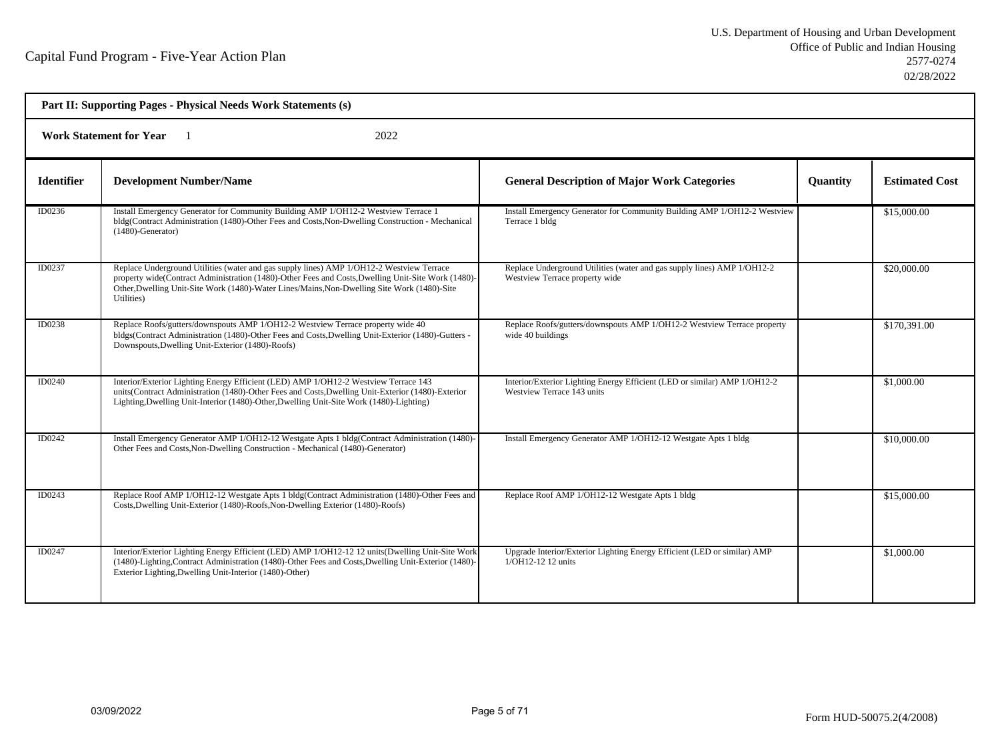| Part II: Supporting Pages - Physical Needs Work Statements (s) |                                                                                                                                                                                                                                                                                                             |                                                                                                           |                 |                       |  |  |
|----------------------------------------------------------------|-------------------------------------------------------------------------------------------------------------------------------------------------------------------------------------------------------------------------------------------------------------------------------------------------------------|-----------------------------------------------------------------------------------------------------------|-----------------|-----------------------|--|--|
|                                                                | <b>Work Statement for Year</b><br>2022                                                                                                                                                                                                                                                                      |                                                                                                           |                 |                       |  |  |
| <b>Identifier</b>                                              | <b>Development Number/Name</b>                                                                                                                                                                                                                                                                              | <b>General Description of Major Work Categories</b>                                                       | <b>Quantity</b> | <b>Estimated Cost</b> |  |  |
| ID0236                                                         | Install Emergency Generator for Community Building AMP 1/OH12-2 Westview Terrace 1<br>bldg(Contract Administration (1480)-Other Fees and Costs, Non-Dwelling Construction - Mechanical<br>$(1480)$ -Generator)                                                                                              | Install Emergency Generator for Community Building AMP 1/OH12-2 Westview<br>Terrace 1 bldg                |                 | \$15,000.00           |  |  |
| ID0237                                                         | Replace Underground Utilities (water and gas supply lines) AMP 1/OH12-2 Westview Terrace<br>property wide(Contract Administration (1480)-Other Fees and Costs, Dwelling Unit-Site Work (1480)-<br>Other, Dwelling Unit-Site Work (1480)-Water Lines/Mains, Non-Dwelling Site Work (1480)-Site<br>Utilities) | Replace Underground Utilities (water and gas supply lines) AMP 1/OH12-2<br>Westview Terrace property wide |                 | \$20,000.00           |  |  |
| ID0238                                                         | Replace Roofs/gutters/downspouts AMP 1/OH12-2 Westview Terrace property wide 40<br>bldgs(Contract Administration (1480)-Other Fees and Costs, Dwelling Unit-Exterior (1480)-Gutters -<br>Downspouts, Dwelling Unit-Exterior (1480)-Roofs)                                                                   | Replace Roofs/gutters/downspouts AMP 1/OH12-2 Westview Terrace property<br>wide 40 buildings              |                 | \$170,391.00          |  |  |
| <b>ID0240</b>                                                  | Interior/Exterior Lighting Energy Efficient (LED) AMP 1/OH12-2 Westview Terrace 143<br>units(Contract Administration (1480)-Other Fees and Costs, Dwelling Unit-Exterior (1480)-Exterior<br>Lighting, Dwelling Unit-Interior (1480)-Other, Dwelling Unit-Site Work (1480)-Lighting)                         | Interior/Exterior Lighting Energy Efficient (LED or similar) AMP 1/OH12-2<br>Westview Terrace 143 units   |                 | \$1,000.00            |  |  |
| ID0242                                                         | Install Emergency Generator AMP 1/OH12-12 Westgate Apts 1 bldg(Contract Administration (1480)-<br>Other Fees and Costs, Non-Dwelling Construction - Mechanical (1480)-Generator)                                                                                                                            | Install Emergency Generator AMP 1/OH12-12 Westgate Apts 1 bldg                                            |                 | \$10,000.00           |  |  |
| ID0243                                                         | Replace Roof AMP 1/OH12-12 Westgate Apts 1 bldg(Contract Administration (1480)-Other Fees and<br>Costs, Dwelling Unit-Exterior (1480)-Roofs, Non-Dwelling Exterior (1480)-Roofs)                                                                                                                            | Replace Roof AMP 1/OH12-12 Westgate Apts 1 bldg                                                           |                 | \$15,000.00           |  |  |
| ID0247                                                         | Interior/Exterior Lighting Energy Efficient (LED) AMP 1/OH12-12 12 units (Dwelling Unit-Site Work<br>(1480)-Lighting, Contract Administration (1480)-Other Fees and Costs, Dwelling Unit-Exterior (1480)-<br>Exterior Lighting, Dwelling Unit-Interior (1480)-Other)                                        | Upgrade Interior/Exterior Lighting Energy Efficient (LED or similar) AMP<br>1/OH12-12 12 units            |                 | \$1,000.00            |  |  |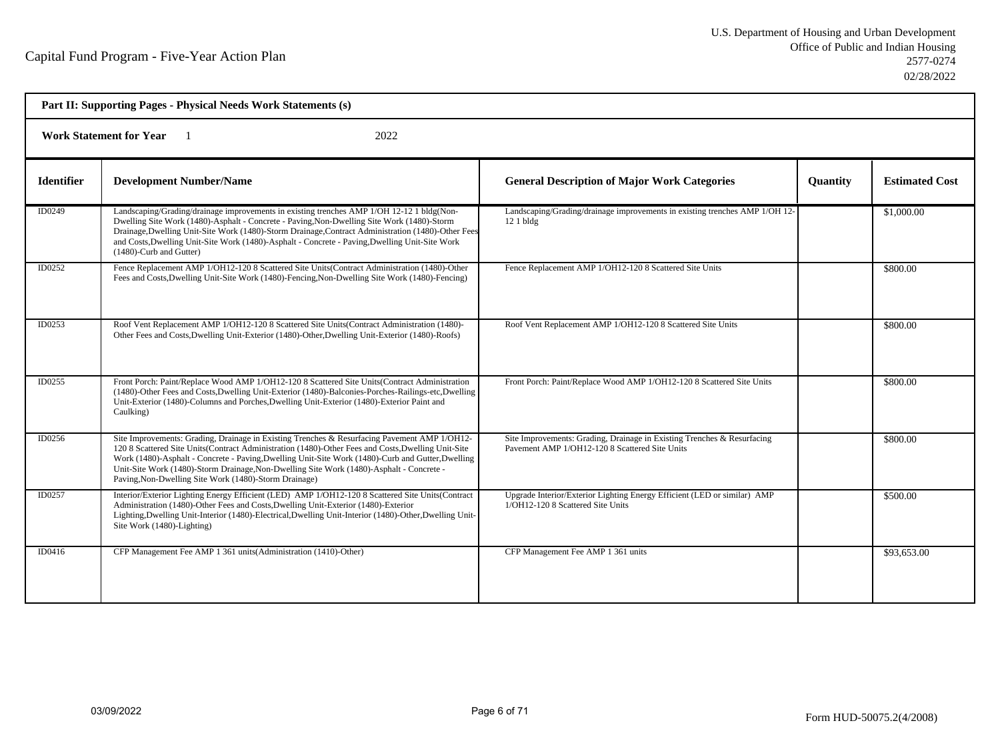| Part II: Supporting Pages - Physical Needs Work Statements (s) |                                                                                                                                                                                                                                                                                                                                                                                                                                                              |                                                                                                                           |          |                       |  |  |
|----------------------------------------------------------------|--------------------------------------------------------------------------------------------------------------------------------------------------------------------------------------------------------------------------------------------------------------------------------------------------------------------------------------------------------------------------------------------------------------------------------------------------------------|---------------------------------------------------------------------------------------------------------------------------|----------|-----------------------|--|--|
|                                                                | <b>Work Statement for Year</b><br>2022                                                                                                                                                                                                                                                                                                                                                                                                                       |                                                                                                                           |          |                       |  |  |
| <b>Identifier</b>                                              | <b>Development Number/Name</b>                                                                                                                                                                                                                                                                                                                                                                                                                               | <b>General Description of Major Work Categories</b>                                                                       | Quantity | <b>Estimated Cost</b> |  |  |
| ID0249                                                         | Landscaping/Grading/drainage improvements in existing trenches AMP 1/OH 12-12 1 bldg(Non-<br>Dwelling Site Work (1480)-Asphalt - Concrete - Paving, Non-Dwelling Site Work (1480)-Storm<br>Drainage, Dwelling Unit-Site Work (1480)-Storm Drainage, Contract Administration (1480)-Other Fees<br>and Costs, Dwelling Unit-Site Work (1480)-Asphalt - Concrete - Paving, Dwelling Unit-Site Work<br>(1480)-Curb and Gutter)                                   | Landscaping/Grading/drainage improvements in existing trenches AMP 1/OH 12-<br>$121$ bldg                                 |          | \$1,000.00            |  |  |
| ID0252                                                         | Fence Replacement AMP 1/OH12-120 8 Scattered Site Units(Contract Administration (1480)-Other<br>Fees and Costs, Dwelling Unit-Site Work (1480)-Fencing, Non-Dwelling Site Work (1480)-Fencing)                                                                                                                                                                                                                                                               | Fence Replacement AMP 1/OH12-120 8 Scattered Site Units                                                                   |          | \$800.00              |  |  |
| ID0253                                                         | Roof Vent Replacement AMP 1/OH12-120 8 Scattered Site Units (Contract Administration (1480)-<br>Other Fees and Costs, Dwelling Unit-Exterior (1480)-Other, Dwelling Unit-Exterior (1480)-Roofs)                                                                                                                                                                                                                                                              | Roof Vent Replacement AMP 1/OH12-120 8 Scattered Site Units                                                               |          | \$800.00              |  |  |
| ID0255                                                         | Front Porch: Paint/Replace Wood AMP 1/OH12-120 8 Scattered Site Units(Contract Administration<br>(1480)-Other Fees and Costs, Dwelling Unit-Exterior (1480)-Balconies-Porches-Railings-etc, Dwelling<br>Unit-Exterior (1480)-Columns and Porches, Dwelling Unit-Exterior (1480)-Exterior Paint and<br>Caulking)                                                                                                                                              | Front Porch: Paint/Replace Wood AMP 1/OH12-120 8 Scattered Site Units                                                     |          | \$800.00              |  |  |
| ID0256                                                         | Site Improvements: Grading, Drainage in Existing Trenches & Resurfacing Pavement AMP 1/OH12-<br>120 8 Scattered Site Units(Contract Administration (1480)-Other Fees and Costs, Dwelling Unit-Site<br>Work (1480)-Asphalt - Concrete - Paving, Dwelling Unit-Site Work (1480)-Curb and Gutter, Dwelling<br>Unit-Site Work (1480)-Storm Drainage, Non-Dwelling Site Work (1480)-Asphalt - Concrete -<br>Paving, Non-Dwelling Site Work (1480)-Storm Drainage) | Site Improvements: Grading, Drainage in Existing Trenches & Resurfacing<br>Pavement AMP 1/OH12-120 8 Scattered Site Units |          | \$800.00              |  |  |
| ID0257                                                         | Interior/Exterior Lighting Energy Efficient (LED) AMP 1/OH12-120 8 Scattered Site Units(Contract<br>Administration (1480)-Other Fees and Costs, Dwelling Unit-Exterior (1480)-Exterior<br>Lighting, Dwelling Unit-Interior (1480)-Electrical, Dwelling Unit-Interior (1480)-Other, Dwelling Unit-<br>Site Work (1480)-Lighting)                                                                                                                              | Upgrade Interior/Exterior Lighting Energy Efficient (LED or similar) AMP<br>1/OH12-120 8 Scattered Site Units             |          | \$500.00              |  |  |
| ID0416                                                         | CFP Management Fee AMP 1 361 units (Administration (1410)-Other)                                                                                                                                                                                                                                                                                                                                                                                             | CFP Management Fee AMP 1 361 units                                                                                        |          | \$93,653.00           |  |  |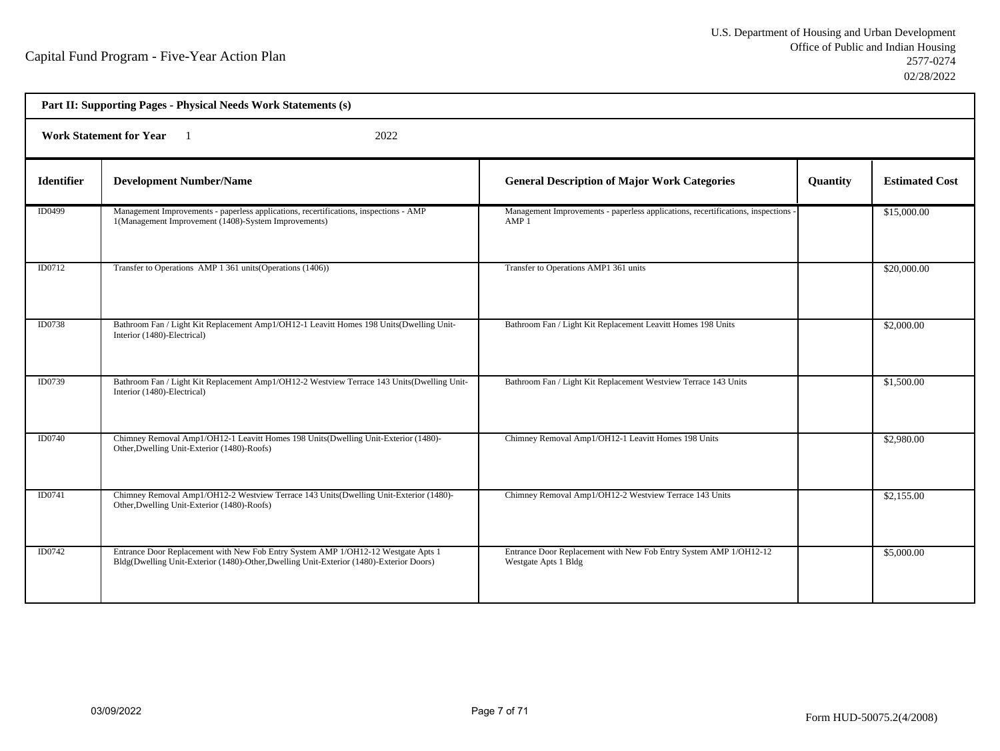| Part II: Supporting Pages - Physical Needs Work Statements (s) |                                                                                                                                                                              |                                                                                                     |          |                       |  |  |
|----------------------------------------------------------------|------------------------------------------------------------------------------------------------------------------------------------------------------------------------------|-----------------------------------------------------------------------------------------------------|----------|-----------------------|--|--|
|                                                                | <b>Work Statement for Year</b><br>2022                                                                                                                                       |                                                                                                     |          |                       |  |  |
| <b>Identifier</b>                                              | <b>Development Number/Name</b>                                                                                                                                               | <b>General Description of Major Work Categories</b>                                                 | Quantity | <b>Estimated Cost</b> |  |  |
| ID0499                                                         | Management Improvements - paperless applications, recertifications, inspections - AMP<br>1(Management Improvement (1408)-System Improvements)                                | Management Improvements - paperless applications, recertifications, inspections<br>AMP <sub>1</sub> |          | \$15,000.00           |  |  |
| ID0712                                                         | Transfer to Operations AMP 1 361 units (Operations (1406))                                                                                                                   | Transfer to Operations AMP1 361 units                                                               |          | \$20,000.00           |  |  |
| ID0738                                                         | Bathroom Fan / Light Kit Replacement Amp1/OH12-1 Leavitt Homes 198 Units (Dwelling Unit-<br>Interior (1480)-Electrical)                                                      | Bathroom Fan / Light Kit Replacement Leavitt Homes 198 Units                                        |          | \$2,000.00            |  |  |
| ID0739                                                         | Bathroom Fan / Light Kit Replacement Amp1/OH12-2 Westview Terrace 143 Units (Dwelling Unit-<br>Interior (1480)-Electrical)                                                   | Bathroom Fan / Light Kit Replacement Westview Terrace 143 Units                                     |          | \$1,500.00            |  |  |
| ID0740                                                         | Chimney Removal Amp1/OH12-1 Leavitt Homes 198 Units(Dwelling Unit-Exterior (1480)-<br>Other, Dwelling Unit-Exterior (1480)-Roofs)                                            | Chimney Removal Amp1/OH12-1 Leavitt Homes 198 Units                                                 |          | \$2,980.00            |  |  |
| ID0741                                                         | Chimney Removal Amp1/OH12-2 Westview Terrace 143 Units(Dwelling Unit-Exterior (1480)-<br>Other, Dwelling Unit-Exterior (1480)-Roofs)                                         | Chimney Removal Amp1/OH12-2 Westview Terrace 143 Units                                              |          | \$2,155.00            |  |  |
| ID0742                                                         | Entrance Door Replacement with New Fob Entry System AMP 1/OH12-12 Westgate Apts 1<br>Bldg(Dwelling Unit-Exterior (1480)-Other, Dwelling Unit-Exterior (1480)-Exterior Doors) | Entrance Door Replacement with New Fob Entry System AMP 1/OH12-12<br>Westgate Apts 1 Bldg           |          | \$5,000.00            |  |  |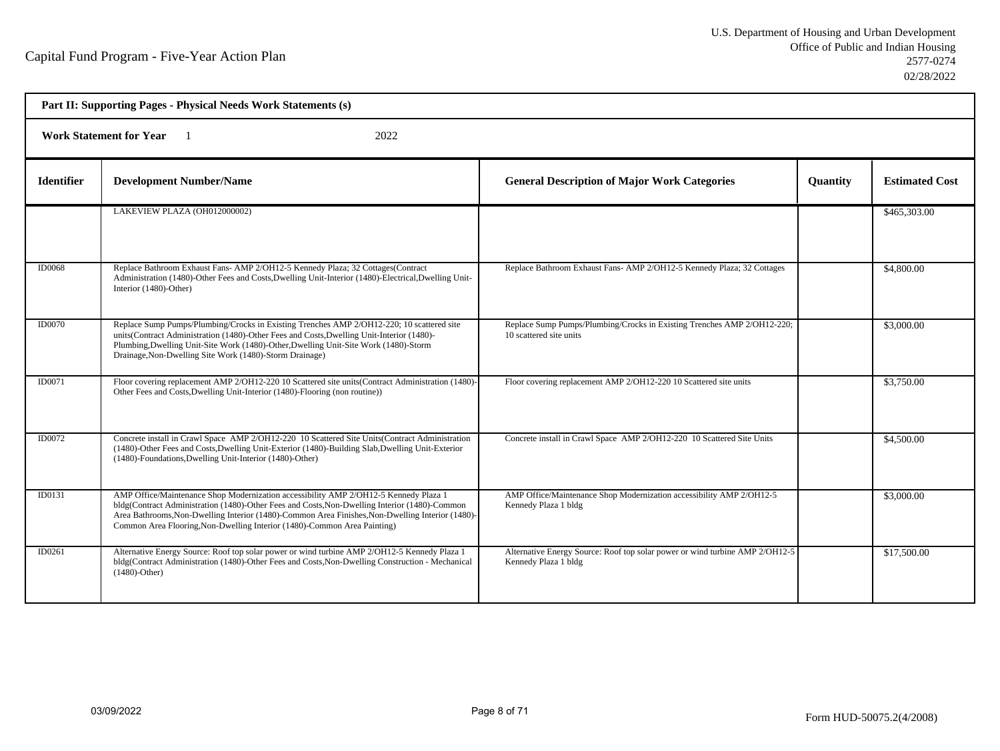| Part II: Supporting Pages - Physical Needs Work Statements (s) |                                                                                                                                                                                                                                                                                                                                                                       |                                                                                                      |                 |                       |  |
|----------------------------------------------------------------|-----------------------------------------------------------------------------------------------------------------------------------------------------------------------------------------------------------------------------------------------------------------------------------------------------------------------------------------------------------------------|------------------------------------------------------------------------------------------------------|-----------------|-----------------------|--|
|                                                                | <b>Work Statement for Year</b><br>2022                                                                                                                                                                                                                                                                                                                                |                                                                                                      |                 |                       |  |
| <b>Identifier</b>                                              | <b>Development Number/Name</b>                                                                                                                                                                                                                                                                                                                                        | <b>General Description of Major Work Categories</b>                                                  | <b>Quantity</b> | <b>Estimated Cost</b> |  |
|                                                                | LAKEVIEW PLAZA (OH012000002)                                                                                                                                                                                                                                                                                                                                          |                                                                                                      |                 | \$465,303.00          |  |
| <b>ID0068</b>                                                  | Replace Bathroom Exhaust Fans- AMP 2/OH12-5 Kennedy Plaza; 32 Cottages(Contract<br>Administration (1480)-Other Fees and Costs, Dwelling Unit-Interior (1480)-Electrical, Dwelling Unit-<br>Interior (1480)-Other)                                                                                                                                                     | Replace Bathroom Exhaust Fans- AMP 2/OH12-5 Kennedy Plaza; 32 Cottages                               |                 | \$4,800.00            |  |
| <b>ID0070</b>                                                  | Replace Sump Pumps/Plumbing/Crocks in Existing Trenches AMP 2/OH12-220; 10 scattered site<br>units(Contract Administration (1480)-Other Fees and Costs, Dwelling Unit-Interior (1480)-<br>Plumbing, Dwelling Unit-Site Work (1480)-Other, Dwelling Unit-Site Work (1480)-Storm<br>Drainage, Non-Dwelling Site Work (1480)-Storm Drainage)                             | Replace Sump Pumps/Plumbing/Crocks in Existing Trenches AMP 2/OH12-220;<br>10 scattered site units   |                 | \$3,000.00            |  |
| ID0071                                                         | Floor covering replacement AMP 2/OH12-220 10 Scattered site units (Contract Administration (1480)-<br>Other Fees and Costs, Dwelling Unit-Interior (1480)-Flooring (non routine))                                                                                                                                                                                     | Floor covering replacement AMP 2/OH12-220 10 Scattered site units                                    |                 | \$3,750.00            |  |
| ID0072                                                         | Concrete install in Crawl Space AMP 2/OH12-220 10 Scattered Site Units (Contract Administration<br>(1480)-Other Fees and Costs, Dwelling Unit-Exterior (1480)-Building Slab, Dwelling Unit-Exterior<br>(1480)-Foundations, Dwelling Unit-Interior (1480)-Other)                                                                                                       | Concrete install in Crawl Space AMP 2/OH12-220 10 Scattered Site Units                               |                 | \$4,500.00            |  |
| ID0131                                                         | AMP Office/Maintenance Shop Modernization accessibility AMP 2/OH12-5 Kennedy Plaza 1<br>bldg(Contract Administration (1480)-Other Fees and Costs, Non-Dwelling Interior (1480)-Common<br>Area Bathrooms, Non-Dwelling Interior (1480)-Common Area Finishes, Non-Dwelling Interior (1480)-<br>Common Area Flooring, Non-Dwelling Interior (1480)-Common Area Painting) | AMP Office/Maintenance Shop Modernization accessibility AMP 2/OH12-5<br>Kennedy Plaza 1 bldg         |                 | \$3,000.00            |  |
| ID0261                                                         | Alternative Energy Source: Roof top solar power or wind turbine AMP 2/OH12-5 Kennedy Plaza 1<br>bldg(Contract Administration (1480)-Other Fees and Costs, Non-Dwelling Construction - Mechanical<br>$(1480)$ -Other)                                                                                                                                                  | Alternative Energy Source: Roof top solar power or wind turbine AMP 2/OH12-5<br>Kennedy Plaza 1 bldg |                 | \$17,500.00           |  |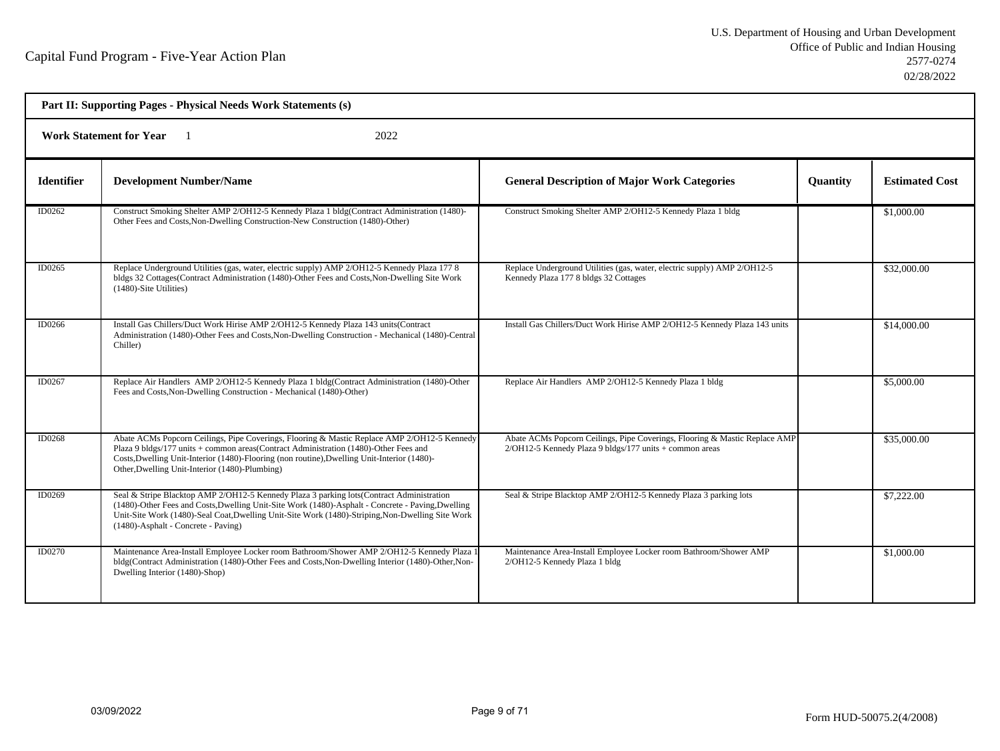| Part II: Supporting Pages - Physical Needs Work Statements (s) |                                                                                                                                                                                                                                                                                                                                           |                                                                                                                                       |                 |                       |  |  |
|----------------------------------------------------------------|-------------------------------------------------------------------------------------------------------------------------------------------------------------------------------------------------------------------------------------------------------------------------------------------------------------------------------------------|---------------------------------------------------------------------------------------------------------------------------------------|-----------------|-----------------------|--|--|
|                                                                | <b>Work Statement for Year</b><br>2022                                                                                                                                                                                                                                                                                                    |                                                                                                                                       |                 |                       |  |  |
| <b>Identifier</b>                                              | <b>Development Number/Name</b>                                                                                                                                                                                                                                                                                                            | <b>General Description of Major Work Categories</b>                                                                                   | <b>Quantity</b> | <b>Estimated Cost</b> |  |  |
| ID0262                                                         | Construct Smoking Shelter AMP 2/OH12-5 Kennedy Plaza 1 bldg(Contract Administration (1480)-<br>Other Fees and Costs, Non-Dwelling Construction-New Construction (1480)-Other)                                                                                                                                                             | Construct Smoking Shelter AMP 2/OH12-5 Kennedy Plaza 1 bldg                                                                           |                 | \$1,000.00            |  |  |
| ID0265                                                         | Replace Underground Utilities (gas, water, electric supply) AMP 2/OH12-5 Kennedy Plaza 177 8<br>bldgs 32 Cottages(Contract Administration (1480)-Other Fees and Costs, Non-Dwelling Site Work<br>(1480)-Site Utilities)                                                                                                                   | Replace Underground Utilities (gas, water, electric supply) AMP 2/OH12-5<br>Kennedy Plaza 177 8 bldgs 32 Cottages                     |                 | \$32,000.00           |  |  |
| ID0266                                                         | Install Gas Chillers/Duct Work Hirise AMP 2/OH12-5 Kennedy Plaza 143 units(Contract<br>Administration (1480)-Other Fees and Costs, Non-Dwelling Construction - Mechanical (1480)-Central<br>Chiller)                                                                                                                                      | Install Gas Chillers/Duct Work Hirise AMP 2/OH12-5 Kennedy Plaza 143 units                                                            |                 | \$14,000.00           |  |  |
| ID0267                                                         | Replace Air Handlers AMP 2/OH12-5 Kennedy Plaza 1 bldg(Contract Administration (1480)-Other<br>Fees and Costs, Non-Dwelling Construction - Mechanical (1480)-Other)                                                                                                                                                                       | Replace Air Handlers AMP 2/OH12-5 Kennedy Plaza 1 bldg                                                                                |                 | \$5,000.00            |  |  |
| ID0268                                                         | Abate ACMs Popcorn Ceilings, Pipe Coverings, Flooring & Mastic Replace AMP 2/OH12-5 Kennedy<br>Plaza 9 bldgs/177 units + common areas(Contract Administration (1480)-Other Fees and<br>Costs, Dwelling Unit-Interior (1480)-Flooring (non routine), Dwelling Unit-Interior (1480)-<br>Other, Dwelling Unit-Interior (1480)-Plumbing)      | Abate ACMs Popcorn Ceilings, Pipe Coverings, Flooring & Mastic Replace AMP<br>2/OH12-5 Kennedy Plaza 9 bldgs/177 units + common areas |                 | \$35,000.00           |  |  |
| ID0269                                                         | Seal & Stripe Blacktop AMP 2/OH12-5 Kennedy Plaza 3 parking lots (Contract Administration<br>(1480)-Other Fees and Costs, Dwelling Unit-Site Work (1480)-Asphalt - Concrete - Paving, Dwelling<br>Unit-Site Work (1480)-Seal Coat, Dwelling Unit-Site Work (1480)-Striping, Non-Dwelling Site Work<br>(1480)-Asphalt - Concrete - Paving) | Seal & Stripe Blacktop AMP 2/OH12-5 Kennedy Plaza 3 parking lots                                                                      |                 | \$7,222.00            |  |  |
| ID0270                                                         | Maintenance Area-Install Employee Locker room Bathroom/Shower AMP 2/OH12-5 Kennedy Plaza 1<br>bldg(Contract Administration (1480)-Other Fees and Costs, Non-Dwelling Interior (1480)-Other, Non-<br>Dwelling Interior (1480)-Shop)                                                                                                        | Maintenance Area-Install Employee Locker room Bathroom/Shower AMP<br>2/OH12-5 Kennedy Plaza 1 bldg                                    |                 | \$1,000.00            |  |  |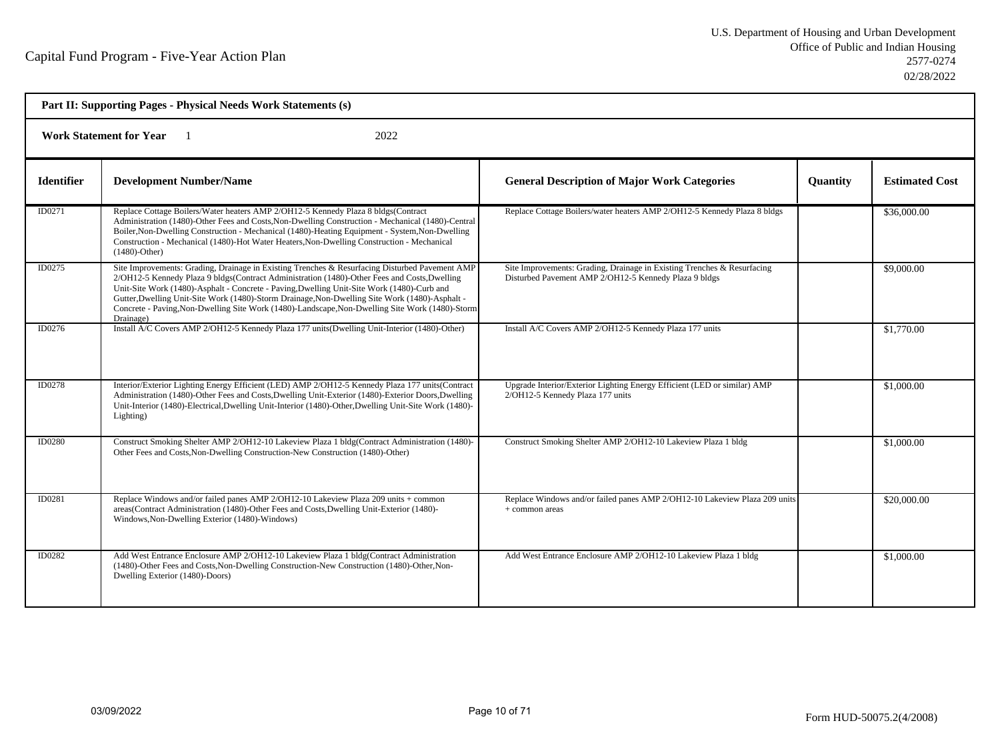| Part II: Supporting Pages - Physical Needs Work Statements (s) |                                                                                                                                                                                                                                                                                                                                                                                                                                                                                                                |                                                                                                                                  |                 |                       |  |  |
|----------------------------------------------------------------|----------------------------------------------------------------------------------------------------------------------------------------------------------------------------------------------------------------------------------------------------------------------------------------------------------------------------------------------------------------------------------------------------------------------------------------------------------------------------------------------------------------|----------------------------------------------------------------------------------------------------------------------------------|-----------------|-----------------------|--|--|
|                                                                | <b>Work Statement for Year</b><br>2022                                                                                                                                                                                                                                                                                                                                                                                                                                                                         |                                                                                                                                  |                 |                       |  |  |
| <b>Identifier</b>                                              | <b>Development Number/Name</b>                                                                                                                                                                                                                                                                                                                                                                                                                                                                                 | <b>General Description of Major Work Categories</b>                                                                              | <b>Quantity</b> | <b>Estimated Cost</b> |  |  |
| ID0271                                                         | Replace Cottage Boilers/Water heaters AMP 2/OH12-5 Kennedy Plaza 8 bldgs(Contract<br>Administration (1480)-Other Fees and Costs, Non-Dwelling Construction - Mechanical (1480)-Central<br>Boiler, Non-Dwelling Construction - Mechanical (1480)-Heating Equipment - System, Non-Dwelling<br>Construction - Mechanical (1480)-Hot Water Heaters, Non-Dwelling Construction - Mechanical<br>$(1480)$ -Other)                                                                                                     | Replace Cottage Boilers/water heaters AMP 2/OH12-5 Kennedy Plaza 8 bldgs                                                         |                 | \$36,000.00           |  |  |
| ID0275                                                         | Site Improvements: Grading, Drainage in Existing Trenches & Resurfacing Disturbed Pavement AMP<br>2/OH12-5 Kennedy Plaza 9 bldgs(Contract Administration (1480)-Other Fees and Costs, Dwelling<br>Unit-Site Work (1480)-Asphalt - Concrete - Paving, Dwelling Unit-Site Work (1480)-Curb and<br>Gutter, Dwelling Unit-Site Work (1480)-Storm Drainage, Non-Dwelling Site Work (1480)-Asphalt -<br>Concrete - Paving, Non-Dwelling Site Work (1480)-Landscape, Non-Dwelling Site Work (1480)-Storm<br>Drainage) | Site Improvements: Grading, Drainage in Existing Trenches & Resurfacing<br>Disturbed Pavement AMP 2/OH12-5 Kennedy Plaza 9 bldgs |                 | \$9,000.00            |  |  |
| ID0276                                                         | Install A/C Covers AMP 2/OH12-5 Kennedy Plaza 177 units (Dwelling Unit-Interior (1480)-Other)                                                                                                                                                                                                                                                                                                                                                                                                                  | Install A/C Covers AMP 2/OH12-5 Kennedy Plaza 177 units                                                                          |                 | \$1,770.00            |  |  |
| <b>ID0278</b>                                                  | Interior/Exterior Lighting Energy Efficient (LED) AMP 2/OH12-5 Kennedy Plaza 177 units(Contract<br>Administration (1480)-Other Fees and Costs, Dwelling Unit-Exterior (1480)-Exterior Doors, Dwelling<br>Unit-Interior (1480)-Electrical, Dwelling Unit-Interior (1480)-Other, Dwelling Unit-Site Work (1480)-<br>Lighting)                                                                                                                                                                                    | Upgrade Interior/Exterior Lighting Energy Efficient (LED or similar) AMP<br>2/OH12-5 Kennedy Plaza 177 units                     |                 | \$1,000.00            |  |  |
| ID0280                                                         | Construct Smoking Shelter AMP 2/OH12-10 Lakeview Plaza 1 bldg(Contract Administration (1480)-<br>Other Fees and Costs, Non-Dwelling Construction-New Construction (1480)-Other)                                                                                                                                                                                                                                                                                                                                | Construct Smoking Shelter AMP 2/OH12-10 Lakeview Plaza 1 bldg                                                                    |                 | \$1,000.00            |  |  |
| ID0281                                                         | Replace Windows and/or failed panes AMP 2/OH12-10 Lakeview Plaza 209 units + common<br>areas(Contract Administration (1480)-Other Fees and Costs, Dwelling Unit-Exterior (1480)-<br>Windows, Non-Dwelling Exterior (1480)-Windows)                                                                                                                                                                                                                                                                             | Replace Windows and/or failed panes AMP 2/OH12-10 Lakeview Plaza 209 units<br>+ common areas                                     |                 | \$20,000.00           |  |  |
| ID0282                                                         | Add West Entrance Enclosure AMP 2/OH12-10 Lakeview Plaza 1 bldg(Contract Administration<br>(1480)-Other Fees and Costs, Non-Dwelling Construction-New Construction (1480)-Other, Non-<br>Dwelling Exterior (1480)-Doors)                                                                                                                                                                                                                                                                                       | Add West Entrance Enclosure AMP 2/OH12-10 Lakeview Plaza 1 bldg                                                                  |                 | \$1,000.00            |  |  |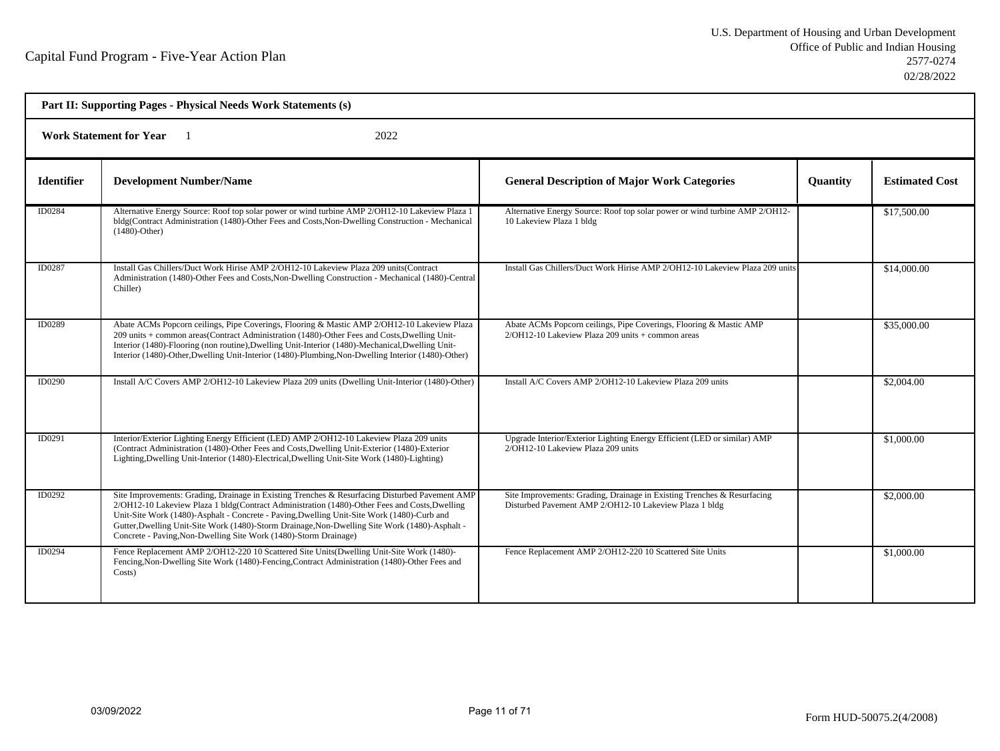| Part II: Supporting Pages - Physical Needs Work Statements (s) |                                                                                                                                                                                                                                                                                                                                                                                                                                                                     |                                                                                                                                   |                 |                       |  |  |
|----------------------------------------------------------------|---------------------------------------------------------------------------------------------------------------------------------------------------------------------------------------------------------------------------------------------------------------------------------------------------------------------------------------------------------------------------------------------------------------------------------------------------------------------|-----------------------------------------------------------------------------------------------------------------------------------|-----------------|-----------------------|--|--|
|                                                                | 2022<br><b>Work Statement for Year</b>                                                                                                                                                                                                                                                                                                                                                                                                                              |                                                                                                                                   |                 |                       |  |  |
| <b>Identifier</b>                                              | <b>Development Number/Name</b>                                                                                                                                                                                                                                                                                                                                                                                                                                      | <b>General Description of Major Work Categories</b>                                                                               | <b>Quantity</b> | <b>Estimated Cost</b> |  |  |
| ID0284                                                         | Alternative Energy Source: Roof top solar power or wind turbine AMP 2/OH12-10 Lakeview Plaza 1<br>bldg(Contract Administration (1480)-Other Fees and Costs, Non-Dwelling Construction - Mechanical<br>$(1480)$ -Other)                                                                                                                                                                                                                                              | Alternative Energy Source: Roof top solar power or wind turbine AMP 2/OH12-<br>10 Lakeview Plaza 1 bldg                           |                 | \$17,500.00           |  |  |
| ID0287                                                         | Install Gas Chillers/Duct Work Hirise AMP 2/OH12-10 Lakeview Plaza 209 units(Contract<br>Administration (1480)-Other Fees and Costs, Non-Dwelling Construction - Mechanical (1480)-Central<br>Chiller)                                                                                                                                                                                                                                                              | Install Gas Chillers/Duct Work Hirise AMP 2/OH12-10 Lakeview Plaza 209 units                                                      |                 | \$14,000.00           |  |  |
| ID0289                                                         | Abate ACMs Popcorn ceilings, Pipe Coverings, Flooring & Mastic AMP 2/OH12-10 Lakeview Plaza<br>209 units + common areas(Contract Administration (1480)-Other Fees and Costs, Dwelling Unit-<br>Interior (1480)-Flooring (non routine), Dwelling Unit-Interior (1480)-Mechanical, Dwelling Unit-<br>Interior (1480)-Other, Dwelling Unit-Interior (1480)-Plumbing, Non-Dwelling Interior (1480)-Other)                                                               | Abate ACMs Popcorn ceilings, Pipe Coverings, Flooring & Mastic AMP<br>$2/OH12-10$ Lakeview Plaza 209 units $+$ common areas       |                 | \$35,000.00           |  |  |
| <b>ID0290</b>                                                  | Install A/C Covers AMP 2/OH12-10 Lakeview Plaza 209 units (Dwelling Unit-Interior (1480)-Other)                                                                                                                                                                                                                                                                                                                                                                     | Install A/C Covers AMP 2/OH12-10 Lakeview Plaza 209 units                                                                         |                 | \$2,004.00            |  |  |
| ID0291                                                         | Interior/Exterior Lighting Energy Efficient (LED) AMP 2/OH12-10 Lakeview Plaza 209 units<br>(Contract Administration (1480)-Other Fees and Costs, Dwelling Unit-Exterior (1480)-Exterior<br>Lighting, Dwelling Unit-Interior (1480)-Electrical, Dwelling Unit-Site Work (1480)-Lighting)                                                                                                                                                                            | Upgrade Interior/Exterior Lighting Energy Efficient (LED or similar) AMP<br>2/OH12-10 Lakeview Plaza 209 units                    |                 | \$1,000.00            |  |  |
| ID0292                                                         | Site Improvements: Grading, Drainage in Existing Trenches & Resurfacing Disturbed Pavement AMP<br>2/OH12-10 Lakeview Plaza 1 bldg(Contract Administration (1480)-Other Fees and Costs, Dwelling<br>Unit-Site Work (1480)-Asphalt - Concrete - Paving, Dwelling Unit-Site Work (1480)-Curb and<br>Gutter, Dwelling Unit-Site Work (1480)-Storm Drainage, Non-Dwelling Site Work (1480)-Asphalt -<br>Concrete - Paving, Non-Dwelling Site Work (1480)-Storm Drainage) | Site Improvements: Grading, Drainage in Existing Trenches & Resurfacing<br>Disturbed Pavement AMP 2/OH12-10 Lakeview Plaza 1 bldg |                 | \$2,000.00            |  |  |
| ID0294                                                         | Fence Replacement AMP 2/OH12-220 10 Scattered Site Units (Dwelling Unit-Site Work (1480)-<br>Fencing, Non-Dwelling Site Work (1480)-Fencing, Contract Administration (1480)-Other Fees and<br>Costs)                                                                                                                                                                                                                                                                | Fence Replacement AMP 2/OH12-220 10 Scattered Site Units                                                                          |                 | \$1,000.00            |  |  |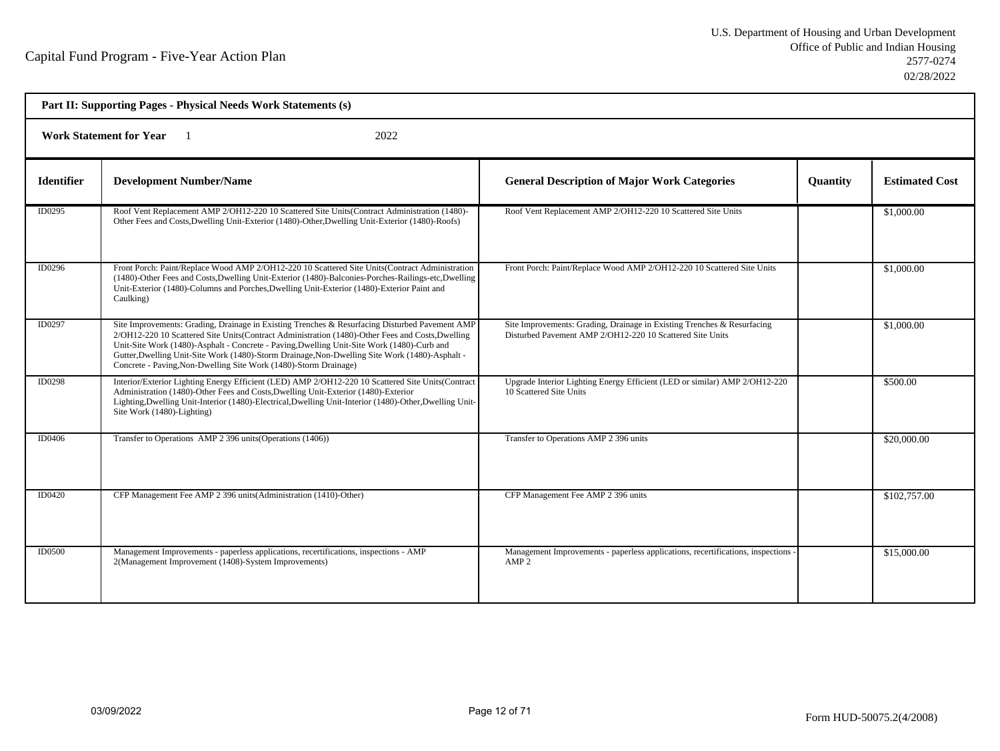| Part II: Supporting Pages - Physical Needs Work Statements (s) |                                                                                                                                                                                                                                                                                                                                                                                                                                                                        |                                                                                                                                      |                 |                       |  |  |
|----------------------------------------------------------------|------------------------------------------------------------------------------------------------------------------------------------------------------------------------------------------------------------------------------------------------------------------------------------------------------------------------------------------------------------------------------------------------------------------------------------------------------------------------|--------------------------------------------------------------------------------------------------------------------------------------|-----------------|-----------------------|--|--|
|                                                                | 2022<br><b>Work Statement for Year</b>                                                                                                                                                                                                                                                                                                                                                                                                                                 |                                                                                                                                      |                 |                       |  |  |
| <b>Identifier</b>                                              | <b>Development Number/Name</b>                                                                                                                                                                                                                                                                                                                                                                                                                                         | <b>General Description of Major Work Categories</b>                                                                                  | <b>Quantity</b> | <b>Estimated Cost</b> |  |  |
| ID0295                                                         | Roof Vent Replacement AMP 2/OH12-220 10 Scattered Site Units(Contract Administration (1480)-<br>Other Fees and Costs, Dwelling Unit-Exterior (1480)-Other, Dwelling Unit-Exterior (1480)-Roofs)                                                                                                                                                                                                                                                                        | Roof Vent Replacement AMP 2/OH12-220 10 Scattered Site Units                                                                         |                 | \$1,000.00            |  |  |
| ID0296                                                         | Front Porch: Paint/Replace Wood AMP 2/OH12-220 10 Scattered Site Units(Contract Administration<br>(1480)-Other Fees and Costs, Dwelling Unit-Exterior (1480)-Balconies-Porches-Railings-etc, Dwelling<br>Unit-Exterior (1480)-Columns and Porches, Dwelling Unit-Exterior (1480)-Exterior Paint and<br>Caulking)                                                                                                                                                       | Front Porch: Paint/Replace Wood AMP 2/OH12-220 10 Scattered Site Units                                                               |                 | \$1,000.00            |  |  |
| <b>ID0297</b>                                                  | Site Improvements: Grading, Drainage in Existing Trenches & Resurfacing Disturbed Pavement AMP<br>2/OH12-220 10 Scattered Site Units(Contract Administration (1480)-Other Fees and Costs, Dwelling<br>Unit-Site Work (1480)-Asphalt - Concrete - Paving, Dwelling Unit-Site Work (1480)-Curb and<br>Gutter, Dwelling Unit-Site Work (1480)-Storm Drainage, Non-Dwelling Site Work (1480)-Asphalt -<br>Concrete - Paving, Non-Dwelling Site Work (1480)-Storm Drainage) | Site Improvements: Grading, Drainage in Existing Trenches & Resurfacing<br>Disturbed Pavement AMP 2/OH12-220 10 Scattered Site Units |                 | \$1,000.00            |  |  |
| <b>ID0298</b>                                                  | Interior/Exterior Lighting Energy Efficient (LED) AMP 2/OH12-220 10 Scattered Site Units(Contract<br>Administration (1480)-Other Fees and Costs, Dwelling Unit-Exterior (1480)-Exterior<br>Lighting, Dwelling Unit-Interior (1480)-Electrical, Dwelling Unit-Interior (1480)-Other, Dwelling Unit-<br>Site Work (1480)-Lighting)                                                                                                                                       | Upgrade Interior Lighting Energy Efficient (LED or similar) AMP 2/OH12-220<br>10 Scattered Site Units                                |                 | \$500.00              |  |  |
| ID0406                                                         | Transfer to Operations AMP 2 396 units (Operations (1406))                                                                                                                                                                                                                                                                                                                                                                                                             | Transfer to Operations AMP 2 396 units                                                                                               |                 | \$20,000.00           |  |  |
| ID0420                                                         | CFP Management Fee AMP 2 396 units (Administration (1410)-Other)                                                                                                                                                                                                                                                                                                                                                                                                       | CFP Management Fee AMP 2 396 units                                                                                                   |                 | \$102,757.00          |  |  |
| ID0500                                                         | Management Improvements - paperless applications, recertifications, inspections - AMP<br>2(Management Improvement (1408)-System Improvements)                                                                                                                                                                                                                                                                                                                          | Management Improvements - paperless applications, recertifications, inspections<br>AMP <sub>2</sub>                                  |                 | \$15,000.00           |  |  |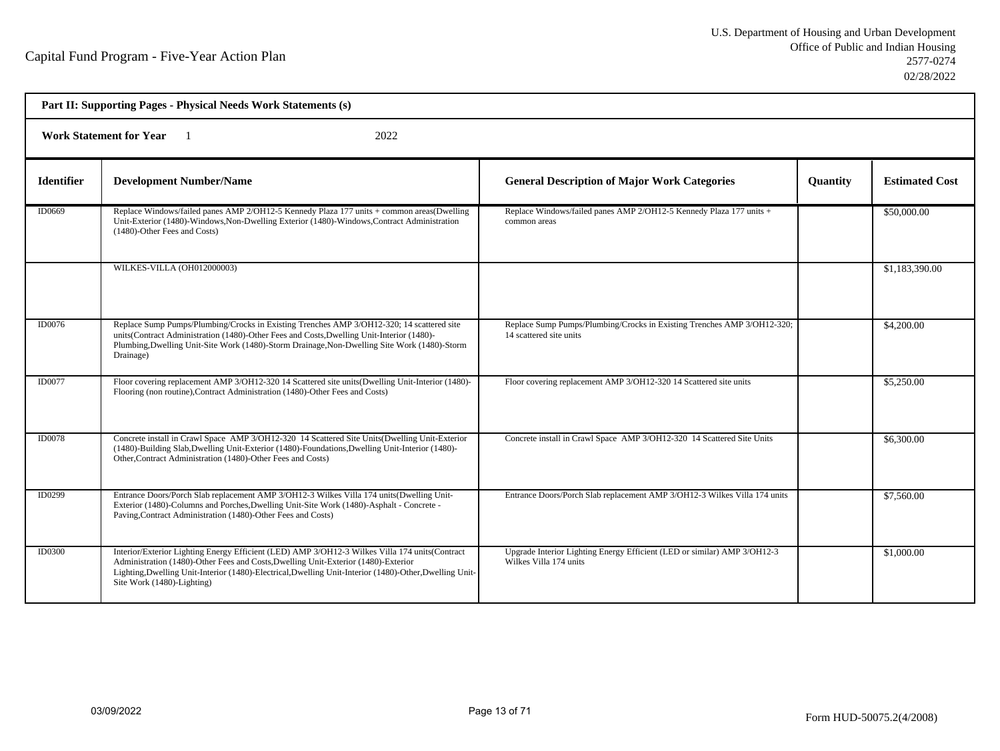| Part II: Supporting Pages - Physical Needs Work Statements (s) |                                                                                                                                                                                                                                                                                                                               |                                                                                                    |                 |                       |  |
|----------------------------------------------------------------|-------------------------------------------------------------------------------------------------------------------------------------------------------------------------------------------------------------------------------------------------------------------------------------------------------------------------------|----------------------------------------------------------------------------------------------------|-----------------|-----------------------|--|
|                                                                | <b>Work Statement for Year</b><br>2022                                                                                                                                                                                                                                                                                        |                                                                                                    |                 |                       |  |
| <b>Identifier</b>                                              | <b>Development Number/Name</b>                                                                                                                                                                                                                                                                                                | <b>General Description of Major Work Categories</b>                                                | <b>Quantity</b> | <b>Estimated Cost</b> |  |
| ID0669                                                         | Replace Windows/failed panes AMP 2/OH12-5 Kennedy Plaza 177 units + common areas(Dwelling<br>Unit-Exterior (1480)-Windows, Non-Dwelling Exterior (1480)-Windows, Contract Administration<br>(1480)-Other Fees and Costs)                                                                                                      | Replace Windows/failed panes AMP 2/OH12-5 Kennedy Plaza 177 units +<br>common areas                |                 | \$50,000.00           |  |
|                                                                | WILKES-VILLA (OH012000003)                                                                                                                                                                                                                                                                                                    |                                                                                                    |                 | \$1,183,390.00        |  |
| ID0076                                                         | Replace Sump Pumps/Plumbing/Crocks in Existing Trenches AMP 3/OH12-320; 14 scattered site<br>units(Contract Administration (1480)-Other Fees and Costs, Dwelling Unit-Interior (1480)-<br>Plumbing, Dwelling Unit-Site Work (1480)-Storm Drainage, Non-Dwelling Site Work (1480)-Storm<br>Drainage)                           | Replace Sump Pumps/Plumbing/Crocks in Existing Trenches AMP 3/OH12-320;<br>14 scattered site units |                 | \$4,200.00            |  |
| <b>ID0077</b>                                                  | Floor covering replacement AMP 3/OH12-320 14 Scattered site units(Dwelling Unit-Interior (1480)-<br>Flooring (non routine), Contract Administration (1480)-Other Fees and Costs)                                                                                                                                              | Floor covering replacement AMP 3/OH12-320 14 Scattered site units                                  |                 | \$5,250.00            |  |
| <b>ID0078</b>                                                  | Concrete install in Crawl Space AMP 3/OH12-320 14 Scattered Site Units (Dwelling Unit-Exterior<br>(1480)-Building Slab, Dwelling Unit-Exterior (1480)-Foundations, Dwelling Unit-Interior (1480)-<br>Other, Contract Administration (1480)-Other Fees and Costs)                                                              | Concrete install in Crawl Space AMP 3/OH12-320 14 Scattered Site Units                             |                 | \$6,300.00            |  |
| ID0299                                                         | Entrance Doors/Porch Slab replacement AMP 3/OH12-3 Wilkes Villa 174 units (Dwelling Unit-<br>Exterior (1480)-Columns and Porches, Dwelling Unit-Site Work (1480)-Asphalt - Concrete -<br>Paving, Contract Administration (1480)-Other Fees and Costs)                                                                         | Entrance Doors/Porch Slab replacement AMP 3/OH12-3 Wilkes Villa 174 units                          |                 | \$7,560.00            |  |
| <b>ID0300</b>                                                  | Interior/Exterior Lighting Energy Efficient (LED) AMP 3/OH12-3 Wilkes Villa 174 units(Contract<br>Administration (1480)-Other Fees and Costs, Dwelling Unit-Exterior (1480)-Exterior<br>Lighting, Dwelling Unit-Interior (1480)-Electrical, Dwelling Unit-Interior (1480)-Other, Dwelling Unit-<br>Site Work (1480)-Lighting) | Upgrade Interior Lighting Energy Efficient (LED or similar) AMP 3/OH12-3<br>Wilkes Villa 174 units |                 | \$1,000.00            |  |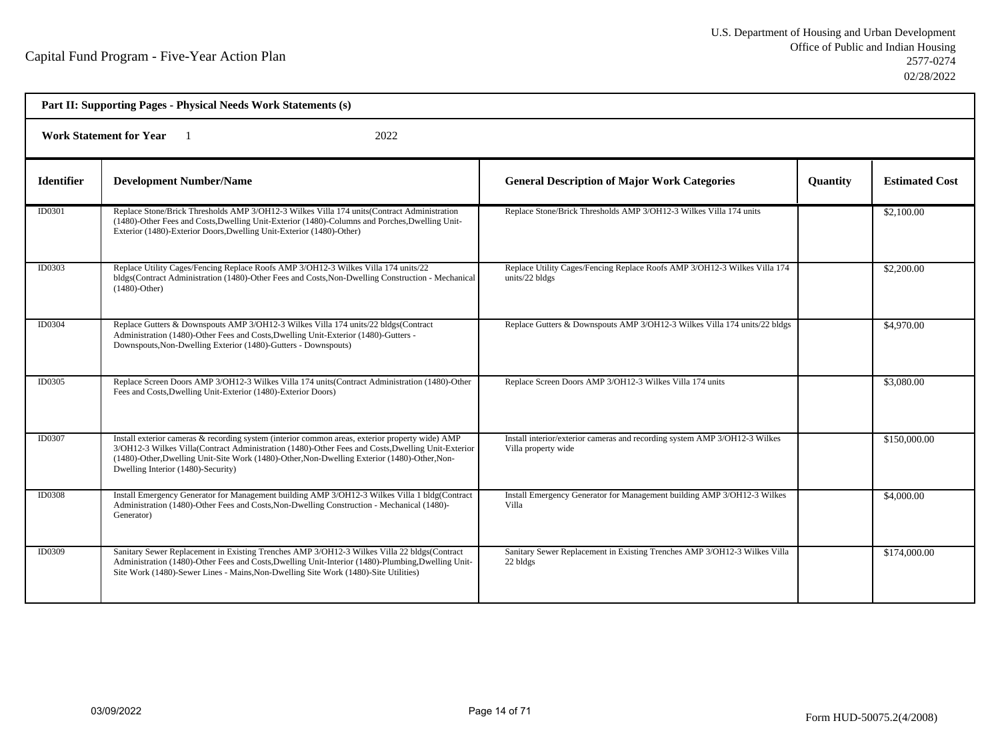| Part II: Supporting Pages - Physical Needs Work Statements (s) |                                                                                                                                                                                                                                                                                                                                            |                                                                                                   |                 |                       |
|----------------------------------------------------------------|--------------------------------------------------------------------------------------------------------------------------------------------------------------------------------------------------------------------------------------------------------------------------------------------------------------------------------------------|---------------------------------------------------------------------------------------------------|-----------------|-----------------------|
| 2022<br><b>Work Statement for Year</b>                         |                                                                                                                                                                                                                                                                                                                                            |                                                                                                   |                 |                       |
| <b>Identifier</b>                                              | <b>Development Number/Name</b>                                                                                                                                                                                                                                                                                                             | <b>General Description of Major Work Categories</b>                                               | <b>Quantity</b> | <b>Estimated Cost</b> |
| ID0301                                                         | Replace Stone/Brick Thresholds AMP 3/OH12-3 Wilkes Villa 174 units (Contract Administration<br>(1480)-Other Fees and Costs, Dwelling Unit-Exterior (1480)-Columns and Porches, Dwelling Unit-<br>Exterior (1480)-Exterior Doors, Dwelling Unit-Exterior (1480)-Other)                                                                      | Replace Stone/Brick Thresholds AMP 3/OH12-3 Wilkes Villa 174 units                                |                 | \$2,100.00            |
| ID0303                                                         | Replace Utility Cages/Fencing Replace Roofs AMP 3/OH12-3 Wilkes Villa 174 units/22<br>bldgs(Contract Administration (1480)-Other Fees and Costs, Non-Dwelling Construction - Mechanical<br>$(1480)$ -Other)                                                                                                                                | Replace Utility Cages/Fencing Replace Roofs AMP 3/OH12-3 Wilkes Villa 174<br>units/22 bldgs       |                 | \$2,200.00            |
| ID0304                                                         | Replace Gutters & Downspouts AMP 3/OH12-3 Wilkes Villa 174 units/22 bldgs(Contract<br>Administration (1480)-Other Fees and Costs, Dwelling Unit-Exterior (1480)-Gutters -<br>Downspouts, Non-Dwelling Exterior (1480)-Gutters - Downspouts)                                                                                                | Replace Gutters & Downspouts AMP 3/OH12-3 Wilkes Villa 174 units/22 bldgs                         |                 | \$4,970.00            |
| ID0305                                                         | Replace Screen Doors AMP 3/OH12-3 Wilkes Villa 174 units (Contract Administration (1480)-Other<br>Fees and Costs, Dwelling Unit-Exterior (1480)-Exterior Doors)                                                                                                                                                                            | Replace Screen Doors AMP 3/OH12-3 Wilkes Villa 174 units                                          |                 | \$3,080.00            |
| ID0307                                                         | Install exterior cameras & recording system (interior common areas, exterior property wide) AMP<br>3/OH12-3 Wilkes Villa(Contract Administration (1480)-Other Fees and Costs, Dwelling Unit-Exterior<br>(1480)-Other, Dwelling Unit-Site Work (1480)-Other, Non-Dwelling Exterior (1480)-Other, Non-<br>Dwelling Interior (1480)-Security) | Install interior/exterior cameras and recording system AMP 3/OH12-3 Wilkes<br>Villa property wide |                 | \$150,000.00          |
| <b>ID0308</b>                                                  | Install Emergency Generator for Management building AMP 3/OH12-3 Wilkes Villa 1 bldg(Contract<br>Administration (1480)-Other Fees and Costs, Non-Dwelling Construction - Mechanical (1480)-<br>Generator)                                                                                                                                  | Install Emergency Generator for Management building AMP 3/OH12-3 Wilkes<br>Villa                  |                 | \$4,000.00            |
| ID0309                                                         | Sanitary Sewer Replacement in Existing Trenches AMP 3/OH12-3 Wilkes Villa 22 bldgs(Contract<br>Administration (1480)-Other Fees and Costs, Dwelling Unit-Interior (1480)-Plumbing, Dwelling Unit-<br>Site Work (1480)-Sewer Lines - Mains, Non-Dwelling Site Work (1480)-Site Utilities)                                                   | Sanitary Sewer Replacement in Existing Trenches AMP 3/OH12-3 Wilkes Villa<br>22 bldgs             |                 | \$174,000.00          |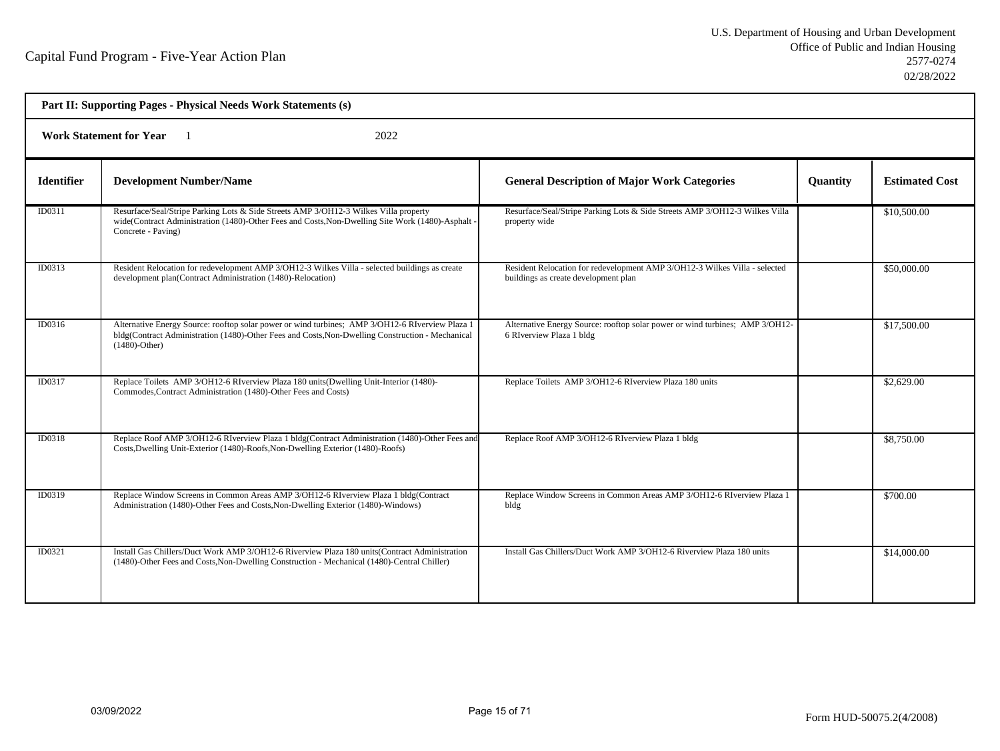| Part II: Supporting Pages - Physical Needs Work Statements (s) |                                                                                                                                                                                                                         |                                                                                                                    |                 |                       |  |
|----------------------------------------------------------------|-------------------------------------------------------------------------------------------------------------------------------------------------------------------------------------------------------------------------|--------------------------------------------------------------------------------------------------------------------|-----------------|-----------------------|--|
|                                                                | <b>Work Statement for Year</b><br>2022                                                                                                                                                                                  |                                                                                                                    |                 |                       |  |
| <b>Identifier</b>                                              | <b>Development Number/Name</b>                                                                                                                                                                                          | <b>General Description of Major Work Categories</b>                                                                | <b>Quantity</b> | <b>Estimated Cost</b> |  |
| ID0311                                                         | Resurface/Seal/Stripe Parking Lots & Side Streets AMP 3/OH12-3 Wilkes Villa property<br>wide(Contract Administration (1480)-Other Fees and Costs, Non-Dwelling Site Work (1480)-Asphalt<br>Concrete - Paving)           | Resurface/Seal/Stripe Parking Lots & Side Streets AMP 3/OH12-3 Wilkes Villa<br>property wide                       |                 | \$10,500.00           |  |
| ID0313                                                         | Resident Relocation for redevelopment AMP 3/OH12-3 Wilkes Villa - selected buildings as create<br>development plan(Contract Administration (1480)-Relocation)                                                           | Resident Relocation for redevelopment AMP 3/OH12-3 Wilkes Villa - selected<br>buildings as create development plan |                 | \$50,000.00           |  |
| ID0316                                                         | Alternative Energy Source: rooftop solar power or wind turbines; AMP 3/OH12-6 RIverview Plaza 1<br>bldg(Contract Administration (1480)-Other Fees and Costs, Non-Dwelling Construction - Mechanical<br>$(1480)$ -Other) | Alternative Energy Source: rooftop solar power or wind turbines; AMP 3/OH12-<br>6 RIverview Plaza 1 bldg           |                 | \$17,500.00           |  |
| ID0317                                                         | Replace Toilets AMP 3/OH12-6 RIverview Plaza 180 units (Dwelling Unit-Interior (1480)-<br>Commodes, Contract Administration (1480)-Other Fees and Costs)                                                                | Replace Toilets AMP 3/OH12-6 RIverview Plaza 180 units                                                             |                 | \$2,629.00            |  |
| <b>ID0318</b>                                                  | Replace Roof AMP 3/OH12-6 RIverview Plaza 1 bldg(Contract Administration (1480)-Other Fees and<br>Costs, Dwelling Unit-Exterior (1480)-Roofs, Non-Dwelling Exterior (1480)-Roofs)                                       | Replace Roof AMP 3/OH12-6 RIverview Plaza 1 bldg                                                                   |                 | \$8,750.00            |  |
| ID0319                                                         | Replace Window Screens in Common Areas AMP 3/OH12-6 RIverview Plaza 1 bldg(Contract<br>Administration (1480)-Other Fees and Costs, Non-Dwelling Exterior (1480)-Windows)                                                | Replace Window Screens in Common Areas AMP 3/OH12-6 RIverview Plaza 1<br>bldg                                      |                 | \$700.00              |  |
| ID0321                                                         | Install Gas Chillers/Duct Work AMP 3/OH12-6 Riverview Plaza 180 units(Contract Administration<br>(1480)-Other Fees and Costs, Non-Dwelling Construction - Mechanical (1480)-Central Chiller)                            | Install Gas Chillers/Duct Work AMP 3/OH12-6 Riverview Plaza 180 units                                              |                 | \$14,000.00           |  |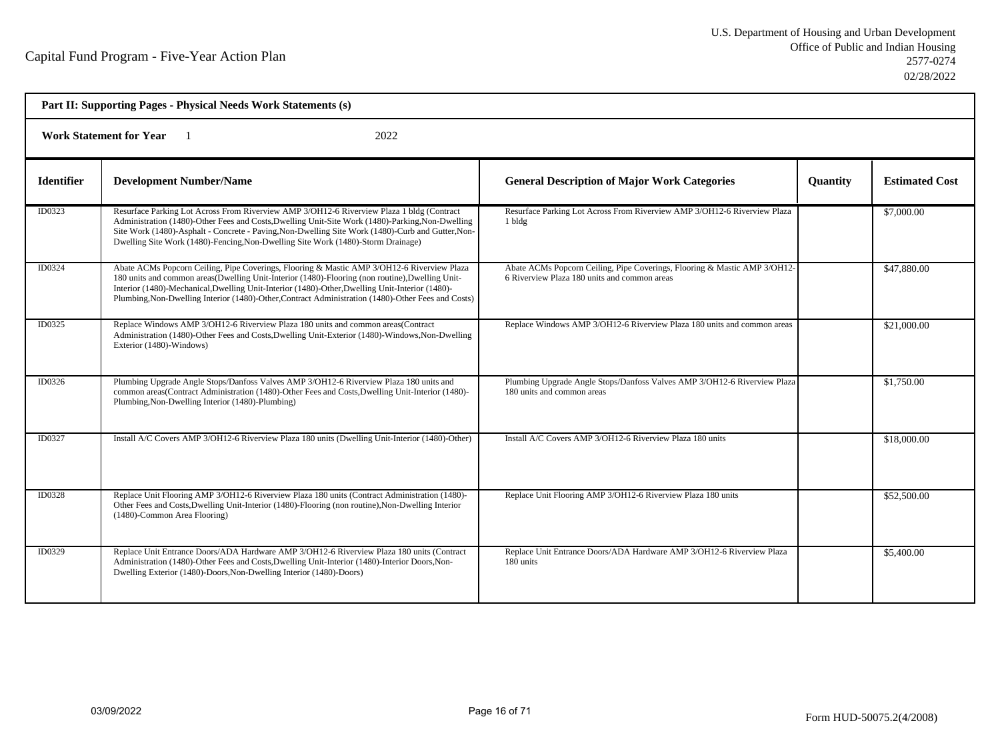| Part II: Supporting Pages - Physical Needs Work Statements (s) |                                                                                                                                                                                                                                                                                                                                                                                                        |                                                                                                                           |                 |                       |  |
|----------------------------------------------------------------|--------------------------------------------------------------------------------------------------------------------------------------------------------------------------------------------------------------------------------------------------------------------------------------------------------------------------------------------------------------------------------------------------------|---------------------------------------------------------------------------------------------------------------------------|-----------------|-----------------------|--|
| <b>Work Statement for Year</b><br>2022                         |                                                                                                                                                                                                                                                                                                                                                                                                        |                                                                                                                           |                 |                       |  |
| <b>Identifier</b>                                              | <b>Development Number/Name</b>                                                                                                                                                                                                                                                                                                                                                                         | <b>General Description of Major Work Categories</b>                                                                       | <b>Quantity</b> | <b>Estimated Cost</b> |  |
| ID0323                                                         | Resurface Parking Lot Across From Riverview AMP 3/OH12-6 Riverview Plaza 1 bldg (Contract<br>Administration (1480)-Other Fees and Costs, Dwelling Unit-Site Work (1480)-Parking, Non-Dwelling<br>Site Work (1480)-Asphalt - Concrete - Paving, Non-Dwelling Site Work (1480)-Curb and Gutter, Non-<br>Dwelling Site Work (1480)-Fencing, Non-Dwelling Site Work (1480)-Storm Drainage)                 | Resurface Parking Lot Across From Riverview AMP 3/OH12-6 Riverview Plaza<br>1 bldg                                        |                 | \$7,000.00            |  |
| ID0324                                                         | Abate ACMs Popcorn Ceiling, Pipe Coverings, Flooring & Mastic AMP 3/OH12-6 Riverview Plaza<br>180 units and common areas(Dwelling Unit-Interior (1480)-Flooring (non routine), Dwelling Unit-<br>Interior (1480)-Mechanical, Dwelling Unit-Interior (1480)-Other, Dwelling Unit-Interior (1480)-<br>Plumbing, Non-Dwelling Interior (1480)-Other, Contract Administration (1480)-Other Fees and Costs) | Abate ACMs Popcorn Ceiling, Pipe Coverings, Flooring & Mastic AMP 3/OH12-<br>6 Riverview Plaza 180 units and common areas |                 | \$47,880.00           |  |
| ID0325                                                         | Replace Windows AMP 3/OH12-6 Riverview Plaza 180 units and common areas(Contract<br>Administration (1480)-Other Fees and Costs, Dwelling Unit-Exterior (1480)-Windows, Non-Dwelling<br>Exterior (1480)-Windows)                                                                                                                                                                                        | Replace Windows AMP 3/OH12-6 Riverview Plaza 180 units and common areas                                                   |                 | \$21,000.00           |  |
| ID0326                                                         | Plumbing Upgrade Angle Stops/Danfoss Valves AMP 3/OH12-6 Riverview Plaza 180 units and<br>common areas(Contract Administration (1480)-Other Fees and Costs, Dwelling Unit-Interior (1480)-<br>Plumbing, Non-Dwelling Interior (1480)-Plumbing)                                                                                                                                                         | Plumbing Upgrade Angle Stops/Danfoss Valves AMP 3/OH12-6 Riverview Plaza<br>180 units and common areas                    |                 | \$1,750.00            |  |
| ID0327                                                         | Install A/C Covers AMP 3/OH12-6 Riverview Plaza 180 units (Dwelling Unit-Interior (1480)-Other)                                                                                                                                                                                                                                                                                                        | Install A/C Covers AMP 3/OH12-6 Riverview Plaza 180 units                                                                 |                 | \$18,000.00           |  |
| ID0328                                                         | Replace Unit Flooring AMP 3/OH12-6 Riverview Plaza 180 units (Contract Administration (1480)-<br>Other Fees and Costs, Dwelling Unit-Interior (1480)-Flooring (non routine), Non-Dwelling Interior<br>(1480)-Common Area Flooring)                                                                                                                                                                     | Replace Unit Flooring AMP 3/OH12-6 Riverview Plaza 180 units                                                              |                 | \$52,500.00           |  |
| ID0329                                                         | Replace Unit Entrance Doors/ADA Hardware AMP 3/OH12-6 Riverview Plaza 180 units (Contract<br>Administration (1480)-Other Fees and Costs, Dwelling Unit-Interior (1480)-Interior Doors, Non-<br>Dwelling Exterior (1480)-Doors, Non-Dwelling Interior (1480)-Doors)                                                                                                                                     | Replace Unit Entrance Doors/ADA Hardware AMP 3/OH12-6 Riverview Plaza<br>180 units                                        |                 | \$5,400.00            |  |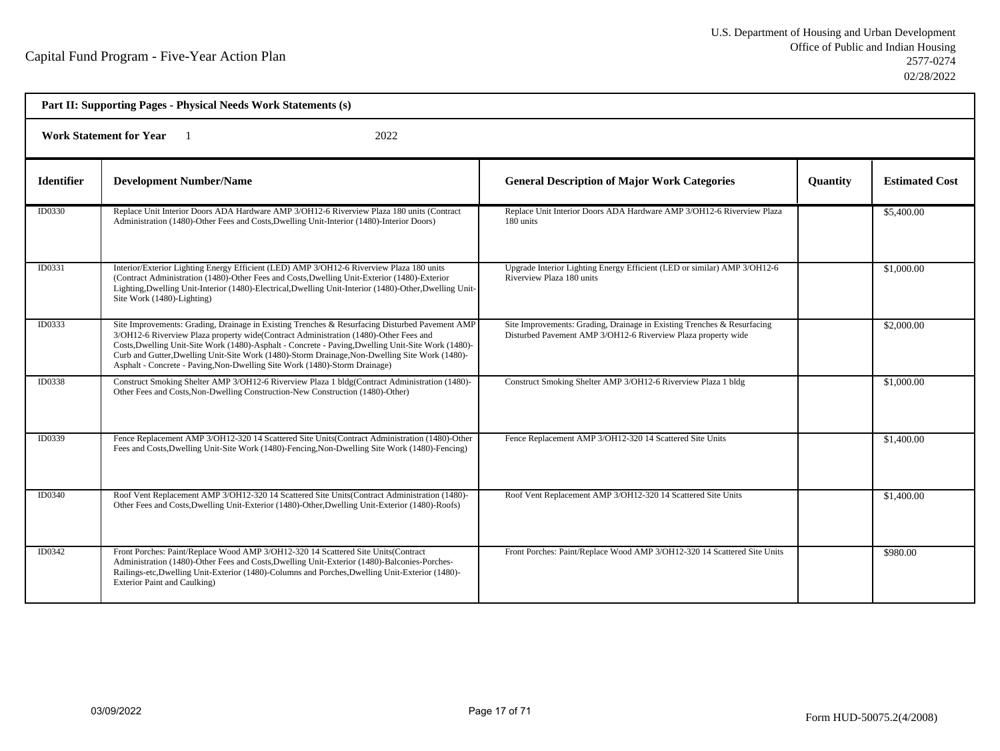| Part II: Supporting Pages - Physical Needs Work Statements (s) |                                                                                                                                                                                                                                                                                                                                                                                                                                                                              |                                                                                                                                          |                 |                       |  |  |
|----------------------------------------------------------------|------------------------------------------------------------------------------------------------------------------------------------------------------------------------------------------------------------------------------------------------------------------------------------------------------------------------------------------------------------------------------------------------------------------------------------------------------------------------------|------------------------------------------------------------------------------------------------------------------------------------------|-----------------|-----------------------|--|--|
|                                                                | 2022<br><b>Work Statement for Year</b>                                                                                                                                                                                                                                                                                                                                                                                                                                       |                                                                                                                                          |                 |                       |  |  |
| <b>Identifier</b>                                              | <b>Development Number/Name</b>                                                                                                                                                                                                                                                                                                                                                                                                                                               | <b>General Description of Major Work Categories</b>                                                                                      | <b>Quantity</b> | <b>Estimated Cost</b> |  |  |
| ID0330                                                         | Replace Unit Interior Doors ADA Hardware AMP 3/OH12-6 Riverview Plaza 180 units (Contract<br>Administration (1480)-Other Fees and Costs, Dwelling Unit-Interior (1480)-Interior Doors)                                                                                                                                                                                                                                                                                       | Replace Unit Interior Doors ADA Hardware AMP 3/OH12-6 Riverview Plaza<br>180 units                                                       |                 | \$5,400.00            |  |  |
| ID0331                                                         | Interior/Exterior Lighting Energy Efficient (LED) AMP 3/OH12-6 Riverview Plaza 180 units<br>(Contract Administration (1480)-Other Fees and Costs, Dwelling Unit-Exterior (1480)-Exterior<br>Lighting, Dwelling Unit-Interior (1480)-Electrical, Dwelling Unit-Interior (1480)-Other, Dwelling Unit-<br>Site Work (1480)-Lighting)                                                                                                                                            | Upgrade Interior Lighting Energy Efficient (LED or similar) AMP 3/OH12-6<br>Riverview Plaza 180 units                                    |                 | \$1,000.00            |  |  |
| ID0333                                                         | Site Improvements: Grading, Drainage in Existing Trenches & Resurfacing Disturbed Pavement AMP<br>3/OH12-6 Riverview Plaza property wide(Contract Administration (1480)-Other Fees and<br>Costs, Dwelling Unit-Site Work (1480)-Asphalt - Concrete - Paving, Dwelling Unit-Site Work (1480)-<br>Curb and Gutter, Dwelling Unit-Site Work (1480)-Storm Drainage, Non-Dwelling Site Work (1480)-<br>Asphalt - Concrete - Paving, Non-Dwelling Site Work (1480)-Storm Drainage) | Site Improvements: Grading, Drainage in Existing Trenches & Resurfacing<br>Disturbed Pavement AMP 3/OH12-6 Riverview Plaza property wide |                 | \$2,000.00            |  |  |
| ID0338                                                         | Construct Smoking Shelter AMP 3/OH12-6 Riverview Plaza 1 bldg(Contract Administration (1480)-<br>Other Fees and Costs, Non-Dwelling Construction-New Construction (1480)-Other)                                                                                                                                                                                                                                                                                              | Construct Smoking Shelter AMP 3/OH12-6 Riverview Plaza 1 bldg                                                                            |                 | \$1,000.00            |  |  |
| ID0339                                                         | Fence Replacement AMP 3/OH12-320 14 Scattered Site Units (Contract Administration (1480)-Other<br>Fees and Costs, Dwelling Unit-Site Work (1480)-Fencing, Non-Dwelling Site Work (1480)-Fencing)                                                                                                                                                                                                                                                                             | Fence Replacement AMP 3/OH12-320 14 Scattered Site Units                                                                                 |                 | \$1,400.00            |  |  |
| ID0340                                                         | Roof Vent Replacement AMP 3/OH12-320 14 Scattered Site Units(Contract Administration (1480)-<br>Other Fees and Costs, Dwelling Unit-Exterior (1480)-Other, Dwelling Unit-Exterior (1480)-Roofs)                                                                                                                                                                                                                                                                              | Roof Vent Replacement AMP 3/OH12-320 14 Scattered Site Units                                                                             |                 | \$1,400.00            |  |  |
| ID0342                                                         | Front Porches: Paint/Replace Wood AMP 3/OH12-320 14 Scattered Site Units(Contract<br>Administration (1480)-Other Fees and Costs, Dwelling Unit-Exterior (1480)-Balconies-Porches-<br>Railings-etc,Dwelling Unit-Exterior (1480)-Columns and Porches,Dwelling Unit-Exterior (1480)-<br>Exterior Paint and Caulking)                                                                                                                                                           | Front Porches: Paint/Replace Wood AMP 3/OH12-320 14 Scattered Site Units                                                                 |                 | \$980.00              |  |  |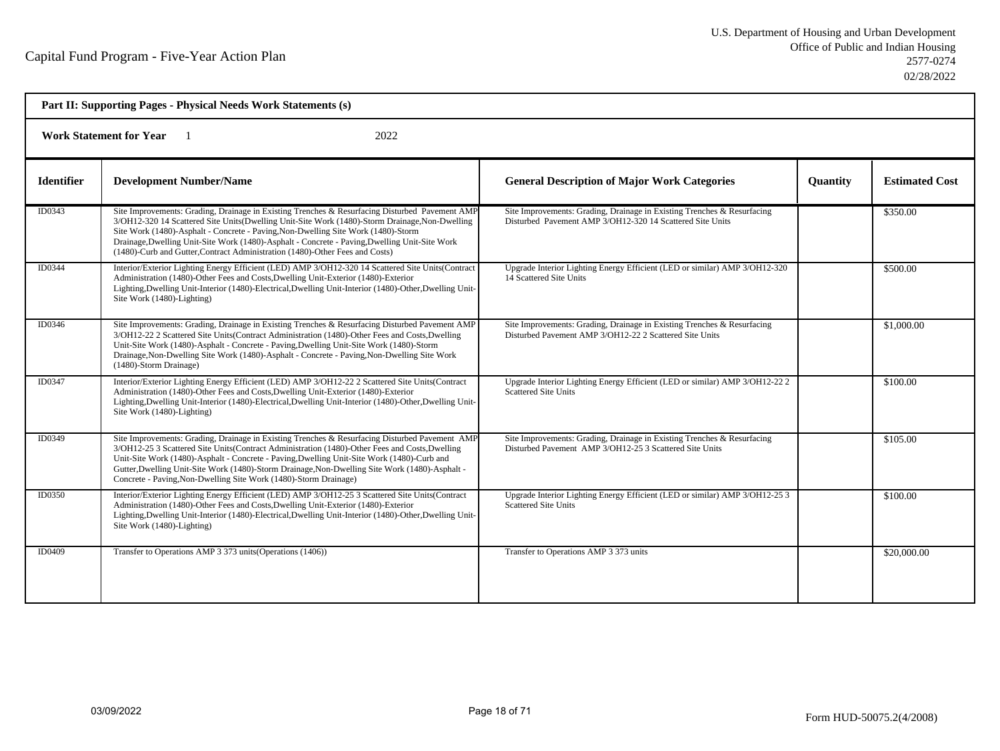| Part II: Supporting Pages - Physical Needs Work Statements (s) |                                                                                                                                                                                                                                                                                                                                                                                                                                                                        |                                                                                                                                      |                 |                       |  |
|----------------------------------------------------------------|------------------------------------------------------------------------------------------------------------------------------------------------------------------------------------------------------------------------------------------------------------------------------------------------------------------------------------------------------------------------------------------------------------------------------------------------------------------------|--------------------------------------------------------------------------------------------------------------------------------------|-----------------|-----------------------|--|
| <b>Work Statement for Year</b><br>2022                         |                                                                                                                                                                                                                                                                                                                                                                                                                                                                        |                                                                                                                                      |                 |                       |  |
| <b>Identifier</b>                                              | <b>Development Number/Name</b>                                                                                                                                                                                                                                                                                                                                                                                                                                         | <b>General Description of Major Work Categories</b>                                                                                  | <b>Quantity</b> | <b>Estimated Cost</b> |  |
| ID0343                                                         | Site Improvements: Grading, Drainage in Existing Trenches & Resurfacing Disturbed Pavement AMP<br>3/OH12-320 14 Scattered Site Units(Dwelling Unit-Site Work (1480)-Storm Drainage, Non-Dwelling<br>Site Work (1480)-Asphalt - Concrete - Paving, Non-Dwelling Site Work (1480)-Storm<br>Drainage, Dwelling Unit-Site Work (1480)-Asphalt - Concrete - Paving, Dwelling Unit-Site Work<br>(1480)-Curb and Gutter, Contract Administration (1480)-Other Fees and Costs) | Site Improvements: Grading, Drainage in Existing Trenches & Resurfacing<br>Disturbed Pavement AMP 3/OH12-320 14 Scattered Site Units |                 | \$350.00              |  |
| ID0344                                                         | Interior/Exterior Lighting Energy Efficient (LED) AMP 3/OH12-320 14 Scattered Site Units (Contract<br>Administration (1480)-Other Fees and Costs, Dwelling Unit-Exterior (1480)-Exterior<br>Lighting, Dwelling Unit-Interior (1480)-Electrical, Dwelling Unit-Interior (1480)-Other, Dwelling Unit-<br>Site Work (1480)-Lighting)                                                                                                                                      | Upgrade Interior Lighting Energy Efficient (LED or similar) AMP 3/OH12-320<br>14 Scattered Site Units                                |                 | \$500.00              |  |
| ID0346                                                         | Site Improvements: Grading, Drainage in Existing Trenches & Resurfacing Disturbed Pavement AMP<br>3/OH12-22 2 Scattered Site Units(Contract Administration (1480)-Other Fees and Costs, Dwelling<br>Unit-Site Work (1480)-Asphalt - Concrete - Paving, Dwelling Unit-Site Work (1480)-Storm<br>Drainage, Non-Dwelling Site Work (1480)-Asphalt - Concrete - Paving, Non-Dwelling Site Work<br>(1480)-Storm Drainage)                                                   | Site Improvements: Grading, Drainage in Existing Trenches & Resurfacing<br>Disturbed Pavement AMP 3/OH12-22 2 Scattered Site Units   |                 | \$1,000.00            |  |
| ID0347                                                         | Interior/Exterior Lighting Energy Efficient (LED) AMP 3/OH12-22 2 Scattered Site Units (Contract<br>Administration (1480)-Other Fees and Costs, Dwelling Unit-Exterior (1480)-Exterior<br>Lighting, Dwelling Unit-Interior (1480)-Electrical, Dwelling Unit-Interior (1480)-Other, Dwelling Unit-<br>Site Work (1480)-Lighting)                                                                                                                                        | Upgrade Interior Lighting Energy Efficient (LED or similar) AMP 3/OH12-22 2<br><b>Scattered Site Units</b>                           |                 | \$100.00              |  |
| ID0349                                                         | Site Improvements: Grading, Drainage in Existing Trenches & Resurfacing Disturbed Pavement AMP<br>3/OH12-25 3 Scattered Site Units(Contract Administration (1480)-Other Fees and Costs, Dwelling<br>Unit-Site Work (1480)-Asphalt - Concrete - Paving, Dwelling Unit-Site Work (1480)-Curb and<br>Gutter, Dwelling Unit-Site Work (1480)-Storm Drainage, Non-Dwelling Site Work (1480)-Asphalt -<br>Concrete - Paving, Non-Dwelling Site Work (1480)-Storm Drainage)   | Site Improvements: Grading, Drainage in Existing Trenches & Resurfacing<br>Disturbed Pavement AMP 3/OH12-25 3 Scattered Site Units   |                 | \$105.00              |  |
| ID0350                                                         | Interior/Exterior Lighting Energy Efficient (LED) AMP 3/OH12-25 3 Scattered Site Units (Contract<br>Administration (1480)-Other Fees and Costs, Dwelling Unit-Exterior (1480)-Exterior<br>Lighting, Dwelling Unit-Interior (1480)-Electrical, Dwelling Unit-Interior (1480)-Other, Dwelling Unit-<br>Site Work (1480)-Lighting)                                                                                                                                        | Upgrade Interior Lighting Energy Efficient (LED or similar) AMP 3/OH12-25 3<br>Scattered Site Units                                  |                 | \$100.00              |  |
| ID0409                                                         | Transfer to Operations AMP 3 373 units (Operations (1406))                                                                                                                                                                                                                                                                                                                                                                                                             | Transfer to Operations AMP 3 373 units                                                                                               |                 | \$20,000.00           |  |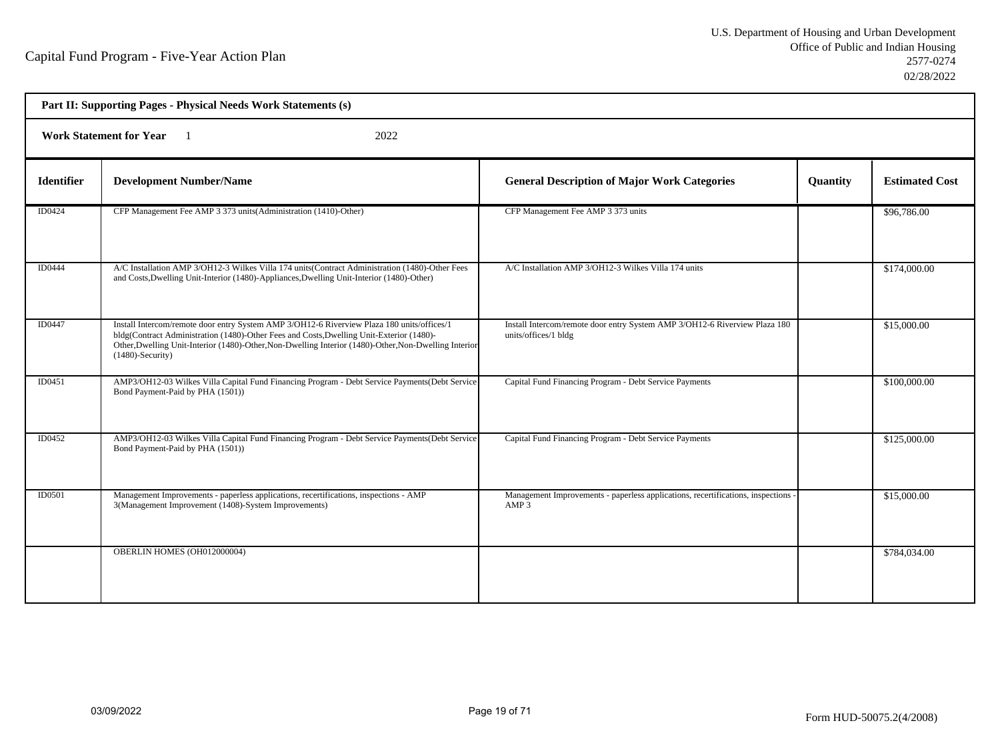| Part II: Supporting Pages - Physical Needs Work Statements (s) |                                                                                                                                                                                                                                                                                                                        |                                                                                                       |          |                       |  |  |
|----------------------------------------------------------------|------------------------------------------------------------------------------------------------------------------------------------------------------------------------------------------------------------------------------------------------------------------------------------------------------------------------|-------------------------------------------------------------------------------------------------------|----------|-----------------------|--|--|
|                                                                | <b>Work Statement for Year</b><br>2022                                                                                                                                                                                                                                                                                 |                                                                                                       |          |                       |  |  |
| <b>Identifier</b>                                              | <b>Development Number/Name</b>                                                                                                                                                                                                                                                                                         | <b>General Description of Major Work Categories</b>                                                   | Quantity | <b>Estimated Cost</b> |  |  |
| ID0424                                                         | CFP Management Fee AMP 3 373 units (Administration (1410)-Other)                                                                                                                                                                                                                                                       | CFP Management Fee AMP 3 373 units                                                                    |          | \$96,786.00           |  |  |
| ID0444                                                         | A/C Installation AMP 3/OH12-3 Wilkes Villa 174 units(Contract Administration (1480)-Other Fees<br>and Costs, Dwelling Unit-Interior (1480)-Appliances, Dwelling Unit-Interior (1480)-Other)                                                                                                                            | A/C Installation AMP 3/OH12-3 Wilkes Villa 174 units                                                  |          | \$174,000.00          |  |  |
| ID0447                                                         | Install Intercom/remote door entry System AMP 3/OH12-6 Riverview Plaza 180 units/offices/1<br>bldg(Contract Administration (1480)-Other Fees and Costs, Dwelling Unit-Exterior (1480)-<br>Other, Dwelling Unit-Interior (1480)-Other, Non-Dwelling Interior (1480)-Other, Non-Dwelling Interior<br>$(1480)$ -Security) | Install Intercom/remote door entry System AMP 3/OH12-6 Riverview Plaza 180<br>units/offices/1 bldg    |          | \$15,000.00           |  |  |
| ID0451                                                         | AMP3/OH12-03 Wilkes Villa Capital Fund Financing Program - Debt Service Payments (Debt Service<br>Bond Payment-Paid by PHA (1501))                                                                                                                                                                                     | Capital Fund Financing Program - Debt Service Payments                                                |          | \$100,000.00          |  |  |
| ID0452                                                         | AMP3/OH12-03 Wilkes Villa Capital Fund Financing Program - Debt Service Payments (Debt Service<br>Bond Payment-Paid by PHA (1501))                                                                                                                                                                                     | Capital Fund Financing Program - Debt Service Payments                                                |          | \$125,000.00          |  |  |
| <b>ID0501</b>                                                  | Management Improvements - paperless applications, recertifications, inspections - AMP<br>3(Management Improvement (1408)-System Improvements)                                                                                                                                                                          | Management Improvements - paperless applications, recertifications, inspections -<br>AMP <sub>3</sub> |          | \$15,000.00           |  |  |
|                                                                | OBERLIN HOMES (OH012000004)                                                                                                                                                                                                                                                                                            |                                                                                                       |          | \$784,034.00          |  |  |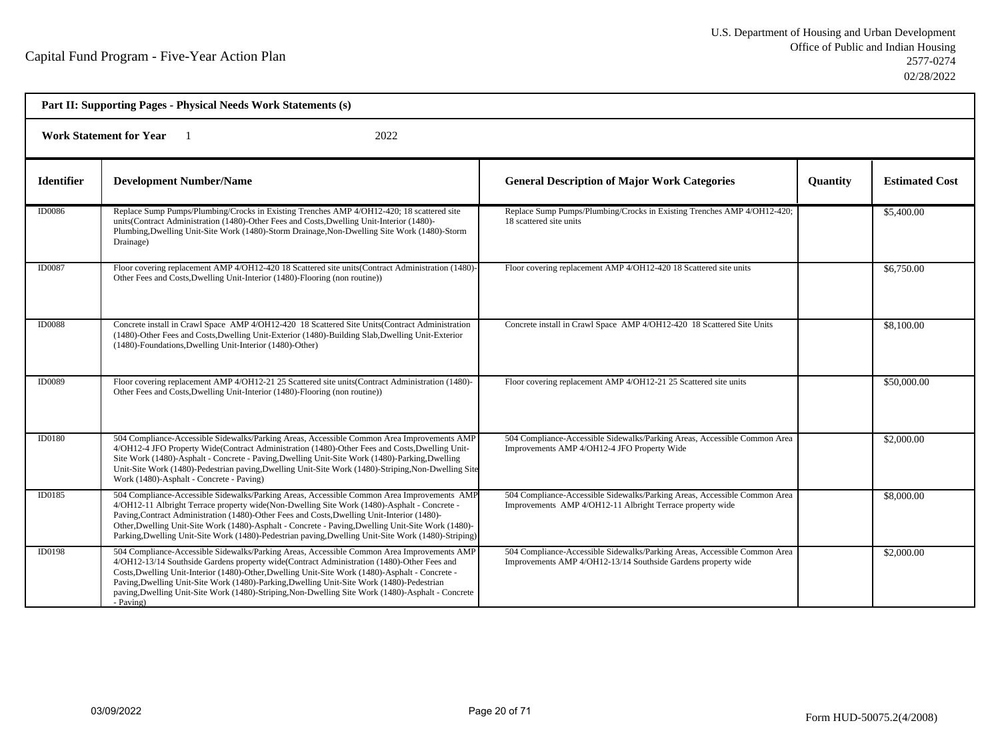| Part II: Supporting Pages - Physical Needs Work Statements (s) |                                                                                                                                                                                                                                                                                                                                                                                                                                                                                                            |                                                                                                                                            |                 |                       |  |
|----------------------------------------------------------------|------------------------------------------------------------------------------------------------------------------------------------------------------------------------------------------------------------------------------------------------------------------------------------------------------------------------------------------------------------------------------------------------------------------------------------------------------------------------------------------------------------|--------------------------------------------------------------------------------------------------------------------------------------------|-----------------|-----------------------|--|
| 2022<br><b>Work Statement for Year</b>                         |                                                                                                                                                                                                                                                                                                                                                                                                                                                                                                            |                                                                                                                                            |                 |                       |  |
| <b>Identifier</b>                                              | <b>Development Number/Name</b>                                                                                                                                                                                                                                                                                                                                                                                                                                                                             | <b>General Description of Major Work Categories</b>                                                                                        | <b>Ouantity</b> | <b>Estimated Cost</b> |  |
| <b>ID0086</b>                                                  | Replace Sump Pumps/Plumbing/Crocks in Existing Trenches AMP 4/OH12-420; 18 scattered site<br>units(Contract Administration (1480)-Other Fees and Costs, Dwelling Unit-Interior (1480)-<br>Plumbing, Dwelling Unit-Site Work (1480)-Storm Drainage, Non-Dwelling Site Work (1480)-Storm<br>Drainage)                                                                                                                                                                                                        | Replace Sump Pumps/Plumbing/Crocks in Existing Trenches AMP 4/OH12-420;<br>18 scattered site units                                         |                 | \$5,400.00            |  |
| <b>ID0087</b>                                                  | Floor covering replacement AMP 4/OH12-420 18 Scattered site units(Contract Administration (1480)-<br>Other Fees and Costs, Dwelling Unit-Interior (1480)-Flooring (non routine))                                                                                                                                                                                                                                                                                                                           | Floor covering replacement AMP 4/OH12-420 18 Scattered site units                                                                          |                 | \$6,750.00            |  |
| <b>ID0088</b>                                                  | Concrete install in Crawl Space AMP 4/OH12-420 18 Scattered Site Units (Contract Administration<br>(1480)-Other Fees and Costs, Dwelling Unit-Exterior (1480)-Building Slab, Dwelling Unit-Exterior<br>(1480)-Foundations, Dwelling Unit-Interior (1480)-Other)                                                                                                                                                                                                                                            | Concrete install in Crawl Space AMP 4/OH12-420 18 Scattered Site Units                                                                     |                 | \$8,100.00            |  |
| <b>ID0089</b>                                                  | Floor covering replacement AMP 4/OH12-21 25 Scattered site units(Contract Administration (1480)-<br>Other Fees and Costs, Dwelling Unit-Interior (1480)-Flooring (non routine))                                                                                                                                                                                                                                                                                                                            | Floor covering replacement AMP 4/OH12-21 25 Scattered site units                                                                           |                 | \$50,000.00           |  |
| <b>ID0180</b>                                                  | 504 Compliance-Accessible Sidewalks/Parking Areas, Accessible Common Area Improvements AMP<br>4/OH12-4 JFO Property Wide(Contract Administration (1480)-Other Fees and Costs, Dwelling Unit-<br>Site Work (1480)-Asphalt - Concrete - Paving, Dwelling Unit-Site Work (1480)-Parking, Dwelling<br>Unit-Site Work (1480)-Pedestrian paving, Dwelling Unit-Site Work (1480)-Striping, Non-Dwelling Site<br>Work (1480)-Asphalt - Concrete - Paving)                                                          | 504 Compliance-Accessible Sidewalks/Parking Areas, Accessible Common Area<br>Improvements AMP 4/OH12-4 JFO Property Wide                   |                 | \$2,000.00            |  |
| ID0185                                                         | 504 Compliance-Accessible Sidewalks/Parking Areas, Accessible Common Area Improvements AMP<br>4/OH12-11 Albright Terrace property wide(Non-Dwelling Site Work (1480)-Asphalt - Concrete -<br>Paving, Contract Administration (1480)-Other Fees and Costs, Dwelling Unit-Interior (1480)-<br>Other, Dwelling Unit-Site Work (1480)-Asphalt - Concrete - Paving, Dwelling Unit-Site Work (1480)-<br>Parking, Dwelling Unit-Site Work (1480)-Pedestrian paving, Dwelling Unit-Site Work (1480)-Striping)      | 504 Compliance-Accessible Sidewalks/Parking Areas, Accessible Common Area<br>Improvements AMP 4/OH12-11 Albright Terrace property wide     |                 | \$8,000.00            |  |
| <b>ID0198</b>                                                  | 504 Compliance-Accessible Sidewalks/Parking Areas, Accessible Common Area Improvements AMP<br>4/OH12-13/14 Southside Gardens property wide(Contract Administration (1480)-Other Fees and<br>Costs, Dwelling Unit-Interior (1480)-Other, Dwelling Unit-Site Work (1480)-Asphalt - Concrete -<br>Paving, Dwelling Unit-Site Work (1480)-Parking, Dwelling Unit-Site Work (1480)-Pedestrian<br>paving, Dwelling Unit-Site Work (1480)-Striping, Non-Dwelling Site Work (1480)-Asphalt - Concrete<br>- Paving) | 504 Compliance-Accessible Sidewalks/Parking Areas, Accessible Common Area<br>Improvements AMP 4/OH12-13/14 Southside Gardens property wide |                 | \$2,000.00            |  |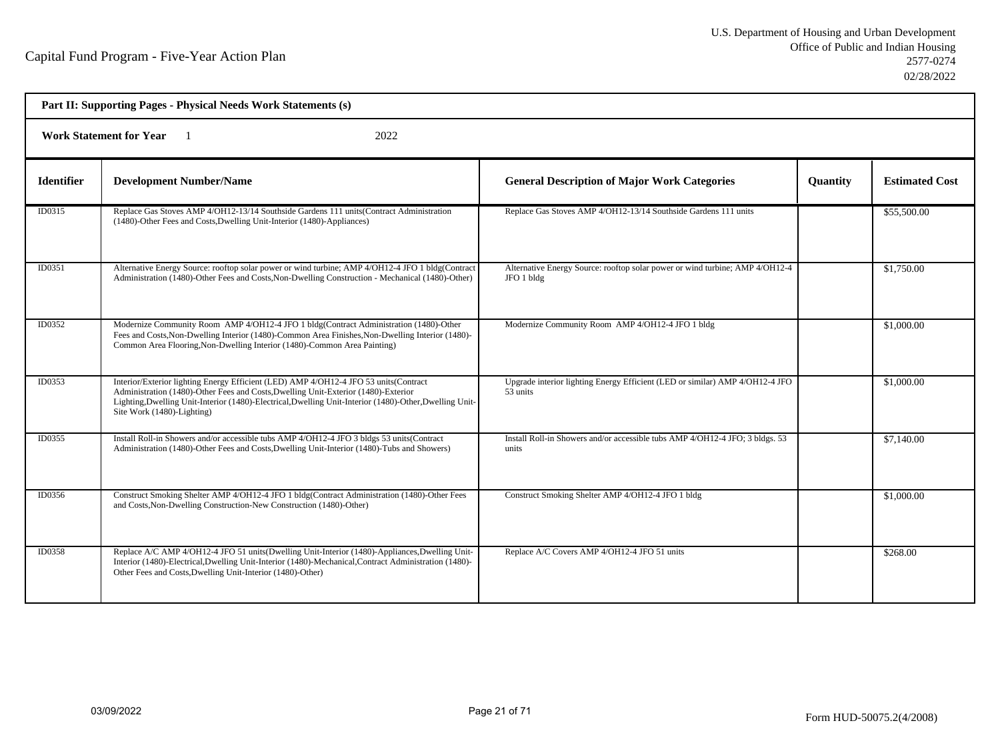| Part II: Supporting Pages - Physical Needs Work Statements (s) |                                                                                                                                                                                                                                                                                                                      |                                                                                            |                 |                       |  |  |
|----------------------------------------------------------------|----------------------------------------------------------------------------------------------------------------------------------------------------------------------------------------------------------------------------------------------------------------------------------------------------------------------|--------------------------------------------------------------------------------------------|-----------------|-----------------------|--|--|
|                                                                | <b>Work Statement for Year</b><br>2022                                                                                                                                                                                                                                                                               |                                                                                            |                 |                       |  |  |
| <b>Identifier</b>                                              | <b>Development Number/Name</b>                                                                                                                                                                                                                                                                                       | <b>General Description of Major Work Categories</b>                                        | <b>Quantity</b> | <b>Estimated Cost</b> |  |  |
| ID0315                                                         | Replace Gas Stoves AMP 4/OH12-13/14 Southside Gardens 111 units (Contract Administration<br>(1480)-Other Fees and Costs, Dwelling Unit-Interior (1480)-Appliances)                                                                                                                                                   | Replace Gas Stoves AMP 4/OH12-13/14 Southside Gardens 111 units                            |                 | \$55,500.00           |  |  |
| ID0351                                                         | Alternative Energy Source: rooftop solar power or wind turbine; AMP 4/OH12-4 JFO 1 bldg(Contract<br>Administration (1480)-Other Fees and Costs, Non-Dwelling Construction - Mechanical (1480)-Other)                                                                                                                 | Alternative Energy Source: rooftop solar power or wind turbine; AMP 4/OH12-4<br>JFO 1 bldg |                 | \$1,750.00            |  |  |
| ID0352                                                         | Modernize Community Room AMP 4/OH12-4 JFO 1 bldg(Contract Administration (1480)-Other<br>Fees and Costs, Non-Dwelling Interior (1480)-Common Area Finishes, Non-Dwelling Interior (1480)-<br>Common Area Flooring, Non-Dwelling Interior (1480)-Common Area Painting)                                                | Modernize Community Room AMP 4/OH12-4 JFO 1 bldg                                           |                 | \$1,000.00            |  |  |
| ID0353                                                         | Interior/Exterior lighting Energy Efficient (LED) AMP 4/OH12-4 JFO 53 units (Contract<br>Administration (1480)-Other Fees and Costs, Dwelling Unit-Exterior (1480)-Exterior<br>Lighting, Dwelling Unit-Interior (1480)-Electrical, Dwelling Unit-Interior (1480)-Other, Dwelling Unit-<br>Site Work (1480)-Lighting) | Upgrade interior lighting Energy Efficient (LED or similar) AMP 4/OH12-4 JFO<br>53 units   |                 | \$1,000.00            |  |  |
| ID0355                                                         | Install Roll-in Showers and/or accessible tubs AMP 4/OH12-4 JFO 3 bldgs 53 units (Contract<br>Administration (1480)-Other Fees and Costs, Dwelling Unit-Interior (1480)-Tubs and Showers)                                                                                                                            | Install Roll-in Showers and/or accessible tubs AMP 4/OH12-4 JFO; 3 bldgs. 53<br>units      |                 | \$7,140.00            |  |  |
| ID0356                                                         | Construct Smoking Shelter AMP 4/OH12-4 JFO 1 bldg(Contract Administration (1480)-Other Fees<br>and Costs, Non-Dwelling Construction-New Construction (1480)-Other)                                                                                                                                                   | Construct Smoking Shelter AMP 4/OH12-4 JFO 1 bldg                                          |                 | \$1,000.00            |  |  |
| ID0358                                                         | Replace A/C AMP 4/OH12-4 JFO 51 units (Dwelling Unit-Interior (1480)-Appliances, Dwelling Unit-<br>Interior (1480)-Electrical, Dwelling Unit-Interior (1480)-Mechanical, Contract Administration (1480)-<br>Other Fees and Costs, Dwelling Unit-Interior (1480)-Other)                                               | Replace A/C Covers AMP 4/OH12-4 JFO 51 units                                               |                 | \$268.00              |  |  |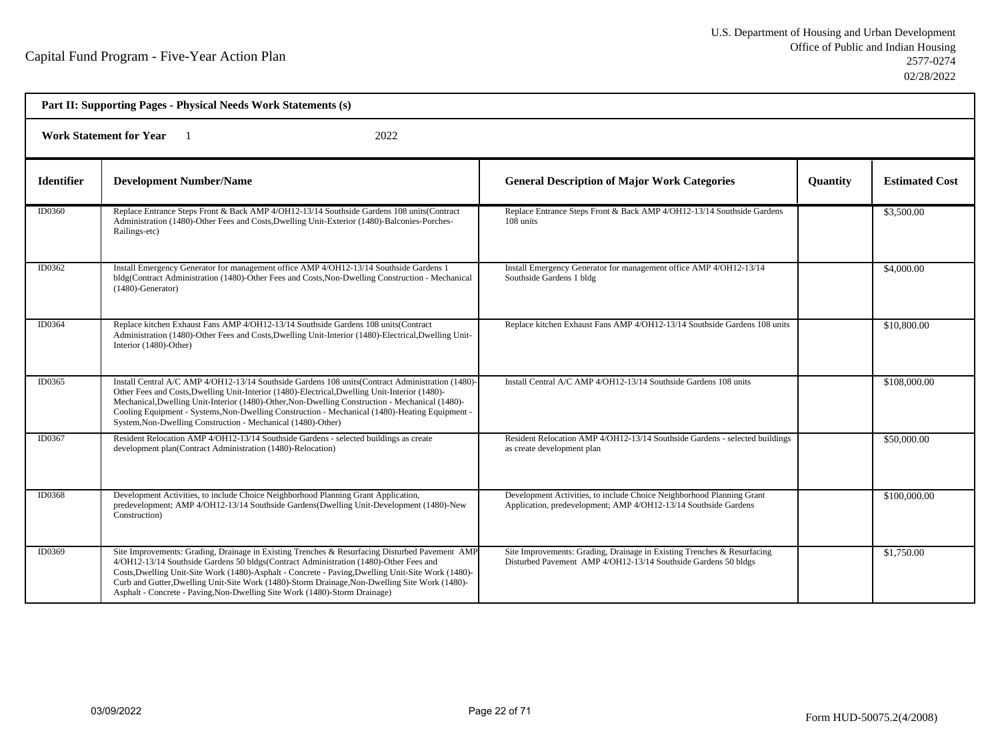| Part II: Supporting Pages - Physical Needs Work Statements (s) |                                                                                                                                                                                                                                                                                                                                                                                                                                                                               |                                                                                                                                           |                 |                       |  |
|----------------------------------------------------------------|-------------------------------------------------------------------------------------------------------------------------------------------------------------------------------------------------------------------------------------------------------------------------------------------------------------------------------------------------------------------------------------------------------------------------------------------------------------------------------|-------------------------------------------------------------------------------------------------------------------------------------------|-----------------|-----------------------|--|
|                                                                | <b>Work Statement for Year</b><br>2022                                                                                                                                                                                                                                                                                                                                                                                                                                        |                                                                                                                                           |                 |                       |  |
| <b>Identifier</b>                                              | <b>Development Number/Name</b>                                                                                                                                                                                                                                                                                                                                                                                                                                                | <b>General Description of Major Work Categories</b>                                                                                       | <b>Quantity</b> | <b>Estimated Cost</b> |  |
| ID0360                                                         | Replace Entrance Steps Front & Back AMP 4/OH12-13/14 Southside Gardens 108 units(Contract<br>Administration (1480)-Other Fees and Costs, Dwelling Unit-Exterior (1480)-Balconies-Porches-<br>Railings-etc)                                                                                                                                                                                                                                                                    | Replace Entrance Steps Front & Back AMP 4/OH12-13/14 Southside Gardens<br>108 units                                                       |                 | \$3,500.00            |  |
| ID0362                                                         | Install Emergency Generator for management office AMP 4/OH12-13/14 Southside Gardens 1<br>bldg(Contract Administration (1480)-Other Fees and Costs, Non-Dwelling Construction - Mechanical<br>$(1480)$ -Generator)                                                                                                                                                                                                                                                            | Install Emergency Generator for management office AMP 4/OH12-13/14<br>Southside Gardens 1 bldg                                            |                 | \$4,000.00            |  |
| ID0364                                                         | Replace kitchen Exhaust Fans AMP 4/OH12-13/14 Southside Gardens 108 units (Contract<br>Administration (1480)-Other Fees and Costs, Dwelling Unit-Interior (1480)-Electrical, Dwelling Unit-<br>Interior (1480)-Other)                                                                                                                                                                                                                                                         | Replace kitchen Exhaust Fans AMP 4/OH12-13/14 Southside Gardens 108 units                                                                 |                 | \$10,800.00           |  |
| ID0365                                                         | Install Central A/C AMP 4/OH12-13/14 Southside Gardens 108 units (Contract Administration (1480)-<br>Other Fees and Costs, Dwelling Unit-Interior (1480)-Electrical, Dwelling Unit-Interior (1480)-<br>Mechanical, Dwelling Unit-Interior (1480)-Other, Non-Dwelling Construction - Mechanical (1480)-<br>Cooling Equipment - Systems, Non-Dwelling Construction - Mechanical (1480)-Heating Equipment -<br>System, Non-Dwelling Construction - Mechanical (1480)-Other)      | Install Central A/C AMP 4/OH12-13/14 Southside Gardens 108 units                                                                          |                 | \$108,000.00          |  |
| ID0367                                                         | Resident Relocation AMP 4/OH12-13/14 Southside Gardens - selected buildings as create<br>development plan(Contract Administration (1480)-Relocation)                                                                                                                                                                                                                                                                                                                          | Resident Relocation AMP 4/OH12-13/14 Southside Gardens - selected buildings<br>as create development plan                                 |                 | \$50,000.00           |  |
| ID0368                                                         | Development Activities, to include Choice Neighborhood Planning Grant Application,<br>predevelopment; AMP 4/OH12-13/14 Southside Gardens(Dwelling Unit-Development (1480)-New<br>Construction)                                                                                                                                                                                                                                                                                | Development Activities, to include Choice Neighborhood Planning Grant<br>Application, predevelopment; AMP 4/OH12-13/14 Southside Gardens  |                 | \$100,000.00          |  |
| ID0369                                                         | Site Improvements: Grading, Drainage in Existing Trenches & Resurfacing Disturbed Pavement AMP<br>4/OH12-13/14 Southside Gardens 50 bldgs(Contract Administration (1480)-Other Fees and<br>Costs, Dwelling Unit-Site Work (1480)-Asphalt - Concrete - Paving, Dwelling Unit-Site Work (1480)-<br>Curb and Gutter, Dwelling Unit-Site Work (1480)-Storm Drainage, Non-Dwelling Site Work (1480)-<br>Asphalt - Concrete - Paving, Non-Dwelling Site Work (1480)-Storm Drainage) | Site Improvements: Grading, Drainage in Existing Trenches & Resurfacing<br>Disturbed Pavement AMP 4/OH12-13/14 Southside Gardens 50 bldgs |                 | \$1,750.00            |  |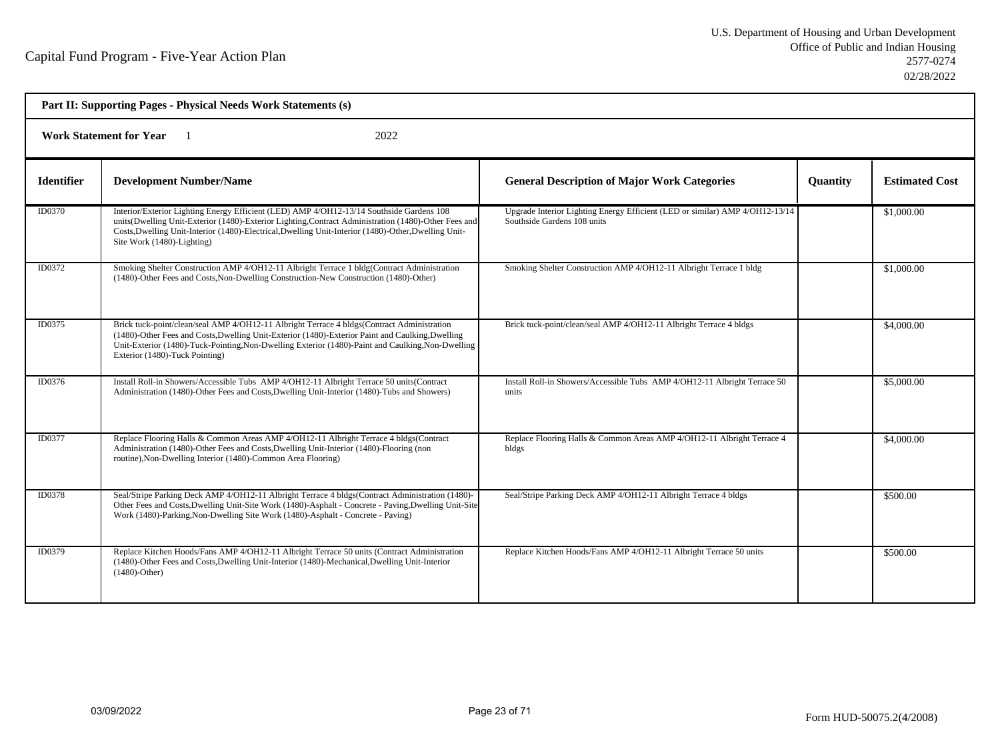| Part II: Supporting Pages - Physical Needs Work Statements (s) |                                                                                                                                                                                                                                                                                                                                        |                                                                                                             |                 |                       |
|----------------------------------------------------------------|----------------------------------------------------------------------------------------------------------------------------------------------------------------------------------------------------------------------------------------------------------------------------------------------------------------------------------------|-------------------------------------------------------------------------------------------------------------|-----------------|-----------------------|
| <b>Work Statement for Year</b><br>2022                         |                                                                                                                                                                                                                                                                                                                                        |                                                                                                             |                 |                       |
| <b>Identifier</b>                                              | <b>Development Number/Name</b>                                                                                                                                                                                                                                                                                                         | <b>General Description of Major Work Categories</b>                                                         | <b>Quantity</b> | <b>Estimated Cost</b> |
| <b>ID0370</b>                                                  | Interior/Exterior Lighting Energy Efficient (LED) AMP 4/OH12-13/14 Southside Gardens 108<br>units(Dwelling Unit-Exterior (1480)-Exterior Lighting, Contract Administration (1480)-Other Fees and<br>Costs, Dwelling Unit-Interior (1480)-Electrical, Dwelling Unit-Interior (1480)-Other, Dwelling Unit-<br>Site Work (1480)-Lighting) | Upgrade Interior Lighting Energy Efficient (LED or similar) AMP 4/OH12-13/14<br>Southside Gardens 108 units |                 | \$1,000.00            |
| ID0372                                                         | Smoking Shelter Construction AMP 4/OH12-11 Albright Terrace 1 bldg(Contract Administration<br>(1480)-Other Fees and Costs, Non-Dwelling Construction-New Construction (1480)-Other)                                                                                                                                                    | Smoking Shelter Construction AMP 4/OH12-11 Albright Terrace 1 bldg                                          |                 | \$1,000.00            |
| ID0375                                                         | Brick tuck-point/clean/seal AMP 4/OH12-11 Albright Terrace 4 bldgs(Contract Administration<br>(1480)-Other Fees and Costs, Dwelling Unit-Exterior (1480)-Exterior Paint and Caulking, Dwelling<br>Unit-Exterior (1480)-Tuck-Pointing, Non-Dwelling Exterior (1480)-Paint and Caulking, Non-Dwelling<br>Exterior (1480)-Tuck Pointing)  | Brick tuck-point/clean/seal AMP 4/OH12-11 Albright Terrace 4 bldgs                                          |                 | \$4,000.00            |
| ID0376                                                         | Install Roll-in Showers/Accessible Tubs AMP 4/OH12-11 Albright Terrace 50 units(Contract<br>Administration (1480)-Other Fees and Costs, Dwelling Unit-Interior (1480)-Tubs and Showers)                                                                                                                                                | Install Roll-in Showers/Accessible Tubs AMP 4/OH12-11 Albright Terrace 50<br>units                          |                 | \$5,000.00            |
| ID0377                                                         | Replace Flooring Halls & Common Areas AMP 4/OH12-11 Albright Terrace 4 bldgs(Contract<br>Administration (1480)-Other Fees and Costs, Dwelling Unit-Interior (1480)-Flooring (non<br>routine), Non-Dwelling Interior (1480)-Common Area Flooring)                                                                                       | Replace Flooring Halls & Common Areas AMP 4/OH12-11 Albright Terrace 4<br>bldgs                             |                 | \$4,000.00            |
| ID0378                                                         | Seal/Stripe Parking Deck AMP 4/OH12-11 Albright Terrace 4 bldgs(Contract Administration (1480)-<br>Other Fees and Costs, Dwelling Unit-Site Work (1480)-Asphalt - Concrete - Paving, Dwelling Unit-Site<br>Work (1480)-Parking, Non-Dwelling Site Work (1480)-Asphalt - Concrete - Paving)                                             | Seal/Stripe Parking Deck AMP 4/OH12-11 Albright Terrace 4 bldgs                                             |                 | \$500.00              |
| ID0379                                                         | Replace Kitchen Hoods/Fans AMP 4/OH12-11 Albright Terrace 50 units (Contract Administration<br>(1480)-Other Fees and Costs, Dwelling Unit-Interior (1480)-Mechanical, Dwelling Unit-Interior<br>$(1480)$ -Other)                                                                                                                       | Replace Kitchen Hoods/Fans AMP 4/OH12-11 Albright Terrace 50 units                                          |                 | \$500.00              |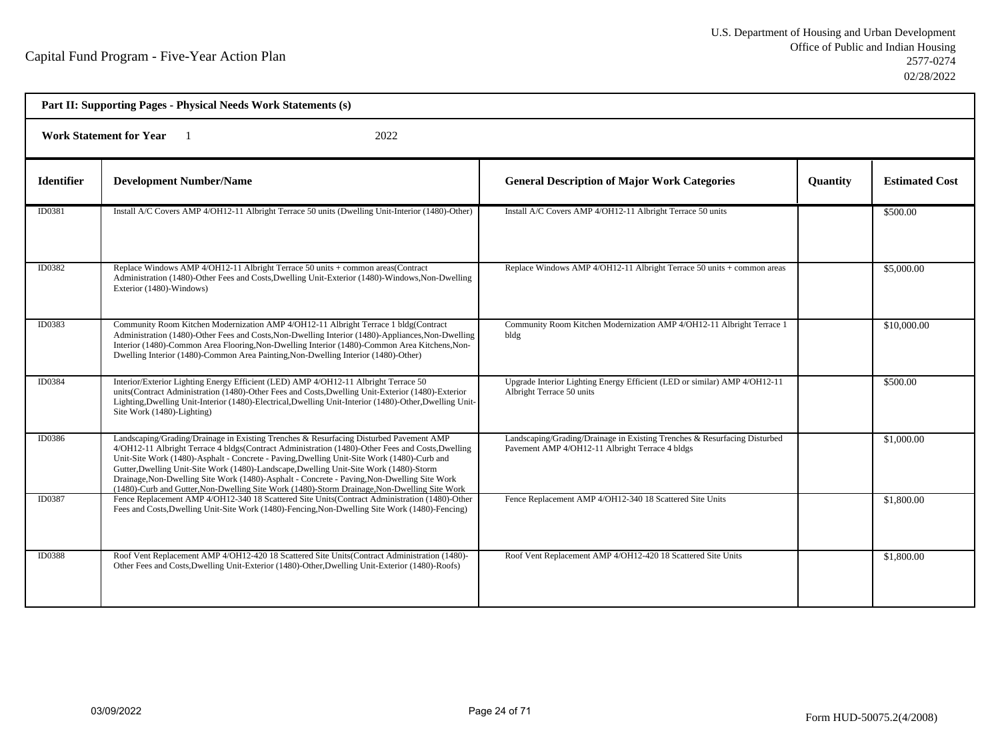| Part II: Supporting Pages - Physical Needs Work Statements (s) |                                                                                                                                                                                                                                                                                                                                                                                                                                                                                                                                                                                   |                                                                                                                              |                 |                       |  |
|----------------------------------------------------------------|-----------------------------------------------------------------------------------------------------------------------------------------------------------------------------------------------------------------------------------------------------------------------------------------------------------------------------------------------------------------------------------------------------------------------------------------------------------------------------------------------------------------------------------------------------------------------------------|------------------------------------------------------------------------------------------------------------------------------|-----------------|-----------------------|--|
| <b>Work Statement for Year</b><br>2022                         |                                                                                                                                                                                                                                                                                                                                                                                                                                                                                                                                                                                   |                                                                                                                              |                 |                       |  |
| <b>Identifier</b>                                              | <b>Development Number/Name</b>                                                                                                                                                                                                                                                                                                                                                                                                                                                                                                                                                    | <b>General Description of Major Work Categories</b>                                                                          | <b>Quantity</b> | <b>Estimated Cost</b> |  |
| ID0381                                                         | Install A/C Covers AMP 4/OH12-11 Albright Terrace 50 units (Dwelling Unit-Interior (1480)-Other)                                                                                                                                                                                                                                                                                                                                                                                                                                                                                  | Install A/C Covers AMP 4/OH12-11 Albright Terrace 50 units                                                                   |                 | \$500.00              |  |
| ID0382                                                         | Replace Windows AMP 4/OH12-11 Albright Terrace 50 units + common areas(Contract<br>Administration (1480)-Other Fees and Costs, Dwelling Unit-Exterior (1480)-Windows, Non-Dwelling<br>Exterior (1480)-Windows)                                                                                                                                                                                                                                                                                                                                                                    | Replace Windows AMP 4/OH12-11 Albright Terrace 50 units + common areas                                                       |                 | \$5,000.00            |  |
| ID0383                                                         | Community Room Kitchen Modernization AMP 4/OH12-11 Albright Terrace 1 bldg(Contract<br>Administration (1480)-Other Fees and Costs, Non-Dwelling Interior (1480)-Appliances, Non-Dwelling<br>Interior (1480)-Common Area Flooring, Non-Dwelling Interior (1480)-Common Area Kitchens, Non-<br>Dwelling Interior (1480)-Common Area Painting, Non-Dwelling Interior (1480)-Other)                                                                                                                                                                                                   | Community Room Kitchen Modernization AMP 4/OH12-11 Albright Terrace 1<br>bldg                                                |                 | \$10,000.00           |  |
| ID0384                                                         | Interior/Exterior Lighting Energy Efficient (LED) AMP 4/OH12-11 Albright Terrace 50<br>units(Contract Administration (1480)-Other Fees and Costs, Dwelling Unit-Exterior (1480)-Exterior<br>Lighting, Dwelling Unit-Interior (1480)-Electrical, Dwelling Unit-Interior (1480)-Other, Dwelling Unit-<br>Site Work (1480)-Lighting)                                                                                                                                                                                                                                                 | Upgrade Interior Lighting Energy Efficient (LED or similar) AMP 4/OH12-11<br>Albright Terrace 50 units                       |                 | \$500.00              |  |
| ID0386                                                         | Landscaping/Grading/Drainage in Existing Trenches & Resurfacing Disturbed Pavement AMP<br>4/OH12-11 Albright Terrace 4 bldgs(Contract Administration (1480)-Other Fees and Costs, Dwelling<br>Unit-Site Work (1480)-Asphalt - Concrete - Paving, Dwelling Unit-Site Work (1480)-Curb and<br>Gutter, Dwelling Unit-Site Work (1480)-Landscape, Dwelling Unit-Site Work (1480)-Storm<br>Drainage, Non-Dwelling Site Work (1480)-Asphalt - Concrete - Paving, Non-Dwelling Site Work<br>(1480)-Curb and Gutter, Non-Dwelling Site Work (1480)-Storm Drainage, Non-Dwelling Site Work | Landscaping/Grading/Drainage in Existing Trenches & Resurfacing Disturbed<br>Pavement AMP 4/OH12-11 Albright Terrace 4 bldgs |                 | \$1,000.00            |  |
| <b>ID0387</b>                                                  | Fence Replacement AMP 4/OH12-340 18 Scattered Site Units (Contract Administration (1480)-Other<br>Fees and Costs, Dwelling Unit-Site Work (1480)-Fencing, Non-Dwelling Site Work (1480)-Fencing)                                                                                                                                                                                                                                                                                                                                                                                  | Fence Replacement AMP 4/OH12-340 18 Scattered Site Units                                                                     |                 | \$1,800.00            |  |
| ID0388                                                         | Roof Vent Replacement AMP 4/OH12-420 18 Scattered Site Units(Contract Administration (1480)-<br>Other Fees and Costs, Dwelling Unit-Exterior (1480)-Other, Dwelling Unit-Exterior (1480)-Roofs)                                                                                                                                                                                                                                                                                                                                                                                   | Roof Vent Replacement AMP 4/OH12-420 18 Scattered Site Units                                                                 |                 | \$1,800.00            |  |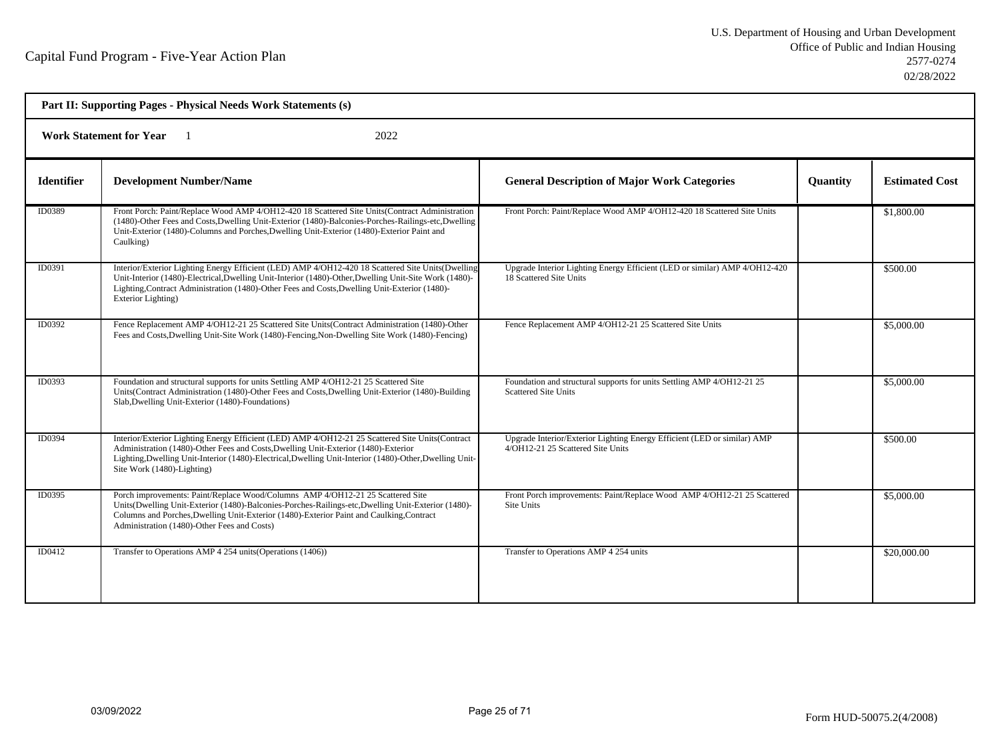| Part II: Supporting Pages - Physical Needs Work Statements (s) |                                                                                                                                                                                                                                                                                                                                   |                                                                                                               |                 |                       |  |
|----------------------------------------------------------------|-----------------------------------------------------------------------------------------------------------------------------------------------------------------------------------------------------------------------------------------------------------------------------------------------------------------------------------|---------------------------------------------------------------------------------------------------------------|-----------------|-----------------------|--|
| <b>Work Statement for Year</b><br>2022                         |                                                                                                                                                                                                                                                                                                                                   |                                                                                                               |                 |                       |  |
| <b>Identifier</b>                                              | <b>Development Number/Name</b>                                                                                                                                                                                                                                                                                                    | <b>General Description of Major Work Categories</b>                                                           | <b>Quantity</b> | <b>Estimated Cost</b> |  |
| ID0389                                                         | Front Porch: Paint/Replace Wood AMP 4/OH12-420 18 Scattered Site Units(Contract Administration<br>(1480)-Other Fees and Costs, Dwelling Unit-Exterior (1480)-Balconies-Porches-Railings-etc, Dwelling<br>Unit-Exterior (1480)-Columns and Porches, Dwelling Unit-Exterior (1480)-Exterior Paint and<br>Caulking)                  | Front Porch: Paint/Replace Wood AMP 4/OH12-420 18 Scattered Site Units                                        |                 | \$1,800.00            |  |
| ID0391                                                         | Interior/Exterior Lighting Energy Efficient (LED) AMP 4/OH12-420 18 Scattered Site Units(Dwelling<br>Unit-Interior (1480)-Electrical, Dwelling Unit-Interior (1480)-Other, Dwelling Unit-Site Work (1480)-<br>Lighting, Contract Administration (1480)-Other Fees and Costs, Dwelling Unit-Exterior (1480)-<br>Exterior Lighting) | Upgrade Interior Lighting Energy Efficient (LED or similar) AMP 4/OH12-420<br>18 Scattered Site Units         |                 | \$500.00              |  |
| ID0392                                                         | Fence Replacement AMP 4/OH12-21 25 Scattered Site Units(Contract Administration (1480)-Other<br>Fees and Costs, Dwelling Unit-Site Work (1480)-Fencing, Non-Dwelling Site Work (1480)-Fencing)                                                                                                                                    | Fence Replacement AMP 4/OH12-21 25 Scattered Site Units                                                       |                 | \$5,000.00            |  |
| ID0393                                                         | Foundation and structural supports for units Settling AMP 4/OH12-21 25 Scattered Site<br>Units(Contract Administration (1480)-Other Fees and Costs, Dwelling Unit-Exterior (1480)-Building<br>Slab, Dwelling Unit-Exterior (1480)-Foundations)                                                                                    | Foundation and structural supports for units Settling AMP 4/OH12-21 25<br><b>Scattered Site Units</b>         |                 | \$5,000.00            |  |
| ID0394                                                         | Interior/Exterior Lighting Energy Efficient (LED) AMP 4/OH12-21 25 Scattered Site Units (Contract<br>Administration (1480)-Other Fees and Costs, Dwelling Unit-Exterior (1480)-Exterior<br>Lighting, Dwelling Unit-Interior (1480)-Electrical, Dwelling Unit-Interior (1480)-Other, Dwelling Unit-<br>Site Work (1480)-Lighting)  | Upgrade Interior/Exterior Lighting Energy Efficient (LED or similar) AMP<br>4/OH12-21 25 Scattered Site Units |                 | \$500.00              |  |
| ID0395                                                         | Porch improvements: Paint/Replace Wood/Columns AMP 4/OH12-21 25 Scattered Site<br>Units(Dwelling Unit-Exterior (1480)-Balconies-Porches-Railings-etc,Dwelling Unit-Exterior (1480)-<br>Columns and Porches, Dwelling Unit-Exterior (1480)-Exterior Paint and Caulking, Contract<br>Administration (1480)-Other Fees and Costs)    | Front Porch improvements: Paint/Replace Wood AMP 4/OH12-21 25 Scattered<br>Site Units                         |                 | \$5,000.00            |  |
| ID0412                                                         | Transfer to Operations AMP 4 254 units (Operations (1406))                                                                                                                                                                                                                                                                        | Transfer to Operations AMP 4 254 units                                                                        |                 | \$20,000.00           |  |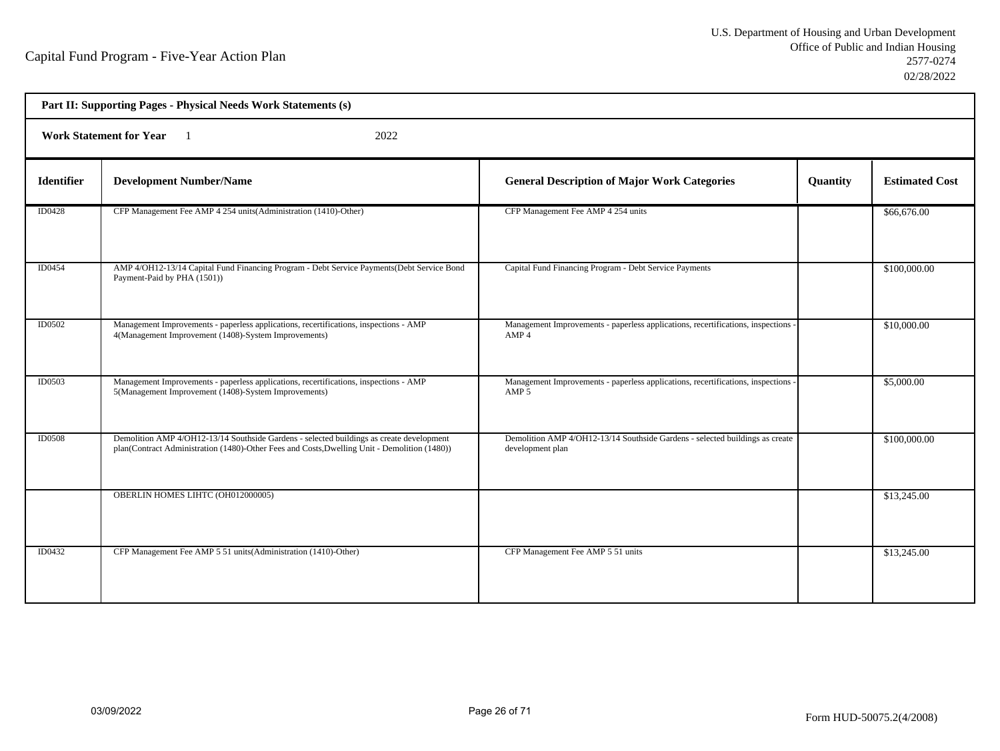| Part II: Supporting Pages - Physical Needs Work Statements (s) |                                                                                                                                                                                          |                                                                                                     |          |                       |  |  |
|----------------------------------------------------------------|------------------------------------------------------------------------------------------------------------------------------------------------------------------------------------------|-----------------------------------------------------------------------------------------------------|----------|-----------------------|--|--|
|                                                                | <b>Work Statement for Year</b><br>2022                                                                                                                                                   |                                                                                                     |          |                       |  |  |
| <b>Identifier</b>                                              | <b>Development Number/Name</b>                                                                                                                                                           | <b>General Description of Major Work Categories</b>                                                 | Quantity | <b>Estimated Cost</b> |  |  |
| ID0428                                                         | CFP Management Fee AMP 4 254 units (Administration (1410)-Other)                                                                                                                         | CFP Management Fee AMP 4 254 units                                                                  |          | \$66,676.00           |  |  |
| ID0454                                                         | AMP 4/OH12-13/14 Capital Fund Financing Program - Debt Service Payments(Debt Service Bond<br>Payment-Paid by PHA (1501))                                                                 | Capital Fund Financing Program - Debt Service Payments                                              |          | \$100,000.00          |  |  |
| ID0502                                                         | Management Improvements - paperless applications, recertifications, inspections - AMP<br>4(Management Improvement (1408)-System Improvements)                                            | Management Improvements - paperless applications, recertifications, inspections<br>AMP <sub>4</sub> |          | \$10,000.00           |  |  |
| <b>ID0503</b>                                                  | Management Improvements - paperless applications, recertifications, inspections - AMP<br>5(Management Improvement (1408)-System Improvements)                                            | Management Improvements - paperless applications, recertifications, inspections<br>AMP <sub>5</sub> |          | \$5,000.00            |  |  |
| <b>ID0508</b>                                                  | Demolition AMP 4/OH12-13/14 Southside Gardens - selected buildings as create development<br>plan(Contract Administration (1480)-Other Fees and Costs, Dwelling Unit - Demolition (1480)) | Demolition AMP 4/OH12-13/14 Southside Gardens - selected buildings as create<br>development plan    |          | \$100,000.00          |  |  |
|                                                                | OBERLIN HOMES LIHTC (OH012000005)                                                                                                                                                        |                                                                                                     |          | \$13,245.00           |  |  |
| ID0432                                                         | CFP Management Fee AMP 5 51 units (Administration (1410)-Other)                                                                                                                          | CFP Management Fee AMP 5 51 units                                                                   |          | \$13,245.00           |  |  |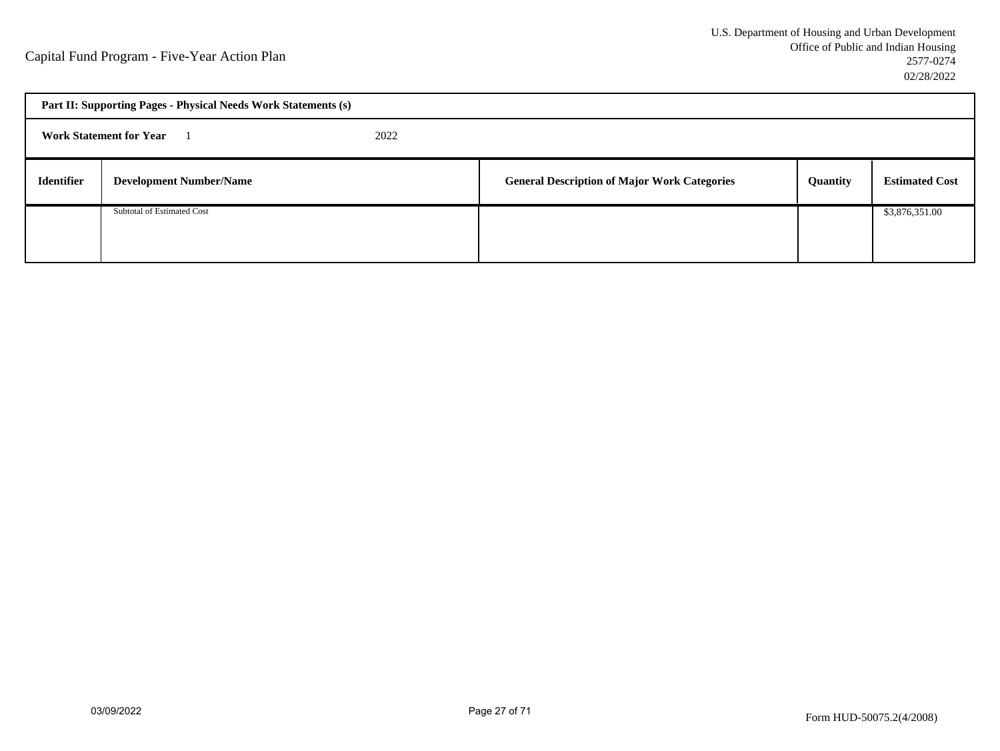| Part II: Supporting Pages - Physical Needs Work Statements (s) |                                        |  |                                                     |          |                       |
|----------------------------------------------------------------|----------------------------------------|--|-----------------------------------------------------|----------|-----------------------|
|                                                                | <b>Work Statement for Year</b><br>2022 |  |                                                     |          |                       |
| <b>Identifier</b>                                              | <b>Development Number/Name</b>         |  | <b>General Description of Major Work Categories</b> | Quantity | <b>Estimated Cost</b> |
|                                                                | Subtotal of Estimated Cost             |  |                                                     |          | \$3,876,351.00        |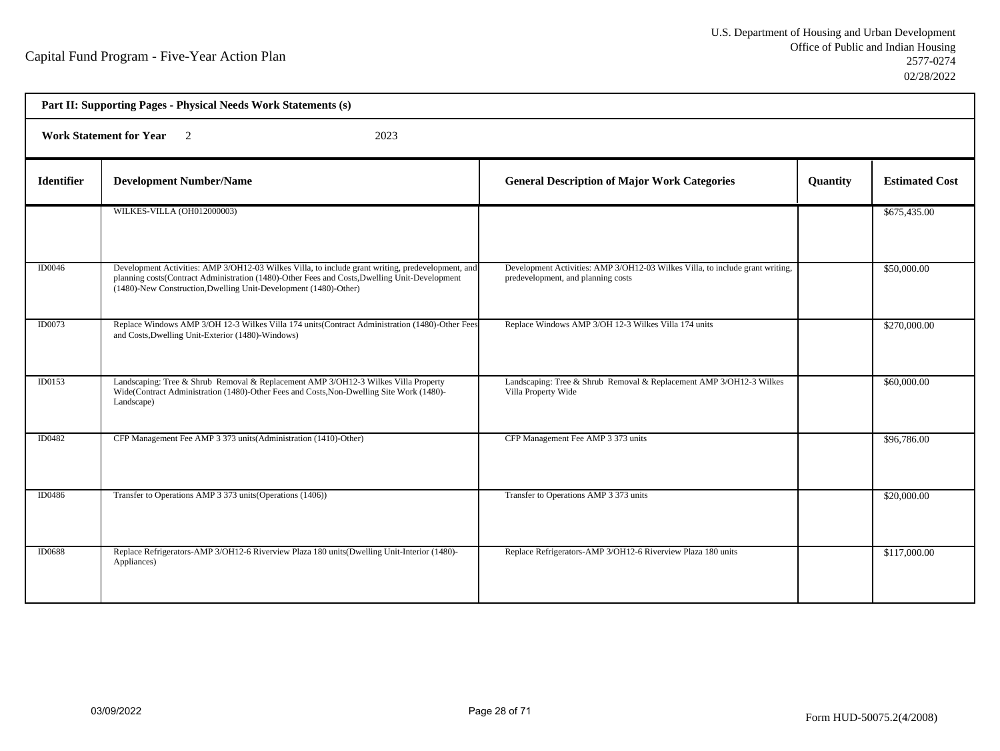| Part II: Supporting Pages - Physical Needs Work Statements (s) |                                                                                                                                                                                                                                                                        |                                                                                                                     |                 |                       |  |  |
|----------------------------------------------------------------|------------------------------------------------------------------------------------------------------------------------------------------------------------------------------------------------------------------------------------------------------------------------|---------------------------------------------------------------------------------------------------------------------|-----------------|-----------------------|--|--|
|                                                                | Work Statement for Year 2<br>2023                                                                                                                                                                                                                                      |                                                                                                                     |                 |                       |  |  |
| <b>Identifier</b>                                              | <b>Development Number/Name</b>                                                                                                                                                                                                                                         | <b>General Description of Major Work Categories</b>                                                                 | <b>Quantity</b> | <b>Estimated Cost</b> |  |  |
|                                                                | WILKES-VILLA (OH012000003)                                                                                                                                                                                                                                             |                                                                                                                     |                 | \$675,435.00          |  |  |
| ID0046                                                         | Development Activities: AMP 3/OH12-03 Wilkes Villa, to include grant writing, predevelopment, and<br>planning costs(Contract Administration (1480)-Other Fees and Costs, Dwelling Unit-Development<br>(1480)-New Construction, Dwelling Unit-Development (1480)-Other) | Development Activities: AMP 3/OH12-03 Wilkes Villa, to include grant writing,<br>predevelopment, and planning costs |                 | \$50,000.00           |  |  |
| ID0073                                                         | Replace Windows AMP 3/OH 12-3 Wilkes Villa 174 units(Contract Administration (1480)-Other Fees<br>and Costs, Dwelling Unit-Exterior (1480)-Windows)                                                                                                                    | Replace Windows AMP 3/OH 12-3 Wilkes Villa 174 units                                                                |                 | \$270,000.00          |  |  |
| ID0153                                                         | Landscaping: Tree & Shrub Removal & Replacement AMP 3/OH12-3 Wilkes Villa Property<br>Wide(Contract Administration (1480)-Other Fees and Costs, Non-Dwelling Site Work (1480)-<br>Landscape)                                                                           | Landscaping: Tree & Shrub Removal & Replacement AMP 3/OH12-3 Wilkes<br>Villa Property Wide                          |                 | \$60,000.00           |  |  |
| ID0482                                                         | CFP Management Fee AMP 3 373 units (Administration (1410)-Other)                                                                                                                                                                                                       | CFP Management Fee AMP 3 373 units                                                                                  |                 | \$96,786.00           |  |  |
| ID0486                                                         | Transfer to Operations AMP 3 373 units (Operations (1406))                                                                                                                                                                                                             | Transfer to Operations AMP 3 373 units                                                                              |                 | \$20,000.00           |  |  |
| ID0688                                                         | Replace Refrigerators-AMP 3/OH12-6 Riverview Plaza 180 units(Dwelling Unit-Interior (1480)-<br>Appliances)                                                                                                                                                             | Replace Refrigerators-AMP 3/OH12-6 Riverview Plaza 180 units                                                        |                 | \$117,000.00          |  |  |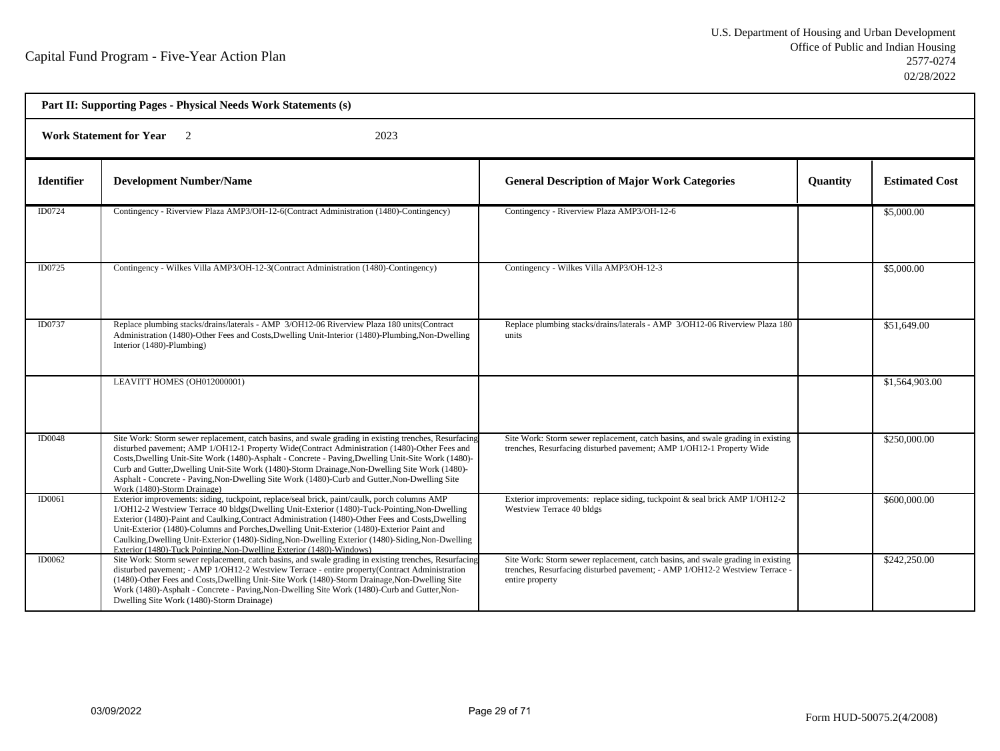| Part II: Supporting Pages - Physical Needs Work Statements (s) |                                                                                                                                                                                                                                                                                                                                                                                                                                                                                                                                                                              |                                                                                                                                                                                   |                 |                       |  |
|----------------------------------------------------------------|------------------------------------------------------------------------------------------------------------------------------------------------------------------------------------------------------------------------------------------------------------------------------------------------------------------------------------------------------------------------------------------------------------------------------------------------------------------------------------------------------------------------------------------------------------------------------|-----------------------------------------------------------------------------------------------------------------------------------------------------------------------------------|-----------------|-----------------------|--|
| <b>Work Statement for Year</b> 2<br>2023                       |                                                                                                                                                                                                                                                                                                                                                                                                                                                                                                                                                                              |                                                                                                                                                                                   |                 |                       |  |
| <b>Identifier</b>                                              | <b>Development Number/Name</b>                                                                                                                                                                                                                                                                                                                                                                                                                                                                                                                                               | <b>General Description of Major Work Categories</b>                                                                                                                               | <b>Quantity</b> | <b>Estimated Cost</b> |  |
| ID0724                                                         | Contingency - Riverview Plaza AMP3/OH-12-6(Contract Administration (1480)-Contingency)                                                                                                                                                                                                                                                                                                                                                                                                                                                                                       | Contingency - Riverview Plaza AMP3/OH-12-6                                                                                                                                        |                 | \$5,000.00            |  |
| ID0725                                                         | Contingency - Wilkes Villa AMP3/OH-12-3(Contract Administration (1480)-Contingency)                                                                                                                                                                                                                                                                                                                                                                                                                                                                                          | Contingency - Wilkes Villa AMP3/OH-12-3                                                                                                                                           |                 | \$5,000.00            |  |
| ID0737                                                         | Replace plumbing stacks/drains/laterals - AMP 3/OH12-06 Riverview Plaza 180 units(Contract<br>Administration (1480)-Other Fees and Costs, Dwelling Unit-Interior (1480)-Plumbing, Non-Dwelling<br>Interior (1480)-Plumbing)                                                                                                                                                                                                                                                                                                                                                  | Replace plumbing stacks/drains/laterals - AMP 3/OH12-06 Riverview Plaza 180<br>units                                                                                              |                 | \$51,649.00           |  |
|                                                                | LEAVITT HOMES (OH012000001)                                                                                                                                                                                                                                                                                                                                                                                                                                                                                                                                                  |                                                                                                                                                                                   |                 | \$1,564,903.00        |  |
| ID0048                                                         | Site Work: Storm sewer replacement, catch basins, and swale grading in existing trenches, Resurfacing<br>disturbed pavement; AMP 1/OH12-1 Property Wide(Contract Administration (1480)-Other Fees and<br>Costs, Dwelling Unit-Site Work (1480)-Asphalt - Concrete - Paving, Dwelling Unit-Site Work (1480)-<br>Curb and Gutter, Dwelling Unit-Site Work (1480)-Storm Drainage, Non-Dwelling Site Work (1480)-<br>Asphalt - Concrete - Paving, Non-Dwelling Site Work (1480)-Curb and Gutter, Non-Dwelling Site<br>Work (1480)-Storm Drainage)                                | Site Work: Storm sewer replacement, catch basins, and swale grading in existing<br>trenches, Resurfacing disturbed pavement; AMP 1/OH12-1 Property Wide                           |                 | \$250,000.00          |  |
| ID0061                                                         | Exterior improvements: siding, tuckpoint, replace/seal brick, paint/caulk, porch columns AMP<br>1/OH12-2 Westview Terrace 40 bldgs(Dwelling Unit-Exterior (1480)-Tuck-Pointing, Non-Dwelling<br>Exterior (1480)-Paint and Caulking, Contract Administration (1480)-Other Fees and Costs, Dwelling<br>Unit-Exterior (1480)-Columns and Porches, Dwelling Unit-Exterior (1480)-Exterior Paint and<br>Caulking, Dwelling Unit-Exterior (1480)-Siding, Non-Dwelling Exterior (1480)-Siding, Non-Dwelling<br>Exterior (1480)-Tuck Pointing, Non-Dwelling Exterior (1480)-Windows) | Exterior improvements: replace siding, tuckpoint $\&$ seal brick AMP 1/OH12-2<br>Westview Terrace 40 bldgs                                                                        |                 | \$600,000.00          |  |
| ID0062                                                         | Site Work: Storm sewer replacement, catch basins, and swale grading in existing trenches, Resurfacing<br>disturbed pavement; - AMP 1/OH12-2 Westview Terrace - entire property(Contract Administration<br>(1480)-Other Fees and Costs, Dwelling Unit-Site Work (1480)-Storm Drainage, Non-Dwelling Site<br>Work (1480)-Asphalt - Concrete - Paving, Non-Dwelling Site Work (1480)-Curb and Gutter, Non-<br>Dwelling Site Work (1480)-Storm Drainage)                                                                                                                         | Site Work: Storm sewer replacement, catch basins, and swale grading in existing<br>trenches, Resurfacing disturbed pavement; - AMP 1/OH12-2 Westview Terrace -<br>entire property |                 | \$242,250.00          |  |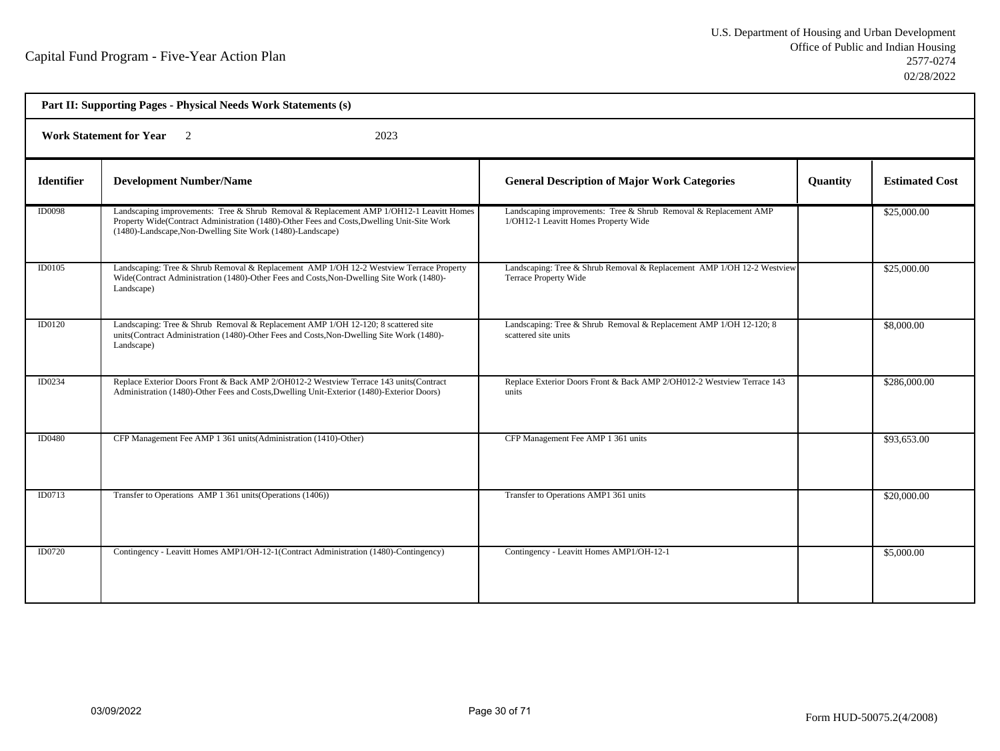| Part II: Supporting Pages - Physical Needs Work Statements (s) |                                                                                                                                                                                                                                                     |                                                                                                          |          |                       |  |  |
|----------------------------------------------------------------|-----------------------------------------------------------------------------------------------------------------------------------------------------------------------------------------------------------------------------------------------------|----------------------------------------------------------------------------------------------------------|----------|-----------------------|--|--|
|                                                                | <b>Work Statement for Year</b> 2<br>2023                                                                                                                                                                                                            |                                                                                                          |          |                       |  |  |
| <b>Identifier</b>                                              | <b>Development Number/Name</b>                                                                                                                                                                                                                      | <b>General Description of Major Work Categories</b>                                                      | Quantity | <b>Estimated Cost</b> |  |  |
| <b>ID0098</b>                                                  | Landscaping improvements: Tree & Shrub Removal & Replacement AMP 1/OH12-1 Leavitt Homes<br>Property Wide(Contract Administration (1480)-Other Fees and Costs, Dwelling Unit-Site Work<br>(1480)-Landscape, Non-Dwelling Site Work (1480)-Landscape) | Landscaping improvements: Tree & Shrub Removal & Replacement AMP<br>1/OH12-1 Leavitt Homes Property Wide |          | \$25,000.00           |  |  |
| ID0105                                                         | Landscaping: Tree & Shrub Removal & Replacement AMP 1/OH 12-2 Westview Terrace Property<br>Wide(Contract Administration (1480)-Other Fees and Costs, Non-Dwelling Site Work (1480)-<br>Landscape)                                                   | Landscaping: Tree & Shrub Removal & Replacement AMP 1/OH 12-2 Westview<br>Terrace Property Wide          |          | \$25,000.00           |  |  |
| <b>ID0120</b>                                                  | Landscaping: Tree & Shrub Removal & Replacement AMP 1/OH 12-120; 8 scattered site<br>units(Contract Administration (1480)-Other Fees and Costs, Non-Dwelling Site Work (1480)-<br>Landscape)                                                        | Landscaping: Tree & Shrub Removal & Replacement AMP 1/OH 12-120; 8<br>scattered site units               |          | \$8,000.00            |  |  |
| ID0234                                                         | Replace Exterior Doors Front & Back AMP 2/OH012-2 Westview Terrace 143 units(Contract<br>Administration (1480)-Other Fees and Costs, Dwelling Unit-Exterior (1480)-Exterior Doors)                                                                  | Replace Exterior Doors Front & Back AMP 2/OH012-2 Westview Terrace 143<br>units                          |          | \$286,000.00          |  |  |
| ID0480                                                         | CFP Management Fee AMP 1 361 units (Administration (1410)-Other)                                                                                                                                                                                    | CFP Management Fee AMP 1 361 units                                                                       |          | \$93,653.00           |  |  |
| ID0713                                                         | Transfer to Operations AMP 1 361 units (Operations (1406))                                                                                                                                                                                          | Transfer to Operations AMP1 361 units                                                                    |          | \$20,000.00           |  |  |
| <b>ID0720</b>                                                  | Contingency - Leavitt Homes AMP1/OH-12-1(Contract Administration (1480)-Contingency)                                                                                                                                                                | Contingency - Leavitt Homes AMP1/OH-12-1                                                                 |          | \$5,000.00            |  |  |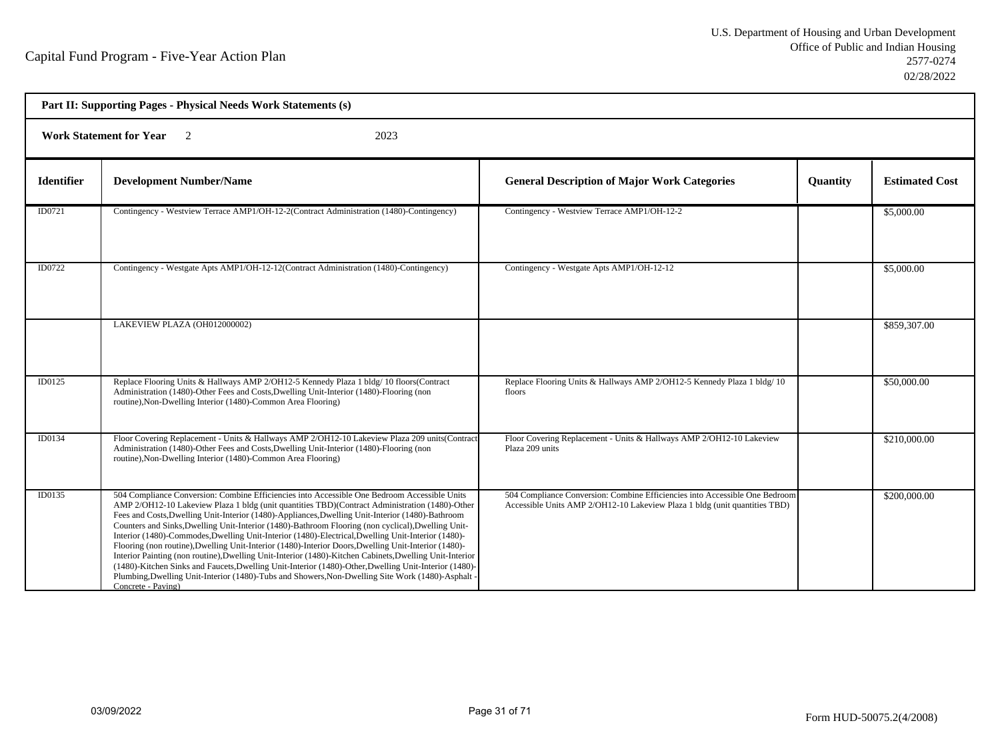| Part II: Supporting Pages - Physical Needs Work Statements (s) |                                                                                                                                                                                                                                                                                                                                                                                                                                                                                                                                                                                                                                                                                                                                                                                                                                                                                                                                                                     |                                                                                                                                                           |          |                       |  |
|----------------------------------------------------------------|---------------------------------------------------------------------------------------------------------------------------------------------------------------------------------------------------------------------------------------------------------------------------------------------------------------------------------------------------------------------------------------------------------------------------------------------------------------------------------------------------------------------------------------------------------------------------------------------------------------------------------------------------------------------------------------------------------------------------------------------------------------------------------------------------------------------------------------------------------------------------------------------------------------------------------------------------------------------|-----------------------------------------------------------------------------------------------------------------------------------------------------------|----------|-----------------------|--|
| <b>Work Statement for Year</b> 2<br>2023                       |                                                                                                                                                                                                                                                                                                                                                                                                                                                                                                                                                                                                                                                                                                                                                                                                                                                                                                                                                                     |                                                                                                                                                           |          |                       |  |
| <b>Identifier</b>                                              | <b>Development Number/Name</b>                                                                                                                                                                                                                                                                                                                                                                                                                                                                                                                                                                                                                                                                                                                                                                                                                                                                                                                                      | <b>General Description of Major Work Categories</b>                                                                                                       | Quantity | <b>Estimated Cost</b> |  |
| ID0721                                                         | Contingency - Westview Terrace AMP1/OH-12-2(Contract Administration (1480)-Contingency)                                                                                                                                                                                                                                                                                                                                                                                                                                                                                                                                                                                                                                                                                                                                                                                                                                                                             | Contingency - Westview Terrace AMP1/OH-12-2                                                                                                               |          | \$5,000.00            |  |
| ID0722                                                         | Contingency - Westgate Apts AMP1/OH-12-12(Contract Administration (1480)-Contingency)                                                                                                                                                                                                                                                                                                                                                                                                                                                                                                                                                                                                                                                                                                                                                                                                                                                                               | Contingency - Westgate Apts AMP1/OH-12-12                                                                                                                 |          | \$5,000.00            |  |
|                                                                | LAKEVIEW PLAZA (OH012000002)                                                                                                                                                                                                                                                                                                                                                                                                                                                                                                                                                                                                                                                                                                                                                                                                                                                                                                                                        |                                                                                                                                                           |          | \$859,307.00          |  |
| <b>ID0125</b>                                                  | Replace Flooring Units & Hallways AMP 2/OH12-5 Kennedy Plaza 1 bldg/ 10 floors(Contract<br>Administration (1480)-Other Fees and Costs, Dwelling Unit-Interior (1480)-Flooring (non<br>routine), Non-Dwelling Interior (1480)-Common Area Flooring)                                                                                                                                                                                                                                                                                                                                                                                                                                                                                                                                                                                                                                                                                                                  | Replace Flooring Units & Hallways AMP 2/OH12-5 Kennedy Plaza 1 bldg/10<br>floors                                                                          |          | \$50,000.00           |  |
| ID0134                                                         | Floor Covering Replacement - Units & Hallways AMP 2/OH12-10 Lakeview Plaza 209 units (Contract<br>Administration (1480)-Other Fees and Costs, Dwelling Unit-Interior (1480)-Flooring (non<br>routine), Non-Dwelling Interior (1480)-Common Area Flooring)                                                                                                                                                                                                                                                                                                                                                                                                                                                                                                                                                                                                                                                                                                           | Floor Covering Replacement - Units & Hallways AMP 2/OH12-10 Lakeview<br>Plaza 209 units                                                                   |          | \$210,000.00          |  |
| ID0135                                                         | 504 Compliance Conversion: Combine Efficiencies into Accessible One Bedroom Accessible Units<br>AMP 2/OH12-10 Lakeview Plaza 1 bldg (unit quantities TBD)(Contract Administration (1480)-Other<br>Fees and Costs, Dwelling Unit-Interior (1480)-Appliances, Dwelling Unit-Interior (1480)-Bathroom<br>Counters and Sinks, Dwelling Unit-Interior (1480)-Bathroom Flooring (non cyclical), Dwelling Unit-<br>Interior (1480)-Commodes, Dwelling Unit-Interior (1480)-Electrical, Dwelling Unit-Interior (1480)-<br>Flooring (non routine), Dwelling Unit-Interior (1480)-Interior Doors, Dwelling Unit-Interior (1480)-<br>Interior Painting (non routine), Dwelling Unit-Interior (1480)-Kitchen Cabinets, Dwelling Unit-Interior<br>(1480)-Kitchen Sinks and Faucets, Dwelling Unit-Interior (1480)-Other, Dwelling Unit-Interior (1480)-<br>Plumbing, Dwelling Unit-Interior (1480)-Tubs and Showers, Non-Dwelling Site Work (1480)-Asphalt<br>Concrete - Paving) | 504 Compliance Conversion: Combine Efficiencies into Accessible One Bedroom<br>Accessible Units AMP 2/OH12-10 Lakeview Plaza 1 bldg (unit quantities TBD) |          | \$200,000.00          |  |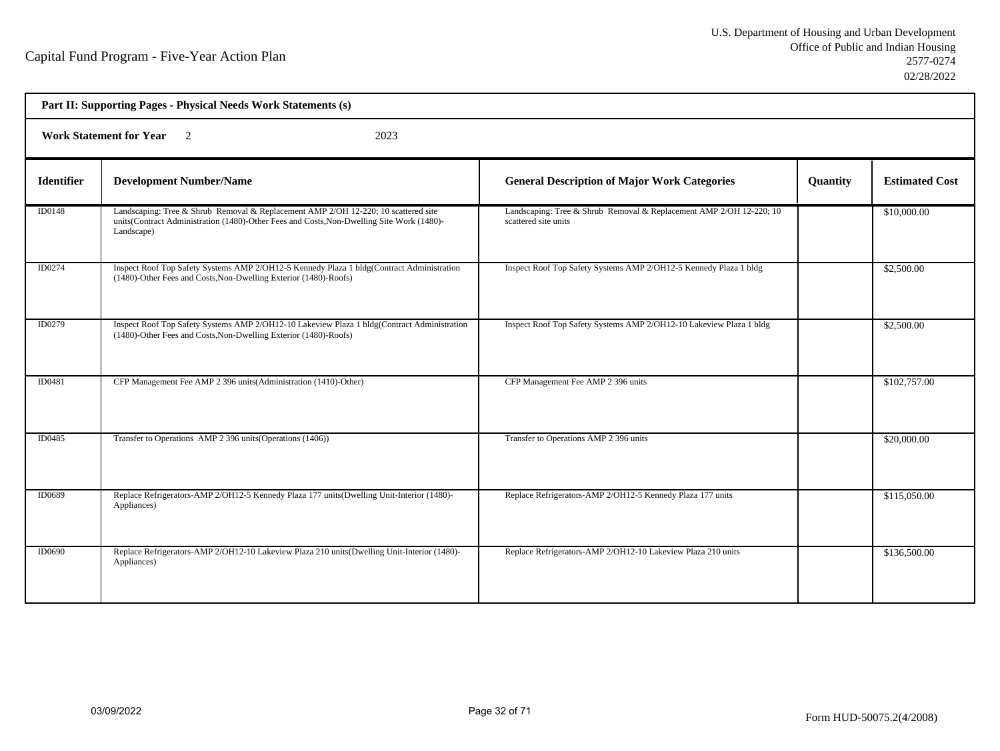| Part II: Supporting Pages - Physical Needs Work Statements (s) |                                                                                                                                                                                               |                                                                                             |                 |                       |  |
|----------------------------------------------------------------|-----------------------------------------------------------------------------------------------------------------------------------------------------------------------------------------------|---------------------------------------------------------------------------------------------|-----------------|-----------------------|--|
| <b>Work Statement for Year</b> 2<br>2023                       |                                                                                                                                                                                               |                                                                                             |                 |                       |  |
| <b>Identifier</b>                                              | <b>Development Number/Name</b>                                                                                                                                                                | <b>General Description of Major Work Categories</b>                                         | <b>Quantity</b> | <b>Estimated Cost</b> |  |
| <b>ID0148</b>                                                  | Landscaping: Tree & Shrub Removal & Replacement AMP 2/OH 12-220; 10 scattered site<br>units(Contract Administration (1480)-Other Fees and Costs, Non-Dwelling Site Work (1480)-<br>Landscape) | Landscaping: Tree & Shrub Removal & Replacement AMP 2/OH 12-220; 10<br>scattered site units |                 | \$10,000.00           |  |
| ID0274                                                         | Inspect Roof Top Safety Systems AMP 2/OH12-5 Kennedy Plaza 1 bldg(Contract Administration<br>(1480)-Other Fees and Costs, Non-Dwelling Exterior (1480)-Roofs)                                 | Inspect Roof Top Safety Systems AMP 2/OH12-5 Kennedy Plaza 1 bldg                           |                 | \$2,500.00            |  |
| ID0279                                                         | Inspect Roof Top Safety Systems AMP 2/OH12-10 Lakeview Plaza 1 bldg(Contract Administration<br>(1480)-Other Fees and Costs, Non-Dwelling Exterior (1480)-Roofs)                               | Inspect Roof Top Safety Systems AMP 2/OH12-10 Lakeview Plaza 1 bldg                         |                 | \$2,500.00            |  |
| ID0481                                                         | CFP Management Fee AMP 2 396 units (Administration (1410)-Other)                                                                                                                              | CFP Management Fee AMP 2 396 units                                                          |                 | \$102,757.00          |  |
| ID0485                                                         | Transfer to Operations AMP 2 396 units (Operations (1406))                                                                                                                                    | Transfer to Operations AMP 2 396 units                                                      |                 | \$20,000.00           |  |
| ID0689                                                         | Replace Refrigerators-AMP 2/OH12-5 Kennedy Plaza 177 units(Dwelling Unit-Interior (1480)-<br>Appliances)                                                                                      | Replace Refrigerators-AMP 2/OH12-5 Kennedy Plaza 177 units                                  |                 | \$115,050.00          |  |
| ID0690                                                         | Replace Refrigerators-AMP 2/OH12-10 Lakeview Plaza 210 units (Dwelling Unit-Interior (1480)-<br>Appliances)                                                                                   | Replace Refrigerators-AMP 2/OH12-10 Lakeview Plaza 210 units                                |                 | \$136,500.00          |  |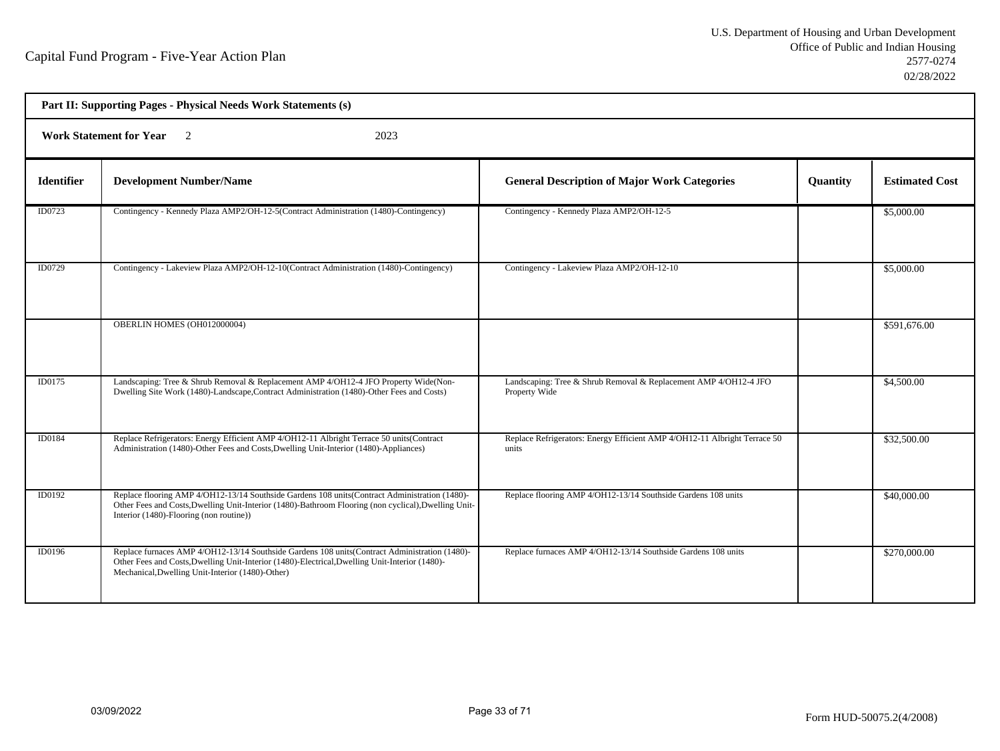| Part II: Supporting Pages - Physical Needs Work Statements (s) |                                                                                                                                                                                                                                                     |                                                                                    |          |                       |  |  |
|----------------------------------------------------------------|-----------------------------------------------------------------------------------------------------------------------------------------------------------------------------------------------------------------------------------------------------|------------------------------------------------------------------------------------|----------|-----------------------|--|--|
|                                                                | <b>Work Statement for Year</b><br>$\overline{2}$<br>2023                                                                                                                                                                                            |                                                                                    |          |                       |  |  |
| <b>Identifier</b>                                              | <b>Development Number/Name</b>                                                                                                                                                                                                                      | <b>General Description of Major Work Categories</b>                                | Quantity | <b>Estimated Cost</b> |  |  |
| ID0723                                                         | Contingency - Kennedy Plaza AMP2/OH-12-5(Contract Administration (1480)-Contingency)                                                                                                                                                                | Contingency - Kennedy Plaza AMP2/OH-12-5                                           |          | \$5,000.00            |  |  |
| ID0729                                                         | Contingency - Lakeview Plaza AMP2/OH-12-10(Contract Administration (1480)-Contingency)                                                                                                                                                              | Contingency - Lakeview Plaza AMP2/OH-12-10                                         |          | \$5,000.00            |  |  |
|                                                                | OBERLIN HOMES (OH012000004)                                                                                                                                                                                                                         |                                                                                    |          | \$591,676.00          |  |  |
| ID0175                                                         | Landscaping: Tree & Shrub Removal & Replacement AMP 4/OH12-4 JFO Property Wide(Non-<br>Dwelling Site Work (1480)-Landscape, Contract Administration (1480)-Other Fees and Costs)                                                                    | Landscaping: Tree & Shrub Removal & Replacement AMP 4/OH12-4 JFO<br>Property Wide  |          | \$4,500.00            |  |  |
| ID0184                                                         | Replace Refrigerators: Energy Efficient AMP 4/OH12-11 Albright Terrace 50 units(Contract<br>Administration (1480)-Other Fees and Costs, Dwelling Unit-Interior (1480)-Appliances)                                                                   | Replace Refrigerators: Energy Efficient AMP 4/OH12-11 Albright Terrace 50<br>units |          | \$32,500.00           |  |  |
| ID0192                                                         | Replace flooring AMP 4/OH12-13/14 Southside Gardens 108 units (Contract Administration (1480)-<br>Other Fees and Costs, Dwelling Unit-Interior (1480)-Bathroom Flooring (non cyclical), Dwelling Unit-<br>Interior (1480)-Flooring (non routine))   | Replace flooring AMP 4/OH12-13/14 Southside Gardens 108 units                      |          | \$40,000.00           |  |  |
| <b>ID0196</b>                                                  | Replace furnaces AMP 4/OH12-13/14 Southside Gardens 108 units(Contract Administration (1480)-<br>Other Fees and Costs, Dwelling Unit-Interior (1480)-Electrical, Dwelling Unit-Interior (1480)-<br>Mechanical, Dwelling Unit-Interior (1480)-Other) | Replace furnaces AMP 4/OH12-13/14 Southside Gardens 108 units                      |          | \$270,000.00          |  |  |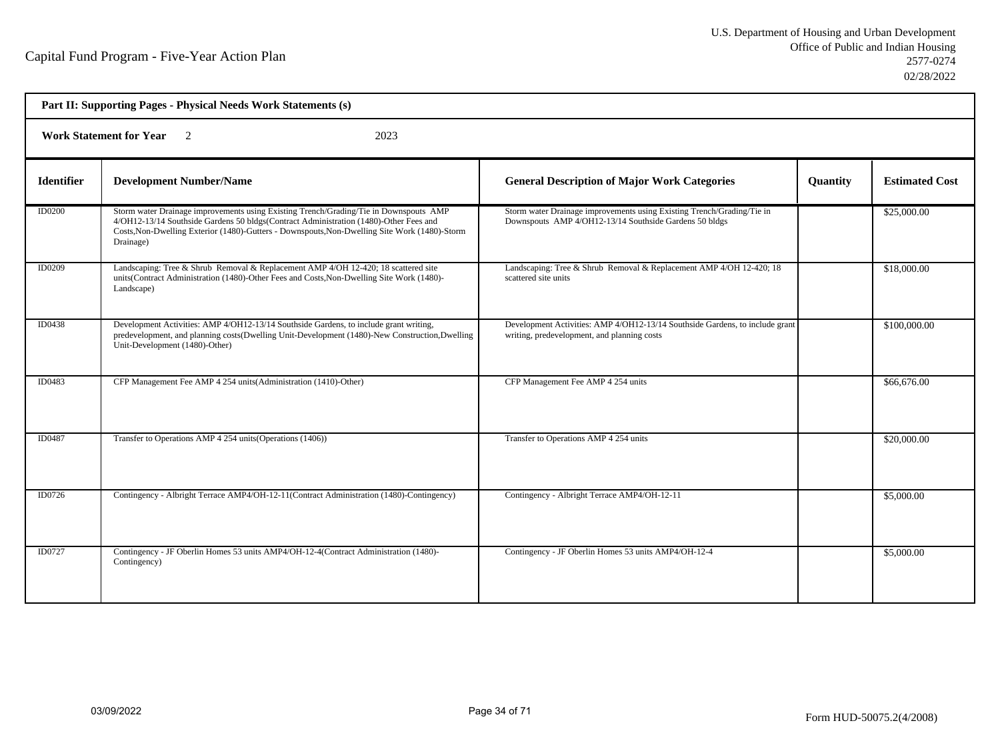| Part II: Supporting Pages - Physical Needs Work Statements (s) |                                                                                                                                                                                                                                                                                              |                                                                                                                                  |          |                       |  |
|----------------------------------------------------------------|----------------------------------------------------------------------------------------------------------------------------------------------------------------------------------------------------------------------------------------------------------------------------------------------|----------------------------------------------------------------------------------------------------------------------------------|----------|-----------------------|--|
| Work Statement for Year 2<br>2023                              |                                                                                                                                                                                                                                                                                              |                                                                                                                                  |          |                       |  |
| <b>Identifier</b>                                              | <b>Development Number/Name</b>                                                                                                                                                                                                                                                               | <b>General Description of Major Work Categories</b>                                                                              | Quantity | <b>Estimated Cost</b> |  |
| <b>ID0200</b>                                                  | Storm water Drainage improvements using Existing Trench/Grading/Tie in Downspouts AMP<br>4/OH12-13/14 Southside Gardens 50 bldgs(Contract Administration (1480)-Other Fees and<br>Costs, Non-Dwelling Exterior (1480)-Gutters - Downspouts, Non-Dwelling Site Work (1480)-Storm<br>Drainage) | Storm water Drainage improvements using Existing Trench/Grading/Tie in<br>Downspouts AMP 4/OH12-13/14 Southside Gardens 50 bldgs |          | \$25,000.00           |  |
| ID0209                                                         | Landscaping: Tree & Shrub Removal & Replacement AMP 4/OH 12-420; 18 scattered site<br>units(Contract Administration (1480)-Other Fees and Costs, Non-Dwelling Site Work (1480)-<br>Landscape)                                                                                                | Landscaping: Tree & Shrub Removal & Replacement AMP 4/OH 12-420; 18<br>scattered site units                                      |          | \$18,000.00           |  |
| ID0438                                                         | Development Activities: AMP 4/OH12-13/14 Southside Gardens, to include grant writing,<br>predevelopment, and planning costs(Dwelling Unit-Development (1480)-New Construction, Dwelling<br>Unit-Development (1480)-Other)                                                                    | Development Activities: AMP 4/OH12-13/14 Southside Gardens, to include grant<br>writing, predevelopment, and planning costs      |          | \$100,000.00          |  |
| ID0483                                                         | CFP Management Fee AMP 4 254 units (Administration (1410)-Other)                                                                                                                                                                                                                             | CFP Management Fee AMP 4 254 units                                                                                               |          | \$66,676.00           |  |
| ID0487                                                         | Transfer to Operations AMP 4 254 units (Operations (1406))                                                                                                                                                                                                                                   | Transfer to Operations AMP 4 254 units                                                                                           |          | \$20,000.00           |  |
| ID0726                                                         | Contingency - Albright Terrace AMP4/OH-12-11(Contract Administration (1480)-Contingency)                                                                                                                                                                                                     | Contingency - Albright Terrace AMP4/OH-12-11                                                                                     |          | \$5,000.00            |  |
| ID0727                                                         | Contingency - JF Oberlin Homes 53 units AMP4/OH-12-4(Contract Administration (1480)-<br>Contingency)                                                                                                                                                                                         | Contingency - JF Oberlin Homes 53 units AMP4/OH-12-4                                                                             |          | \$5,000.00            |  |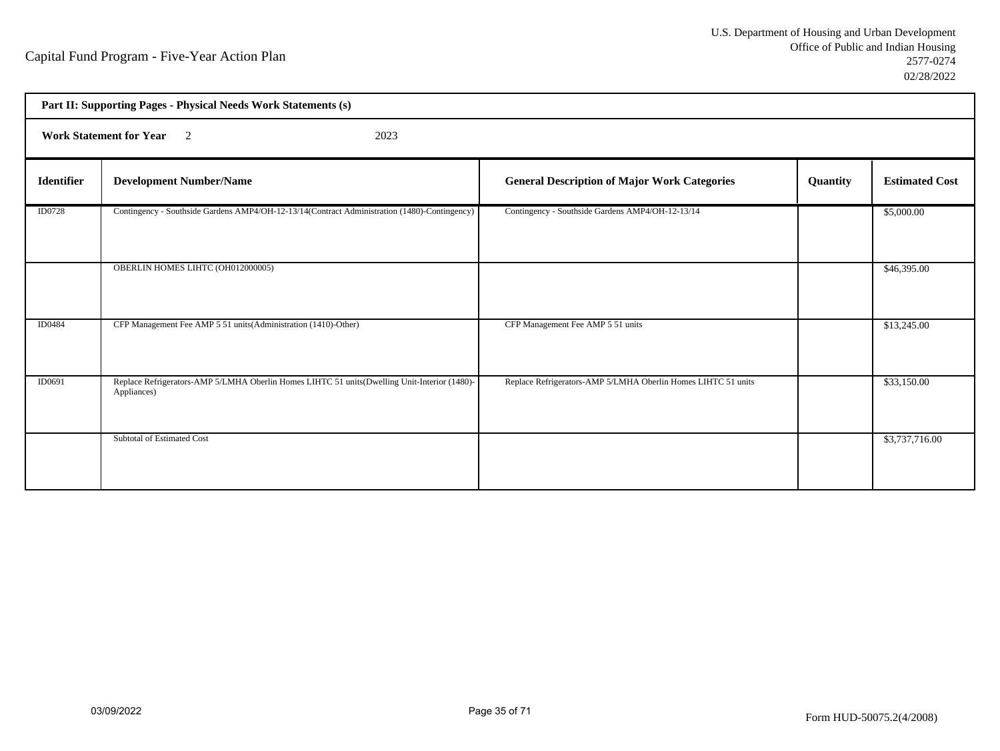| Part II: Supporting Pages - Physical Needs Work Statements (s) |                                                                                                             |                                                               |          |                       |  |
|----------------------------------------------------------------|-------------------------------------------------------------------------------------------------------------|---------------------------------------------------------------|----------|-----------------------|--|
| <b>Work Statement for Year</b> 2<br>2023                       |                                                                                                             |                                                               |          |                       |  |
| <b>Identifier</b>                                              | <b>Development Number/Name</b>                                                                              | <b>General Description of Major Work Categories</b>           | Quantity | <b>Estimated Cost</b> |  |
| <b>ID0728</b>                                                  | Contingency - Southside Gardens AMP4/OH-12-13/14(Contract Administration (1480)-Contingency)                | Contingency - Southside Gardens AMP4/OH-12-13/14              |          | \$5,000.00            |  |
|                                                                | OBERLIN HOMES LIHTC (OH012000005)                                                                           |                                                               |          | \$46,395.00           |  |
| ID0484                                                         | CFP Management Fee AMP 5 51 units (Administration (1410)-Other)                                             | CFP Management Fee AMP 5 51 units                             |          | \$13,245.00           |  |
| ID0691                                                         | Replace Refrigerators-AMP 5/LMHA Oberlin Homes LIHTC 51 units(Dwelling Unit-Interior (1480)-<br>Appliances) | Replace Refrigerators-AMP 5/LMHA Oberlin Homes LIHTC 51 units |          | \$33,150.00           |  |
|                                                                | Subtotal of Estimated Cost                                                                                  |                                                               |          | \$3,737,716.00        |  |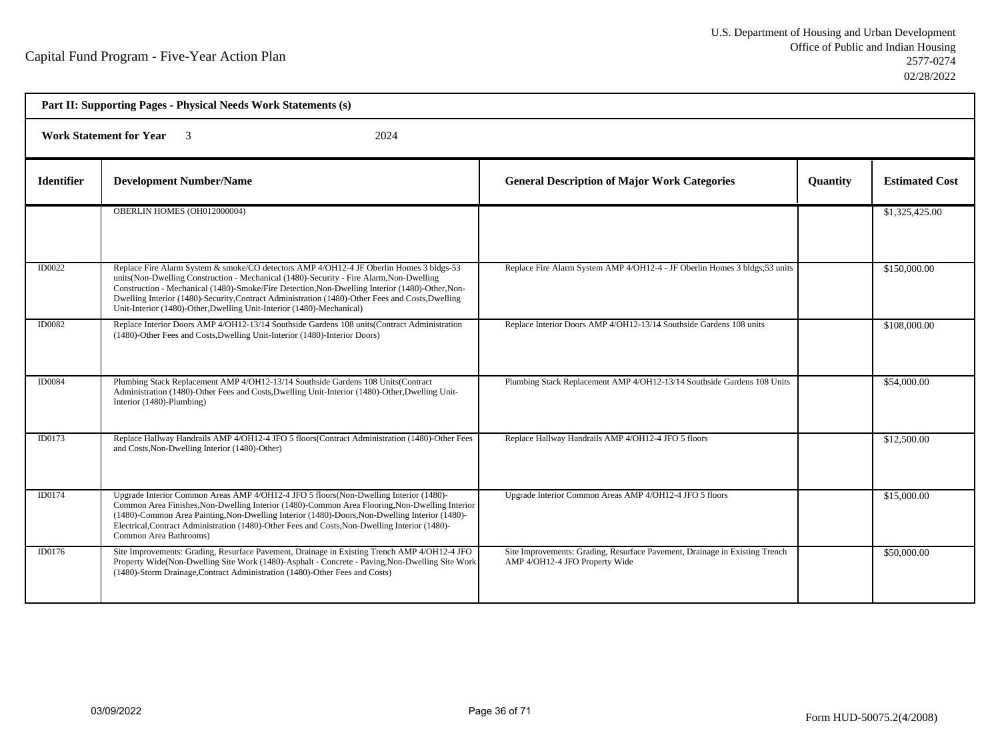| Part II: Supporting Pages - Physical Needs Work Statements (s) |                                                                                                                                                                                                                                                                                                                                                                                                                                                                     |                                                                                                               |                 |                       |  |  |
|----------------------------------------------------------------|---------------------------------------------------------------------------------------------------------------------------------------------------------------------------------------------------------------------------------------------------------------------------------------------------------------------------------------------------------------------------------------------------------------------------------------------------------------------|---------------------------------------------------------------------------------------------------------------|-----------------|-----------------------|--|--|
|                                                                | <b>Work Statement for Year</b> 3<br>2024                                                                                                                                                                                                                                                                                                                                                                                                                            |                                                                                                               |                 |                       |  |  |
| <b>Identifier</b>                                              | <b>Development Number/Name</b>                                                                                                                                                                                                                                                                                                                                                                                                                                      | <b>General Description of Major Work Categories</b>                                                           | <b>Ouantity</b> | <b>Estimated Cost</b> |  |  |
|                                                                | OBERLIN HOMES (OH012000004)                                                                                                                                                                                                                                                                                                                                                                                                                                         |                                                                                                               |                 | \$1,325,425.00        |  |  |
| ID0022                                                         | Replace Fire Alarm System & smoke/CO detectors AMP 4/OH12-4 JF Oberlin Homes 3 bldgs-53<br>units (Non-Dwelling Construction - Mechanical (1480)-Security - Fire Alarm, Non-Dwelling<br>Construction - Mechanical (1480)-Smoke/Fire Detection, Non-Dwelling Interior (1480)-Other, Non-<br>Dwelling Interior (1480)-Security, Contract Administration (1480)-Other Fees and Costs, Dwelling<br>Unit-Interior (1480)-Other, Dwelling Unit-Interior (1480)-Mechanical) | Replace Fire Alarm System AMP 4/OH12-4 - JF Oberlin Homes 3 bldgs;53 units                                    |                 | \$150,000.00          |  |  |
| <b>ID0082</b>                                                  | Replace Interior Doors AMP 4/OH12-13/14 Southside Gardens 108 units (Contract Administration<br>(1480)-Other Fees and Costs, Dwelling Unit-Interior (1480)-Interior Doors)                                                                                                                                                                                                                                                                                          | Replace Interior Doors AMP 4/OH12-13/14 Southside Gardens 108 units                                           |                 | \$108,000.00          |  |  |
| <b>ID0084</b>                                                  | Plumbing Stack Replacement AMP 4/OH12-13/14 Southside Gardens 108 Units(Contract<br>Administration (1480)-Other Fees and Costs, Dwelling Unit-Interior (1480)-Other, Dwelling Unit-<br>Interior (1480)-Plumbing)                                                                                                                                                                                                                                                    | Plumbing Stack Replacement AMP 4/OH12-13/14 Southside Gardens 108 Units                                       |                 | \$54,000.00           |  |  |
| ID0173                                                         | Replace Hallway Handrails AMP 4/OH12-4 JFO 5 floors(Contract Administration (1480)-Other Fees<br>and Costs, Non-Dwelling Interior (1480)-Other)                                                                                                                                                                                                                                                                                                                     | Replace Hallway Handrails AMP 4/OH12-4 JFO 5 floors                                                           |                 | \$12,500.00           |  |  |
| ID0174                                                         | Upgrade Interior Common Areas AMP 4/OH12-4 JFO 5 floors(Non-Dwelling Interior (1480)-<br>Common Area Finishes, Non-Dwelling Interior (1480)-Common Area Flooring, Non-Dwelling Interior<br>(1480)-Common Area Painting, Non-Dwelling Interior (1480)-Doors, Non-Dwelling Interior (1480)-<br>Electrical, Contract Administration (1480)-Other Fees and Costs, Non-Dwelling Interior (1480)-<br>Common Area Bathrooms)                                               | Upgrade Interior Common Areas AMP 4/OH12-4 JFO 5 floors                                                       |                 | \$15,000.00           |  |  |
| ID0176                                                         | Site Improvements: Grading, Resurface Pavement, Drainage in Existing Trench AMP 4/OH12-4 JFO<br>Property Wide(Non-Dwelling Site Work (1480)-Asphalt - Concrete - Paving, Non-Dwelling Site Work<br>(1480)-Storm Drainage, Contract Administration (1480)-Other Fees and Costs)                                                                                                                                                                                      | Site Improvements: Grading, Resurface Pavement, Drainage in Existing Trench<br>AMP 4/OH12-4 JFO Property Wide |                 | \$50,000.00           |  |  |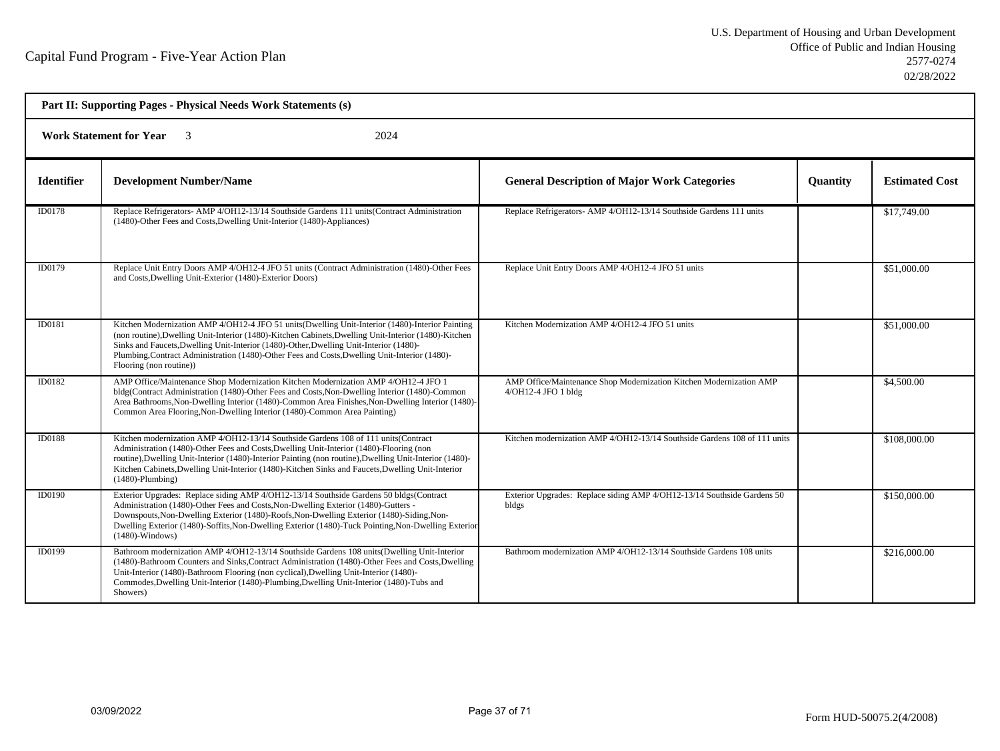| Part II: Supporting Pages - Physical Needs Work Statements (s) |                                                                                                                                                                                                                                                                                                                                                                                                                                |                                                                                            |                 |                       |  |
|----------------------------------------------------------------|--------------------------------------------------------------------------------------------------------------------------------------------------------------------------------------------------------------------------------------------------------------------------------------------------------------------------------------------------------------------------------------------------------------------------------|--------------------------------------------------------------------------------------------|-----------------|-----------------------|--|
| <b>Work Statement for Year</b><br>2024                         |                                                                                                                                                                                                                                                                                                                                                                                                                                |                                                                                            |                 |                       |  |
| <b>Identifier</b>                                              | <b>Development Number/Name</b>                                                                                                                                                                                                                                                                                                                                                                                                 | <b>General Description of Major Work Categories</b>                                        | <b>Quantity</b> | <b>Estimated Cost</b> |  |
| ID0178                                                         | Replace Refrigerators- AMP 4/OH12-13/14 Southside Gardens 111 units (Contract Administration<br>(1480)-Other Fees and Costs, Dwelling Unit-Interior (1480)-Appliances)                                                                                                                                                                                                                                                         | Replace Refrigerators- AMP 4/OH12-13/14 Southside Gardens 111 units                        |                 | \$17,749.00           |  |
| ID0179                                                         | Replace Unit Entry Doors AMP 4/OH12-4 JFO 51 units (Contract Administration (1480)-Other Fees<br>and Costs, Dwelling Unit-Exterior (1480)-Exterior Doors)                                                                                                                                                                                                                                                                      | Replace Unit Entry Doors AMP 4/OH12-4 JFO 51 units                                         |                 | \$51,000.00           |  |
| ID0181                                                         | Kitchen Modernization AMP 4/OH12-4 JFO 51 units (Dwelling Unit-Interior (1480)-Interior Painting<br>(non routine), Dwelling Unit-Interior (1480)-Kitchen Cabinets, Dwelling Unit-Interior (1480)-Kitchen<br>Sinks and Faucets, Dwelling Unit-Interior (1480)-Other, Dwelling Unit-Interior (1480)-<br>Plumbing, Contract Administration (1480)-Other Fees and Costs, Dwelling Unit-Interior (1480)-<br>Flooring (non routine)) | Kitchen Modernization AMP 4/OH12-4 JFO 51 units                                            |                 | \$51,000.00           |  |
| ID0182                                                         | AMP Office/Maintenance Shop Modernization Kitchen Modernization AMP 4/OH12-4 JFO 1<br>bldg(Contract Administration (1480)-Other Fees and Costs, Non-Dwelling Interior (1480)-Common<br>Area Bathrooms, Non-Dwelling Interior (1480)-Common Area Finishes, Non-Dwelling Interior (1480)-<br>Common Area Flooring, Non-Dwelling Interior (1480)-Common Area Painting)                                                            | AMP Office/Maintenance Shop Modernization Kitchen Modernization AMP<br>4/OH12-4 JFO 1 bldg |                 | \$4,500.00            |  |
| <b>ID0188</b>                                                  | Kitchen modernization AMP 4/OH12-13/14 Southside Gardens 108 of 111 units (Contract<br>Administration (1480)-Other Fees and Costs, Dwelling Unit-Interior (1480)-Flooring (non<br>routine), Dwelling Unit-Interior (1480)-Interior Painting (non routine), Dwelling Unit-Interior (1480)-<br>Kitchen Cabinets, Dwelling Unit-Interior (1480)-Kitchen Sinks and Faucets, Dwelling Unit-Interior<br>$(1480)$ -Plumbing)          | Kitchen modernization AMP 4/OH12-13/14 Southside Gardens 108 of 111 units                  |                 | \$108,000.00          |  |
| <b>ID0190</b>                                                  | Exterior Upgrades: Replace siding AMP 4/OH12-13/14 Southside Gardens 50 bldgs(Contract<br>Administration (1480)-Other Fees and Costs, Non-Dwelling Exterior (1480)-Gutters -<br>Downspouts, Non-Dwelling Exterior (1480)-Roofs, Non-Dwelling Exterior (1480)-Siding, Non-<br>Dwelling Exterior (1480)-Soffits, Non-Dwelling Exterior (1480)-Tuck Pointing, Non-Dwelling Exterior<br>$(1480)$ -Windows)                         | Exterior Upgrades: Replace siding AMP 4/OH12-13/14 Southside Gardens 50<br>bldgs           |                 | \$150,000.00          |  |
| ID0199                                                         | Bathroom modernization AMP 4/OH12-13/14 Southside Gardens 108 units(Dwelling Unit-Interior<br>(1480)-Bathroom Counters and Sinks, Contract Administration (1480)-Other Fees and Costs, Dwelling<br>Unit-Interior (1480)-Bathroom Flooring (non cyclical), Dwelling Unit-Interior (1480)-<br>Commodes, Dwelling Unit-Interior (1480)-Plumbing, Dwelling Unit-Interior (1480)-Tubs and<br>Showers)                               | Bathroom modernization AMP 4/OH12-13/14 Southside Gardens 108 units                        |                 | \$216,000.00          |  |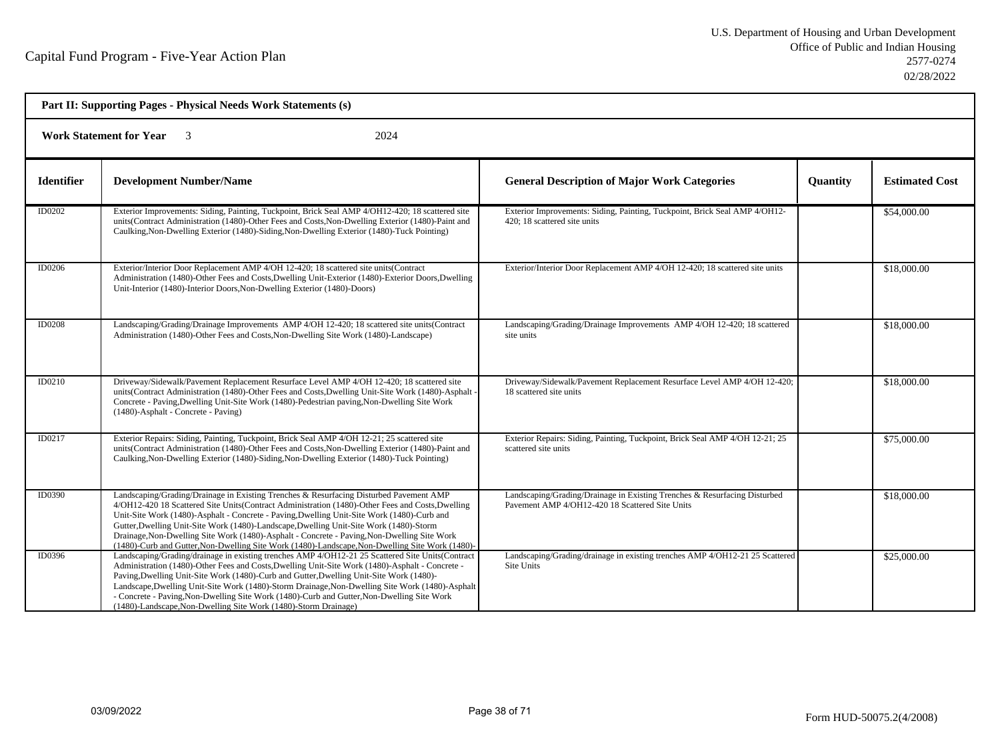| Part II: Supporting Pages - Physical Needs Work Statements (s) |                                                                                                                                                                                                                                                                                                                                                                                                                                                                                                                                                                                      |                                                                                                                              |                 |                       |  |
|----------------------------------------------------------------|--------------------------------------------------------------------------------------------------------------------------------------------------------------------------------------------------------------------------------------------------------------------------------------------------------------------------------------------------------------------------------------------------------------------------------------------------------------------------------------------------------------------------------------------------------------------------------------|------------------------------------------------------------------------------------------------------------------------------|-----------------|-----------------------|--|
|                                                                | <b>Work Statement for Year</b><br>2024                                                                                                                                                                                                                                                                                                                                                                                                                                                                                                                                               |                                                                                                                              |                 |                       |  |
| <b>Identifier</b>                                              | <b>Development Number/Name</b>                                                                                                                                                                                                                                                                                                                                                                                                                                                                                                                                                       | <b>General Description of Major Work Categories</b>                                                                          | <b>Quantity</b> | <b>Estimated Cost</b> |  |
| ID0202                                                         | Exterior Improvements: Siding, Painting, Tuckpoint, Brick Seal AMP 4/OH12-420; 18 scattered site<br>units(Contract Administration (1480)-Other Fees and Costs, Non-Dwelling Exterior (1480)-Paint and<br>Caulking, Non-Dwelling Exterior (1480)-Siding, Non-Dwelling Exterior (1480)-Tuck Pointing)                                                                                                                                                                                                                                                                                  | Exterior Improvements: Siding, Painting, Tuckpoint, Brick Seal AMP 4/OH12-<br>420: 18 scattered site units                   |                 | \$54,000.00           |  |
| <b>ID0206</b>                                                  | Exterior/Interior Door Replacement AMP 4/OH 12-420; 18 scattered site units(Contract<br>Administration (1480)-Other Fees and Costs, Dwelling Unit-Exterior (1480)-Exterior Doors, Dwelling<br>Unit-Interior (1480)-Interior Doors, Non-Dwelling Exterior (1480)-Doors)                                                                                                                                                                                                                                                                                                               | Exterior/Interior Door Replacement AMP 4/OH 12-420; 18 scattered site units                                                  |                 | \$18,000.00           |  |
| <b>ID0208</b>                                                  | Landscaping/Grading/Drainage Improvements AMP 4/OH 12-420; 18 scattered site units(Contract<br>Administration (1480)-Other Fees and Costs, Non-Dwelling Site Work (1480)-Landscape)                                                                                                                                                                                                                                                                                                                                                                                                  | Landscaping/Grading/Drainage Improvements AMP 4/OH 12-420; 18 scattered<br>site units                                        |                 | \$18,000.00           |  |
| ID0210                                                         | Driveway/Sidewalk/Pavement Replacement Resurface Level AMP 4/OH 12-420; 18 scattered site<br>units(Contract Administration (1480)-Other Fees and Costs, Dwelling Unit-Site Work (1480)-Asphalt<br>Concrete - Paving, Dwelling Unit-Site Work (1480)-Pedestrian paving, Non-Dwelling Site Work<br>(1480)-Asphalt - Concrete - Paving)                                                                                                                                                                                                                                                 | Driveway/Sidewalk/Pavement Replacement Resurface Level AMP 4/OH 12-420;<br>18 scattered site units                           |                 | \$18,000.00           |  |
| ID0217                                                         | Exterior Repairs: Siding, Painting, Tuckpoint, Brick Seal AMP 4/OH 12-21; 25 scattered site<br>units(Contract Administration (1480)-Other Fees and Costs, Non-Dwelling Exterior (1480)-Paint and<br>Caulking, Non-Dwelling Exterior (1480)-Siding, Non-Dwelling Exterior (1480)-Tuck Pointing)                                                                                                                                                                                                                                                                                       | Exterior Repairs: Siding, Painting, Tuckpoint, Brick Seal AMP 4/OH 12-21; 25<br>scattered site units                         |                 | \$75,000.00           |  |
| <b>ID0390</b>                                                  | Landscaping/Grading/Drainage in Existing Trenches & Resurfacing Disturbed Pavement AMP<br>4/OH12-420 18 Scattered Site Units(Contract Administration (1480)-Other Fees and Costs, Dwelling<br>Unit-Site Work (1480)-Asphalt - Concrete - Paving, Dwelling Unit-Site Work (1480)-Curb and<br>Gutter, Dwelling Unit-Site Work (1480)-Landscape, Dwelling Unit-Site Work (1480)-Storm<br>Drainage, Non-Dwelling Site Work (1480)-Asphalt - Concrete - Paving, Non-Dwelling Site Work<br>(1480)-Curb and Gutter, Non-Dwelling Site Work (1480)-Landscape, Non-Dwelling Site Work (1480)- | Landscaping/Grading/Drainage in Existing Trenches & Resurfacing Disturbed<br>Pavement AMP 4/OH12-420 18 Scattered Site Units |                 | \$18,000.00           |  |
| ID0396                                                         | Landscaping/Grading/drainage in existing trenches AMP 4/OH12-21 25 Scattered Site Units(Contract<br>Administration (1480)-Other Fees and Costs, Dwelling Unit-Site Work (1480)-Asphalt - Concrete -<br>Paving, Dwelling Unit-Site Work (1480)-Curb and Gutter, Dwelling Unit-Site Work (1480)-<br>Landscape, Dwelling Unit-Site Work (1480)-Storm Drainage, Non-Dwelling Site Work (1480)-Asphalt<br>- Concrete - Paving, Non-Dwelling Site Work (1480)-Curb and Gutter, Non-Dwelling Site Work<br>(1480)-Landscape, Non-Dwelling Site Work (1480)-Storm Drainage)                   | Landscaping/Grading/drainage in existing trenches AMP 4/OH12-21 25 Scattered<br>Site Units                                   |                 | \$25,000.00           |  |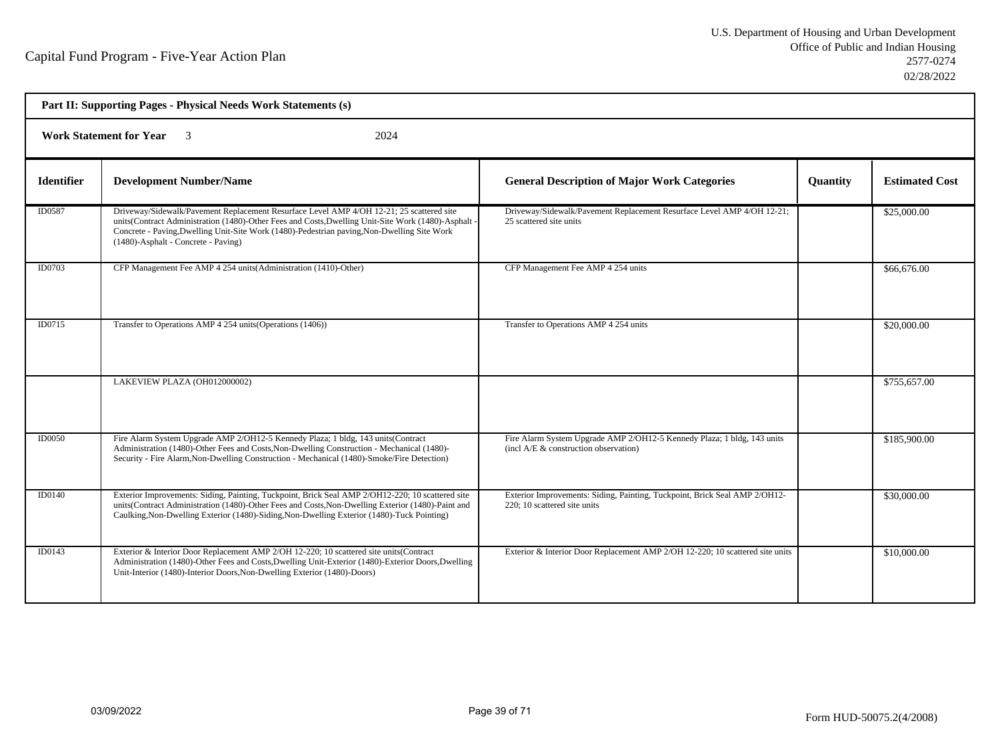| Part II: Supporting Pages - Physical Needs Work Statements (s) |                                                                                                                                                                                                                                                                                                                                     |                                                                                                                  |          |                       |  |  |
|----------------------------------------------------------------|-------------------------------------------------------------------------------------------------------------------------------------------------------------------------------------------------------------------------------------------------------------------------------------------------------------------------------------|------------------------------------------------------------------------------------------------------------------|----------|-----------------------|--|--|
|                                                                | <b>Work Statement for Year</b><br>2024                                                                                                                                                                                                                                                                                              |                                                                                                                  |          |                       |  |  |
| <b>Identifier</b>                                              | <b>Development Number/Name</b>                                                                                                                                                                                                                                                                                                      | <b>General Description of Major Work Categories</b>                                                              | Quantity | <b>Estimated Cost</b> |  |  |
| ID0587                                                         | Driveway/Sidewalk/Pavement Replacement Resurface Level AMP 4/OH 12-21; 25 scattered site<br>units(Contract Administration (1480)-Other Fees and Costs, Dwelling Unit-Site Work (1480)-Asphalt<br>Concrete - Paving, Dwelling Unit-Site Work (1480)-Pedestrian paving, Non-Dwelling Site Work<br>(1480)-Asphalt - Concrete - Paving) | Driveway/Sidewalk/Pavement Replacement Resurface Level AMP 4/OH 12-21;<br>25 scattered site units                |          | \$25,000.00           |  |  |
| ID0703                                                         | CFP Management Fee AMP 4 254 units (Administration (1410)-Other)                                                                                                                                                                                                                                                                    | CFP Management Fee AMP 4 254 units                                                                               |          | \$66,676.00           |  |  |
| ID0715                                                         | Transfer to Operations AMP 4 254 units (Operations (1406))                                                                                                                                                                                                                                                                          | Transfer to Operations AMP 4 254 units                                                                           |          | \$20,000.00           |  |  |
|                                                                | LAKEVIEW PLAZA (OH012000002)                                                                                                                                                                                                                                                                                                        |                                                                                                                  |          | \$755,657.00          |  |  |
| <b>ID0050</b>                                                  | Fire Alarm System Upgrade AMP 2/OH12-5 Kennedy Plaza; 1 bldg, 143 units(Contract<br>Administration (1480)-Other Fees and Costs, Non-Dwelling Construction - Mechanical (1480)-<br>Security - Fire Alarm, Non-Dwelling Construction - Mechanical (1480)-Smoke/Fire Detection)                                                        | Fire Alarm System Upgrade AMP 2/OH12-5 Kennedy Plaza; 1 bldg, 143 units<br>(incl A/E & construction observation) |          | \$185,900.00          |  |  |
| ID0140                                                         | Exterior Improvements: Siding, Painting, Tuckpoint, Brick Seal AMP 2/OH12-220; 10 scattered site<br>units(Contract Administration (1480)-Other Fees and Costs, Non-Dwelling Exterior (1480)-Paint and<br>Caulking, Non-Dwelling Exterior (1480)-Siding, Non-Dwelling Exterior (1480)-Tuck Pointing)                                 | Exterior Improvements: Siding, Painting, Tuckpoint, Brick Seal AMP 2/OH12-<br>220; 10 scattered site units       |          | \$30,000.00           |  |  |
| ID0143                                                         | Exterior & Interior Door Replacement AMP 2/OH 12-220; 10 scattered site units(Contract<br>Administration (1480)-Other Fees and Costs, Dwelling Unit-Exterior (1480)-Exterior Doors, Dwelling<br>Unit-Interior (1480)-Interior Doors, Non-Dwelling Exterior (1480)-Doors)                                                            | Exterior & Interior Door Replacement AMP 2/OH 12-220; 10 scattered site units                                    |          | \$10,000.00           |  |  |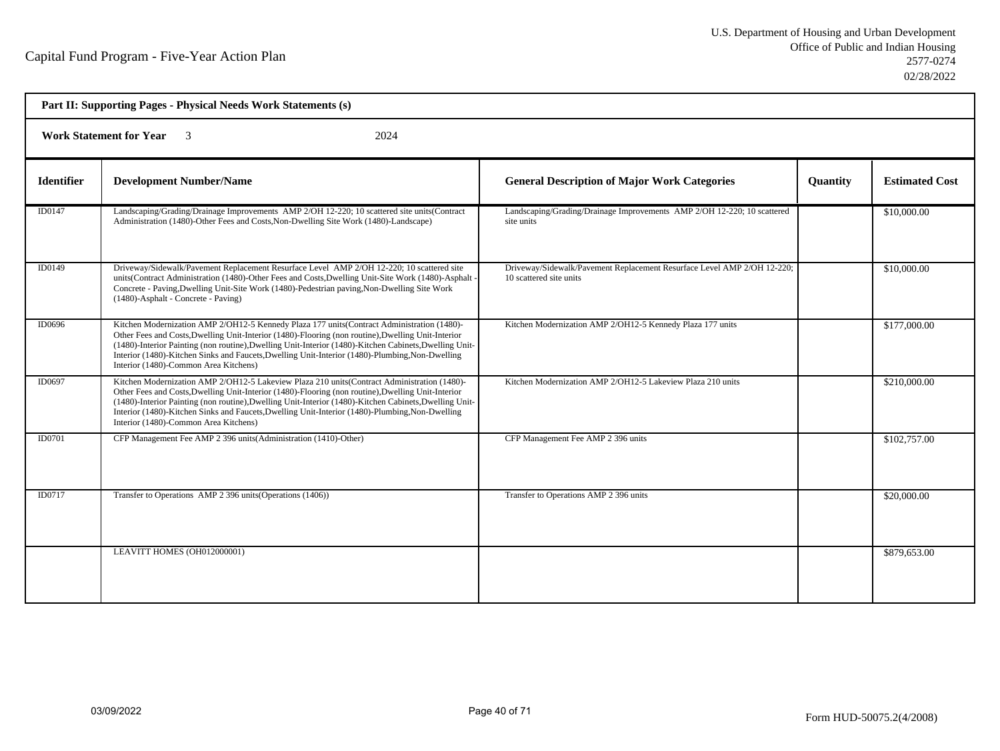| Part II: Supporting Pages - Physical Needs Work Statements (s) |                                                                                                                                                                                                                                                                                                                                                                                                                                                          |                                                                                                    |                 |                       |  |  |
|----------------------------------------------------------------|----------------------------------------------------------------------------------------------------------------------------------------------------------------------------------------------------------------------------------------------------------------------------------------------------------------------------------------------------------------------------------------------------------------------------------------------------------|----------------------------------------------------------------------------------------------------|-----------------|-----------------------|--|--|
|                                                                | <b>Work Statement for Year</b><br>2024                                                                                                                                                                                                                                                                                                                                                                                                                   |                                                                                                    |                 |                       |  |  |
| <b>Identifier</b>                                              | <b>Development Number/Name</b>                                                                                                                                                                                                                                                                                                                                                                                                                           | <b>General Description of Major Work Categories</b>                                                | <b>Quantity</b> | <b>Estimated Cost</b> |  |  |
| ID0147                                                         | Landscaping/Grading/Drainage Improvements AMP 2/OH 12-220; 10 scattered site units(Contract<br>Administration (1480)-Other Fees and Costs, Non-Dwelling Site Work (1480)-Landscape)                                                                                                                                                                                                                                                                      | Landscaping/Grading/Drainage Improvements AMP 2/OH 12-220; 10 scattered<br>site units              |                 | \$10,000.00           |  |  |
| ID0149                                                         | Driveway/Sidewalk/Pavement Replacement Resurface Level AMP 2/OH 12-220; 10 scattered site<br>units(Contract Administration (1480)-Other Fees and Costs, Dwelling Unit-Site Work (1480)-Asphalt<br>Concrete - Paving, Dwelling Unit-Site Work (1480)-Pedestrian paving, Non-Dwelling Site Work<br>(1480)-Asphalt - Concrete - Paving)                                                                                                                     | Driveway/Sidewalk/Pavement Replacement Resurface Level AMP 2/OH 12-220;<br>10 scattered site units |                 | \$10,000.00           |  |  |
| ID0696                                                         | Kitchen Modernization AMP 2/OH12-5 Kennedy Plaza 177 units(Contract Administration (1480)-<br>Other Fees and Costs, Dwelling Unit-Interior (1480)-Flooring (non routine), Dwelling Unit-Interior<br>(1480)-Interior Painting (non routine), Dwelling Unit-Interior (1480)-Kitchen Cabinets, Dwelling Unit-<br>Interior (1480)-Kitchen Sinks and Faucets, Dwelling Unit-Interior (1480)-Plumbing, Non-Dwelling<br>Interior (1480)-Common Area Kitchens)   | Kitchen Modernization AMP 2/OH12-5 Kennedy Plaza 177 units                                         |                 | \$177,000.00          |  |  |
| ID0697                                                         | Kitchen Modernization AMP 2/OH12-5 Lakeview Plaza 210 units (Contract Administration (1480)-<br>Other Fees and Costs, Dwelling Unit-Interior (1480)-Flooring (non routine), Dwelling Unit-Interior<br>(1480)-Interior Painting (non routine), Dwelling Unit-Interior (1480)-Kitchen Cabinets, Dwelling Unit-<br>Interior (1480)-Kitchen Sinks and Faucets, Dwelling Unit-Interior (1480)-Plumbing, Non-Dwelling<br>Interior (1480)-Common Area Kitchens) | Kitchen Modernization AMP 2/OH12-5 Lakeview Plaza 210 units                                        |                 | \$210,000.00          |  |  |
| ID0701                                                         | CFP Management Fee AMP 2 396 units (Administration (1410)-Other)                                                                                                                                                                                                                                                                                                                                                                                         | CFP Management Fee AMP 2 396 units                                                                 |                 | \$102,757.00          |  |  |
| ID0717                                                         | Transfer to Operations AMP 2 396 units (Operations (1406))                                                                                                                                                                                                                                                                                                                                                                                               | Transfer to Operations AMP 2 396 units                                                             |                 | \$20,000.00           |  |  |
|                                                                | LEAVITT HOMES (OH012000001)                                                                                                                                                                                                                                                                                                                                                                                                                              |                                                                                                    |                 | \$879,653.00          |  |  |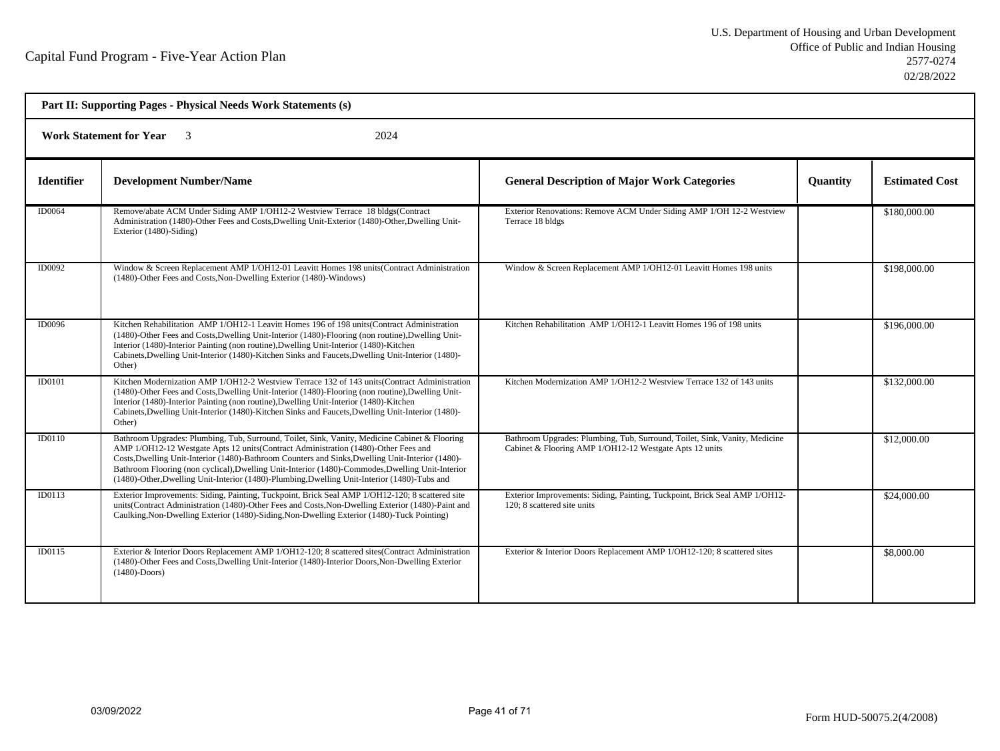| Part II: Supporting Pages - Physical Needs Work Statements (s) |                                                                                                                                                                                                                                                                                                                                                                                                                                                                                             |                                                                                                                                       |                 |                       |  |  |
|----------------------------------------------------------------|---------------------------------------------------------------------------------------------------------------------------------------------------------------------------------------------------------------------------------------------------------------------------------------------------------------------------------------------------------------------------------------------------------------------------------------------------------------------------------------------|---------------------------------------------------------------------------------------------------------------------------------------|-----------------|-----------------------|--|--|
|                                                                | <b>Work Statement for Year</b> 3<br>2024                                                                                                                                                                                                                                                                                                                                                                                                                                                    |                                                                                                                                       |                 |                       |  |  |
| <b>Identifier</b>                                              | <b>Development Number/Name</b>                                                                                                                                                                                                                                                                                                                                                                                                                                                              | <b>General Description of Major Work Categories</b>                                                                                   | <b>Quantity</b> | <b>Estimated Cost</b> |  |  |
| <b>ID0064</b>                                                  | Remove/abate ACM Under Siding AMP 1/OH12-2 Westview Terrace 18 bldgs(Contract<br>Administration (1480)-Other Fees and Costs, Dwelling Unit-Exterior (1480)-Other, Dwelling Unit-<br>Exterior (1480)-Siding)                                                                                                                                                                                                                                                                                 | Exterior Renovations: Remove ACM Under Siding AMP 1/OH 12-2 Westview<br>Terrace 18 bldgs                                              |                 | \$180,000.00          |  |  |
| ID0092                                                         | Window & Screen Replacement AMP 1/OH12-01 Leavitt Homes 198 units(Contract Administration<br>(1480)-Other Fees and Costs, Non-Dwelling Exterior (1480)-Windows)                                                                                                                                                                                                                                                                                                                             | Window & Screen Replacement AMP 1/OH12-01 Leavitt Homes 198 units                                                                     |                 | \$198,000.00          |  |  |
| ID0096                                                         | Kitchen Rehabilitation AMP 1/OH12-1 Leavitt Homes 196 of 198 units (Contract Administration<br>(1480)-Other Fees and Costs, Dwelling Unit-Interior (1480)-Flooring (non routine), Dwelling Unit-<br>Interior (1480)-Interior Painting (non routine), Dwelling Unit-Interior (1480)-Kitchen<br>Cabinets, Dwelling Unit-Interior (1480)-Kitchen Sinks and Faucets, Dwelling Unit-Interior (1480)-<br>Other)                                                                                   | Kitchen Rehabilitation AMP 1/OH12-1 Leavitt Homes 196 of 198 units                                                                    |                 | \$196,000.00          |  |  |
| <b>ID0101</b>                                                  | Kitchen Modernization AMP 1/OH12-2 Westview Terrace 132 of 143 units (Contract Administration<br>(1480)-Other Fees and Costs, Dwelling Unit-Interior (1480)-Flooring (non routine), Dwelling Unit-<br>Interior (1480)-Interior Painting (non routine), Dwelling Unit-Interior (1480)-Kitchen<br>Cabinets, Dwelling Unit-Interior (1480)-Kitchen Sinks and Faucets, Dwelling Unit-Interior (1480)-<br>Other)                                                                                 | Kitchen Modernization AMP 1/OH12-2 Westview Terrace 132 of 143 units                                                                  |                 | \$132,000.00          |  |  |
| ID0110                                                         | Bathroom Upgrades: Plumbing, Tub, Surround, Toilet, Sink, Vanity, Medicine Cabinet & Flooring<br>AMP 1/OH12-12 Westgate Apts 12 units(Contract Administration (1480)-Other Fees and<br>Costs, Dwelling Unit-Interior (1480)-Bathroom Counters and Sinks, Dwelling Unit-Interior (1480)-<br>Bathroom Flooring (non cyclical), Dwelling Unit-Interior (1480)-Commodes, Dwelling Unit-Interior<br>(1480)-Other, Dwelling Unit-Interior (1480)-Plumbing, Dwelling Unit-Interior (1480)-Tubs and | Bathroom Upgrades: Plumbing, Tub, Surround, Toilet, Sink, Vanity, Medicine<br>Cabinet & Flooring AMP 1/OH12-12 Westgate Apts 12 units |                 | \$12,000.00           |  |  |
| ID0113                                                         | Exterior Improvements: Siding, Painting, Tuckpoint, Brick Seal AMP 1/OH12-120; 8 scattered site<br>units(Contract Administration (1480)-Other Fees and Costs, Non-Dwelling Exterior (1480)-Paint and<br>Caulking, Non-Dwelling Exterior (1480)-Siding, Non-Dwelling Exterior (1480)-Tuck Pointing)                                                                                                                                                                                          | Exterior Improvements: Siding, Painting, Tuckpoint, Brick Seal AMP 1/OH12-<br>120: 8 scattered site units                             |                 | \$24,000.00           |  |  |
| ID0115                                                         | Exterior & Interior Doors Replacement AMP 1/OH12-120; 8 scattered sites(Contract Administration<br>(1480)-Other Fees and Costs, Dwelling Unit-Interior (1480)-Interior Doors, Non-Dwelling Exterior<br>$(1480)$ -Doors)                                                                                                                                                                                                                                                                     | Exterior & Interior Doors Replacement AMP 1/OH12-120; 8 scattered sites                                                               |                 | \$8,000.00            |  |  |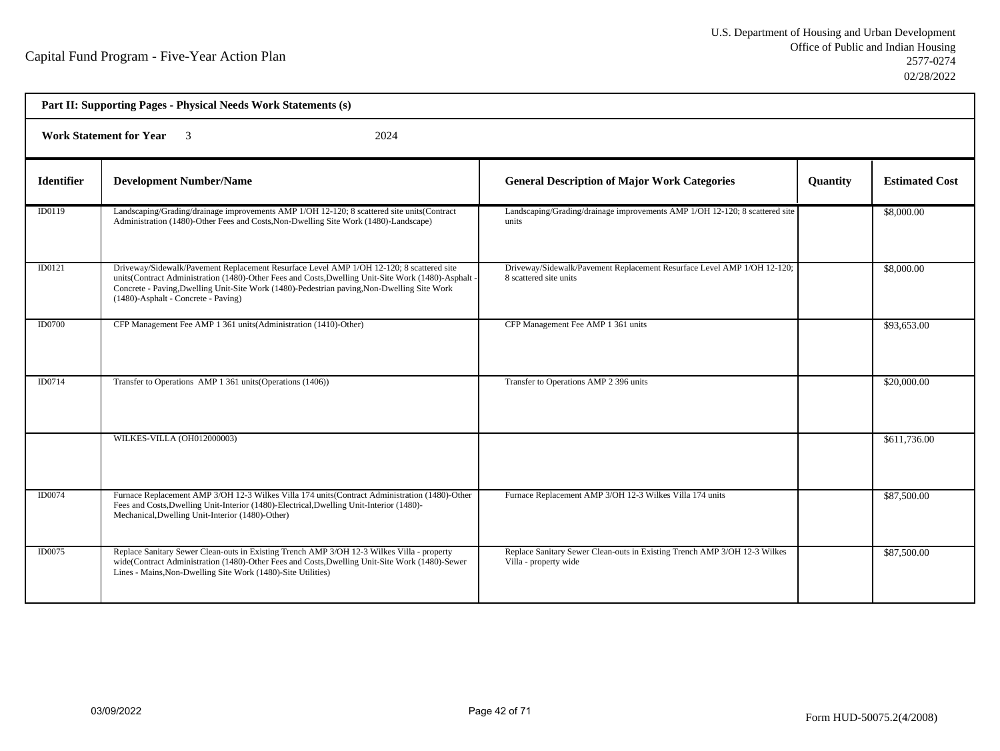| Part II: Supporting Pages - Physical Needs Work Statements (s) |                                                                                                                                                                                                                                                                                                                                     |                                                                                                    |          |                       |  |  |
|----------------------------------------------------------------|-------------------------------------------------------------------------------------------------------------------------------------------------------------------------------------------------------------------------------------------------------------------------------------------------------------------------------------|----------------------------------------------------------------------------------------------------|----------|-----------------------|--|--|
|                                                                | <b>Work Statement for Year</b> 3<br>2024                                                                                                                                                                                                                                                                                            |                                                                                                    |          |                       |  |  |
| <b>Identifier</b>                                              | <b>Development Number/Name</b>                                                                                                                                                                                                                                                                                                      | <b>General Description of Major Work Categories</b>                                                | Quantity | <b>Estimated Cost</b> |  |  |
| ID0119                                                         | Landscaping/Grading/drainage improvements AMP 1/OH 12-120; 8 scattered site units(Contract<br>Administration (1480)-Other Fees and Costs, Non-Dwelling Site Work (1480)-Landscape)                                                                                                                                                  | Landscaping/Grading/drainage improvements AMP 1/OH 12-120; 8 scattered site<br>units               |          | \$8,000.00            |  |  |
| ID0121                                                         | Driveway/Sidewalk/Pavement Replacement Resurface Level AMP 1/OH 12-120; 8 scattered site<br>units(Contract Administration (1480)-Other Fees and Costs, Dwelling Unit-Site Work (1480)-Asphalt<br>Concrete - Paving, Dwelling Unit-Site Work (1480)-Pedestrian paving, Non-Dwelling Site Work<br>(1480)-Asphalt - Concrete - Paving) | Driveway/Sidewalk/Pavement Replacement Resurface Level AMP 1/OH 12-120;<br>8 scattered site units  |          | \$8,000.00            |  |  |
| ID0700                                                         | CFP Management Fee AMP 1 361 units (Administration (1410)-Other)                                                                                                                                                                                                                                                                    | CFP Management Fee AMP 1 361 units                                                                 |          | \$93,653.00           |  |  |
| ID0714                                                         | Transfer to Operations AMP 1 361 units (Operations (1406))                                                                                                                                                                                                                                                                          | Transfer to Operations AMP 2 396 units                                                             |          | \$20,000.00           |  |  |
|                                                                | WILKES-VILLA (OH012000003)                                                                                                                                                                                                                                                                                                          |                                                                                                    |          | \$611,736.00          |  |  |
| ID0074                                                         | Furnace Replacement AMP 3/OH 12-3 Wilkes Villa 174 units (Contract Administration (1480)-Other<br>Fees and Costs, Dwelling Unit-Interior (1480)-Electrical, Dwelling Unit-Interior (1480)-<br>Mechanical, Dwelling Unit-Interior (1480)-Other)                                                                                      | Furnace Replacement AMP 3/OH 12-3 Wilkes Villa 174 units                                           |          | \$87,500.00           |  |  |
| <b>ID0075</b>                                                  | Replace Sanitary Sewer Clean-outs in Existing Trench AMP 3/OH 12-3 Wilkes Villa - property<br>wide(Contract Administration (1480)-Other Fees and Costs, Dwelling Unit-Site Work (1480)-Sewer<br>Lines - Mains, Non-Dwelling Site Work (1480)-Site Utilities)                                                                        | Replace Sanitary Sewer Clean-outs in Existing Trench AMP 3/OH 12-3 Wilkes<br>Villa - property wide |          | \$87,500.00           |  |  |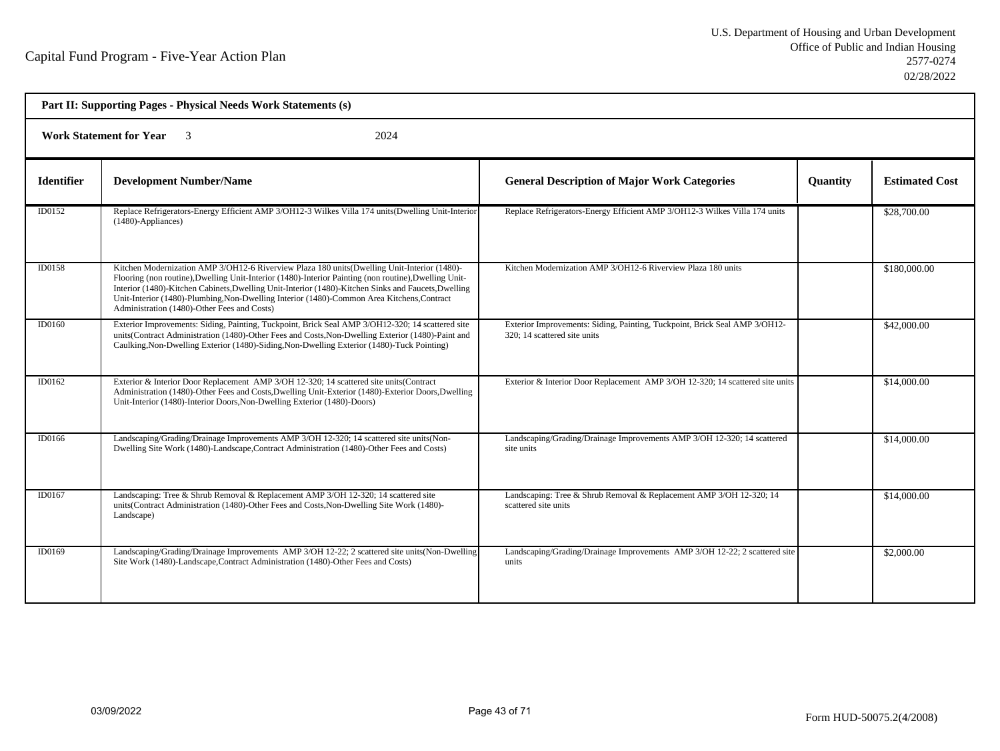| Part II: Supporting Pages - Physical Needs Work Statements (s) |                                                                                                                                                                                                                                                                                                                                                                                                                                                           |                                                                                                            |                 |                       |  |  |
|----------------------------------------------------------------|-----------------------------------------------------------------------------------------------------------------------------------------------------------------------------------------------------------------------------------------------------------------------------------------------------------------------------------------------------------------------------------------------------------------------------------------------------------|------------------------------------------------------------------------------------------------------------|-----------------|-----------------------|--|--|
|                                                                | <b>Work Statement for Year</b><br>2024                                                                                                                                                                                                                                                                                                                                                                                                                    |                                                                                                            |                 |                       |  |  |
| <b>Identifier</b>                                              | <b>Development Number/Name</b>                                                                                                                                                                                                                                                                                                                                                                                                                            | <b>General Description of Major Work Categories</b>                                                        | <b>Quantity</b> | <b>Estimated Cost</b> |  |  |
| ID0152                                                         | Replace Refrigerators-Energy Efficient AMP 3/OH12-3 Wilkes Villa 174 units(Dwelling Unit-Interior<br>(1480)-Appliances)                                                                                                                                                                                                                                                                                                                                   | Replace Refrigerators-Energy Efficient AMP 3/OH12-3 Wilkes Villa 174 units                                 |                 | \$28,700.00           |  |  |
| ID0158                                                         | Kitchen Modernization AMP 3/OH12-6 Riverview Plaza 180 units (Dwelling Unit-Interior (1480)-<br>Flooring (non routine), Dwelling Unit-Interior (1480)-Interior Painting (non routine), Dwelling Unit-<br>Interior (1480)-Kitchen Cabinets, Dwelling Unit-Interior (1480)-Kitchen Sinks and Faucets, Dwelling<br>Unit-Interior (1480)-Plumbing, Non-Dwelling Interior (1480)-Common Area Kitchens, Contract<br>Administration (1480)-Other Fees and Costs) | Kitchen Modernization AMP 3/OH12-6 Riverview Plaza 180 units                                               |                 | \$180,000.00          |  |  |
| ID0160                                                         | Exterior Improvements: Siding, Painting, Tuckpoint, Brick Seal AMP 3/OH12-320; 14 scattered site<br>units(Contract Administration (1480)-Other Fees and Costs, Non-Dwelling Exterior (1480)-Paint and<br>Caulking, Non-Dwelling Exterior (1480)-Siding, Non-Dwelling Exterior (1480)-Tuck Pointing)                                                                                                                                                       | Exterior Improvements: Siding, Painting, Tuckpoint, Brick Seal AMP 3/OH12-<br>320; 14 scattered site units |                 | \$42,000.00           |  |  |
| ID0162                                                         | Exterior & Interior Door Replacement AMP 3/OH 12-320; 14 scattered site units(Contract<br>Administration (1480)-Other Fees and Costs, Dwelling Unit-Exterior (1480)-Exterior Doors, Dwelling<br>Unit-Interior (1480)-Interior Doors, Non-Dwelling Exterior (1480)-Doors)                                                                                                                                                                                  | Exterior & Interior Door Replacement AMP 3/OH 12-320; 14 scattered site units                              |                 | \$14,000.00           |  |  |
| ID0166                                                         | Landscaping/Grading/Drainage Improvements AMP 3/OH 12-320; 14 scattered site units (Non-<br>Dwelling Site Work (1480)-Landscape, Contract Administration (1480)-Other Fees and Costs)                                                                                                                                                                                                                                                                     | Landscaping/Grading/Drainage Improvements AMP 3/OH 12-320; 14 scattered<br>site units                      |                 | \$14,000.00           |  |  |
| ID0167                                                         | Landscaping: Tree & Shrub Removal & Replacement AMP 3/OH 12-320; 14 scattered site<br>units(Contract Administration (1480)-Other Fees and Costs, Non-Dwelling Site Work (1480)-<br>Landscape)                                                                                                                                                                                                                                                             | Landscaping: Tree & Shrub Removal & Replacement AMP 3/OH 12-320; 14<br>scattered site units                |                 | \$14,000.00           |  |  |
| ID0169                                                         | Landscaping/Grading/Drainage Improvements AMP 3/OH 12-22; 2 scattered site units(Non-Dwelling<br>Site Work (1480)-Landscape, Contract Administration (1480)-Other Fees and Costs)                                                                                                                                                                                                                                                                         | Landscaping/Grading/Drainage Improvements AMP 3/OH 12-22; 2 scattered site<br>units                        |                 | \$2,000.00            |  |  |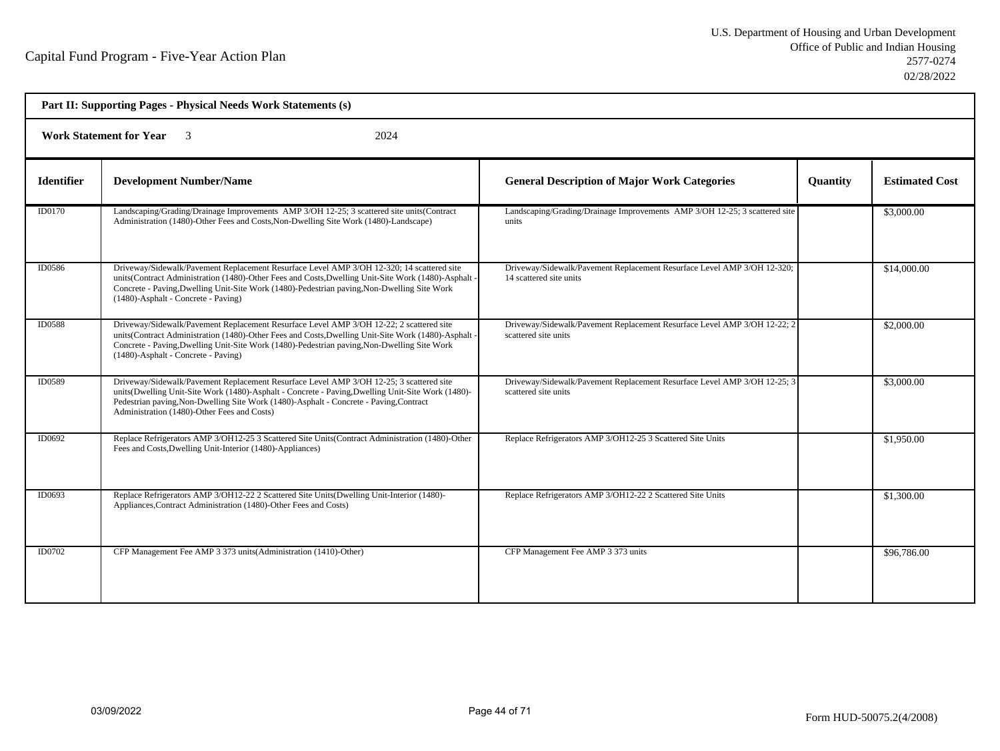| Part II: Supporting Pages - Physical Needs Work Statements (s) |                                                                                                                                                                                                                                                                                                                                       |                                                                                                    |                 |                       |  |  |
|----------------------------------------------------------------|---------------------------------------------------------------------------------------------------------------------------------------------------------------------------------------------------------------------------------------------------------------------------------------------------------------------------------------|----------------------------------------------------------------------------------------------------|-----------------|-----------------------|--|--|
|                                                                | <b>Work Statement for Year</b> 3<br>2024                                                                                                                                                                                                                                                                                              |                                                                                                    |                 |                       |  |  |
| <b>Identifier</b>                                              | <b>Development Number/Name</b>                                                                                                                                                                                                                                                                                                        | <b>General Description of Major Work Categories</b>                                                | <b>Quantity</b> | <b>Estimated Cost</b> |  |  |
| <b>ID0170</b>                                                  | Landscaping/Grading/Drainage Improvements AMP 3/OH 12-25; 3 scattered site units(Contract<br>Administration (1480)-Other Fees and Costs, Non-Dwelling Site Work (1480)-Landscape)                                                                                                                                                     | Landscaping/Grading/Drainage Improvements AMP 3/OH 12-25; 3 scattered site<br>units                |                 | \$3,000.00            |  |  |
| ID0586                                                         | Driveway/Sidewalk/Pavement Replacement Resurface Level AMP 3/OH 12-320; 14 scattered site<br>units(Contract Administration (1480)-Other Fees and Costs, Dwelling Unit-Site Work (1480)-Asphalt<br>Concrete - Paving, Dwelling Unit-Site Work (1480)-Pedestrian paving, Non-Dwelling Site Work<br>(1480)-Asphalt - Concrete - Paving)  | Driveway/Sidewalk/Pavement Replacement Resurface Level AMP 3/OH 12-320;<br>14 scattered site units |                 | \$14,000.00           |  |  |
| <b>ID0588</b>                                                  | Driveway/Sidewalk/Pavement Replacement Resurface Level AMP 3/OH 12-22; 2 scattered site<br>units(Contract Administration (1480)-Other Fees and Costs, Dwelling Unit-Site Work (1480)-Asphalt<br>Concrete - Paving, Dwelling Unit-Site Work (1480)-Pedestrian paving, Non-Dwelling Site Work<br>(1480)-Asphalt - Concrete - Paving)    | Driveway/Sidewalk/Pavement Replacement Resurface Level AMP 3/OH 12-22; 2<br>scattered site units   |                 | \$2,000.00            |  |  |
| ID0589                                                         | Driveway/Sidewalk/Pavement Replacement Resurface Level AMP 3/OH 12-25; 3 scattered site<br>units(Dwelling Unit-Site Work (1480)-Asphalt - Concrete - Paving, Dwelling Unit-Site Work (1480)-<br>Pedestrian paving, Non-Dwelling Site Work (1480)-Asphalt - Concrete - Paving, Contract<br>Administration (1480)-Other Fees and Costs) | Driveway/Sidewalk/Pavement Replacement Resurface Level AMP 3/OH 12-25; 3<br>scattered site units   |                 | \$3,000.00            |  |  |
| ID0692                                                         | Replace Refrigerators AMP 3/OH12-25 3 Scattered Site Units (Contract Administration (1480)-Other<br>Fees and Costs, Dwelling Unit-Interior (1480)-Appliances)                                                                                                                                                                         | Replace Refrigerators AMP 3/OH12-25 3 Scattered Site Units                                         |                 | \$1,950.00            |  |  |
| ID0693                                                         | Replace Refrigerators AMP 3/OH12-22 2 Scattered Site Units (Dwelling Unit-Interior (1480)-<br>Appliances, Contract Administration (1480)-Other Fees and Costs)                                                                                                                                                                        | Replace Refrigerators AMP 3/OH12-22 2 Scattered Site Units                                         |                 | \$1,300.00            |  |  |
| ID0702                                                         | CFP Management Fee AMP 3 373 units (Administration (1410)-Other)                                                                                                                                                                                                                                                                      | CFP Management Fee AMP 3 373 units                                                                 |                 | \$96,786.00           |  |  |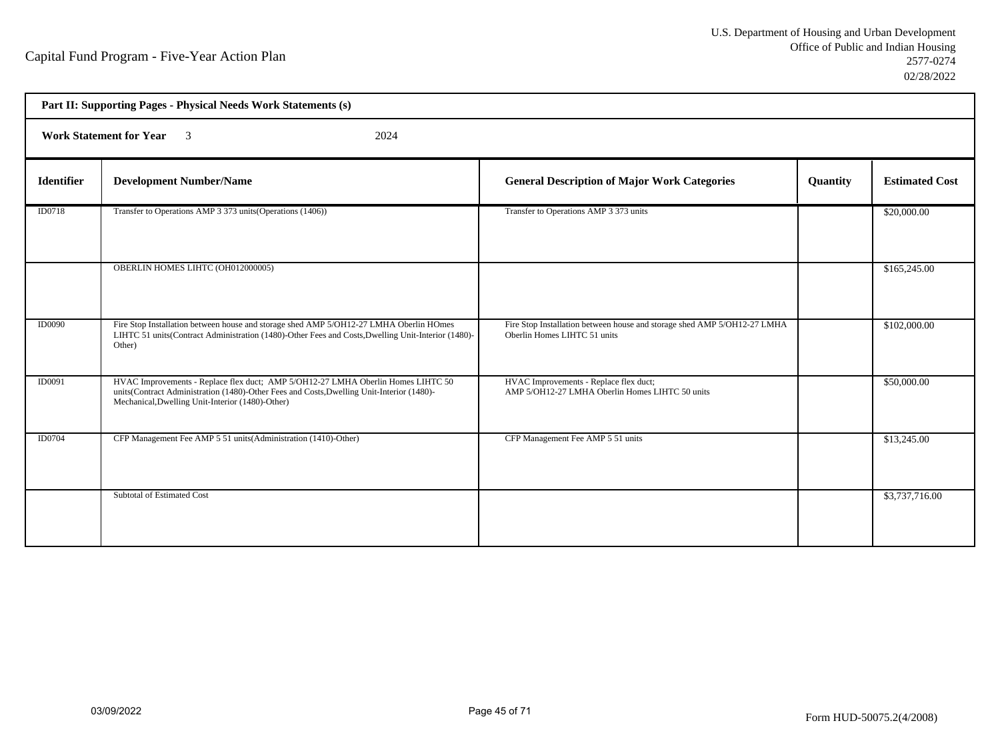| Part II: Supporting Pages - Physical Needs Work Statements (s) |                                                                                                                                                                                                                                   |                                                                                                          |          |                       |  |
|----------------------------------------------------------------|-----------------------------------------------------------------------------------------------------------------------------------------------------------------------------------------------------------------------------------|----------------------------------------------------------------------------------------------------------|----------|-----------------------|--|
|                                                                | <b>Work Statement for Year</b><br>2024<br>$\overline{\mathcal{E}}$                                                                                                                                                                |                                                                                                          |          |                       |  |
| <b>Identifier</b>                                              | <b>Development Number/Name</b>                                                                                                                                                                                                    | <b>General Description of Major Work Categories</b>                                                      | Quantity | <b>Estimated Cost</b> |  |
| ID0718                                                         | Transfer to Operations AMP 3 373 units (Operations (1406))                                                                                                                                                                        | Transfer to Operations AMP 3 373 units                                                                   |          | \$20,000.00           |  |
|                                                                | OBERLIN HOMES LIHTC (OH012000005)                                                                                                                                                                                                 |                                                                                                          |          | \$165,245.00          |  |
| <b>ID0090</b>                                                  | Fire Stop Installation between house and storage shed AMP 5/OH12-27 LMHA Oberlin HOmes<br>LIHTC 51 units(Contract Administration (1480)-Other Fees and Costs, Dwelling Unit-Interior (1480)-<br>Other)                            | Fire Stop Installation between house and storage shed AMP 5/OH12-27 LMHA<br>Oberlin Homes LIHTC 51 units |          | \$102,000.00          |  |
| ID0091                                                         | HVAC Improvements - Replace flex duct; AMP 5/OH12-27 LMHA Oberlin Homes LIHTC 50<br>units(Contract Administration (1480)-Other Fees and Costs, Dwelling Unit-Interior (1480)-<br>Mechanical, Dwelling Unit-Interior (1480)-Other) | HVAC Improvements - Replace flex duct;<br>AMP 5/OH12-27 LMHA Oberlin Homes LIHTC 50 units                |          | \$50,000.00           |  |
| <b>ID0704</b>                                                  | CFP Management Fee AMP 5 51 units (Administration (1410)-Other)                                                                                                                                                                   | CFP Management Fee AMP 5 51 units                                                                        |          | \$13,245.00           |  |
|                                                                | Subtotal of Estimated Cost                                                                                                                                                                                                        |                                                                                                          |          | \$3,737,716.00        |  |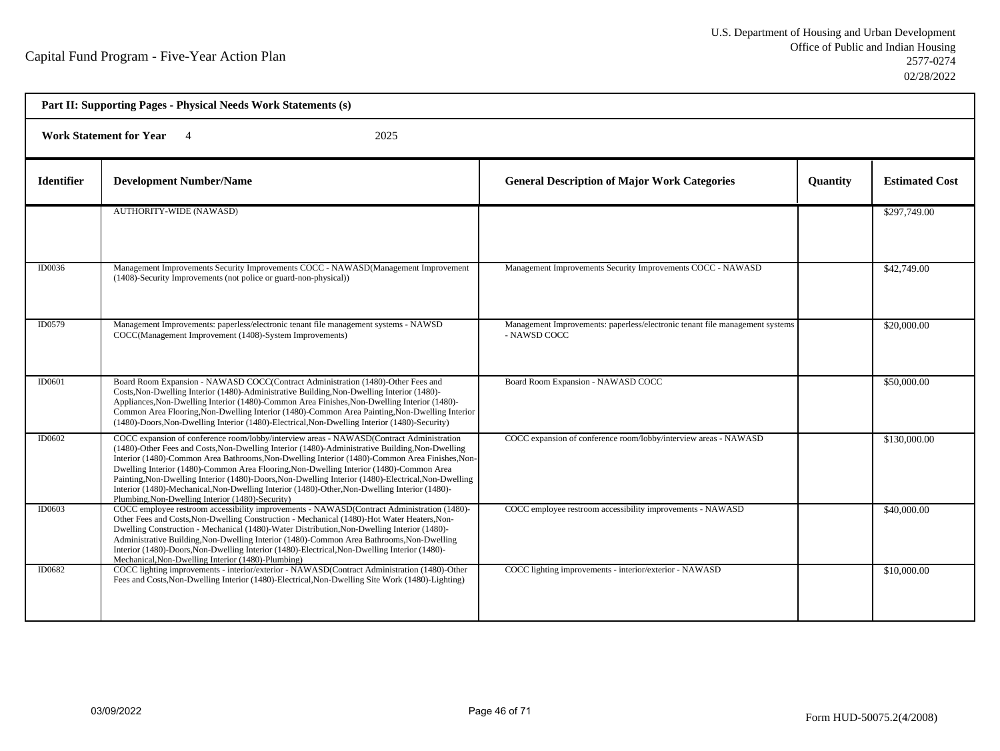| Part II: Supporting Pages - Physical Needs Work Statements (s) |                                                                                                                                                                                                                                                                                                                                                                                                                                                                                                                                                                                                                                                      |                                                                                              |          |                       |  |  |
|----------------------------------------------------------------|------------------------------------------------------------------------------------------------------------------------------------------------------------------------------------------------------------------------------------------------------------------------------------------------------------------------------------------------------------------------------------------------------------------------------------------------------------------------------------------------------------------------------------------------------------------------------------------------------------------------------------------------------|----------------------------------------------------------------------------------------------|----------|-----------------------|--|--|
|                                                                | <b>Work Statement for Year</b><br>2025                                                                                                                                                                                                                                                                                                                                                                                                                                                                                                                                                                                                               |                                                                                              |          |                       |  |  |
| <b>Identifier</b>                                              | <b>Development Number/Name</b>                                                                                                                                                                                                                                                                                                                                                                                                                                                                                                                                                                                                                       | <b>General Description of Major Work Categories</b>                                          | Quantity | <b>Estimated Cost</b> |  |  |
|                                                                | <b>AUTHORITY-WIDE (NAWASD)</b>                                                                                                                                                                                                                                                                                                                                                                                                                                                                                                                                                                                                                       |                                                                                              |          | \$297,749.00          |  |  |
| ID0036                                                         | Management Improvements Security Improvements COCC - NAWASD(Management Improvement<br>(1408)-Security Improvements (not police or guard-non-physical))                                                                                                                                                                                                                                                                                                                                                                                                                                                                                               | Management Improvements Security Improvements COCC - NAWASD                                  |          | \$42,749.00           |  |  |
| ID0579                                                         | Management Improvements: paperless/electronic tenant file management systems - NAWSD<br>COCC(Management Improvement (1408)-System Improvements)                                                                                                                                                                                                                                                                                                                                                                                                                                                                                                      | Management Improvements: paperless/electronic tenant file management systems<br>- NAWSD COCC |          | \$20,000.00           |  |  |
| ID0601                                                         | Board Room Expansion - NAWASD COCC(Contract Administration (1480)-Other Fees and<br>Costs, Non-Dwelling Interior (1480)-Administrative Building, Non-Dwelling Interior (1480)-<br>Appliances, Non-Dwelling Interior (1480)-Common Area Finishes, Non-Dwelling Interior (1480)-<br>Common Area Flooring, Non-Dwelling Interior (1480)-Common Area Painting, Non-Dwelling Interior<br>(1480)-Doors, Non-Dwelling Interior (1480)-Electrical, Non-Dwelling Interior (1480)-Security)                                                                                                                                                                    | Board Room Expansion - NAWASD COCC                                                           |          | \$50,000.00           |  |  |
| ID0602                                                         | COCC expansion of conference room/lobby/interview areas - NAWASD(Contract Administration<br>(1480)-Other Fees and Costs, Non-Dwelling Interior (1480)-Administrative Building, Non-Dwelling<br>Interior (1480)-Common Area Bathrooms, Non-Dwelling Interior (1480)-Common Area Finishes, Non-<br>Dwelling Interior (1480)-Common Area Flooring, Non-Dwelling Interior (1480)-Common Area<br>Painting, Non-Dwelling Interior (1480)-Doors, Non-Dwelling Interior (1480)-Electrical, Non-Dwelling<br>Interior (1480)-Mechanical, Non-Dwelling Interior (1480)-Other, Non-Dwelling Interior (1480)-<br>Plumbing, Non-Dwelling Interior (1480)-Security) | COCC expansion of conference room/lobby/interview areas - NAWASD                             |          | \$130,000.00          |  |  |
| ID0603                                                         | COCC employee restroom accessibility improvements - NAWASD(Contract Administration (1480)-<br>Other Fees and Costs, Non-Dwelling Construction - Mechanical (1480)-Hot Water Heaters, Non-<br>Dwelling Construction - Mechanical (1480)-Water Distribution, Non-Dwelling Interior (1480)-<br>Administrative Building, Non-Dwelling Interior (1480)-Common Area Bathrooms, Non-Dwelling<br>Interior (1480)-Doors, Non-Dwelling Interior (1480)-Electrical, Non-Dwelling Interior (1480)-<br>Mechanical, Non-Dwelling Interior (1480)-Plumbing)                                                                                                         | COCC employee restroom accessibility improvements - NAWASD                                   |          | \$40,000.00           |  |  |
| ID0682                                                         | COCC lighting improvements - interior/exterior - NAWASD(Contract Administration (1480)-Other<br>Fees and Costs, Non-Dwelling Interior (1480)-Electrical, Non-Dwelling Site Work (1480)-Lighting)                                                                                                                                                                                                                                                                                                                                                                                                                                                     | COCC lighting improvements - interior/exterior - NAWASD                                      |          | \$10,000.00           |  |  |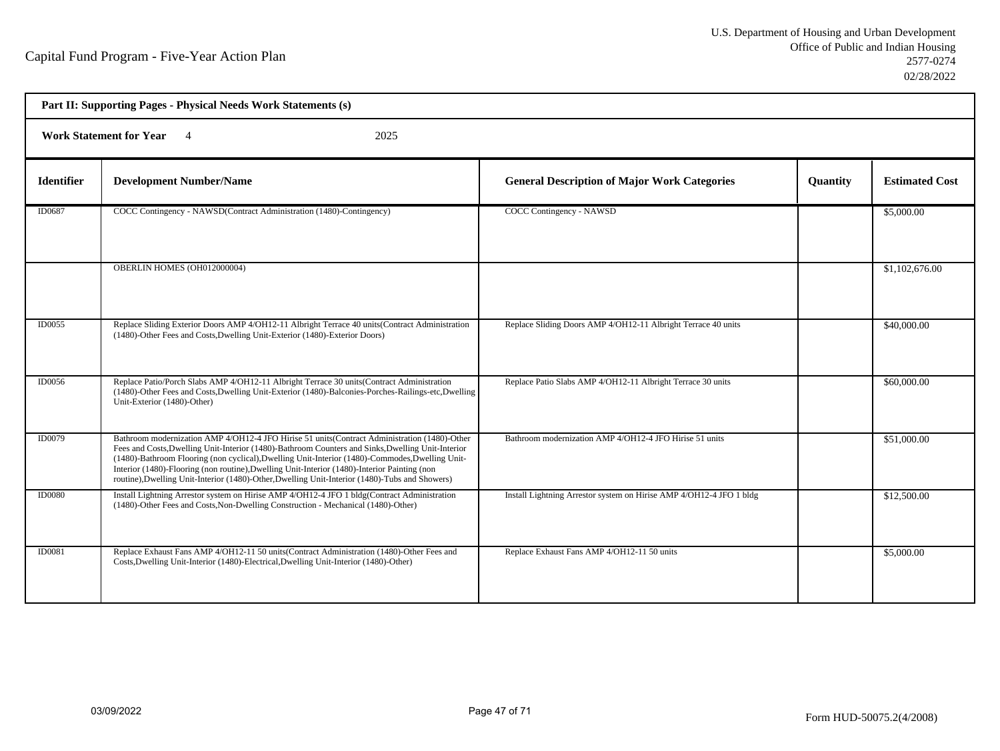| Part II: Supporting Pages - Physical Needs Work Statements (s) |                                                                                                                                                                                                                                                                                                                                                                                                                                                                                                         |                                                                     |          |                       |  |  |
|----------------------------------------------------------------|---------------------------------------------------------------------------------------------------------------------------------------------------------------------------------------------------------------------------------------------------------------------------------------------------------------------------------------------------------------------------------------------------------------------------------------------------------------------------------------------------------|---------------------------------------------------------------------|----------|-----------------------|--|--|
|                                                                | <b>Work Statement for Year</b><br>2025                                                                                                                                                                                                                                                                                                                                                                                                                                                                  |                                                                     |          |                       |  |  |
| <b>Identifier</b>                                              | <b>Development Number/Name</b>                                                                                                                                                                                                                                                                                                                                                                                                                                                                          | <b>General Description of Major Work Categories</b>                 | Quantity | <b>Estimated Cost</b> |  |  |
| ID0687                                                         | COCC Contingency - NAWSD(Contract Administration (1480)-Contingency)                                                                                                                                                                                                                                                                                                                                                                                                                                    | <b>COCC Contingency - NAWSD</b>                                     |          | \$5,000.00            |  |  |
|                                                                | OBERLIN HOMES (OH012000004)                                                                                                                                                                                                                                                                                                                                                                                                                                                                             |                                                                     |          | \$1,102,676.00        |  |  |
| ID0055                                                         | Replace Sliding Exterior Doors AMP 4/OH12-11 Albright Terrace 40 units (Contract Administration<br>(1480)-Other Fees and Costs, Dwelling Unit-Exterior (1480)-Exterior Doors)                                                                                                                                                                                                                                                                                                                           | Replace Sliding Doors AMP 4/OH12-11 Albright Terrace 40 units       |          | \$40,000.00           |  |  |
| <b>ID0056</b>                                                  | Replace Patio/Porch Slabs AMP 4/OH12-11 Albright Terrace 30 units (Contract Administration<br>(1480)-Other Fees and Costs, Dwelling Unit-Exterior (1480)-Balconies-Porches-Railings-etc, Dwelling<br>Unit-Exterior (1480)-Other)                                                                                                                                                                                                                                                                        | Replace Patio Slabs AMP 4/OH12-11 Albright Terrace 30 units         |          | \$60,000.00           |  |  |
| <b>ID0079</b>                                                  | Bathroom modernization AMP 4/OH12-4 JFO Hirise 51 units (Contract Administration (1480)-Other<br>Fees and Costs, Dwelling Unit-Interior (1480)-Bathroom Counters and Sinks, Dwelling Unit-Interior<br>(1480)-Bathroom Flooring (non cyclical), Dwelling Unit-Interior (1480)-Commodes, Dwelling Unit-<br>Interior (1480)-Flooring (non routine), Dwelling Unit-Interior (1480)-Interior Painting (non<br>routine), Dwelling Unit-Interior (1480)-Other, Dwelling Unit-Interior (1480)-Tubs and Showers) | Bathroom modernization AMP 4/OH12-4 JFO Hirise 51 units             |          | \$51,000.00           |  |  |
| <b>ID0080</b>                                                  | Install Lightning Arrestor system on Hirise AMP 4/OH12-4 JFO 1 bldg(Contract Administration<br>(1480)-Other Fees and Costs, Non-Dwelling Construction - Mechanical (1480)-Other)                                                                                                                                                                                                                                                                                                                        | Install Lightning Arrestor system on Hirise AMP 4/OH12-4 JFO 1 bldg |          | \$12,500.00           |  |  |
| <b>ID0081</b>                                                  | Replace Exhaust Fans AMP 4/OH12-11 50 units(Contract Administration (1480)-Other Fees and<br>Costs, Dwelling Unit-Interior (1480)-Electrical, Dwelling Unit-Interior (1480)-Other)                                                                                                                                                                                                                                                                                                                      | Replace Exhaust Fans AMP 4/OH12-11 50 units                         |          | \$5,000.00            |  |  |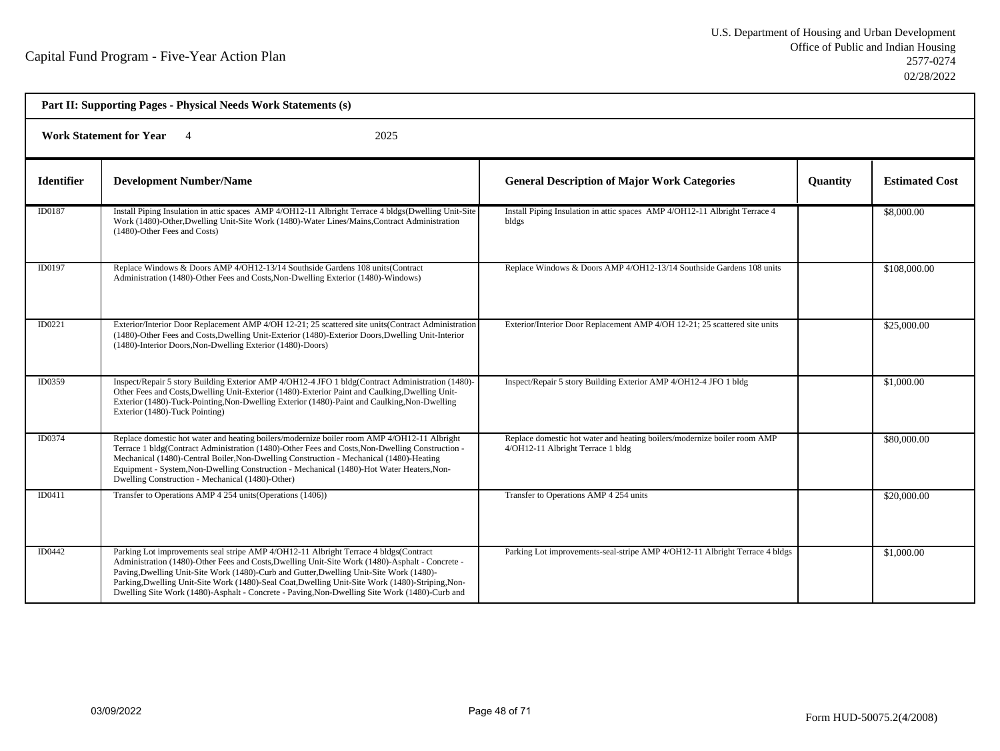| Part II: Supporting Pages - Physical Needs Work Statements (s) |                                                                                                                                                                                                                                                                                                                                                                                                                                                                                         |                                                                                                               |                 |                       |  |  |
|----------------------------------------------------------------|-----------------------------------------------------------------------------------------------------------------------------------------------------------------------------------------------------------------------------------------------------------------------------------------------------------------------------------------------------------------------------------------------------------------------------------------------------------------------------------------|---------------------------------------------------------------------------------------------------------------|-----------------|-----------------------|--|--|
|                                                                | 2025<br><b>Work Statement for Year</b> 4                                                                                                                                                                                                                                                                                                                                                                                                                                                |                                                                                                               |                 |                       |  |  |
| <b>Identifier</b>                                              | <b>Development Number/Name</b>                                                                                                                                                                                                                                                                                                                                                                                                                                                          | <b>General Description of Major Work Categories</b>                                                           | <b>Quantity</b> | <b>Estimated Cost</b> |  |  |
| ID0187                                                         | Install Piping Insulation in attic spaces AMP 4/OH12-11 Albright Terrace 4 bldgs(Dwelling Unit-Site<br>Work (1480)-Other, Dwelling Unit-Site Work (1480)-Water Lines/Mains, Contract Administration<br>(1480)-Other Fees and Costs)                                                                                                                                                                                                                                                     | Install Piping Insulation in attic spaces AMP 4/OH12-11 Albright Terrace 4<br>bldgs                           |                 | \$8,000.00            |  |  |
| ID0197                                                         | Replace Windows & Doors AMP 4/OH12-13/14 Southside Gardens 108 units (Contract<br>Administration (1480)-Other Fees and Costs, Non-Dwelling Exterior (1480)-Windows)                                                                                                                                                                                                                                                                                                                     | Replace Windows & Doors AMP 4/OH12-13/14 Southside Gardens 108 units                                          |                 | \$108,000.00          |  |  |
| ID0221                                                         | Exterior/Interior Door Replacement AMP 4/OH 12-21; 25 scattered site units(Contract Administration<br>(1480)-Other Fees and Costs, Dwelling Unit-Exterior (1480)-Exterior Doors, Dwelling Unit-Interior<br>(1480)-Interior Doors, Non-Dwelling Exterior (1480)-Doors)                                                                                                                                                                                                                   | Exterior/Interior Door Replacement AMP 4/OH 12-21; 25 scattered site units                                    |                 | \$25,000.00           |  |  |
| ID0359                                                         | Inspect/Repair 5 story Building Exterior AMP 4/OH12-4 JFO 1 bldg(Contract Administration (1480)-<br>Other Fees and Costs, Dwelling Unit-Exterior (1480)-Exterior Paint and Caulking, Dwelling Unit-<br>Exterior (1480)-Tuck-Pointing, Non-Dwelling Exterior (1480)-Paint and Caulking, Non-Dwelling<br>Exterior (1480)-Tuck Pointing)                                                                                                                                                   | Inspect/Repair 5 story Building Exterior AMP 4/OH12-4 JFO 1 bldg                                              |                 | \$1,000.00            |  |  |
| <b>ID0374</b>                                                  | Replace domestic hot water and heating boilers/modernize boiler room AMP 4/OH12-11 Albright<br>Terrace 1 bldg(Contract Administration (1480)-Other Fees and Costs, Non-Dwelling Construction -<br>Mechanical (1480)-Central Boiler, Non-Dwelling Construction - Mechanical (1480)-Heating<br>Equipment - System, Non-Dwelling Construction - Mechanical (1480)-Hot Water Heaters, Non-<br>Dwelling Construction - Mechanical (1480)-Other)                                              | Replace domestic hot water and heating boilers/modernize boiler room AMP<br>4/OH12-11 Albright Terrace 1 bldg |                 | \$80,000.00           |  |  |
| ID0411                                                         | Transfer to Operations AMP 4 254 units (Operations (1406))                                                                                                                                                                                                                                                                                                                                                                                                                              | Transfer to Operations AMP 4 254 units                                                                        |                 | \$20,000.00           |  |  |
| <b>ID0442</b>                                                  | Parking Lot improvements seal stripe AMP 4/OH12-11 Albright Terrace 4 bldgs(Contract<br>Administration (1480)-Other Fees and Costs, Dwelling Unit-Site Work (1480)-Asphalt - Concrete -<br>Paving, Dwelling Unit-Site Work (1480)-Curb and Gutter, Dwelling Unit-Site Work (1480)-<br>Parking, Dwelling Unit-Site Work (1480)-Seal Coat, Dwelling Unit-Site Work (1480)-Striping, Non-<br>Dwelling Site Work (1480)-Asphalt - Concrete - Paving, Non-Dwelling Site Work (1480)-Curb and | Parking Lot improvements-seal-stripe AMP 4/OH12-11 Albright Terrace 4 bldgs                                   |                 | \$1,000.00            |  |  |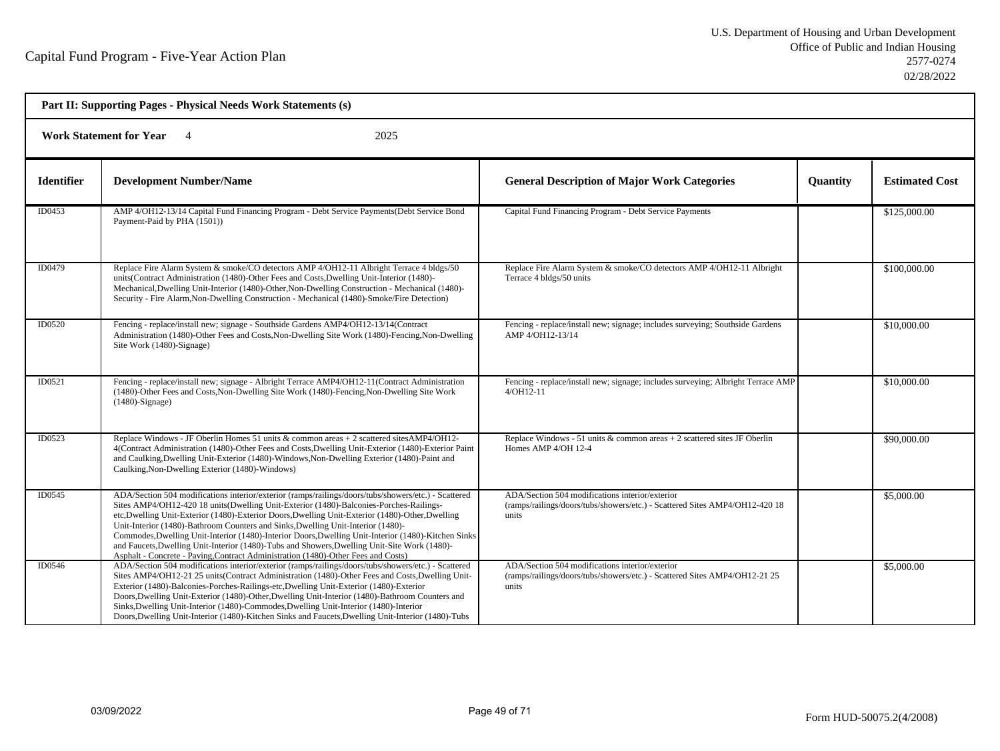| Part II: Supporting Pages - Physical Needs Work Statements (s) |                                                                                                                                                                                                                                                                                                                                                                                                                                                                                                                                                                                                                                                                                   |                                                                                                                                         |          |                       |  |
|----------------------------------------------------------------|-----------------------------------------------------------------------------------------------------------------------------------------------------------------------------------------------------------------------------------------------------------------------------------------------------------------------------------------------------------------------------------------------------------------------------------------------------------------------------------------------------------------------------------------------------------------------------------------------------------------------------------------------------------------------------------|-----------------------------------------------------------------------------------------------------------------------------------------|----------|-----------------------|--|
| <b>Work Statement for Year</b><br>2025                         |                                                                                                                                                                                                                                                                                                                                                                                                                                                                                                                                                                                                                                                                                   |                                                                                                                                         |          |                       |  |
| <b>Identifier</b>                                              | <b>Development Number/Name</b>                                                                                                                                                                                                                                                                                                                                                                                                                                                                                                                                                                                                                                                    | <b>General Description of Major Work Categories</b>                                                                                     | Quantity | <b>Estimated Cost</b> |  |
| ID0453                                                         | AMP 4/OH12-13/14 Capital Fund Financing Program - Debt Service Payments (Debt Service Bond<br>Payment-Paid by PHA (1501))                                                                                                                                                                                                                                                                                                                                                                                                                                                                                                                                                         | Capital Fund Financing Program - Debt Service Payments                                                                                  |          | \$125,000.00          |  |
| ID0479                                                         | Replace Fire Alarm System & smoke/CO detectors AMP 4/OH12-11 Albright Terrace 4 bldgs/50<br>units(Contract Administration (1480)-Other Fees and Costs, Dwelling Unit-Interior (1480)-<br>Mechanical, Dwelling Unit-Interior (1480)-Other, Non-Dwelling Construction - Mechanical (1480)-<br>Security - Fire Alarm, Non-Dwelling Construction - Mechanical (1480)-Smoke/Fire Detection)                                                                                                                                                                                                                                                                                            | Replace Fire Alarm System & smoke/CO detectors AMP 4/OH12-11 Albright<br>Terrace 4 bldgs/50 units                                       |          | \$100,000.00          |  |
| ID0520                                                         | Fencing - replace/install new; signage - Southside Gardens AMP4/OH12-13/14(Contract<br>Administration (1480)-Other Fees and Costs, Non-Dwelling Site Work (1480)-Fencing, Non-Dwelling<br>Site Work (1480)-Signage)                                                                                                                                                                                                                                                                                                                                                                                                                                                               | Fencing - replace/install new; signage; includes surveying; Southside Gardens<br>AMP 4/OH12-13/14                                       |          | \$10,000.00           |  |
| ID0521                                                         | Fencing - replace/install new; signage - Albright Terrace AMP4/OH12-11(Contract Administration<br>(1480)-Other Fees and Costs, Non-Dwelling Site Work (1480)-Fencing, Non-Dwelling Site Work<br>$(1480)$ -Signage)                                                                                                                                                                                                                                                                                                                                                                                                                                                                | Fencing - replace/install new; signage; includes surveying; Albright Terrace AMP<br>$4/OH12-11$                                         |          | \$10,000.00           |  |
| ID0523                                                         | Replace Windows - JF Oberlin Homes 51 units & common areas + 2 scattered sites AMP4/OH12-<br>4(Contract Administration (1480)-Other Fees and Costs, Dwelling Unit-Exterior (1480)-Exterior Paint<br>and Caulking, Dwelling Unit-Exterior (1480)-Windows, Non-Dwelling Exterior (1480)-Paint and<br>Caulking, Non-Dwelling Exterior (1480)-Windows)                                                                                                                                                                                                                                                                                                                                | Replace Windows - 51 units & common areas + 2 scattered sites JF Oberlin<br>Homes AMP 4/OH 12-4                                         |          | \$90,000.00           |  |
| ID0545                                                         | ADA/Section 504 modifications interior/exterior (ramps/railings/doors/tubs/showers/etc.) - Scattered<br>Sites AMP4/OH12-420 18 units(Dwelling Unit-Exterior (1480)-Balconies-Porches-Railings-<br>etc, Dwelling Unit-Exterior (1480)-Exterior Doors, Dwelling Unit-Exterior (1480)-Other, Dwelling<br>Unit-Interior (1480)-Bathroom Counters and Sinks, Dwelling Unit-Interior (1480)-<br>Commodes, Dwelling Unit-Interior (1480)-Interior Doors, Dwelling Unit-Interior (1480)-Kitchen Sinks<br>and Faucets, Dwelling Unit-Interior (1480)-Tubs and Showers, Dwelling Unit-Site Work (1480)-<br>Asphalt - Concrete - Paying Contract Administration (1480)-Other Fees and Costs) | ADA/Section 504 modifications interior/exterior<br>(ramps/railings/doors/tubs/showers/etc.) - Scattered Sites AMP4/OH12-420 18<br>units |          | \$5,000.00            |  |
| ID0546                                                         | ADA/Section 504 modifications interior/exterior (ramps/railings/doors/tubs/showers/etc.) - Scattered<br>Sites AMP4/OH12-21 25 units (Contract Administration (1480)-Other Fees and Costs, Dwelling Unit-<br>Exterior (1480)-Balconies-Porches-Railings-etc, Dwelling Unit-Exterior (1480)-Exterior<br>Doors, Dwelling Unit-Exterior (1480)-Other, Dwelling Unit-Interior (1480)-Bathroom Counters and<br>Sinks, Dwelling Unit-Interior (1480)-Commodes, Dwelling Unit-Interior (1480)-Interior<br>Doors, Dwelling Unit-Interior (1480)-Kitchen Sinks and Faucets, Dwelling Unit-Interior (1480)-Tubs                                                                              | ADA/Section 504 modifications interior/exterior<br>(ramps/railings/doors/tubs/showers/etc.) - Scattered Sites AMP4/OH12-21 25<br>units  |          | \$5,000.00            |  |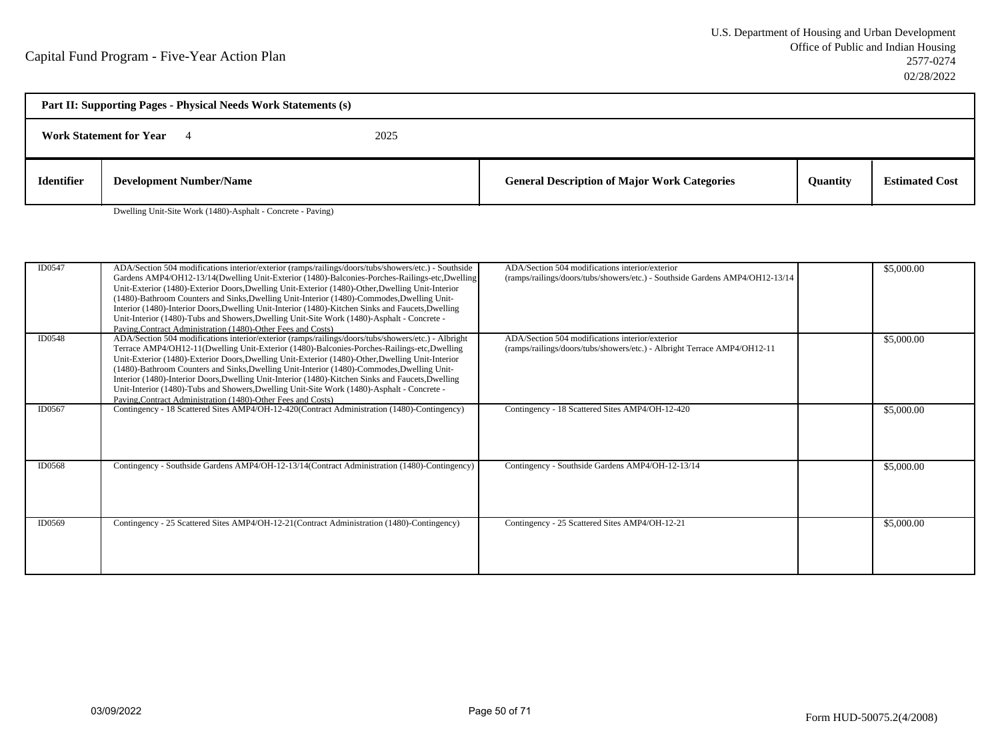| Part II: Supporting Pages - Physical Needs Work Statements (s) |                                |      |                                                     |                 |                       |
|----------------------------------------------------------------|--------------------------------|------|-----------------------------------------------------|-----------------|-----------------------|
|                                                                | <b>Work Statement for Year</b> | 2025 |                                                     |                 |                       |
| <b>Identifier</b>                                              | <b>Development Number/Name</b> |      | <b>General Description of Major Work Categories</b> | <b>Quantity</b> | <b>Estimated Cost</b> |

Dwelling Unit-Site Work (1480)-Asphalt - Concrete - Paving)

| ID0547        | ADA/Section 504 modifications interior/exterior (ramps/railings/doors/tubs/showers/etc.) - Southside<br>Gardens AMP4/OH12-13/14(Dwelling Unit-Exterior (1480)-Balconies-Porches-Railings-etc,Dwelling<br>Unit-Exterior (1480)-Exterior Doors, Dwelling Unit-Exterior (1480)-Other, Dwelling Unit-Interior<br>(1480)-Bathroom Counters and Sinks, Dwelling Unit-Interior (1480)-Commodes, Dwelling Unit-<br>Interior (1480)-Interior Doors, Dwelling Unit-Interior (1480)-Kitchen Sinks and Faucets, Dwelling<br>Unit-Interior (1480)-Tubs and Showers, Dwelling Unit-Site Work (1480)-Asphalt - Concrete -<br>Paving Contract Administration (1480)-Other Fees and Costs) | ADA/Section 504 modifications interior/exterior<br>(ramps/railings/doors/tubs/showers/etc.) - Southside Gardens AMP4/OH12-13/14 | \$5,000.00 |
|---------------|---------------------------------------------------------------------------------------------------------------------------------------------------------------------------------------------------------------------------------------------------------------------------------------------------------------------------------------------------------------------------------------------------------------------------------------------------------------------------------------------------------------------------------------------------------------------------------------------------------------------------------------------------------------------------|---------------------------------------------------------------------------------------------------------------------------------|------------|
| ID0548        | ADA/Section 504 modifications interior/exterior (ramps/railings/doors/tubs/showers/etc.) - Albright<br>Terrace AMP4/OH12-11(Dwelling Unit-Exterior (1480)-Balconies-Porches-Railings-etc,Dwelling<br>Unit-Exterior (1480)-Exterior Doors, Dwelling Unit-Exterior (1480)-Other, Dwelling Unit-Interior<br>(1480)-Bathroom Counters and Sinks, Dwelling Unit-Interior (1480)-Commodes, Dwelling Unit-<br>Interior (1480)-Interior Doors, Dwelling Unit-Interior (1480)-Kitchen Sinks and Faucets, Dwelling<br>Unit-Interior (1480)-Tubs and Showers, Dwelling Unit-Site Work (1480)-Asphalt - Concrete -<br>Paving, Contract Administration (1480)-Other Fees and Costs)    | ADA/Section 504 modifications interior/exterior<br>(ramps/railings/doors/tubs/showers/etc.) - Albright Terrace AMP4/OH12-11     | \$5,000.00 |
| ID0567        | Contingency - 18 Scattered Sites AMP4/OH-12-420(Contract Administration (1480)-Contingency)                                                                                                                                                                                                                                                                                                                                                                                                                                                                                                                                                                               | Contingency - 18 Scattered Sites AMP4/OH-12-420                                                                                 | \$5,000.00 |
| <b>ID0568</b> | Contingency - Southside Gardens AMP4/OH-12-13/14 (Contract Administration (1480)-Contingency)                                                                                                                                                                                                                                                                                                                                                                                                                                                                                                                                                                             | Contingency - Southside Gardens AMP4/OH-12-13/14                                                                                | \$5,000.00 |
| ID0569        | Contingency - 25 Scattered Sites AMP4/OH-12-21(Contract Administration (1480)-Contingency)                                                                                                                                                                                                                                                                                                                                                                                                                                                                                                                                                                                | Contingency - 25 Scattered Sites AMP4/OH-12-21                                                                                  | \$5,000.00 |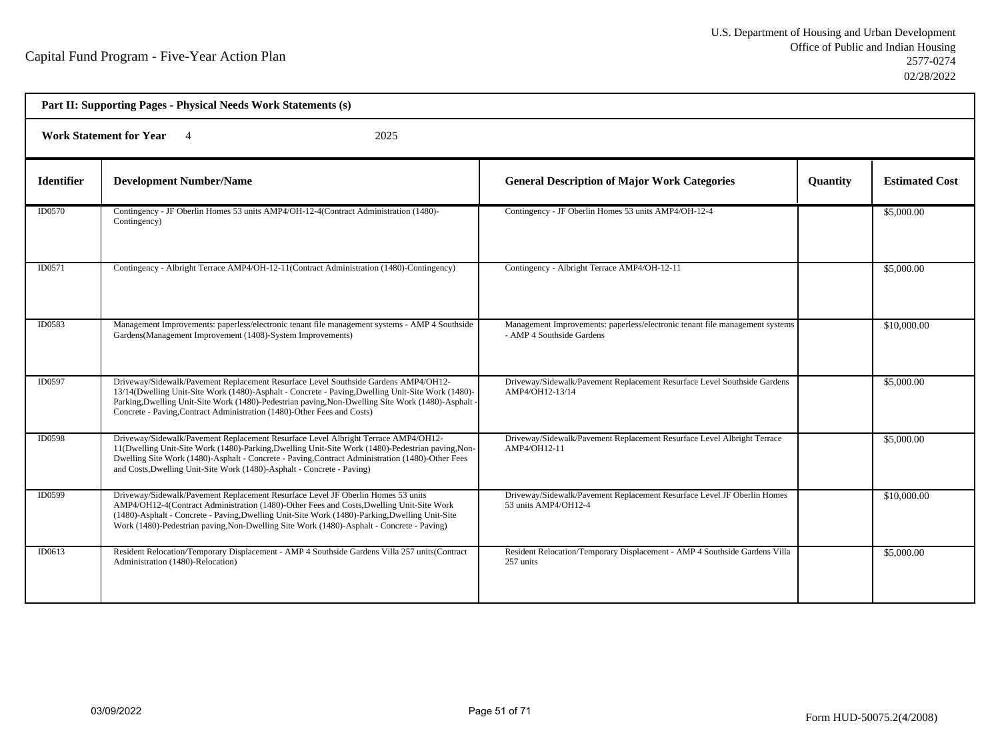| Part II: Supporting Pages - Physical Needs Work Statements (s) |                                                                                                                                                                                                                                                                                                                                                                             |                                                                                                           |          |                       |  |
|----------------------------------------------------------------|-----------------------------------------------------------------------------------------------------------------------------------------------------------------------------------------------------------------------------------------------------------------------------------------------------------------------------------------------------------------------------|-----------------------------------------------------------------------------------------------------------|----------|-----------------------|--|
| <b>Work Statement for Year</b><br>2025                         |                                                                                                                                                                                                                                                                                                                                                                             |                                                                                                           |          |                       |  |
| <b>Identifier</b>                                              | <b>Development Number/Name</b>                                                                                                                                                                                                                                                                                                                                              | <b>General Description of Major Work Categories</b>                                                       | Quantity | <b>Estimated Cost</b> |  |
| ID0570                                                         | Contingency - JF Oberlin Homes 53 units AMP4/OH-12-4(Contract Administration (1480)-<br>Contingency)                                                                                                                                                                                                                                                                        | Contingency - JF Oberlin Homes 53 units AMP4/OH-12-4                                                      |          | \$5,000.00            |  |
| ID0571                                                         | Contingency - Albright Terrace AMP4/OH-12-11(Contract Administration (1480)-Contingency)                                                                                                                                                                                                                                                                                    | Contingency - Albright Terrace AMP4/OH-12-11                                                              |          | \$5,000.00            |  |
| ID0583                                                         | Management Improvements: paperless/electronic tenant file management systems - AMP 4 Southside<br>Gardens(Management Improvement (1408)-System Improvements)                                                                                                                                                                                                                | Management Improvements: paperless/electronic tenant file management systems<br>- AMP 4 Southside Gardens |          | \$10,000.00           |  |
| ID0597                                                         | Driveway/Sidewalk/Pavement Replacement Resurface Level Southside Gardens AMP4/OH12-<br>13/14(Dwelling Unit-Site Work (1480)-Asphalt - Concrete - Paving, Dwelling Unit-Site Work (1480)-<br>Parking, Dwelling Unit-Site Work (1480)-Pedestrian paving, Non-Dwelling Site Work (1480)-Asphalt<br>Concrete - Paving, Contract Administration (1480)-Other Fees and Costs)     | Driveway/Sidewalk/Pavement Replacement Resurface Level Southside Gardens<br>AMP4/OH12-13/14               |          | \$5,000.00            |  |
| <b>ID0598</b>                                                  | Driveway/Sidewalk/Pavement Replacement Resurface Level Albright Terrace AMP4/OH12-<br>11 (Dwelling Unit-Site Work (1480)-Parking, Dwelling Unit-Site Work (1480)-Pedestrian paving, Non-<br>Dwelling Site Work (1480)-Asphalt - Concrete - Paving Contract Administration (1480)-Other Fees<br>and Costs, Dwelling Unit-Site Work (1480)-Asphalt - Concrete - Paving)       | Driveway/Sidewalk/Pavement Replacement Resurface Level Albright Terrace<br>AMP4/OH12-11                   |          | \$5,000.00            |  |
| ID0599                                                         | Driveway/Sidewalk/Pavement Replacement Resurface Level JF Oberlin Homes 53 units<br>AMP4/OH12-4(Contract Administration (1480)-Other Fees and Costs, Dwelling Unit-Site Work<br>(1480)-Asphalt - Concrete - Paving, Dwelling Unit-Site Work (1480)-Parking, Dwelling Unit-Site<br>Work (1480)-Pedestrian paving, Non-Dwelling Site Work (1480)-Asphalt - Concrete - Paving) | Driveway/Sidewalk/Pavement Replacement Resurface Level JF Oberlin Homes<br>53 units AMP4/OH12-4           |          | \$10,000.00           |  |
| ID0613                                                         | Resident Relocation/Temporary Displacement - AMP 4 Southside Gardens Villa 257 units (Contract<br>Administration (1480)-Relocation)                                                                                                                                                                                                                                         | Resident Relocation/Temporary Displacement - AMP 4 Southside Gardens Villa<br>257 units                   |          | \$5,000.00            |  |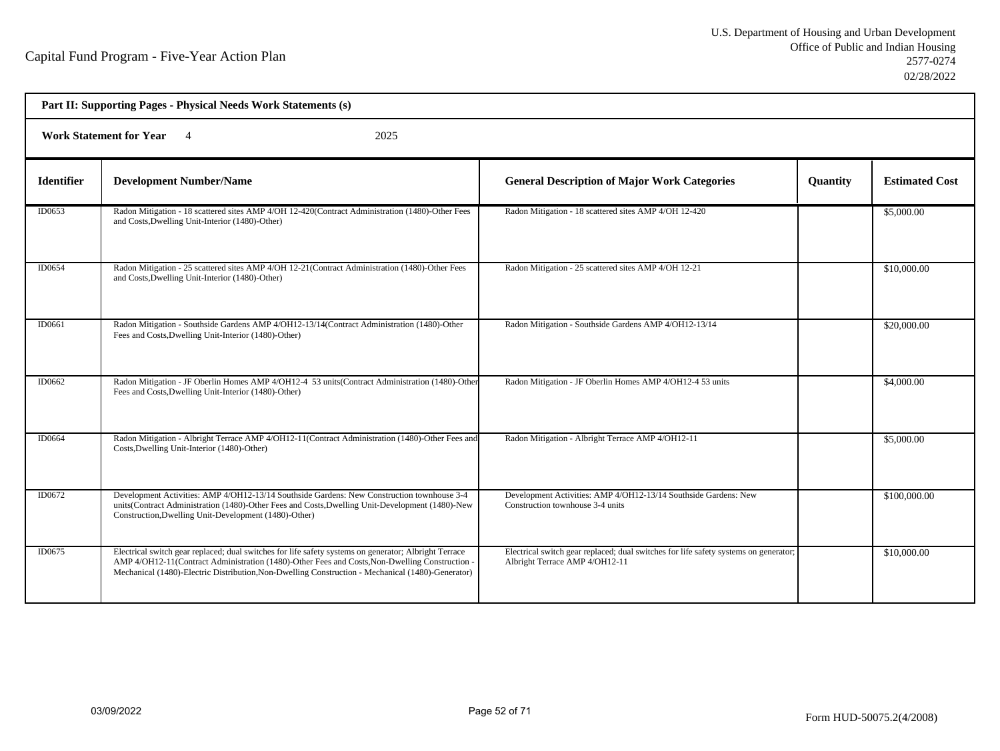| Part II: Supporting Pages - Physical Needs Work Statements (s) |                                                                                                                                                                                                                                                                                                            |                                                                                                                        |          |                       |  |
|----------------------------------------------------------------|------------------------------------------------------------------------------------------------------------------------------------------------------------------------------------------------------------------------------------------------------------------------------------------------------------|------------------------------------------------------------------------------------------------------------------------|----------|-----------------------|--|
| <b>Work Statement for Year</b><br>2025                         |                                                                                                                                                                                                                                                                                                            |                                                                                                                        |          |                       |  |
| <b>Identifier</b>                                              | <b>Development Number/Name</b>                                                                                                                                                                                                                                                                             | <b>General Description of Major Work Categories</b>                                                                    | Quantity | <b>Estimated Cost</b> |  |
| ID0653                                                         | Radon Mitigation - 18 scattered sites AMP 4/OH 12-420(Contract Administration (1480)-Other Fees<br>and Costs, Dwelling Unit-Interior (1480)-Other)                                                                                                                                                         | Radon Mitigation - 18 scattered sites AMP 4/OH 12-420                                                                  |          | \$5,000.00            |  |
| ID0654                                                         | Radon Mitigation - 25 scattered sites AMP 4/OH 12-21(Contract Administration (1480)-Other Fees<br>and Costs, Dwelling Unit-Interior (1480)-Other)                                                                                                                                                          | Radon Mitigation - 25 scattered sites AMP 4/OH 12-21                                                                   |          | \$10,000.00           |  |
| ID0661                                                         | Radon Mitigation - Southside Gardens AMP 4/OH12-13/14(Contract Administration (1480)-Other<br>Fees and Costs, Dwelling Unit-Interior (1480)-Other)                                                                                                                                                         | Radon Mitigation - Southside Gardens AMP 4/OH12-13/14                                                                  |          | \$20,000.00           |  |
| ID0662                                                         | Radon Mitigation - JF Oberlin Homes AMP 4/OH12-4 53 units (Contract Administration (1480)-Other<br>Fees and Costs, Dwelling Unit-Interior (1480)-Other)                                                                                                                                                    | Radon Mitigation - JF Oberlin Homes AMP 4/OH12-4 53 units                                                              |          | \$4,000.00            |  |
| ID0664                                                         | Radon Mitigation - Albright Terrace AMP 4/OH12-11(Contract Administration (1480)-Other Fees and<br>Costs, Dwelling Unit-Interior (1480)-Other)                                                                                                                                                             | Radon Mitigation - Albright Terrace AMP 4/OH12-11                                                                      |          | \$5,000.00            |  |
| ID0672                                                         | Development Activities: AMP 4/OH12-13/14 Southside Gardens: New Construction townhouse 3-4<br>units(Contract Administration (1480)-Other Fees and Costs, Dwelling Unit-Development (1480)-New<br>Construction, Dwelling Unit-Development (1480)-Other)                                                     | Development Activities: AMP 4/OH12-13/14 Southside Gardens: New<br>Construction townhouse 3-4 units                    |          | \$100,000.00          |  |
| ID0675                                                         | Electrical switch gear replaced; dual switches for life safety systems on generator; Albright Terrace<br>AMP 4/OH12-11(Contract Administration (1480)-Other Fees and Costs, Non-Dwelling Construction<br>Mechanical (1480)-Electric Distribution, Non-Dwelling Construction - Mechanical (1480)-Generator) | Electrical switch gear replaced; dual switches for life safety systems on generator;<br>Albright Terrace AMP 4/OH12-11 |          | \$10,000.00           |  |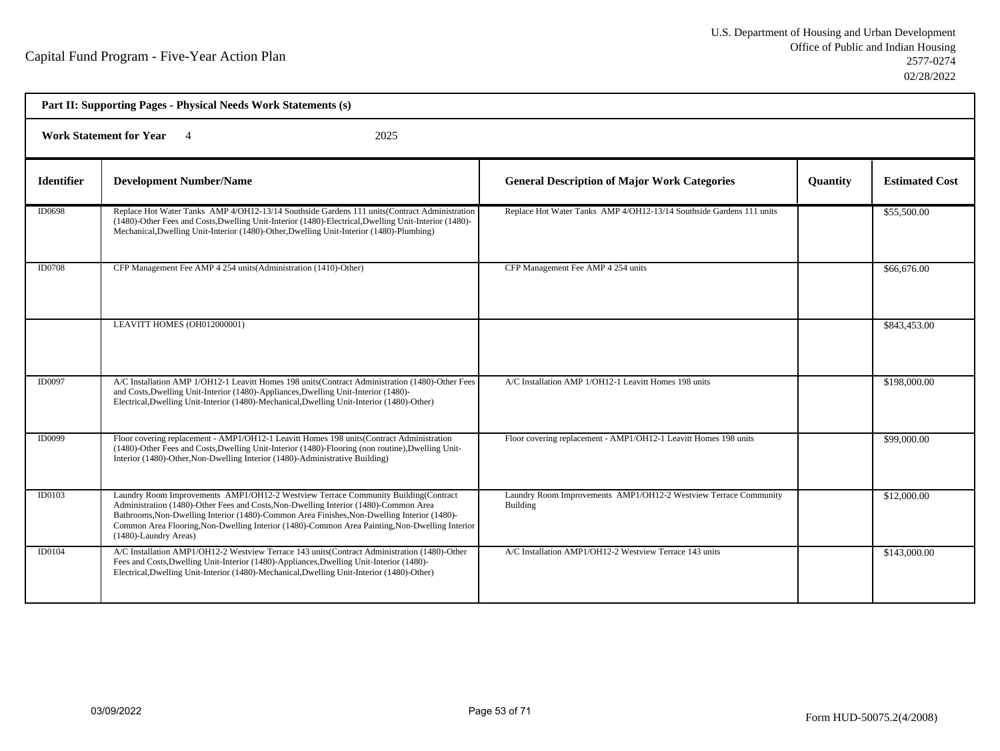| Part II: Supporting Pages - Physical Needs Work Statements (s) |                                                                                                                                                                                                                                                                                                                                                                                                      |                                                                              |          |                       |  |
|----------------------------------------------------------------|------------------------------------------------------------------------------------------------------------------------------------------------------------------------------------------------------------------------------------------------------------------------------------------------------------------------------------------------------------------------------------------------------|------------------------------------------------------------------------------|----------|-----------------------|--|
| <b>Work Statement for Year</b><br>2025                         |                                                                                                                                                                                                                                                                                                                                                                                                      |                                                                              |          |                       |  |
| <b>Identifier</b>                                              | <b>Development Number/Name</b>                                                                                                                                                                                                                                                                                                                                                                       | <b>General Description of Major Work Categories</b>                          | Quantity | <b>Estimated Cost</b> |  |
| <b>ID0698</b>                                                  | Replace Hot Water Tanks AMP 4/OH12-13/14 Southside Gardens 111 units (Contract Administration<br>(1480)-Other Fees and Costs, Dwelling Unit-Interior (1480)-Electrical, Dwelling Unit-Interior (1480)-<br>Mechanical, Dwelling Unit-Interior (1480)-Other, Dwelling Unit-Interior (1480)-Plumbing)                                                                                                   | Replace Hot Water Tanks AMP 4/OH12-13/14 Southside Gardens 111 units         |          | \$55,500.00           |  |
| <b>ID0708</b>                                                  | CFP Management Fee AMP 4 254 units (Administration (1410)-Other)                                                                                                                                                                                                                                                                                                                                     | CFP Management Fee AMP 4 254 units                                           |          | \$66,676.00           |  |
|                                                                | LEAVITT HOMES (OH012000001)                                                                                                                                                                                                                                                                                                                                                                          |                                                                              |          | \$843,453.00          |  |
| <b>ID0097</b>                                                  | A/C Installation AMP 1/OH12-1 Leavitt Homes 198 units (Contract Administration (1480)-Other Fees<br>and Costs, Dwelling Unit-Interior (1480)-Appliances, Dwelling Unit-Interior (1480)-<br>Electrical, Dwelling Unit-Interior (1480)-Mechanical, Dwelling Unit-Interior (1480)-Other)                                                                                                                | A/C Installation AMP 1/OH12-1 Leavitt Homes 198 units                        |          | \$198,000.00          |  |
| <b>ID0099</b>                                                  | Floor covering replacement - AMP1/OH12-1 Leavitt Homes 198 units (Contract Administration<br>(1480)-Other Fees and Costs, Dwelling Unit-Interior (1480)-Flooring (non routine), Dwelling Unit-<br>Interior (1480)-Other, Non-Dwelling Interior (1480)-Administrative Building)                                                                                                                       | Floor covering replacement - AMP1/OH12-1 Leavitt Homes 198 units             |          | \$99,000.00           |  |
| ID0103                                                         | Laundry Room Improvements AMP1/OH12-2 Westview Terrace Community Building(Contract<br>Administration (1480)-Other Fees and Costs, Non-Dwelling Interior (1480)-Common Area<br>Bathrooms, Non-Dwelling Interior (1480)-Common Area Finishes, Non-Dwelling Interior (1480)-<br>Common Area Flooring, Non-Dwelling Interior (1480)-Common Area Painting, Non-Dwelling Interior<br>(1480)-Laundry Areas) | Laundry Room Improvements AMP1/OH12-2 Westview Terrace Community<br>Building |          | \$12,000.00           |  |
| <b>ID0104</b>                                                  | A/C Installation AMP1/OH12-2 Westview Terrace 143 units(Contract Administration (1480)-Other<br>Fees and Costs, Dwelling Unit-Interior (1480)-Appliances, Dwelling Unit-Interior (1480)-<br>Electrical, Dwelling Unit-Interior (1480)-Mechanical, Dwelling Unit-Interior (1480)-Other)                                                                                                               | A/C Installation AMP1/OH12-2 Westview Terrace 143 units                      |          | \$143,000.00          |  |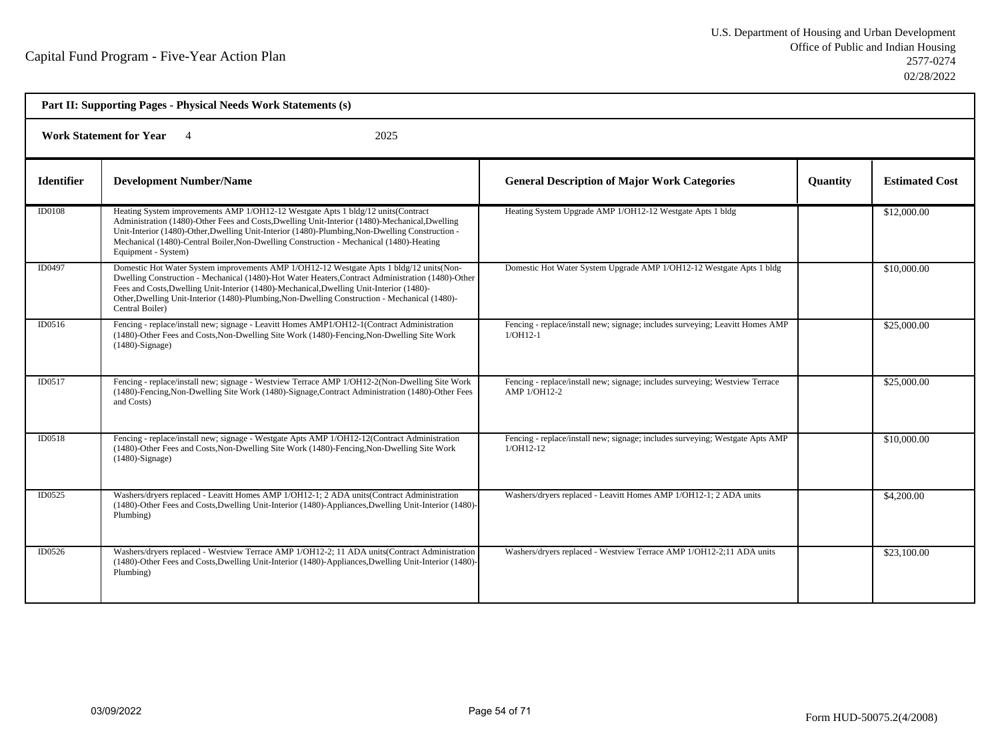| Part II: Supporting Pages - Physical Needs Work Statements (s) |                                                                                                                                                                                                                                                                                                                                                                                                               |                                                                                              |          |                       |  |
|----------------------------------------------------------------|---------------------------------------------------------------------------------------------------------------------------------------------------------------------------------------------------------------------------------------------------------------------------------------------------------------------------------------------------------------------------------------------------------------|----------------------------------------------------------------------------------------------|----------|-----------------------|--|
| <b>Work Statement for Year</b><br>2025                         |                                                                                                                                                                                                                                                                                                                                                                                                               |                                                                                              |          |                       |  |
| <b>Identifier</b>                                              | <b>Development Number/Name</b>                                                                                                                                                                                                                                                                                                                                                                                | <b>General Description of Major Work Categories</b>                                          | Quantity | <b>Estimated Cost</b> |  |
| <b>ID0108</b>                                                  | Heating System improvements AMP 1/OH12-12 Westgate Apts 1 bldg/12 units(Contract<br>Administration (1480)-Other Fees and Costs, Dwelling Unit-Interior (1480)-Mechanical, Dwelling<br>Unit-Interior (1480)-Other, Dwelling Unit-Interior (1480)-Plumbing, Non-Dwelling Construction -<br>Mechanical (1480)-Central Boiler, Non-Dwelling Construction - Mechanical (1480)-Heating<br>Equipment - System)       | Heating System Upgrade AMP 1/OH12-12 Westgate Apts 1 bldg                                    |          | \$12,000.00           |  |
| ID0497                                                         | Domestic Hot Water System improvements AMP 1/OH12-12 Westgate Apts 1 bldg/12 units (Non-<br>Dwelling Construction - Mechanical (1480)-Hot Water Heaters, Contract Administration (1480)-Other<br>Fees and Costs, Dwelling Unit-Interior (1480)-Mechanical, Dwelling Unit-Interior (1480)-<br>Other, Dwelling Unit-Interior (1480)-Plumbing, Non-Dwelling Construction - Mechanical (1480)-<br>Central Boiler) | Domestic Hot Water System Upgrade AMP 1/OH12-12 Westgate Apts 1 bldg                         |          | \$10,000.00           |  |
| ID0516                                                         | Fencing - replace/install new; signage - Leavitt Homes AMP1/OH12-1(Contract Administration<br>(1480)-Other Fees and Costs, Non-Dwelling Site Work (1480)-Fencing, Non-Dwelling Site Work<br>$(1480)$ -Signage)                                                                                                                                                                                                | Fencing - replace/install new; signage; includes surveying; Leavitt Homes AMP<br>$1/OH12-1$  |          | \$25,000.00           |  |
| ID0517                                                         | Fencing - replace/install new; signage - Westview Terrace AMP 1/OH12-2(Non-Dwelling Site Work<br>(1480)-Fencing, Non-Dwelling Site Work (1480)-Signage, Contract Administration (1480)-Other Fees<br>and Costs)                                                                                                                                                                                               | Fencing - replace/install new; signage; includes surveying; Westview Terrace<br>AMP 1/OH12-2 |          | \$25,000.00           |  |
| ID0518                                                         | Fencing - replace/install new; signage - Westgate Apts AMP 1/OH12-12(Contract Administration<br>(1480)-Other Fees and Costs, Non-Dwelling Site Work (1480)-Fencing, Non-Dwelling Site Work<br>$(1480)$ -Signage)                                                                                                                                                                                              | Fencing - replace/install new; signage; includes surveying; Westgate Apts AMP<br>$1/OH12-12$ |          | \$10,000.00           |  |
| ID0525                                                         | Washers/dryers replaced - Leavitt Homes AMP 1/OH12-1; 2 ADA units(Contract Administration<br>(1480)-Other Fees and Costs, Dwelling Unit-Interior (1480)-Appliances, Dwelling Unit-Interior (1480)-<br>Plumbing)                                                                                                                                                                                               | Washers/dryers replaced - Leavitt Homes AMP 1/OH12-1; 2 ADA units                            |          | \$4,200.00            |  |
| ID0526                                                         | Washers/dryers replaced - Westview Terrace AMP 1/OH12-2; 11 ADA units(Contract Administration<br>(1480)-Other Fees and Costs, Dwelling Unit-Interior (1480)-Appliances, Dwelling Unit-Interior (1480)-<br>Plumbing)                                                                                                                                                                                           | Washers/dryers replaced - Westview Terrace AMP 1/OH12-2;11 ADA units                         |          | \$23,100.00           |  |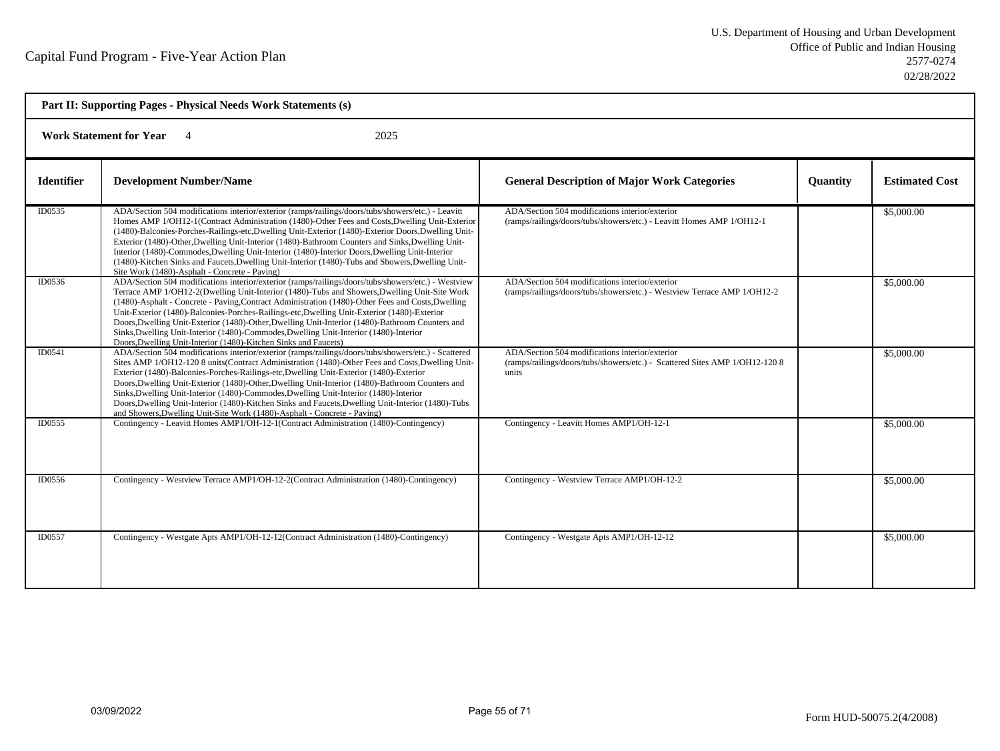| Part II: Supporting Pages - Physical Needs Work Statements (s) |                                                                                                                                                                                                                                                                                                                                                                                                                                                                                                                                                                                                                                                                                  |                                                                                                                                         |          |                       |  |
|----------------------------------------------------------------|----------------------------------------------------------------------------------------------------------------------------------------------------------------------------------------------------------------------------------------------------------------------------------------------------------------------------------------------------------------------------------------------------------------------------------------------------------------------------------------------------------------------------------------------------------------------------------------------------------------------------------------------------------------------------------|-----------------------------------------------------------------------------------------------------------------------------------------|----------|-----------------------|--|
| <b>Work Statement for Year</b><br>2025                         |                                                                                                                                                                                                                                                                                                                                                                                                                                                                                                                                                                                                                                                                                  |                                                                                                                                         |          |                       |  |
| <b>Identifier</b>                                              | <b>Development Number/Name</b>                                                                                                                                                                                                                                                                                                                                                                                                                                                                                                                                                                                                                                                   | <b>General Description of Major Work Categories</b>                                                                                     | Quantity | <b>Estimated Cost</b> |  |
| ID0535                                                         | ADA/Section 504 modifications interior/exterior (ramps/railings/doors/tubs/showers/etc.) - Leavitt<br>Homes AMP 1/OH12-1(Contract Administration (1480)-Other Fees and Costs, Dwelling Unit-Exterior<br>(1480)-Balconies-Porches-Railings-etc,Dwelling Unit-Exterior (1480)-Exterior Doors,Dwelling Unit-<br>Exterior (1480)-Other, Dwelling Unit-Interior (1480)-Bathroom Counters and Sinks, Dwelling Unit-<br>Interior (1480)-Commodes, Dwelling Unit-Interior (1480)-Interior Doors, Dwelling Unit-Interior<br>(1480)-Kitchen Sinks and Faucets, Dwelling Unit-Interior (1480)-Tubs and Showers, Dwelling Unit-<br>Site Work (1480)-Asphalt - Concrete - Paving)             | ADA/Section 504 modifications interior/exterior<br>(ramps/railings/doors/tubs/showers/etc.) - Leavitt Homes AMP 1/OH12-1                |          | \$5,000.00            |  |
| ID0536                                                         | ADA/Section 504 modifications interior/exterior (ramps/railings/doors/tubs/showers/etc.) - Westview<br>Terrace AMP 1/OH12-2(Dwelling Unit-Interior (1480)-Tubs and Showers, Dwelling Unit-Site Work<br>(1480)-Asphalt - Concrete - Paving, Contract Administration (1480)-Other Fees and Costs, Dwelling<br>Unit-Exterior (1480)-Balconies-Porches-Railings-etc, Dwelling Unit-Exterior (1480)-Exterior<br>Doors, Dwelling Unit-Exterior (1480)-Other, Dwelling Unit-Interior (1480)-Bathroom Counters and<br>Sinks, Dwelling Unit-Interior (1480)-Commodes, Dwelling Unit-Interior (1480)-Interior<br>Doors, Dwelling Unit-Interior (1480)-Kitchen Sinks and Faucets)           | ADA/Section 504 modifications interior/exterior<br>(ramps/railings/doors/tubs/showers/etc.) - Westview Terrace AMP 1/OH12-2             |          | \$5,000.00            |  |
| ID0541                                                         | ADA/Section 504 modifications interior/exterior (ramps/railings/doors/tubs/showers/etc.) - Scattered<br>Sites AMP 1/OH12-120 8 units(Contract Administration (1480)-Other Fees and Costs, Dwelling Unit-<br>Exterior (1480)-Balconies-Porches-Railings-etc, Dwelling Unit-Exterior (1480)-Exterior<br>Doors, Dwelling Unit-Exterior (1480)-Other, Dwelling Unit-Interior (1480)-Bathroom Counters and<br>Sinks, Dwelling Unit-Interior (1480)-Commodes, Dwelling Unit-Interior (1480)-Interior<br>Doors, Dwelling Unit-Interior (1480)-Kitchen Sinks and Faucets, Dwelling Unit-Interior (1480)-Tubs<br>and Showers, Dwelling Unit-Site Work (1480)-Asphalt - Concrete - Paving) | ADA/Section 504 modifications interior/exterior<br>(ramps/railings/doors/tubs/showers/etc.) - Scattered Sites AMP 1/OH12-120 8<br>units |          | \$5,000.00            |  |
| ID0555                                                         | Contingency - Leavitt Homes AMP1/OH-12-1(Contract Administration (1480)-Contingency)                                                                                                                                                                                                                                                                                                                                                                                                                                                                                                                                                                                             | Contingency - Leavitt Homes AMP1/OH-12-1                                                                                                |          | \$5,000.00            |  |
| ID0556                                                         | Contingency - Westview Terrace AMP1/OH-12-2(Contract Administration (1480)-Contingency)                                                                                                                                                                                                                                                                                                                                                                                                                                                                                                                                                                                          | Contingency - Westview Terrace AMP1/OH-12-2                                                                                             |          | \$5,000.00            |  |
| ID0557                                                         | Contingency - Westgate Apts AMP1/OH-12-12(Contract Administration (1480)-Contingency)                                                                                                                                                                                                                                                                                                                                                                                                                                                                                                                                                                                            | Contingency - Westgate Apts AMP1/OH-12-12                                                                                               |          | \$5,000.00            |  |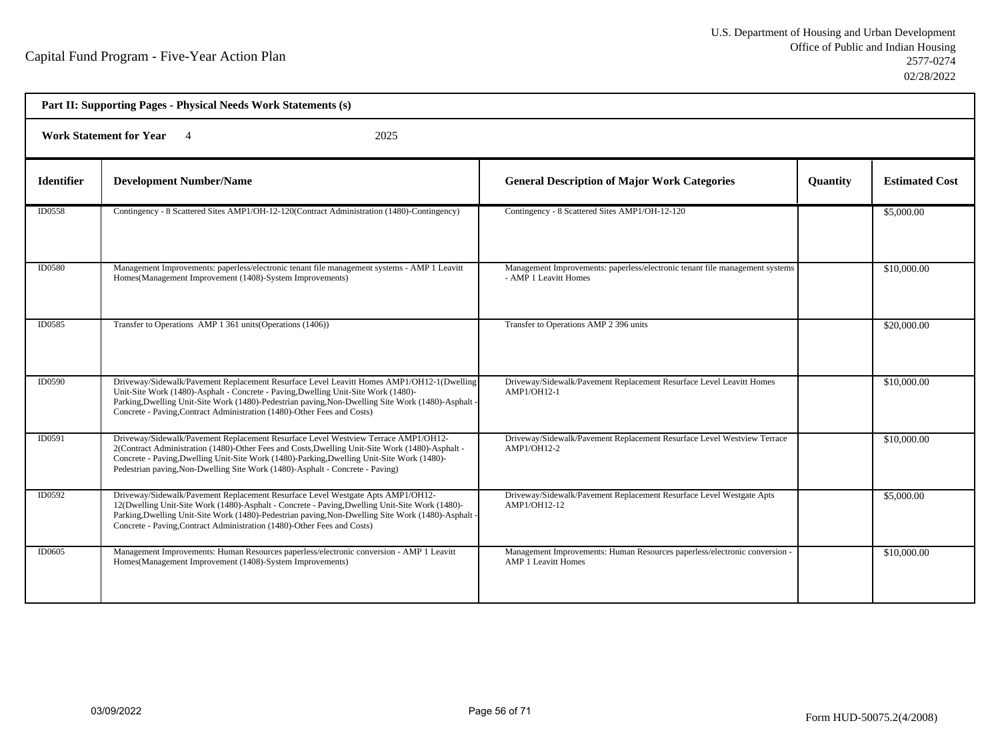| Part II: Supporting Pages - Physical Needs Work Statements (s) |                                                                                                                                                                                                                                                                                                                                                                      |                                                                                                          |                 |                       |  |
|----------------------------------------------------------------|----------------------------------------------------------------------------------------------------------------------------------------------------------------------------------------------------------------------------------------------------------------------------------------------------------------------------------------------------------------------|----------------------------------------------------------------------------------------------------------|-----------------|-----------------------|--|
| <b>Work Statement for Year</b><br>2025                         |                                                                                                                                                                                                                                                                                                                                                                      |                                                                                                          |                 |                       |  |
| <b>Identifier</b>                                              | <b>Development Number/Name</b>                                                                                                                                                                                                                                                                                                                                       | <b>General Description of Major Work Categories</b>                                                      | <b>Quantity</b> | <b>Estimated Cost</b> |  |
| ID0558                                                         | Contingency - 8 Scattered Sites AMP1/OH-12-120(Contract Administration (1480)-Contingency)                                                                                                                                                                                                                                                                           | Contingency - 8 Scattered Sites AMP1/OH-12-120                                                           |                 | \$5,000.00            |  |
| <b>ID0580</b>                                                  | Management Improvements: paperless/electronic tenant file management systems - AMP 1 Leavitt<br>Homes(Management Improvement (1408)-System Improvements)                                                                                                                                                                                                             | Management Improvements: paperless/electronic tenant file management systems<br>- AMP 1 Leavitt Homes    |                 | \$10,000.00           |  |
| ID0585                                                         | Transfer to Operations AMP 1 361 units (Operations (1406))                                                                                                                                                                                                                                                                                                           | Transfer to Operations AMP 2 396 units                                                                   |                 | \$20,000.00           |  |
| ID0590                                                         | Driveway/Sidewalk/Pavement Replacement Resurface Level Leavitt Homes AMP1/OH12-1(Dwelling<br>Unit-Site Work (1480)-Asphalt - Concrete - Paving, Dwelling Unit-Site Work (1480)-<br>Parking, Dwelling Unit-Site Work (1480)-Pedestrian paving, Non-Dwelling Site Work (1480)-Asphalt<br>Concrete - Paving, Contract Administration (1480)-Other Fees and Costs)       | Driveway/Sidewalk/Pavement Replacement Resurface Level Leavitt Homes<br>AMP1/OH12-1                      |                 | \$10,000.00           |  |
| ID0591                                                         | Driveway/Sidewalk/Pavement Replacement Resurface Level Westview Terrace AMP1/OH12-<br>2(Contract Administration (1480)-Other Fees and Costs, Dwelling Unit-Site Work (1480)-Asphalt -<br>Concrete - Paving, Dwelling Unit-Site Work (1480)-Parking, Dwelling Unit-Site Work (1480)-<br>Pedestrian paving, Non-Dwelling Site Work (1480)-Asphalt - Concrete - Paving) | Driveway/Sidewalk/Pavement Replacement Resurface Level Westview Terrace<br>AMP1/OH12-2                   |                 | \$10,000.00           |  |
| ID0592                                                         | Driveway/Sidewalk/Pavement Replacement Resurface Level Westgate Apts AMP1/OH12-<br>12(Dwelling Unit-Site Work (1480)-Asphalt - Concrete - Paving, Dwelling Unit-Site Work (1480)-<br>Parking, Dwelling Unit-Site Work (1480)-Pedestrian paving, Non-Dwelling Site Work (1480)-Asphalt<br>Concrete - Paving, Contract Administration (1480)-Other Fees and Costs)     | Driveway/Sidewalk/Pavement Replacement Resurface Level Westgate Apts<br>AMP1/OH12-12                     |                 | \$5,000.00            |  |
| <b>ID0605</b>                                                  | Management Improvements: Human Resources paperless/electronic conversion - AMP 1 Leavitt<br>Homes(Management Improvement (1408)-System Improvements)                                                                                                                                                                                                                 | Management Improvements: Human Resources paperless/electronic conversion -<br><b>AMP 1 Leavitt Homes</b> |                 | \$10,000.00           |  |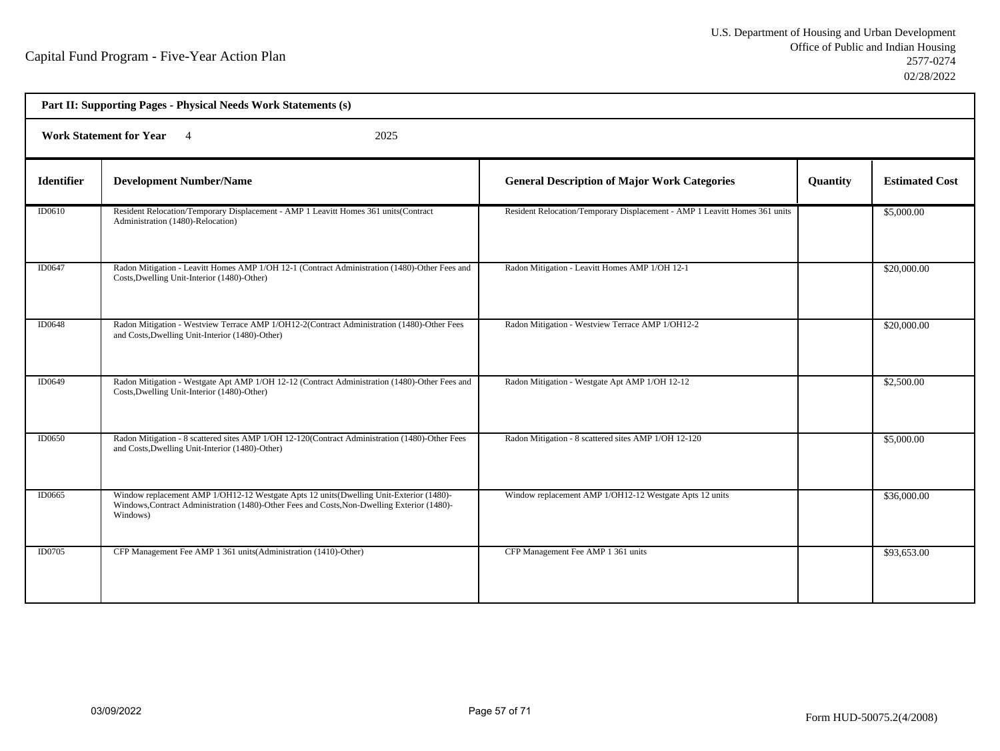| Part II: Supporting Pages - Physical Needs Work Statements (s) |                                                                                                                                                                                                   |                                                                            |          |                       |  |
|----------------------------------------------------------------|---------------------------------------------------------------------------------------------------------------------------------------------------------------------------------------------------|----------------------------------------------------------------------------|----------|-----------------------|--|
| <b>Work Statement for Year</b> 4<br>2025                       |                                                                                                                                                                                                   |                                                                            |          |                       |  |
| <b>Identifier</b>                                              | <b>Development Number/Name</b>                                                                                                                                                                    | <b>General Description of Major Work Categories</b>                        | Quantity | <b>Estimated Cost</b> |  |
| ID0610                                                         | Resident Relocation/Temporary Displacement - AMP 1 Leavitt Homes 361 units(Contract<br>Administration (1480)-Relocation)                                                                          | Resident Relocation/Temporary Displacement - AMP 1 Leavitt Homes 361 units |          | \$5,000.00            |  |
| ID0647                                                         | Radon Mitigation - Leavitt Homes AMP 1/OH 12-1 (Contract Administration (1480)-Other Fees and<br>Costs, Dwelling Unit-Interior (1480)-Other)                                                      | Radon Mitigation - Leavitt Homes AMP 1/OH 12-1                             |          | \$20,000.00           |  |
| ID0648                                                         | Radon Mitigation - Westview Terrace AMP 1/OH12-2(Contract Administration (1480)-Other Fees<br>and Costs, Dwelling Unit-Interior (1480)-Other)                                                     | Radon Mitigation - Westview Terrace AMP 1/OH12-2                           |          | \$20,000.00           |  |
| <b>ID0649</b>                                                  | Radon Mitigation - Westgate Apt AMP 1/OH 12-12 (Contract Administration (1480)-Other Fees and<br>Costs, Dwelling Unit-Interior (1480)-Other)                                                      | Radon Mitigation - Westgate Apt AMP 1/OH 12-12                             |          | \$2,500.00            |  |
| ID0650                                                         | Radon Mitigation - 8 scattered sites AMP 1/OH 12-120(Contract Administration (1480)-Other Fees<br>and Costs, Dwelling Unit-Interior (1480)-Other)                                                 | Radon Mitigation - 8 scattered sites AMP 1/OH 12-120                       |          | \$5,000.00            |  |
| ID0665                                                         | Window replacement AMP 1/OH12-12 Westgate Apts 12 units(Dwelling Unit-Exterior (1480)-<br>Windows, Contract Administration (1480)-Other Fees and Costs, Non-Dwelling Exterior (1480)-<br>Windows) | Window replacement AMP 1/OH12-12 Westgate Apts 12 units                    |          | \$36,000.00           |  |
| <b>ID0705</b>                                                  | CFP Management Fee AMP 1 361 units (Administration (1410)-Other)                                                                                                                                  | CFP Management Fee AMP 1 361 units                                         |          | \$93,653.00           |  |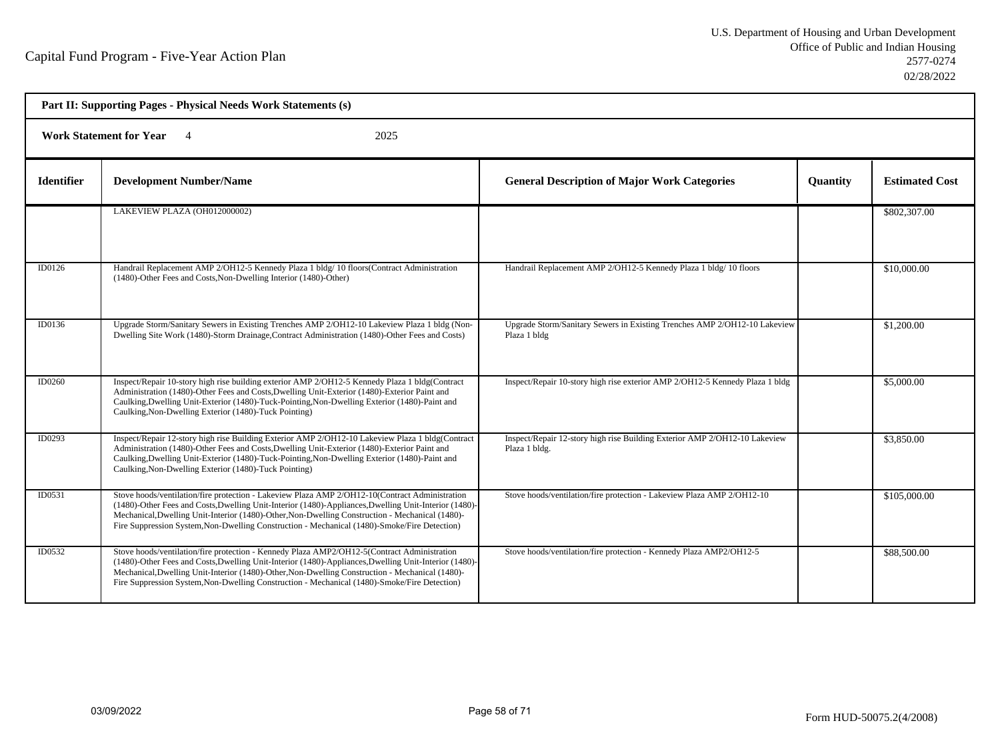| Part II: Supporting Pages - Physical Needs Work Statements (s) |                                                                                                                                                                                                                                                                                                                                                                                                            |                                                                                             |          |                       |  |  |
|----------------------------------------------------------------|------------------------------------------------------------------------------------------------------------------------------------------------------------------------------------------------------------------------------------------------------------------------------------------------------------------------------------------------------------------------------------------------------------|---------------------------------------------------------------------------------------------|----------|-----------------------|--|--|
|                                                                | <b>Work Statement for Year</b><br>2025                                                                                                                                                                                                                                                                                                                                                                     |                                                                                             |          |                       |  |  |
| <b>Identifier</b>                                              | <b>Development Number/Name</b>                                                                                                                                                                                                                                                                                                                                                                             | <b>General Description of Major Work Categories</b>                                         | Quantity | <b>Estimated Cost</b> |  |  |
|                                                                | LAKEVIEW PLAZA (OH012000002)                                                                                                                                                                                                                                                                                                                                                                               |                                                                                             |          | \$802,307.00          |  |  |
| ID0126                                                         | Handrail Replacement AMP 2/OH12-5 Kennedy Plaza 1 bldg/ 10 floors(Contract Administration<br>(1480)-Other Fees and Costs, Non-Dwelling Interior (1480)-Other)                                                                                                                                                                                                                                              | Handrail Replacement AMP 2/OH12-5 Kennedy Plaza 1 bldg/ 10 floors                           |          | \$10,000.00           |  |  |
| ID0136                                                         | Upgrade Storm/Sanitary Sewers in Existing Trenches AMP 2/OH12-10 Lakeview Plaza 1 bldg (Non-<br>Dwelling Site Work (1480)-Storm Drainage, Contract Administration (1480)-Other Fees and Costs)                                                                                                                                                                                                             | Upgrade Storm/Sanitary Sewers in Existing Trenches AMP 2/OH12-10 Lakeview<br>Plaza 1 bldg   |          | \$1,200.00            |  |  |
| ID0260                                                         | Inspect/Repair 10-story high rise building exterior AMP 2/OH12-5 Kennedy Plaza 1 bldg(Contract<br>Administration (1480)-Other Fees and Costs, Dwelling Unit-Exterior (1480)-Exterior Paint and<br>Caulking, Dwelling Unit-Exterior (1480)-Tuck-Pointing, Non-Dwelling Exterior (1480)-Paint and<br>Caulking, Non-Dwelling Exterior (1480)-Tuck Pointing)                                                   | Inspect/Repair 10-story high rise exterior AMP 2/OH12-5 Kennedy Plaza 1 bldg                |          | \$5,000.00            |  |  |
| ID0293                                                         | Inspect/Repair 12-story high rise Building Exterior AMP 2/OH12-10 Lakeview Plaza 1 bldg(Contract<br>Administration (1480)-Other Fees and Costs, Dwelling Unit-Exterior (1480)-Exterior Paint and<br>Caulking, Dwelling Unit-Exterior (1480)-Tuck-Pointing, Non-Dwelling Exterior (1480)-Paint and<br>Caulking, Non-Dwelling Exterior (1480)-Tuck Pointing)                                                 | Inspect/Repair 12-story high rise Building Exterior AMP 2/OH12-10 Lakeview<br>Plaza 1 bldg. |          | \$3,850.00            |  |  |
| ID0531                                                         | Stove hoods/ventilation/fire protection - Lakeview Plaza AMP 2/OH12-10(Contract Administration<br>(1480)-Other Fees and Costs, Dwelling Unit-Interior (1480)-Appliances, Dwelling Unit-Interior (1480)-<br>Mechanical, Dwelling Unit-Interior (1480)-Other, Non-Dwelling Construction - Mechanical (1480)-<br>Fire Suppression System, Non-Dwelling Construction - Mechanical (1480)-Smoke/Fire Detection) | Stove hoods/ventilation/fire protection - Lakeview Plaza AMP 2/OH12-10                      |          | \$105,000.00          |  |  |
| ID0532                                                         | Stove hoods/ventilation/fire protection - Kennedy Plaza AMP2/OH12-5(Contract Administration<br>(1480)-Other Fees and Costs, Dwelling Unit-Interior (1480)-Appliances, Dwelling Unit-Interior (1480)-<br>Mechanical, Dwelling Unit-Interior (1480)-Other, Non-Dwelling Construction - Mechanical (1480)-<br>Fire Suppression System, Non-Dwelling Construction - Mechanical (1480)-Smoke/Fire Detection)    | Stove hoods/ventilation/fire protection - Kennedy Plaza AMP2/OH12-5                         |          | \$88,500.00           |  |  |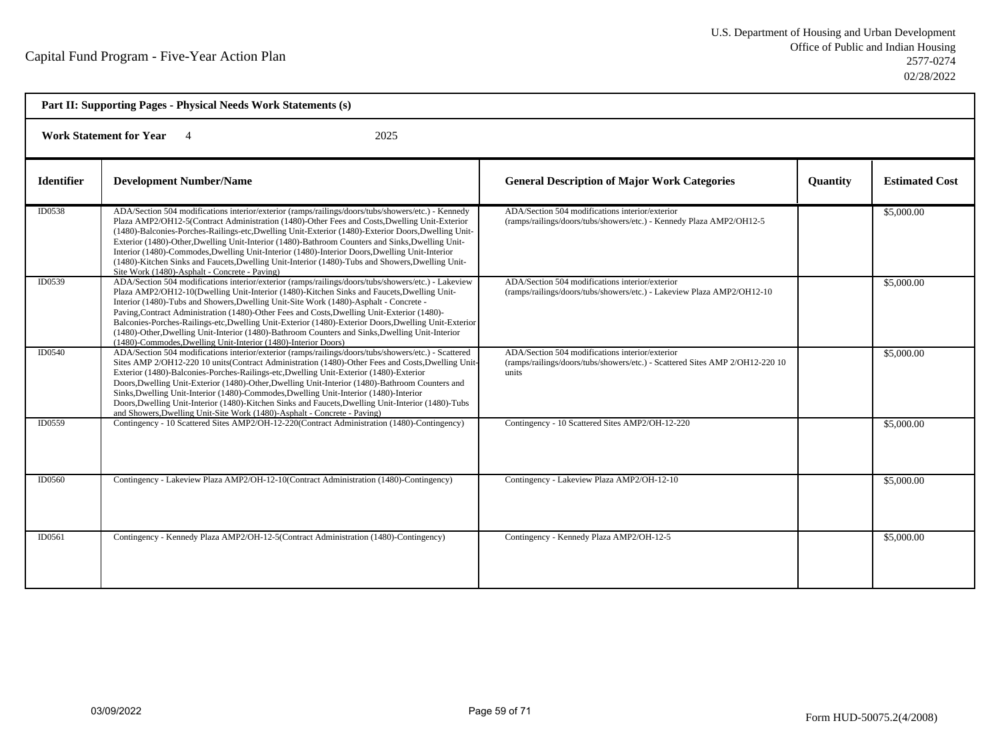| Part II: Supporting Pages - Physical Needs Work Statements (s) |                                                                                                                                                                                                                                                                                                                                                                                                                                                                                                                                                                                                                                                                                   |                                                                                                                                          |                 |                       |  |
|----------------------------------------------------------------|-----------------------------------------------------------------------------------------------------------------------------------------------------------------------------------------------------------------------------------------------------------------------------------------------------------------------------------------------------------------------------------------------------------------------------------------------------------------------------------------------------------------------------------------------------------------------------------------------------------------------------------------------------------------------------------|------------------------------------------------------------------------------------------------------------------------------------------|-----------------|-----------------------|--|
|                                                                | <b>Work Statement for Year</b><br>2025                                                                                                                                                                                                                                                                                                                                                                                                                                                                                                                                                                                                                                            |                                                                                                                                          |                 |                       |  |
| <b>Identifier</b>                                              | <b>Development Number/Name</b>                                                                                                                                                                                                                                                                                                                                                                                                                                                                                                                                                                                                                                                    | <b>General Description of Major Work Categories</b>                                                                                      | <b>Quantity</b> | <b>Estimated Cost</b> |  |
| ID0538                                                         | ADA/Section 504 modifications interior/exterior (ramps/railings/doors/tubs/showers/etc.) - Kennedy<br>Plaza AMP2/OH12-5(Contract Administration (1480)-Other Fees and Costs, Dwelling Unit-Exterior<br>(1480)-Balconies-Porches-Railings-etc, Dwelling Unit-Exterior (1480)-Exterior Doors, Dwelling Unit-<br>Exterior (1480)-Other, Dwelling Unit-Interior (1480)-Bathroom Counters and Sinks, Dwelling Unit-<br>Interior (1480)-Commodes, Dwelling Unit-Interior (1480)-Interior Doors, Dwelling Unit-Interior<br>(1480)-Kitchen Sinks and Faucets, Dwelling Unit-Interior (1480)-Tubs and Showers, Dwelling Unit-<br>Site Work (1480)-Asphalt - Concrete - Paving)             | ADA/Section 504 modifications interior/exterior<br>(ramps/railings/doors/tubs/showers/etc.) - Kennedy Plaza AMP2/OH12-5                  |                 | \$5,000.00            |  |
| <b>ID0539</b>                                                  | ADA/Section 504 modifications interior/exterior (ramps/railings/doors/tubs/showers/etc.) - Lakeview<br>Plaza AMP2/OH12-10(Dwelling Unit-Interior (1480)-Kitchen Sinks and Faucets, Dwelling Unit-<br>Interior (1480)-Tubs and Showers, Dwelling Unit-Site Work (1480)-Asphalt - Concrete -<br>Paving, Contract Administration (1480)-Other Fees and Costs, Dwelling Unit-Exterior (1480)-<br>Balconies-Porches-Railings-etc,Dwelling Unit-Exterior (1480)-Exterior Doors,Dwelling Unit-Exterior<br>(1480)-Other, Dwelling Unit-Interior (1480)-Bathroom Counters and Sinks, Dwelling Unit-Interior<br>(1480)-Commodes, Dwelling Unit-Interior (1480)-Interior Doors)              | ADA/Section 504 modifications interior/exterior<br>(ramps/railings/doors/tubs/showers/etc.) - Lakeview Plaza AMP2/OH12-10                |                 | \$5,000.00            |  |
| ID0540                                                         | ADA/Section 504 modifications interior/exterior (ramps/railings/doors/tubs/showers/etc.) - Scattered<br>Sites AMP 2/OH12-220 10 units(Contract Administration (1480)-Other Fees and Costs, Dwelling Unit-<br>Exterior (1480)-Balconies-Porches-Railings-etc, Dwelling Unit-Exterior (1480)-Exterior<br>Doors, Dwelling Unit-Exterior (1480)-Other, Dwelling Unit-Interior (1480)-Bathroom Counters and<br>Sinks, Dwelling Unit-Interior (1480)-Commodes, Dwelling Unit-Interior (1480)-Interior<br>Doors, Dwelling Unit-Interior (1480)-Kitchen Sinks and Faucets, Dwelling Unit-Interior (1480)-Tubs<br>and Showers, Dwelling Unit-Site Work (1480)-Asphalt - Concrete - Paving) | ADA/Section 504 modifications interior/exterior<br>(ramps/railings/doors/tubs/showers/etc.) - Scattered Sites AMP 2/OH12-220 10<br>units |                 | \$5,000.00            |  |
| ID0559                                                         | Contingency - 10 Scattered Sites AMP2/OH-12-220(Contract Administration (1480)-Contingency)                                                                                                                                                                                                                                                                                                                                                                                                                                                                                                                                                                                       | Contingency - 10 Scattered Sites AMP2/OH-12-220                                                                                          |                 | \$5,000.00            |  |
| <b>ID0560</b>                                                  | Contingency - Lakeview Plaza AMP2/OH-12-10(Contract Administration (1480)-Contingency)                                                                                                                                                                                                                                                                                                                                                                                                                                                                                                                                                                                            | Contingency - Lakeview Plaza AMP2/OH-12-10                                                                                               |                 | \$5,000.00            |  |
| ID0561                                                         | Contingency - Kennedy Plaza AMP2/OH-12-5(Contract Administration (1480)-Contingency)                                                                                                                                                                                                                                                                                                                                                                                                                                                                                                                                                                                              | Contingency - Kennedy Plaza AMP2/OH-12-5                                                                                                 |                 | \$5,000.00            |  |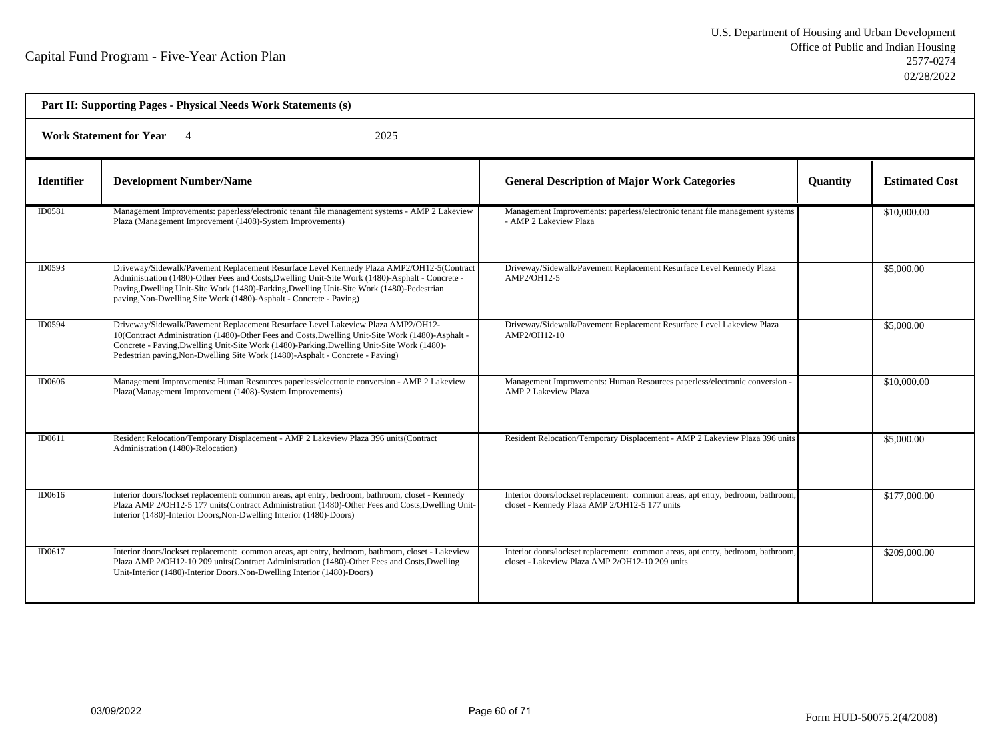| Part II: Supporting Pages - Physical Needs Work Statements (s) |                                                                                                                                                                                                                                                                                                                                                                     |                                                                                                                                    |                 |                       |  |
|----------------------------------------------------------------|---------------------------------------------------------------------------------------------------------------------------------------------------------------------------------------------------------------------------------------------------------------------------------------------------------------------------------------------------------------------|------------------------------------------------------------------------------------------------------------------------------------|-----------------|-----------------------|--|
|                                                                | 2025<br><b>Work Statement for Year</b> 4                                                                                                                                                                                                                                                                                                                            |                                                                                                                                    |                 |                       |  |
| <b>Identifier</b>                                              | <b>Development Number/Name</b>                                                                                                                                                                                                                                                                                                                                      | <b>General Description of Major Work Categories</b>                                                                                | <b>Quantity</b> | <b>Estimated Cost</b> |  |
| ID0581                                                         | Management Improvements: paperless/electronic tenant file management systems - AMP 2 Lakeview<br>Plaza (Management Improvement (1408)-System Improvements)                                                                                                                                                                                                          | Management Improvements: paperless/electronic tenant file management systems<br>- AMP 2 Lakeview Plaza                             |                 | \$10,000.00           |  |
| <b>ID0593</b>                                                  | Driveway/Sidewalk/Pavement Replacement Resurface Level Kennedy Plaza AMP2/OH12-5(Contract<br>Administration (1480)-Other Fees and Costs, Dwelling Unit-Site Work (1480)-Asphalt - Concrete -<br>Paving, Dwelling Unit-Site Work (1480)-Parking, Dwelling Unit-Site Work (1480)-Pedestrian<br>paving, Non-Dwelling Site Work (1480)-Asphalt - Concrete - Paving)     | Driveway/Sidewalk/Pavement Replacement Resurface Level Kennedy Plaza<br>AMP2/OH12-5                                                |                 | \$5,000.00            |  |
| ID0594                                                         | Driveway/Sidewalk/Pavement Replacement Resurface Level Lakeview Plaza AMP2/OH12-<br>10(Contract Administration (1480)-Other Fees and Costs, Dwelling Unit-Site Work (1480)-Asphalt -<br>Concrete - Paving, Dwelling Unit-Site Work (1480)-Parking, Dwelling Unit-Site Work (1480)-<br>Pedestrian paving, Non-Dwelling Site Work (1480)-Asphalt - Concrete - Paving) | Driveway/Sidewalk/Pavement Replacement Resurface Level Lakeview Plaza<br>AMP2/OH12-10                                              |                 | \$5,000.00            |  |
| <b>ID0606</b>                                                  | Management Improvements: Human Resources paperless/electronic conversion - AMP 2 Lakeview<br>Plaza(Management Improvement (1408)-System Improvements)                                                                                                                                                                                                               | Management Improvements: Human Resources paperless/electronic conversion -<br><b>AMP 2 Lakeview Plaza</b>                          |                 | \$10,000.00           |  |
| ID0611                                                         | Resident Relocation/Temporary Displacement - AMP 2 Lakeview Plaza 396 units(Contract<br>Administration (1480)-Relocation)                                                                                                                                                                                                                                           | Resident Relocation/Temporary Displacement - AMP 2 Lakeview Plaza 396 units                                                        |                 | \$5,000.00            |  |
| ID0616                                                         | Interior doors/lockset replacement: common areas, apt entry, bedroom, bathroom, closet - Kennedy<br>Plaza AMP 2/OH12-5 177 units(Contract Administration (1480)-Other Fees and Costs, Dwelling Unit-<br>Interior (1480)-Interior Doors, Non-Dwelling Interior (1480)-Doors)                                                                                         | Interior doors/lockset replacement: common areas, apt entry, bedroom, bathroom,<br>closet - Kennedy Plaza AMP 2/OH12-5 177 units   |                 | \$177,000.00          |  |
| ID0617                                                         | Interior doors/lockset replacement: common areas, apt entry, bedroom, bathroom, closet - Lakeview<br>Plaza AMP 2/OH12-10 209 units(Contract Administration (1480)-Other Fees and Costs, Dwelling<br>Unit-Interior (1480)-Interior Doors, Non-Dwelling Interior (1480)-Doors)                                                                                        | Interior doors/lockset replacement: common areas, apt entry, bedroom, bathroom,<br>closet - Lakeview Plaza AMP 2/OH12-10 209 units |                 | \$209,000.00          |  |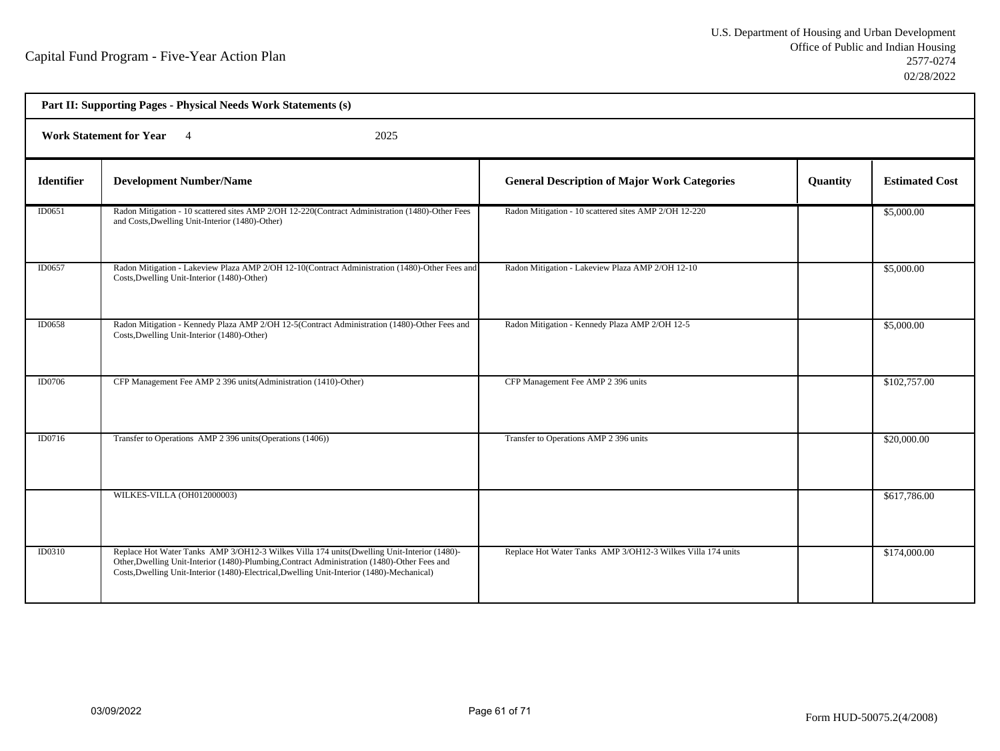|                   | Part II: Supporting Pages - Physical Needs Work Statements (s)                                                                                                                                                                                                                            |                                                             |          |                       |
|-------------------|-------------------------------------------------------------------------------------------------------------------------------------------------------------------------------------------------------------------------------------------------------------------------------------------|-------------------------------------------------------------|----------|-----------------------|
|                   | Work Statement for Year 4<br>2025                                                                                                                                                                                                                                                         |                                                             |          |                       |
| <b>Identifier</b> | <b>Development Number/Name</b>                                                                                                                                                                                                                                                            | <b>General Description of Major Work Categories</b>         | Quantity | <b>Estimated Cost</b> |
| ID0651            | Radon Mitigation - 10 scattered sites AMP 2/OH 12-220(Contract Administration (1480)-Other Fees<br>and Costs, Dwelling Unit-Interior (1480)-Other)                                                                                                                                        | Radon Mitigation - 10 scattered sites AMP 2/OH 12-220       |          | \$5,000.00            |
| ID0657            | Radon Mitigation - Lakeview Plaza AMP 2/OH 12-10(Contract Administration (1480)-Other Fees and<br>Costs, Dwelling Unit-Interior (1480)-Other)                                                                                                                                             | Radon Mitigation - Lakeview Plaza AMP 2/OH 12-10            |          | \$5,000.00            |
| <b>ID0658</b>     | Radon Mitigation - Kennedy Plaza AMP 2/OH 12-5(Contract Administration (1480)-Other Fees and<br>Costs, Dwelling Unit-Interior (1480)-Other)                                                                                                                                               | Radon Mitigation - Kennedy Plaza AMP 2/OH 12-5              |          | \$5,000.00            |
| <b>ID0706</b>     | CFP Management Fee AMP 2 396 units (Administration (1410)-Other)                                                                                                                                                                                                                          | CFP Management Fee AMP 2 396 units                          |          | \$102,757.00          |
| ID0716            | Transfer to Operations AMP 2 396 units (Operations (1406))                                                                                                                                                                                                                                | Transfer to Operations AMP 2 396 units                      |          | \$20,000.00           |
|                   | WILKES-VILLA (OH012000003)                                                                                                                                                                                                                                                                |                                                             |          | \$617,786.00          |
| <b>ID0310</b>     | Replace Hot Water Tanks AMP 3/OH12-3 Wilkes Villa 174 units (Dwelling Unit-Interior (1480)-<br>Other, Dwelling Unit-Interior (1480)-Plumbing, Contract Administration (1480)-Other Fees and<br>Costs, Dwelling Unit-Interior (1480)-Electrical, Dwelling Unit-Interior (1480)-Mechanical) | Replace Hot Water Tanks AMP 3/OH12-3 Wilkes Villa 174 units |          | \$174,000.00          |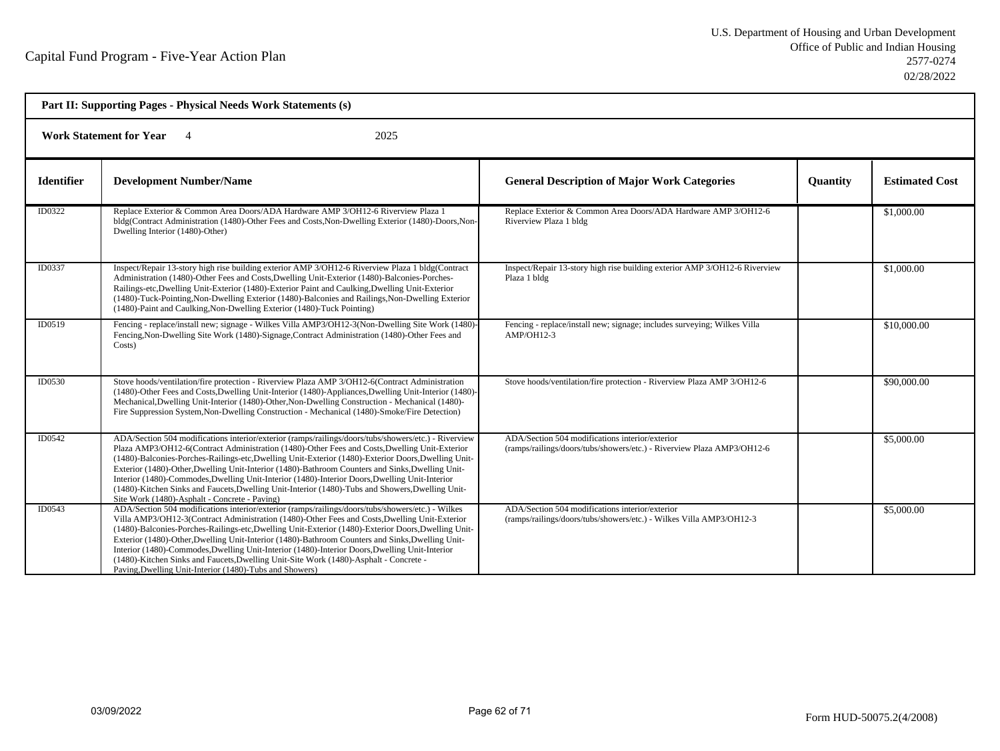| Part II: Supporting Pages - Physical Needs Work Statements (s) |                                                                                                                                                                                                                                                                                                                                                                                                                                                                                                                                                                                                                                                                         |                                                                                                                           |                 |                       |
|----------------------------------------------------------------|-------------------------------------------------------------------------------------------------------------------------------------------------------------------------------------------------------------------------------------------------------------------------------------------------------------------------------------------------------------------------------------------------------------------------------------------------------------------------------------------------------------------------------------------------------------------------------------------------------------------------------------------------------------------------|---------------------------------------------------------------------------------------------------------------------------|-----------------|-----------------------|
| <b>Work Statement for Year</b><br>2025                         |                                                                                                                                                                                                                                                                                                                                                                                                                                                                                                                                                                                                                                                                         |                                                                                                                           |                 |                       |
| <b>Identifier</b>                                              | <b>Development Number/Name</b>                                                                                                                                                                                                                                                                                                                                                                                                                                                                                                                                                                                                                                          | <b>General Description of Major Work Categories</b>                                                                       | <b>Quantity</b> | <b>Estimated Cost</b> |
| ID0322                                                         | Replace Exterior & Common Area Doors/ADA Hardware AMP 3/OH12-6 Riverview Plaza 1<br>bldg(Contract Administration (1480)-Other Fees and Costs, Non-Dwelling Exterior (1480)-Doors, Non-<br>Dwelling Interior (1480)-Other)                                                                                                                                                                                                                                                                                                                                                                                                                                               | Replace Exterior & Common Area Doors/ADA Hardware AMP 3/OH12-6<br>Riverview Plaza 1 bldg                                  |                 | \$1,000.00            |
| ID0337                                                         | Inspect/Repair 13-story high rise building exterior AMP 3/OH12-6 Riverview Plaza 1 bldg(Contract<br>Administration (1480)-Other Fees and Costs, Dwelling Unit-Exterior (1480)-Balconies-Porches-<br>Railings-etc, Dwelling Unit-Exterior (1480)-Exterior Paint and Caulking, Dwelling Unit-Exterior<br>(1480)-Tuck-Pointing, Non-Dwelling Exterior (1480)-Balconies and Railings, Non-Dwelling Exterior<br>(1480)-Paint and Caulking, Non-Dwelling Exterior (1480)-Tuck Pointing)                                                                                                                                                                                       | Inspect/Repair 13-story high rise building exterior AMP 3/OH12-6 Riverview<br>Plaza 1 bldg                                |                 | \$1,000.00            |
| ID0519                                                         | Fencing - replace/install new; signage - Wilkes Villa AMP3/OH12-3(Non-Dwelling Site Work (1480)-<br>Fencing, Non-Dwelling Site Work (1480)-Signage, Contract Administration (1480)-Other Fees and<br>Costs)                                                                                                                                                                                                                                                                                                                                                                                                                                                             | Fencing - replace/install new; signage; includes surveying; Wilkes Villa<br>AMP/OH12-3                                    |                 | \$10,000.00           |
| ID0530                                                         | Stove hoods/ventilation/fire protection - Riverview Plaza AMP 3/OH12-6(Contract Administration<br>(1480)-Other Fees and Costs, Dwelling Unit-Interior (1480)-Appliances, Dwelling Unit-Interior (1480)-<br>Mechanical, Dwelling Unit-Interior (1480)-Other, Non-Dwelling Construction - Mechanical (1480)-<br>Fire Suppression System, Non-Dwelling Construction - Mechanical (1480)-Smoke/Fire Detection)                                                                                                                                                                                                                                                              | Stove hoods/ventilation/fire protection - Riverview Plaza AMP 3/OH12-6                                                    |                 | \$90,000.00           |
| ID0542                                                         | ADA/Section 504 modifications interior/exterior (ramps/railings/doors/tubs/showers/etc.) - Riverview<br>Plaza AMP3/OH12-6(Contract Administration (1480)-Other Fees and Costs, Dwelling Unit-Exterior<br>(1480)-Balconies-Porches-Railings-etc, Dwelling Unit-Exterior (1480)-Exterior Doors, Dwelling Unit-<br>Exterior (1480)-Other, Dwelling Unit-Interior (1480)-Bathroom Counters and Sinks, Dwelling Unit-<br>Interior (1480)-Commodes, Dwelling Unit-Interior (1480)-Interior Doors, Dwelling Unit-Interior<br>(1480)-Kitchen Sinks and Faucets, Dwelling Unit-Interior (1480)-Tubs and Showers, Dwelling Unit-<br>Site Work (1480)-Asphalt - Concrete - Paving) | ADA/Section 504 modifications interior/exterior<br>(ramps/railings/doors/tubs/showers/etc.) - Riverview Plaza AMP3/OH12-6 |                 | \$5,000.00            |
| ID0543                                                         | ADA/Section 504 modifications interior/exterior (ramps/railings/doors/tubs/showers/etc.) - Wilkes<br>Villa AMP3/OH12-3(Contract Administration (1480)-Other Fees and Costs, Dwelling Unit-Exterior<br>(1480)-Balconies-Porches-Railings-etc, Dwelling Unit-Exterior (1480)-Exterior Doors, Dwelling Unit-<br>Exterior (1480)-Other, Dwelling Unit-Interior (1480)-Bathroom Counters and Sinks, Dwelling Unit-<br>Interior (1480)-Commodes, Dwelling Unit-Interior (1480)-Interior Doors, Dwelling Unit-Interior<br>(1480)-Kitchen Sinks and Faucets, Dwelling Unit-Site Work (1480)-Asphalt - Concrete -<br>Paving, Dwelling Unit-Interior (1480)-Tubs and Showers)     | ADA/Section 504 modifications interior/exterior<br>(ramps/railings/doors/tubs/showers/etc.) - Wilkes Villa AMP3/OH12-3    |                 | \$5,000.00            |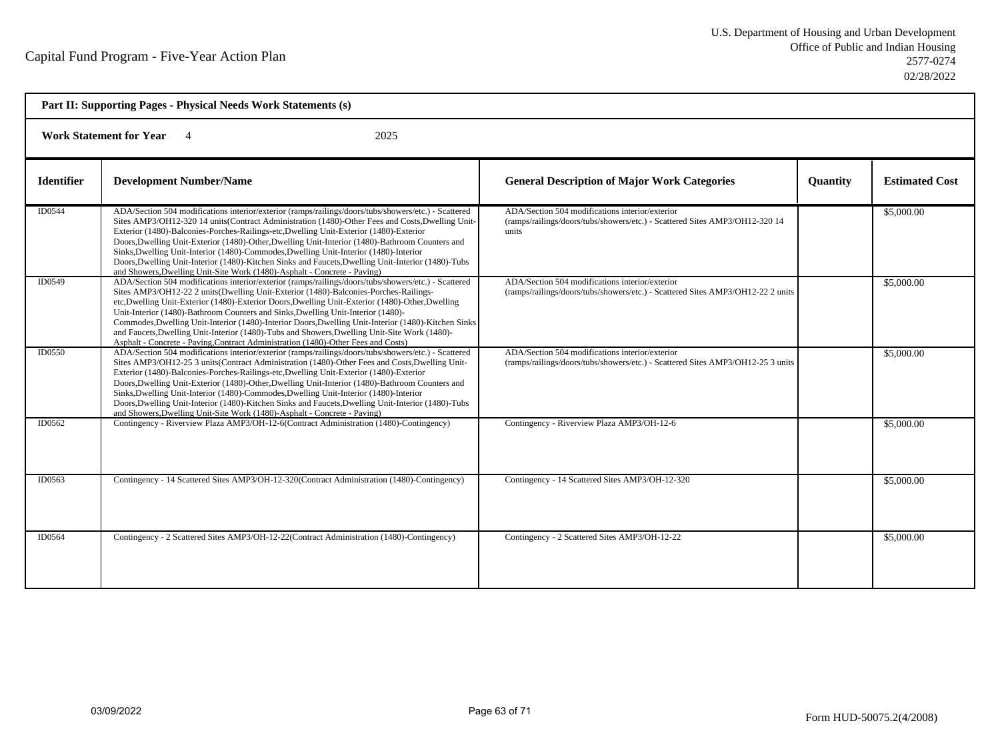| Part II: Supporting Pages - Physical Needs Work Statements (s) |                                                                                                                                                                                                                                                                                                                                                                                                                                                                                                                                                                                                                                                                                  |                                                                                                                                         |                 |                       |  |
|----------------------------------------------------------------|----------------------------------------------------------------------------------------------------------------------------------------------------------------------------------------------------------------------------------------------------------------------------------------------------------------------------------------------------------------------------------------------------------------------------------------------------------------------------------------------------------------------------------------------------------------------------------------------------------------------------------------------------------------------------------|-----------------------------------------------------------------------------------------------------------------------------------------|-----------------|-----------------------|--|
|                                                                | <b>Work Statement for Year</b><br>2025                                                                                                                                                                                                                                                                                                                                                                                                                                                                                                                                                                                                                                           |                                                                                                                                         |                 |                       |  |
| <b>Identifier</b>                                              | <b>Development Number/Name</b>                                                                                                                                                                                                                                                                                                                                                                                                                                                                                                                                                                                                                                                   | <b>General Description of Major Work Categories</b>                                                                                     | <b>Quantity</b> | <b>Estimated Cost</b> |  |
| ID0544                                                         | ADA/Section 504 modifications interior/exterior (ramps/railings/doors/tubs/showers/etc.) - Scattered<br>Sites AMP3/OH12-320 14 units(Contract Administration (1480)-Other Fees and Costs, Dwelling Unit-<br>Exterior (1480)-Balconies-Porches-Railings-etc, Dwelling Unit-Exterior (1480)-Exterior<br>Doors, Dwelling Unit-Exterior (1480)-Other, Dwelling Unit-Interior (1480)-Bathroom Counters and<br>Sinks, Dwelling Unit-Interior (1480)-Commodes, Dwelling Unit-Interior (1480)-Interior<br>Doors, Dwelling Unit-Interior (1480)-Kitchen Sinks and Faucets, Dwelling Unit-Interior (1480)-Tubs<br>and Showers, Dwelling Unit-Site Work (1480)-Asphalt - Concrete - Paving) | ADA/Section 504 modifications interior/exterior<br>(ramps/railings/doors/tubs/showers/etc.) - Scattered Sites AMP3/OH12-320 14<br>units |                 | \$5,000.00            |  |
| ID0549                                                         | ADA/Section 504 modifications interior/exterior (ramps/railings/doors/tubs/showers/etc.) - Scattered<br>Sites AMP3/OH12-22 2 units(Dwelling Unit-Exterior (1480)-Balconies-Porches-Railings-<br>etc, Dwelling Unit-Exterior (1480)-Exterior Doors, Dwelling Unit-Exterior (1480)-Other, Dwelling<br>Unit-Interior (1480)-Bathroom Counters and Sinks, Dwelling Unit-Interior (1480)-<br>Commodes, Dwelling Unit-Interior (1480)-Interior Doors, Dwelling Unit-Interior (1480)-Kitchen Sinks<br>and Faucets, Dwelling Unit-Interior (1480)-Tubs and Showers, Dwelling Unit-Site Work (1480)-<br>Asphalt - Concrete - Paving, Contract Administration (1480)-Other Fees and Costs) | ADA/Section 504 modifications interior/exterior<br>(ramps/railings/doors/tubs/showers/etc.) - Scattered Sites AMP3/OH12-22 2 units      |                 | \$5,000.00            |  |
| ID0550                                                         | ADA/Section 504 modifications interior/exterior (ramps/railings/doors/tubs/showers/etc.) - Scattered<br>Sites AMP3/OH12-25 3 units (Contract Administration (1480)-Other Fees and Costs, Dwelling Unit-<br>Exterior (1480)-Balconies-Porches-Railings-etc, Dwelling Unit-Exterior (1480)-Exterior<br>Doors, Dwelling Unit-Exterior (1480)-Other, Dwelling Unit-Interior (1480)-Bathroom Counters and<br>Sinks, Dwelling Unit-Interior (1480)-Commodes, Dwelling Unit-Interior (1480)-Interior<br>Doors, Dwelling Unit-Interior (1480)-Kitchen Sinks and Faucets, Dwelling Unit-Interior (1480)-Tubs<br>and Showers, Dwelling Unit-Site Work (1480)-Asphalt - Concrete - Paving)  | ADA/Section 504 modifications interior/exterior<br>(ramps/railings/doors/tubs/showers/etc.) - Scattered Sites AMP3/OH12-25 3 units      |                 | \$5,000.00            |  |
| ID0562                                                         | Contingency - Riverview Plaza AMP3/OH-12-6(Contract Administration (1480)-Contingency)                                                                                                                                                                                                                                                                                                                                                                                                                                                                                                                                                                                           | Contingency - Riverview Plaza AMP3/OH-12-6                                                                                              |                 | \$5,000.00            |  |
| ID0563                                                         | Contingency - 14 Scattered Sites AMP3/OH-12-320(Contract Administration (1480)-Contingency)                                                                                                                                                                                                                                                                                                                                                                                                                                                                                                                                                                                      | Contingency - 14 Scattered Sites AMP3/OH-12-320                                                                                         |                 | \$5,000.00            |  |
| ID0564                                                         | Contingency - 2 Scattered Sites AMP3/OH-12-22(Contract Administration (1480)-Contingency)                                                                                                                                                                                                                                                                                                                                                                                                                                                                                                                                                                                        | Contingency - 2 Scattered Sites AMP3/OH-12-22                                                                                           |                 | \$5,000.00            |  |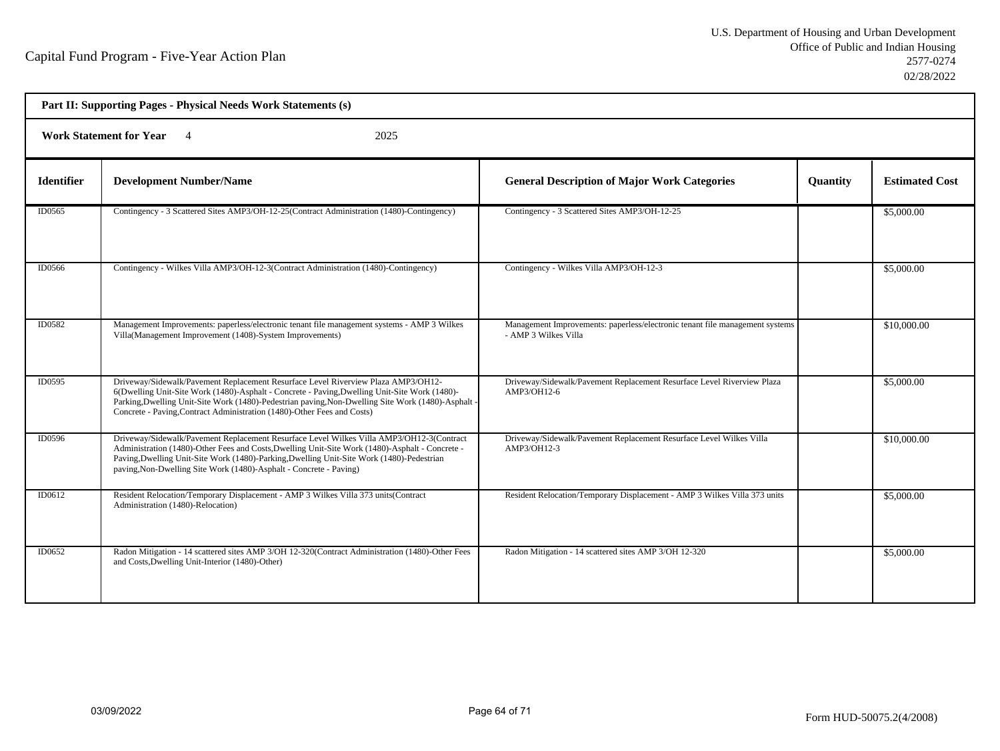|                   | Part II: Supporting Pages - Physical Needs Work Statements (s)                                                                                                                                                                                                                                                                                                    |                                                                                                      |          |                       |
|-------------------|-------------------------------------------------------------------------------------------------------------------------------------------------------------------------------------------------------------------------------------------------------------------------------------------------------------------------------------------------------------------|------------------------------------------------------------------------------------------------------|----------|-----------------------|
|                   | Work Statement for Year 4<br>2025                                                                                                                                                                                                                                                                                                                                 |                                                                                                      |          |                       |
| <b>Identifier</b> | <b>Development Number/Name</b>                                                                                                                                                                                                                                                                                                                                    | <b>General Description of Major Work Categories</b>                                                  | Quantity | <b>Estimated Cost</b> |
| ID0565            | Contingency - 3 Scattered Sites AMP3/OH-12-25(Contract Administration (1480)-Contingency)                                                                                                                                                                                                                                                                         | Contingency - 3 Scattered Sites AMP3/OH-12-25                                                        |          | \$5,000.00            |
| <b>ID0566</b>     | Contingency - Wilkes Villa AMP3/OH-12-3(Contract Administration (1480)-Contingency)                                                                                                                                                                                                                                                                               | Contingency - Wilkes Villa AMP3/OH-12-3                                                              |          | \$5,000.00            |
| ID0582            | Management Improvements: paperless/electronic tenant file management systems - AMP 3 Wilkes<br>Villa(Management Improvement (1408)-System Improvements)                                                                                                                                                                                                           | Management Improvements: paperless/electronic tenant file management systems<br>- AMP 3 Wilkes Villa |          | \$10,000.00           |
| <b>ID0595</b>     | Driveway/Sidewalk/Pavement Replacement Resurface Level Riverview Plaza AMP3/OH12-<br>6(Dwelling Unit-Site Work (1480)-Asphalt - Concrete - Paving, Dwelling Unit-Site Work (1480)-<br>Parking, Dwelling Unit-Site Work (1480)-Pedestrian paving, Non-Dwelling Site Work (1480)-Asphalt<br>Concrete - Paving, Contract Administration (1480)-Other Fees and Costs) | Driveway/Sidewalk/Pavement Replacement Resurface Level Riverview Plaza<br>AMP3/OH12-6                |          | \$5,000.00            |
| ID0596            | Driveway/Sidewalk/Pavement Replacement Resurface Level Wilkes Villa AMP3/OH12-3(Contract<br>Administration (1480)-Other Fees and Costs, Dwelling Unit-Site Work (1480)-Asphalt - Concrete -<br>Paving, Dwelling Unit-Site Work (1480)-Parking, Dwelling Unit-Site Work (1480)-Pedestrian<br>paving, Non-Dwelling Site Work (1480)-Asphalt - Concrete - Paving)    | Driveway/Sidewalk/Pavement Replacement Resurface Level Wilkes Villa<br>AMP3/OH12-3                   |          | \$10,000.00           |
| ID0612            | Resident Relocation/Temporary Displacement - AMP 3 Wilkes Villa 373 units (Contract<br>Administration (1480)-Relocation)                                                                                                                                                                                                                                          | Resident Relocation/Temporary Displacement - AMP 3 Wilkes Villa 373 units                            |          | \$5,000.00            |
| ID0652            | Radon Mitigation - 14 scattered sites AMP 3/OH 12-320(Contract Administration (1480)-Other Fees<br>and Costs, Dwelling Unit-Interior (1480)-Other)                                                                                                                                                                                                                | Radon Mitigation - 14 scattered sites AMP 3/OH 12-320                                                |          | \$5,000.00            |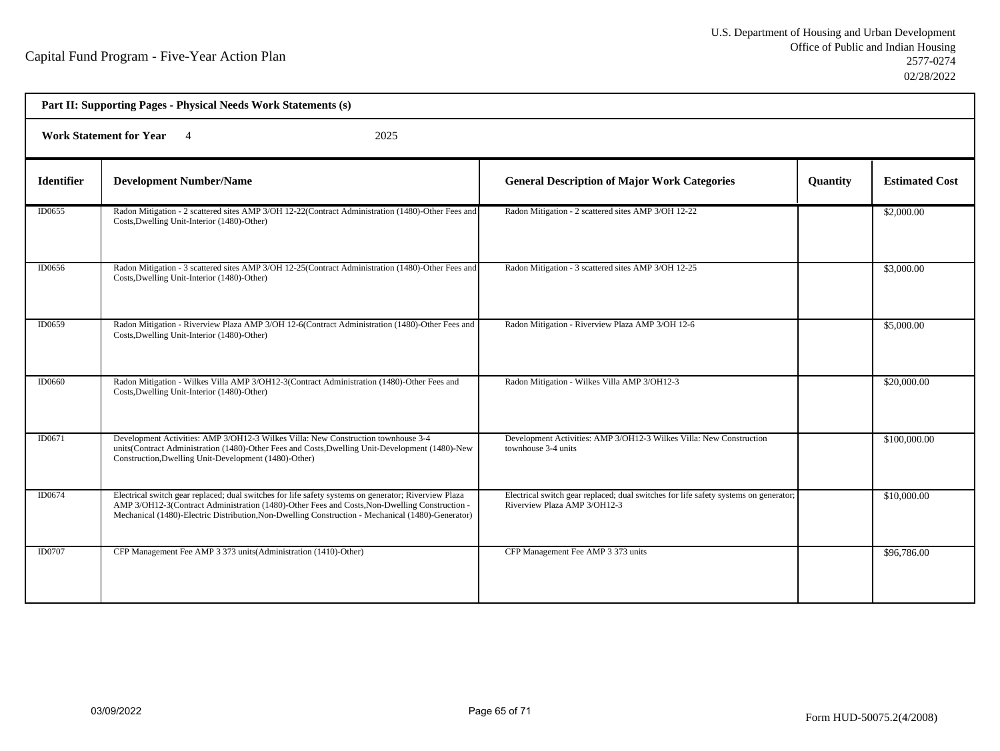| Part II: Supporting Pages - Physical Needs Work Statements (s) |                                                                                                                                                                                                                                                                                                            |                                                                                                                      |                 |                       |
|----------------------------------------------------------------|------------------------------------------------------------------------------------------------------------------------------------------------------------------------------------------------------------------------------------------------------------------------------------------------------------|----------------------------------------------------------------------------------------------------------------------|-----------------|-----------------------|
|                                                                | Work Statement for Year 4<br>2025                                                                                                                                                                                                                                                                          |                                                                                                                      |                 |                       |
| <b>Identifier</b>                                              | <b>Development Number/Name</b>                                                                                                                                                                                                                                                                             | <b>General Description of Major Work Categories</b>                                                                  | <b>Quantity</b> | <b>Estimated Cost</b> |
| ID0655                                                         | Radon Mitigation - 2 scattered sites AMP 3/OH 12-22(Contract Administration (1480)-Other Fees and<br>Costs, Dwelling Unit-Interior (1480)-Other)                                                                                                                                                           | Radon Mitigation - 2 scattered sites AMP 3/OH 12-22                                                                  |                 | \$2,000.00            |
| ID0656                                                         | Radon Mitigation - 3 scattered sites AMP 3/OH 12-25(Contract Administration (1480)-Other Fees and<br>Costs, Dwelling Unit-Interior (1480)-Other)                                                                                                                                                           | Radon Mitigation - 3 scattered sites AMP 3/OH 12-25                                                                  |                 | \$3,000.00            |
| ID0659                                                         | Radon Mitigation - Riverview Plaza AMP 3/OH 12-6(Contract Administration (1480)-Other Fees and<br>Costs, Dwelling Unit-Interior (1480)-Other)                                                                                                                                                              | Radon Mitigation - Riverview Plaza AMP 3/OH 12-6                                                                     |                 | \$5,000.00            |
| ID0660                                                         | Radon Mitigation - Wilkes Villa AMP 3/OH12-3(Contract Administration (1480)-Other Fees and<br>Costs, Dwelling Unit-Interior (1480)-Other)                                                                                                                                                                  | Radon Mitigation - Wilkes Villa AMP 3/OH12-3                                                                         |                 | \$20,000.00           |
| ID0671                                                         | Development Activities: AMP 3/OH12-3 Wilkes Villa: New Construction townhouse 3-4<br>units(Contract Administration (1480)-Other Fees and Costs, Dwelling Unit-Development (1480)-New<br>Construction, Dwelling Unit-Development (1480)-Other)                                                              | Development Activities: AMP 3/OH12-3 Wilkes Villa: New Construction<br>townhouse 3-4 units                           |                 | \$100,000.00          |
| ID0674                                                         | Electrical switch gear replaced; dual switches for life safety systems on generator; Riverview Plaza<br>AMP 3/OH12-3(Contract Administration (1480)-Other Fees and Costs, Non-Dwelling Construction -<br>Mechanical (1480)-Electric Distribution, Non-Dwelling Construction - Mechanical (1480)-Generator) | Electrical switch gear replaced; dual switches for life safety systems on generator;<br>Riverview Plaza AMP 3/OH12-3 |                 | \$10,000.00           |
| ID0707                                                         | CFP Management Fee AMP 3 373 units (Administration (1410)-Other)                                                                                                                                                                                                                                           | CFP Management Fee AMP 3 373 units                                                                                   |                 | \$96,786.00           |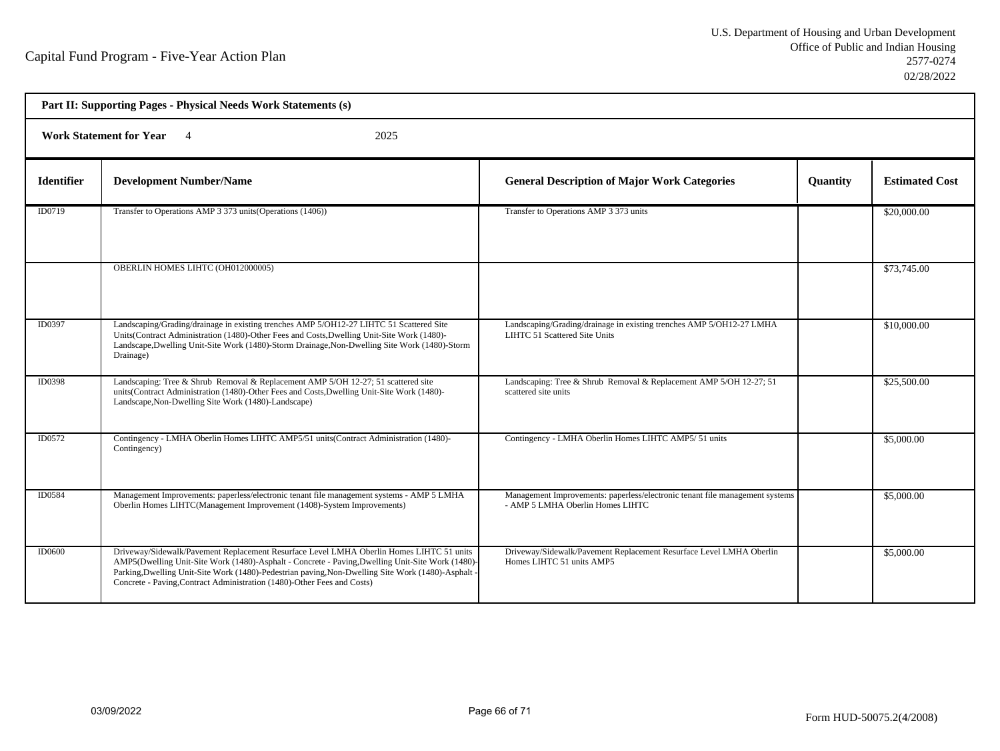| Part II: Supporting Pages - Physical Needs Work Statements (s) |                                                                                                                                                                                                                                                                                                                                                                               |                                                                                                                  |                 |                       |  |
|----------------------------------------------------------------|-------------------------------------------------------------------------------------------------------------------------------------------------------------------------------------------------------------------------------------------------------------------------------------------------------------------------------------------------------------------------------|------------------------------------------------------------------------------------------------------------------|-----------------|-----------------------|--|
|                                                                | <b>Work Statement for Year</b> 4<br>2025                                                                                                                                                                                                                                                                                                                                      |                                                                                                                  |                 |                       |  |
| <b>Identifier</b>                                              | <b>Development Number/Name</b>                                                                                                                                                                                                                                                                                                                                                | <b>General Description of Major Work Categories</b>                                                              | <b>Quantity</b> | <b>Estimated Cost</b> |  |
| ID0719                                                         | Transfer to Operations AMP 3 373 units (Operations (1406))                                                                                                                                                                                                                                                                                                                    | Transfer to Operations AMP 3 373 units                                                                           |                 | \$20,000.00           |  |
|                                                                | OBERLIN HOMES LIHTC (OH012000005)                                                                                                                                                                                                                                                                                                                                             |                                                                                                                  |                 | \$73,745.00           |  |
| ID0397                                                         | Landscaping/Grading/drainage in existing trenches AMP 5/OH12-27 LIHTC 51 Scattered Site<br>Units(Contract Administration (1480)-Other Fees and Costs, Dwelling Unit-Site Work (1480)-<br>Landscape, Dwelling Unit-Site Work (1480)-Storm Drainage, Non-Dwelling Site Work (1480)-Storm<br>Drainage)                                                                           | Landscaping/Grading/drainage in existing trenches AMP 5/OH12-27 LMHA<br>LIHTC 51 Scattered Site Units            |                 | \$10,000.00           |  |
| ID0398                                                         | Landscaping: Tree & Shrub Removal & Replacement AMP 5/OH 12-27; 51 scattered site<br>units(Contract Administration (1480)-Other Fees and Costs, Dwelling Unit-Site Work (1480)-<br>Landscape, Non-Dwelling Site Work (1480)-Landscape)                                                                                                                                        | Landscaping: Tree & Shrub Removal & Replacement AMP 5/OH 12-27; 51<br>scattered site units                       |                 | \$25,500.00           |  |
| ID0572                                                         | Contingency - LMHA Oberlin Homes LIHTC AMP5/51 units(Contract Administration (1480)-<br>Contingency)                                                                                                                                                                                                                                                                          | Contingency - LMHA Oberlin Homes LIHTC AMP5/ 51 units                                                            |                 | \$5,000.00            |  |
| <b>ID0584</b>                                                  | Management Improvements: paperless/electronic tenant file management systems - AMP 5 LMHA<br>Oberlin Homes LIHTC(Management Improvement (1408)-System Improvements)                                                                                                                                                                                                           | Management Improvements: paperless/electronic tenant file management systems<br>- AMP 5 LMHA Oberlin Homes LIHTC |                 | \$5,000.00            |  |
| <b>ID0600</b>                                                  | Driveway/Sidewalk/Pavement Replacement Resurface Level LMHA Oberlin Homes LIHTC 51 units<br>AMP5(Dwelling Unit-Site Work (1480)-Asphalt - Concrete - Paving, Dwelling Unit-Site Work (1480)-<br>Parking, Dwelling Unit-Site Work (1480)-Pedestrian paving, Non-Dwelling Site Work (1480)-Asphalt -<br>Concrete - Paving, Contract Administration (1480)-Other Fees and Costs) | Driveway/Sidewalk/Pavement Replacement Resurface Level LMHA Oberlin<br>Homes LIHTC 51 units AMP5                 |                 | \$5,000.00            |  |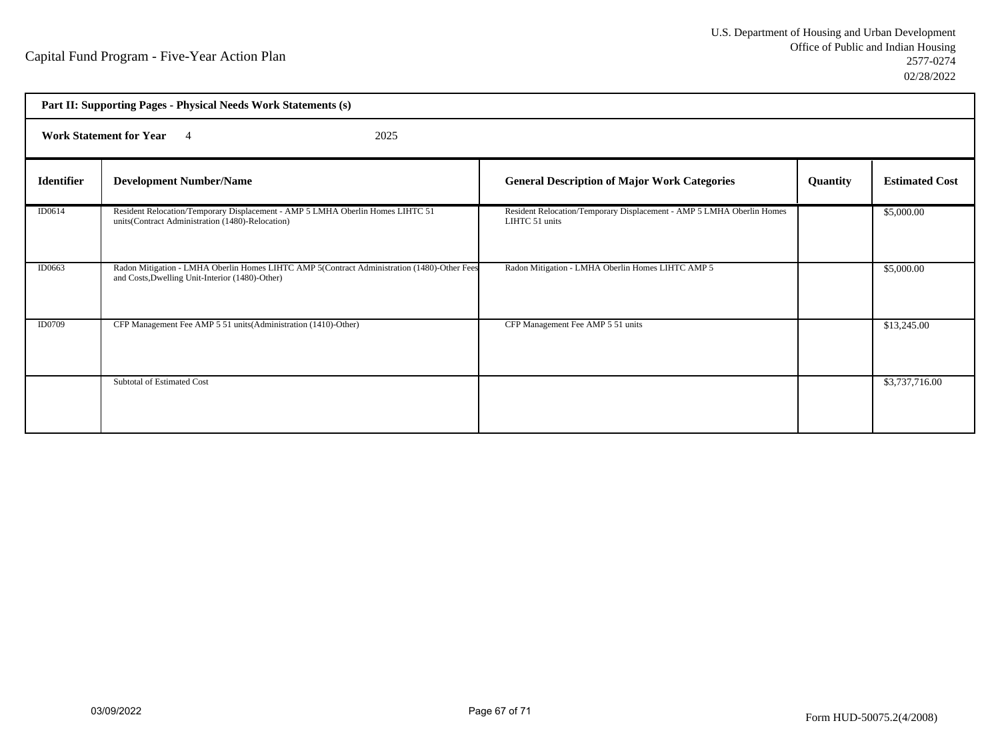| Part II: Supporting Pages - Physical Needs Work Statements (s) |                                                                                                                                                |                                                                                         |          |                       |  |
|----------------------------------------------------------------|------------------------------------------------------------------------------------------------------------------------------------------------|-----------------------------------------------------------------------------------------|----------|-----------------------|--|
|                                                                | <b>Work Statement for Year</b> 4<br>2025                                                                                                       |                                                                                         |          |                       |  |
| <b>Identifier</b>                                              | <b>Development Number/Name</b>                                                                                                                 | <b>General Description of Major Work Categories</b>                                     | Quantity | <b>Estimated Cost</b> |  |
| ID0614                                                         | Resident Relocation/Temporary Displacement - AMP 5 LMHA Oberlin Homes LIHTC 51<br>units(Contract Administration (1480)-Relocation)             | Resident Relocation/Temporary Displacement - AMP 5 LMHA Oberlin Homes<br>LIHTC 51 units |          | \$5,000.00            |  |
| ID0663                                                         | Radon Mitigation - LMHA Oberlin Homes LIHTC AMP 5(Contract Administration (1480)-Other Fees<br>and Costs, Dwelling Unit-Interior (1480)-Other) | Radon Mitigation - LMHA Oberlin Homes LIHTC AMP 5                                       |          | \$5,000.00            |  |
| ID0709                                                         | CFP Management Fee AMP 5 51 units (Administration (1410)-Other)                                                                                | CFP Management Fee AMP 5 51 units                                                       |          | \$13,245.00           |  |
|                                                                | Subtotal of Estimated Cost                                                                                                                     |                                                                                         |          | \$3,737,716.00        |  |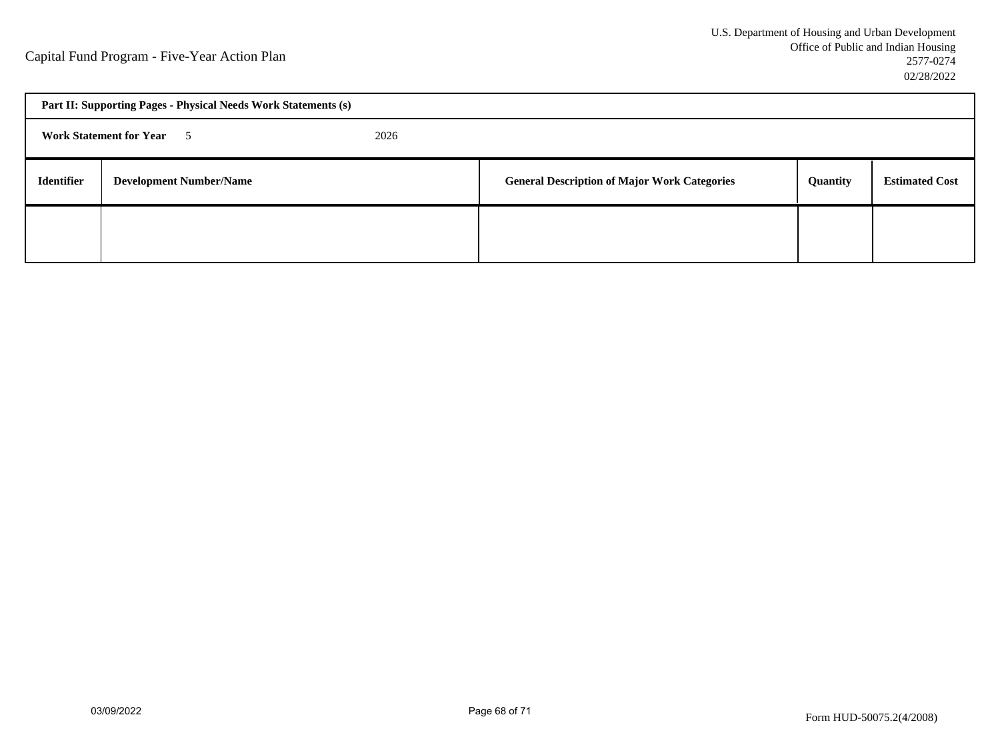| Part II: Supporting Pages - Physical Needs Work Statements (s) |                                |  |                                                     |          |                       |
|----------------------------------------------------------------|--------------------------------|--|-----------------------------------------------------|----------|-----------------------|
| <b>Work Statement for Year 5</b><br>2026                       |                                |  |                                                     |          |                       |
| <b>Identifier</b>                                              | <b>Development Number/Name</b> |  | <b>General Description of Major Work Categories</b> | Quantity | <b>Estimated Cost</b> |
|                                                                |                                |  |                                                     |          |                       |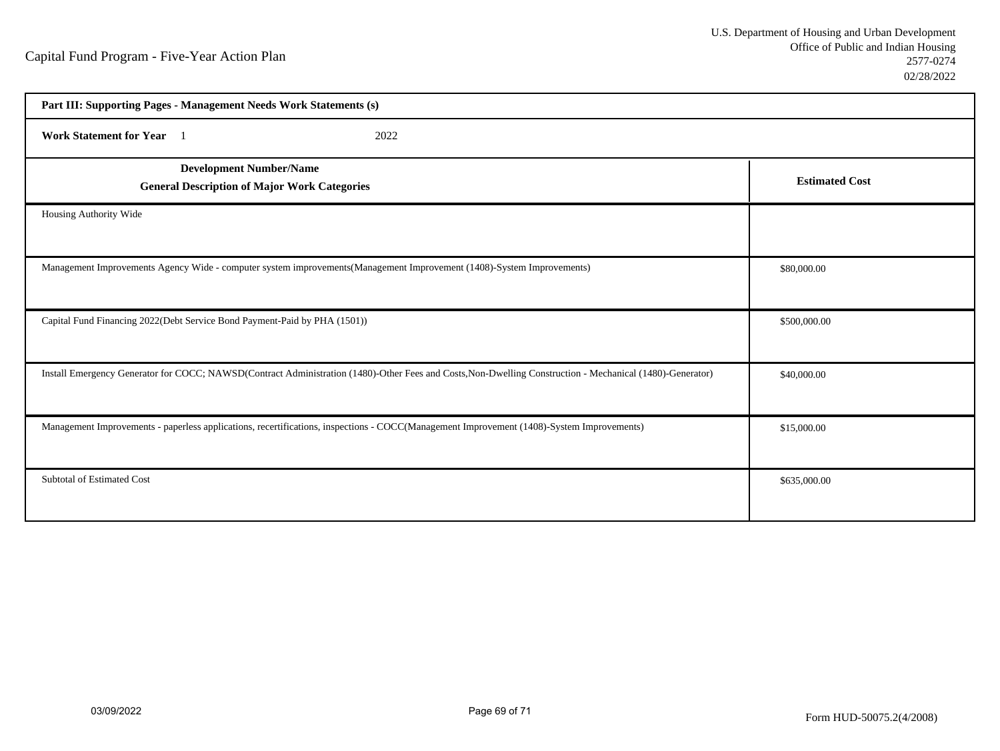| Part III: Supporting Pages - Management Needs Work Statements (s)                                                                                         |                       |
|-----------------------------------------------------------------------------------------------------------------------------------------------------------|-----------------------|
| <b>Work Statement for Year</b><br>2022                                                                                                                    |                       |
| <b>Development Number/Name</b><br><b>General Description of Major Work Categories</b>                                                                     | <b>Estimated Cost</b> |
| Housing Authority Wide                                                                                                                                    |                       |
| Management Improvements Agency Wide - computer system improvements (Management Improvement (1408)-System Improvements)                                    | \$80,000.00           |
| Capital Fund Financing 2022(Debt Service Bond Payment-Paid by PHA (1501))                                                                                 | \$500,000.00          |
| Install Emergency Generator for COCC; NAWSD(Contract Administration (1480)-Other Fees and Costs, Non-Dwelling Construction - Mechanical (1480)-Generator) | \$40,000.00           |
| Management Improvements - paperless applications, recertifications, inspections - COCC(Management Improvement (1408)-System Improvements)                 | \$15,000.00           |
| Subtotal of Estimated Cost                                                                                                                                | \$635,000.00          |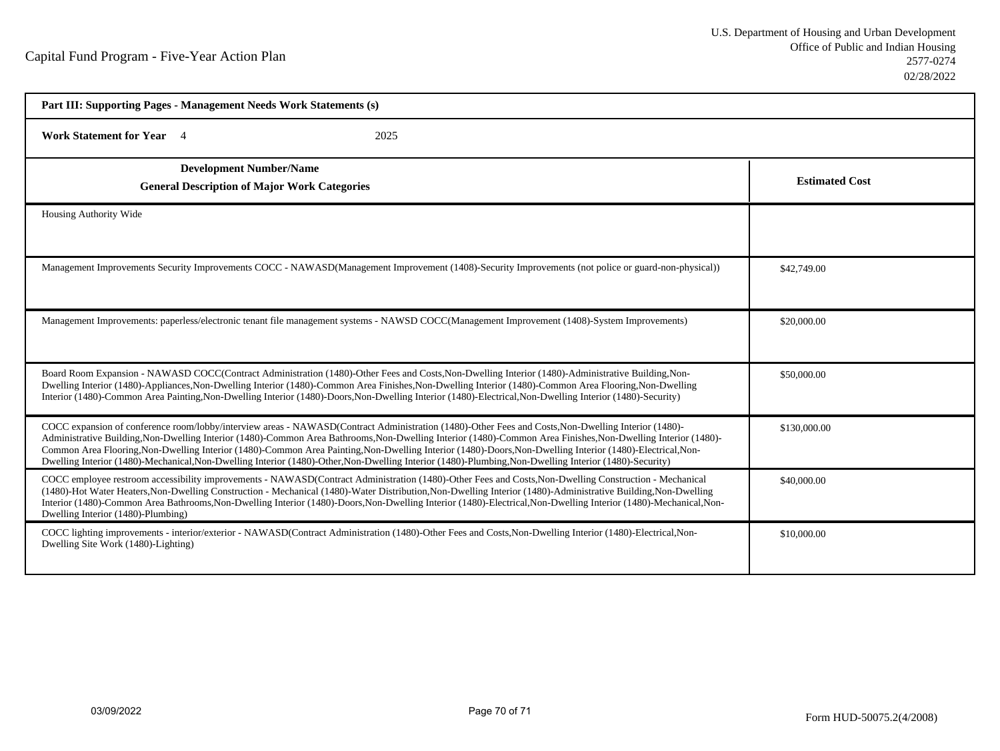| Part III: Supporting Pages - Management Needs Work Statements (s)                                                                                                                                                                                                                                                                                                                                                                                                                                                                                                                                                                            |                       |
|----------------------------------------------------------------------------------------------------------------------------------------------------------------------------------------------------------------------------------------------------------------------------------------------------------------------------------------------------------------------------------------------------------------------------------------------------------------------------------------------------------------------------------------------------------------------------------------------------------------------------------------------|-----------------------|
| 2025<br><b>Work Statement for Year</b> 4                                                                                                                                                                                                                                                                                                                                                                                                                                                                                                                                                                                                     |                       |
| <b>Development Number/Name</b><br><b>General Description of Major Work Categories</b>                                                                                                                                                                                                                                                                                                                                                                                                                                                                                                                                                        | <b>Estimated Cost</b> |
| Housing Authority Wide                                                                                                                                                                                                                                                                                                                                                                                                                                                                                                                                                                                                                       |                       |
| Management Improvements Security Improvements COCC - NAWASD(Management Improvement (1408)-Security Improvements (not police or guard-non-physical))                                                                                                                                                                                                                                                                                                                                                                                                                                                                                          | \$42,749.00           |
| Management Improvements: paperless/electronic tenant file management systems - NAWSD COCC(Management Improvement (1408)-System Improvements)                                                                                                                                                                                                                                                                                                                                                                                                                                                                                                 | \$20,000.00           |
| Board Room Expansion - NAWASD COCC(Contract Administration (1480)-Other Fees and Costs, Non-Dwelling Interior (1480)-Administrative Building, Non-<br>Dwelling Interior (1480)-Appliances, Non-Dwelling Interior (1480)-Common Area Finishes, Non-Dwelling Interior (1480)-Common Area Flooring, Non-Dwelling<br>Interior (1480)-Common Area Painting, Non-Dwelling Interior (1480)-Doors, Non-Dwelling Interior (1480)-Electrical, Non-Dwelling Interior (1480)-Security)                                                                                                                                                                   | \$50,000.00           |
| COCC expansion of conference room/lobby/interview areas - NAWASD(Contract Administration (1480)-Other Fees and Costs, Non-Dwelling Interior (1480)-<br>Administrative Building, Non-Dwelling Interior (1480)-Common Area Bathrooms, Non-Dwelling Interior (1480)-Common Area Finishes, Non-Dwelling Interior (1480)-<br>Common Area Flooring, Non-Dwelling Interior (1480)-Common Area Painting, Non-Dwelling Interior (1480)-Doors, Non-Dwelling Interior (1480)-Electrical, Non-<br>Dwelling Interior (1480)-Mechanical, Non-Dwelling Interior (1480)-Other, Non-Dwelling Interior (1480)-Plumbing, Non-Dwelling Interior (1480)-Security) | \$130,000.00          |
| COCC employee restroom accessibility improvements - NAWASD(Contract Administration (1480)-Other Fees and Costs, Non-Dwelling Construction - Mechanical<br>(1480)-Hot Water Heaters, Non-Dwelling Construction - Mechanical (1480)-Water Distribution, Non-Dwelling Interior (1480)-Administrative Building, Non-Dwelling<br>Interior (1480)-Common Area Bathrooms, Non-Dwelling Interior (1480)-Doors, Non-Dwelling Interior (1480)-Electrical, Non-Dwelling Interior (1480)-Clearing Interior (1480)-Clearing Interior (1480)-Clearing Interior (1480)-<br>Dwelling Interior (1480)-Plumbing)                                               | \$40,000.00           |
| COCC lighting improvements - interior/exterior - NAWASD(Contract Administration (1480)-Other Fees and Costs, Non-Dwelling Interior (1480)-Electrical, Non-<br>Dwelling Site Work (1480)-Lighting)                                                                                                                                                                                                                                                                                                                                                                                                                                            | \$10,000.00           |